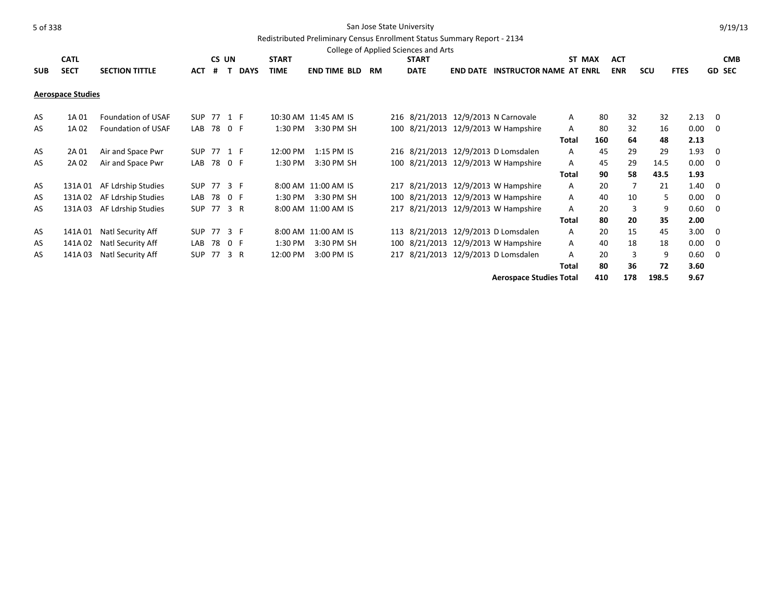## Redistributed Preliminary Census Enrollment Status Summary Report - 2134

|            | College of Applied Sciences and Arts |                           |            |       |                  |              |                      |           |     |              |                 |                                     |              |               |            |            |             |                          |               |
|------------|--------------------------------------|---------------------------|------------|-------|------------------|--------------|----------------------|-----------|-----|--------------|-----------------|-------------------------------------|--------------|---------------|------------|------------|-------------|--------------------------|---------------|
|            | <b>CATL</b>                          |                           |            | CS UN |                  | <b>START</b> |                      |           |     | <b>START</b> |                 |                                     |              | <b>ST MAX</b> | <b>ACT</b> |            |             |                          | <b>CMB</b>    |
| <b>SUB</b> | <b>SECT</b>                          | <b>SECTION TITTLE</b>     | <b>ACT</b> | #     | <b>DAYS</b><br>T | <b>TIME</b>  | <b>END TIME BLD</b>  | <b>RM</b> |     | <b>DATE</b>  | <b>END DATE</b> | <b>INSTRUCTOR NAME AT ENRL</b>      |              |               | <b>ENR</b> | <b>SCU</b> | <b>FTES</b> |                          | <b>GD SEC</b> |
|            | <b>Aerospace Studies</b>             |                           |            |       |                  |              |                      |           |     |              |                 |                                     |              |               |            |            |             |                          |               |
| AS         | 1A 01                                | <b>Foundation of USAF</b> | <b>SUP</b> |       | 77 1 F           |              | 10:30 AM 11:45 AM IS |           |     |              |                 | 216 8/21/2013 12/9/2013 N Carnovale | A            | 80            | 32         | 32         | 2.13        | $\overline{\phantom{0}}$ |               |
| AS         | 1A 02                                | <b>Foundation of USAF</b> | LAB        |       | 78 0 F           | 1:30 PM      | 3:30 PM SH           |           |     |              |                 | 100 8/21/2013 12/9/2013 W Hampshire | A            | 80            | 32         | 16         | $0.00\,$    | - 0                      |               |
|            |                                      |                           |            |       |                  |              |                      |           |     |              |                 |                                     | <b>Total</b> | 160           | 64         | 48         | 2.13        |                          |               |
| AS         | 2A 01                                | Air and Space Pwr         | <b>SUP</b> |       | 77 1 F           | 12:00 PM     | 1:15 PM IS           |           |     |              |                 | 216 8/21/2013 12/9/2013 D Lomsdalen | A            | 45            | 29         | 29         | 1.93        |                          | - 0           |
| AS         | 2A 02                                | Air and Space Pwr         | LAB        | 78    | 0 F              | 1:30 PM      | 3:30 PM SH           |           |     |              |                 | 100 8/21/2013 12/9/2013 W Hampshire | A            | 45            | 29         | 14.5       | 0.00        | $\overline{0}$           |               |
|            |                                      |                           |            |       |                  |              |                      |           |     |              |                 |                                     | <b>Total</b> | 90            | 58         | 43.5       | 1.93        |                          |               |
| AS         | 131A 01                              | AF Ldrship Studies        | <b>SUP</b> |       | 77 3 F           |              | 8:00 AM 11:00 AM IS  |           | 217 |              |                 | 8/21/2013 12/9/2013 W Hampshire     | A            | 20            |            | 21         | 1.40        |                          | - 0           |
| AS         | 131A 02                              | AF Ldrship Studies        | LAB        |       | 78 0 F           | 1:30 PM      | 3:30 PM SH           |           |     |              |                 | 100 8/21/2013 12/9/2013 W Hampshire | A            | 40            | 10         | 5          |             | $0.00 \t 0$              |               |
| AS         | 131A03                               | AF Ldrship Studies        | SUP        |       | 77 3 R           |              | 8:00 AM 11:00 AM IS  |           | 217 |              |                 | 8/21/2013 12/9/2013 W Hampshire     | Α            | 20            | 3          | 9          | 0.60        | $\overline{\phantom{0}}$ |               |
|            |                                      |                           |            |       |                  |              |                      |           |     |              |                 |                                     | <b>Total</b> | 80            | 20         | 35         | 2.00        |                          |               |
| AS         | 141A 01                              | Natl Security Aff         | <b>SUP</b> | 77    | 3 F              |              | 8:00 AM 11:00 AM IS  |           |     |              |                 | 113 8/21/2013 12/9/2013 D Lomsdalen | A            | 20            | 15         | 45         |             | 3.00<br>- 0              |               |
| AS         | 141A 02                              | Natl Security Aff         | LAB        | 78    | 0 F              | 1:30 PM      | 3:30 PM SH           |           |     |              |                 | 100 8/21/2013 12/9/2013 W Hampshire | A            | 40            | 18         | 18         |             | $0.00 \t 0$              |               |
| AS         | 141A 03                              | Natl Security Aff         | SUP        | 77    | 3 R              | 12:00 PM     | 3:00 PM IS           |           | 217 |              |                 | 8/21/2013 12/9/2013 D Lomsdalen     | A            | 20            | 3          | 9          | 0.60        |                          | - 0           |
|            |                                      |                           |            |       |                  |              |                      |           |     |              |                 |                                     | Total        | 80            | 36         | 72         | 3.60        |                          |               |
|            |                                      |                           |            |       |                  |              |                      |           |     |              |                 | <b>Aerospace Studies Total</b>      |              | 410           | 178        | 198.5      | 9.67        |                          |               |

9/19/13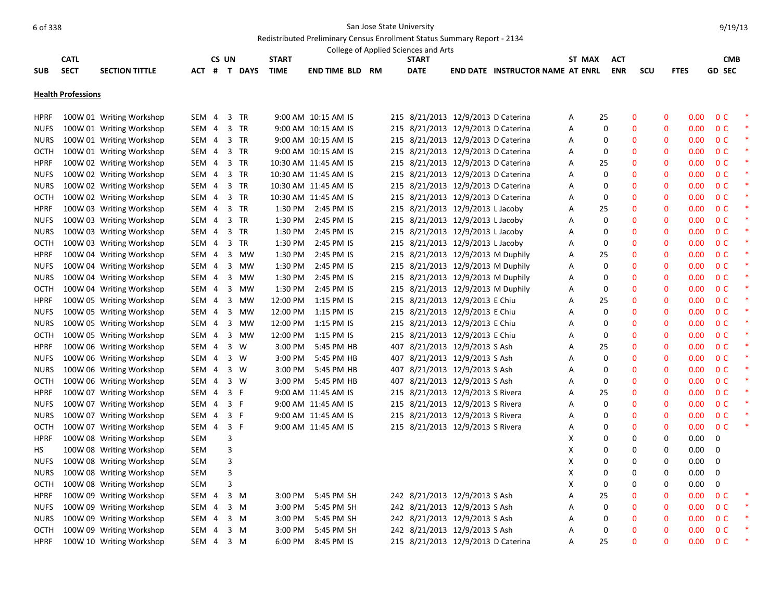|             |                           |                          |              |       |                   |              |          |                        |  | College of Applied Sciences and Arts |                                         |        |             |              |              |                   |                |            |  |
|-------------|---------------------------|--------------------------|--------------|-------|-------------------|--------------|----------|------------------------|--|--------------------------------------|-----------------------------------------|--------|-------------|--------------|--------------|-------------------|----------------|------------|--|
|             | <b>CATL</b>               |                          |              | CS UN |                   | <b>START</b> |          |                        |  | <b>START</b>                         |                                         | ST MAX | ACT         |              |              |                   |                | <b>CMB</b> |  |
| <b>SUB</b>  | <b>SECT</b>               | <b>SECTION TITTLE</b>    | ACT # T DAYS |       |                   | <b>TIME</b>  |          | <b>END TIME BLD RM</b> |  | <b>DATE</b>                          | <b>END DATE INSTRUCTOR NAME AT ENRL</b> |        | <b>ENR</b>  | scu          | <b>FTES</b>  |                   | <b>GD SEC</b>  |            |  |
|             | <b>Health Professions</b> |                          |              |       |                   |              |          |                        |  |                                      |                                         |        |             |              |              |                   |                |            |  |
| <b>HPRF</b> |                           | 100W 01 Writing Workshop | SEM 4        |       | 3 TR              |              |          | 9:00 AM 10:15 AM IS    |  | 215 8/21/2013 12/9/2013 D Caterina   |                                         | А      | 25          | $\mathbf{0}$ | $\mathbf{0}$ | 0.00              | 0 <sup>C</sup> | *          |  |
| <b>NUFS</b> |                           | 100W 01 Writing Workshop | SEM 4 3 TR   |       |                   |              |          | 9:00 AM 10:15 AM IS    |  | 215 8/21/2013 12/9/2013 D Caterina   |                                         | А      | 0           | 0            | $\mathbf 0$  | 0.00              | 0 <sup>C</sup> |            |  |
| <b>NURS</b> |                           | 100W 01 Writing Workshop | SEM 4        |       | 3 TR              |              |          | 9:00 AM 10:15 AM IS    |  | 215 8/21/2013 12/9/2013 D Caterina   |                                         | Α      | 0           | $\Omega$     | $\mathbf 0$  | $0.00\,$          | 0 <sup>C</sup> |            |  |
| OCTH        |                           | 100W 01 Writing Workshop | SEM 4        |       | 3 TR              |              |          | 9:00 AM 10:15 AM IS    |  | 215 8/21/2013 12/9/2013 D Caterina   |                                         | A      | 0           | $\mathbf{0}$ | $\mathbf{0}$ | 0.00              | 0 <sup>C</sup> |            |  |
| <b>HPRF</b> |                           | 100W 02 Writing Workshop | SEM 4        |       | 3 TR              |              |          | 10:30 AM 11:45 AM IS   |  | 215 8/21/2013 12/9/2013 D Caterina   |                                         | А      | 25          | 0            | $\mathbf 0$  | 0.00              | 0 <sup>C</sup> |            |  |
| <b>NUFS</b> |                           | 100W 02 Writing Workshop | SEM 4 3 TR   |       |                   |              |          | 10:30 AM 11:45 AM IS   |  | 215 8/21/2013 12/9/2013 D Caterina   |                                         | A      | 0           | 0            | $\mathbf{0}$ | 0.00              | 0 <sup>C</sup> |            |  |
| <b>NURS</b> |                           | 100W 02 Writing Workshop | SEM 4        |       | 3 TR              |              |          | 10:30 AM 11:45 AM IS   |  | 215 8/21/2013 12/9/2013 D Caterina   |                                         | А      | 0           | 0            | $\mathbf 0$  | 0.00              | 0 <sup>C</sup> |            |  |
| OCTH        |                           | 100W 02 Writing Workshop | SEM 4        |       | 3 TR              |              |          | 10:30 AM 11:45 AM IS   |  | 215 8/21/2013 12/9/2013 D Caterina   |                                         | А      | 0           | 0            | $\mathbf 0$  | 0.00              | 0 <sup>C</sup> |            |  |
| <b>HPRF</b> |                           | 100W 03 Writing Workshop | SEM 4 3 TR   |       |                   |              | 1:30 PM  | 2:45 PM IS             |  | 215 8/21/2013 12/9/2013 L Jacoby     |                                         | А      | 25          | $\Omega$     | $\mathbf{0}$ | 0.00              | 0 <sup>C</sup> |            |  |
| <b>NUFS</b> |                           | 100W 03 Writing Workshop | SEM 4        |       | 3 TR              |              | 1:30 PM  | 2:45 PM IS             |  | 215 8/21/2013 12/9/2013 L Jacoby     |                                         | Α      | 0           | 0            | $\mathbf 0$  | 0.00              | 0 <sup>C</sup> |            |  |
| <b>NURS</b> |                           | 100W 03 Writing Workshop | SEM 4        |       | 3 TR              |              | 1:30 PM  | 2:45 PM IS             |  | 215 8/21/2013 12/9/2013 L Jacoby     |                                         | A      | 0           | 0            | $\mathbf{0}$ | $0.00\,$          | 0 <sup>C</sup> |            |  |
| OCTH        |                           | 100W 03 Writing Workshop | SEM 4        |       | 3 TR              |              | 1:30 PM  | 2:45 PM IS             |  | 215 8/21/2013 12/9/2013 L Jacoby     |                                         | A      | 0           | $\mathbf{0}$ | $\mathbf{0}$ | 0.00              | 0 <sup>C</sup> |            |  |
| <b>HPRF</b> |                           | 100W 04 Writing Workshop | SEM 4        |       | 3 MW              |              | 1:30 PM  | 2:45 PM IS             |  | 215 8/21/2013 12/9/2013 M Duphily    |                                         | А      | 25          | 0            | $\mathbf 0$  | 0.00              | 0 <sup>C</sup> |            |  |
| <b>NUFS</b> |                           | 100W 04 Writing Workshop | SEM 4        |       | 3 MW              |              | 1:30 PM  | 2:45 PM IS             |  | 215 8/21/2013 12/9/2013 M Duphily    |                                         | A      | 0           | $\Omega$     | $\mathbf{0}$ | 0.00              | 0 <sup>C</sup> |            |  |
| <b>NURS</b> |                           | 100W 04 Writing Workshop | SEM 4        |       | 3 MW              |              | 1:30 PM  | 2:45 PM IS             |  | 215 8/21/2013 12/9/2013 M Duphily    |                                         | А      | 0           | $\mathbf{0}$ | $\mathbf{0}$ | 0.00              | 0 <sup>C</sup> |            |  |
| OCTH        |                           | 100W 04 Writing Workshop | SEM 4        |       | 3 MW              |              | 1:30 PM  | 2:45 PM IS             |  | 215 8/21/2013 12/9/2013 M Duphily    |                                         | А      | 0           | $\Omega$     | $\mathbf 0$  | 0.00              | 0 <sup>C</sup> |            |  |
| <b>HPRF</b> |                           | 100W 05 Writing Workshop | SEM 4        |       | 3 MW              |              | 12:00 PM | 1:15 PM IS             |  | 215 8/21/2013 12/9/2013 E Chiu       |                                         | А      | 25          | 0            | $\mathbf{0}$ | 0.00              | 0 <sup>C</sup> |            |  |
| <b>NUFS</b> |                           | 100W 05 Writing Workshop | SEM 4        |       | 3 MW              |              | 12:00 PM | 1:15 PM IS             |  | 215 8/21/2013 12/9/2013 E Chiu       |                                         | А      | 0           | 0            | 0            | $0.00\,$          | 0 <sup>C</sup> |            |  |
| <b>NURS</b> |                           | 100W 05 Writing Workshop | SEM 4        |       | 3 MW              |              | 12:00 PM | 1:15 PM IS             |  | 215 8/21/2013 12/9/2013 E Chiu       |                                         | A      | 0           | 0            | $\mathbf{0}$ | $0.00\,$          | 0 <sup>C</sup> |            |  |
| OCTH        |                           | 100W 05 Writing Workshop | SEM 4        |       | 3 MW              |              | 12:00 PM | 1:15 PM IS             |  | 215 8/21/2013 12/9/2013 E Chiu       |                                         | A      | 0           | $\mathbf{0}$ | $\mathbf 0$  | 0.00              | 0 <sup>C</sup> |            |  |
| <b>HPRF</b> |                           | 100W 06 Writing Workshop | SEM 4        |       | 3 W               |              | 3:00 PM  | 5:45 PM HB             |  | 407 8/21/2013 12/9/2013 S Ash        |                                         | А      | 25          | $\Omega$     | $\mathbf 0$  | 0.00              | 0 <sup>C</sup> |            |  |
| <b>NUFS</b> |                           | 100W 06 Writing Workshop | SEM 4        |       | 3 W               |              | 3:00 PM  | 5:45 PM HB             |  | 407 8/21/2013 12/9/2013 S Ash        |                                         | А      | 0           | $\mathbf{0}$ | $\mathbf{0}$ | 0.00              | 0 <sup>C</sup> |            |  |
| <b>NURS</b> |                           | 100W 06 Writing Workshop | SEM 4        |       | 3 W               |              | 3:00 PM  | 5:45 PM HB             |  | 407 8/21/2013 12/9/2013 S Ash        |                                         | Α      | 0           | 0            | $\mathbf 0$  | 0.00              | 0 <sup>C</sup> |            |  |
| OCTH        |                           | 100W 06 Writing Workshop | SEM 4        |       | 3 W               |              | 3:00 PM  | 5:45 PM HB             |  | 407 8/21/2013 12/9/2013 S Ash        |                                         | А      | 0           | $\Omega$     | $\mathbf{0}$ | $0.00\,$          | 0 <sup>C</sup> |            |  |
| <b>HPRF</b> |                           | 100W 07 Writing Workshop | SEM 4        |       | 3 F               |              |          | 9:00 AM 11:45 AM IS    |  | 215 8/21/2013 12/9/2013 S Rivera     |                                         | А      | 25          | $\mathbf{0}$ | $\mathbf{0}$ | 0.00              | 0 <sup>C</sup> |            |  |
| <b>NUFS</b> |                           | 100W 07 Writing Workshop | SEM 4        |       | 3 F               |              |          | 9:00 AM 11:45 AM IS    |  | 215 8/21/2013 12/9/2013 S Rivera     |                                         | А      | 0           | 0            | $\mathbf 0$  | 0.00              | 0 <sup>C</sup> |            |  |
| <b>NURS</b> |                           | 100W 07 Writing Workshop | SEM 4        |       | 3 F               |              |          | 9:00 AM 11:45 AM IS    |  | 215 8/21/2013 12/9/2013 S Rivera     |                                         | A      | 0           | $\mathbf 0$  | $\mathbf{0}$ | 0.00              | 0 <sup>C</sup> |            |  |
| OCTH        |                           | 100W 07 Writing Workshop | SEM 4        |       | 3 F               |              |          | 9:00 AM 11:45 AM IS    |  | 215 8/21/2013 12/9/2013 S Rivera     |                                         | Α      | 0           | $\mathbf 0$  | $\mathbf 0$  | 0.00              | 0 <sup>c</sup> |            |  |
| <b>HPRF</b> |                           | 100W 08 Writing Workshop | SEM          |       | 3                 |              |          |                        |  |                                      |                                         | X      | 0           | 0            | $\mathbf 0$  | 0.00              | $\mathbf 0$    |            |  |
| НS          |                           | 100W 08 Writing Workshop | SEM          |       | 3                 |              |          |                        |  |                                      |                                         | х      | 0           | $\Omega$     | $\mathbf{0}$ | 0.00              | 0              |            |  |
| <b>NUFS</b> |                           | 100W 08 Writing Workshop | SEM          |       | 3                 |              |          |                        |  |                                      |                                         | X      | 0           | 0            | 0            | 0.00              | 0              |            |  |
| <b>NURS</b> |                           | 100W 08 Writing Workshop | SEM          |       | 3                 |              |          |                        |  |                                      |                                         | X      | $\mathbf 0$ | $\mathbf{0}$ | $\Omega$     | 0.00              | $\mathbf 0$    |            |  |
| OCTH        |                           | 100W 08 Writing Workshop | <b>SEM</b>   |       | 3                 |              |          |                        |  |                                      |                                         | X      | 0           | 0            | $\mathbf 0$  | 0.00              | 0              |            |  |
| <b>HPRF</b> |                           | 100W 09 Writing Workshop | SEM 4        |       | $\mathbf{3}$<br>M |              | 3:00 PM  | 5:45 PM SH             |  | 242 8/21/2013 12/9/2013 S Ash        |                                         | A      | 25          | $\Omega$     | $\mathbf{0}$ | 0.00 <sub>1</sub> | 0 <sup>C</sup> |            |  |
| <b>NUFS</b> |                           | 100W 09 Writing Workshop | SEM 4        |       | 3 M               |              | 3:00 PM  | 5:45 PM SH             |  | 242 8/21/2013 12/9/2013 S Ash        |                                         | Α      | 0           | $\mathbf 0$  | $\mathbf 0$  | 0.00              | 0 <sup>C</sup> |            |  |
| <b>NURS</b> |                           | 100W 09 Writing Workshop | SEM 4        |       | 3 M               |              | 3:00 PM  | 5:45 PM SH             |  | 242 8/21/2013 12/9/2013 S Ash        |                                         | Α      | 0           | 0            | $\mathbf 0$  | 0.00              | 0 <sup>C</sup> |            |  |
| <b>OCTH</b> |                           | 100W 09 Writing Workshop | SEM 4        |       | 3 M               |              | 3:00 PM  | 5:45 PM SH             |  | 242 8/21/2013 12/9/2013 S Ash        |                                         | Α      | $\Omega$    | $\Omega$     | $\mathbf{0}$ | 0.00              | 0 <sup>C</sup> |            |  |
| <b>HPRF</b> |                           | 100W 10 Writing Workshop | SEM 4        |       | 3 M               |              | 6:00 PM  | 8:45 PM IS             |  | 215 8/21/2013 12/9/2013 D Caterina   |                                         | A      | 25          | $\Omega$     | $\Omega$     | 0.00              | 0 <sup>C</sup> |            |  |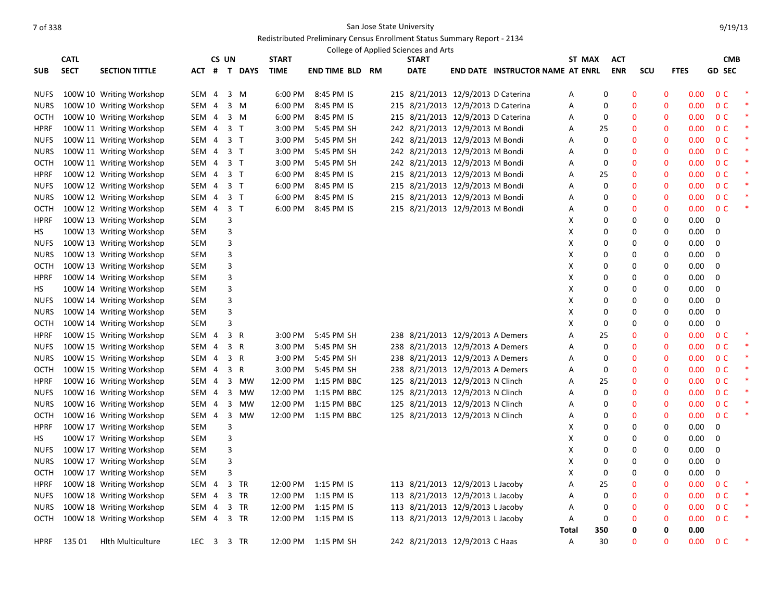|             |             |                          |            |                         |                         |               |              |                        |  | College of Applied Sciences and Arts |                                         |        |             |              |              |          |                  |  |
|-------------|-------------|--------------------------|------------|-------------------------|-------------------------|---------------|--------------|------------------------|--|--------------------------------------|-----------------------------------------|--------|-------------|--------------|--------------|----------|------------------|--|
|             | <b>CATL</b> |                          |            | CS UN                   |                         |               | <b>START</b> |                        |  | <b>START</b>                         |                                         | ST MAX | <b>ACT</b>  |              |              |          | <b>CMB</b>       |  |
| <b>SUB</b>  | <b>SECT</b> | <b>SECTION TITTLE</b>    | ACT #      |                         |                         | <b>T DAYS</b> | <b>TIME</b>  | <b>END TIME BLD RM</b> |  | <b>DATE</b>                          | <b>END DATE INSTRUCTOR NAME AT ENRL</b> |        | <b>ENR</b>  | scu          | <b>FTES</b>  |          | <b>GD SEC</b>    |  |
| <b>NUFS</b> |             | 100W 10 Writing Workshop | SEM 4      |                         | 3 M                     |               | 6:00 PM      | 8:45 PM IS             |  | 215 8/21/2013 12/9/2013 D Caterina   |                                         | Α      | 0           | 0            | $\mathbf{0}$ | 0.00     | 0 <sup>C</sup>   |  |
| <b>NURS</b> |             | 100W 10 Writing Workshop | SEM 4      |                         | 3 M                     |               | 6:00 PM      | 8:45 PM IS             |  | 215 8/21/2013 12/9/2013 D Caterina   |                                         | А      | 0           | $\Omega$     | $\mathbf 0$  | 0.00     | 0 <sup>C</sup>   |  |
| ОСТН        |             | 100W 10 Writing Workshop | SEM 4      |                         | 3 M                     |               | 6:00 PM      | 8:45 PM IS             |  | 215 8/21/2013 12/9/2013 D Caterina   |                                         | Α      | 0           | 0            | $\mathbf 0$  | 0.00     | 0 <sup>C</sup>   |  |
| <b>HPRF</b> |             | 100W 11 Writing Workshop | SEM 4      |                         | 3 T                     |               | 3:00 PM      | 5:45 PM SH             |  | 242 8/21/2013 12/9/2013 M Bondi      |                                         | А      | 25          | $\Omega$     | $\mathbf 0$  | $0.00\,$ | 0 <sup>C</sup>   |  |
| <b>NUFS</b> |             | 100W 11 Writing Workshop | SEM 4      |                         | 3 <sub>1</sub>          |               | 3:00 PM      | 5:45 PM SH             |  | 242 8/21/2013 12/9/2013 M Bondi      |                                         | А      | 0           | 0            | $\mathbf 0$  | 0.00     | 0 <sup>C</sup>   |  |
| <b>NURS</b> |             | 100W 11 Writing Workshop | SEM 4      |                         | 3 <sub>7</sub>          |               | 3:00 PM      | 5:45 PM SH             |  | 242 8/21/2013 12/9/2013 M Bondi      |                                         | A      | 0           | $\mathbf 0$  | $\mathbf 0$  | 0.00     | 0 <sup>C</sup>   |  |
| OCTH        |             | 100W 11 Writing Workshop | SEM 4      |                         | 3 <sub>7</sub>          |               | 3:00 PM      | 5:45 PM SH             |  | 242 8/21/2013 12/9/2013 M Bondi      |                                         | A      | 0           | $\Omega$     | $\mathbf{0}$ | 0.00     | 0 <sup>C</sup>   |  |
| <b>HPRF</b> |             | 100W 12 Writing Workshop | SEM 4      |                         | 3 <sub>T</sub>          |               | 6:00 PM      | 8:45 PM IS             |  | 215 8/21/2013 12/9/2013 M Bondi      |                                         | А      | 25          | $\mathbf 0$  | $\mathbf 0$  | 0.00     | 0 <sup>C</sup>   |  |
| <b>NUFS</b> |             | 100W 12 Writing Workshop | SEM 4      |                         | 3 <sub>1</sub>          |               | 6:00 PM      | 8:45 PM IS             |  | 215 8/21/2013 12/9/2013 M Bondi      |                                         | Α      | 0           | 0            | $\mathbf 0$  | 0.00     | 0 <sup>C</sup>   |  |
| <b>NURS</b> |             | 100W 12 Writing Workshop | SEM 4      |                         | 3 <sub>1</sub>          |               | 6:00 PM      | 8:45 PM IS             |  | 215 8/21/2013 12/9/2013 M Bondi      |                                         | Α      | 0           | $\mathbf 0$  | $\mathbf{0}$ | 0.00     | 0 <sup>C</sup>   |  |
| OCTH        |             | 100W 12 Writing Workshop | SEM 4      |                         | 3 T                     |               | 6:00 PM      | 8:45 PM IS             |  | 215 8/21/2013 12/9/2013 M Bondi      |                                         | Α      | 0           | 0            | $\mathbf 0$  | 0.00     | 0 <sup>c</sup>   |  |
| <b>HPRF</b> |             | 100W 13 Writing Workshop | <b>SEM</b> |                         | 3                       |               |              |                        |  |                                      |                                         | Χ      | 0           | 0            | 0            | 0.00     | $\mathbf 0$      |  |
| НS          |             | 100W 13 Writing Workshop | SEM        |                         | 3                       |               |              |                        |  |                                      |                                         | X      | 0           | 0            | 0            | $0.00\,$ | $\mathbf 0$      |  |
| <b>NUFS</b> |             | 100W 13 Writing Workshop | SEM        |                         | 3                       |               |              |                        |  |                                      |                                         | X      | 0           | 0            | 0            | 0.00     | 0                |  |
| <b>NURS</b> |             | 100W 13 Writing Workshop | SEM        |                         | 3                       |               |              |                        |  |                                      |                                         | X      | 0           | 0            | $\mathbf 0$  | 0.00     | $\mathbf 0$      |  |
| OCTH        |             | 100W 13 Writing Workshop | <b>SEM</b> |                         | 3                       |               |              |                        |  |                                      |                                         | X      | 0           | 0            | 0            | 0.00     | $\mathbf 0$      |  |
| <b>HPRF</b> |             | 100W 14 Writing Workshop | SEM        |                         | 3                       |               |              |                        |  |                                      |                                         | X      | 0           | 0            | $\mathbf 0$  | 0.00     | 0                |  |
| НS          |             | 100W 14 Writing Workshop | <b>SEM</b> |                         | 3                       |               |              |                        |  |                                      |                                         | X      | 0           | $\Omega$     | 0            | 0.00     | 0                |  |
| <b>NUFS</b> |             | 100W 14 Writing Workshop | <b>SEM</b> |                         | 3                       |               |              |                        |  |                                      |                                         | X      | 0           | $\Omega$     | 0            | 0.00     | 0                |  |
| <b>NURS</b> |             | 100W 14 Writing Workshop | SEM        |                         | 3                       |               |              |                        |  |                                      |                                         | X      | 0           | 0            | 0            | $0.00\,$ | $\mathbf 0$      |  |
| OCTH        |             | 100W 14 Writing Workshop | <b>SEM</b> |                         | 3                       |               |              |                        |  |                                      |                                         | X      | 0           | 0            | 0            | 0.00     | $\boldsymbol{0}$ |  |
| <b>HPRF</b> |             | 100W 15 Writing Workshop | SEM 4      |                         | 3 R                     |               | 3:00 PM      | 5:45 PM SH             |  | 238 8/21/2013 12/9/2013 A Demers     |                                         | A      | 25          | $\Omega$     | $\mathbf{0}$ | 0.00     | 0 <sup>c</sup>   |  |
| <b>NUFS</b> |             | 100W 15 Writing Workshop | SEM 4      |                         | 3 R                     |               | 3:00 PM      | 5:45 PM SH             |  | 238 8/21/2013 12/9/2013 A Demers     |                                         | А      | 0           | $\mathbf 0$  | $\mathbf 0$  | 0.00     | 0 <sup>c</sup>   |  |
| <b>NURS</b> |             | 100W 15 Writing Workshop | SEM 4      |                         | 3 R                     |               | 3:00 PM      | 5:45 PM SH             |  | 238 8/21/2013 12/9/2013 A Demers     |                                         | Α      | 0           | 0            | $\mathbf 0$  | 0.00     | 0 <sup>C</sup>   |  |
| OCTH        |             | 100W 15 Writing Workshop | SEM 4      |                         | 3 R                     |               | 3:00 PM      | 5:45 PM SH             |  | 238 8/21/2013 12/9/2013 A Demers     |                                         | Α      | 0           | $\Omega$     | $\mathbf 0$  | 0.00     | 0 <sup>c</sup>   |  |
| <b>HPRF</b> |             | 100W 16 Writing Workshop | SEM 4      |                         | 3                       | MW            | 12:00 PM     | 1:15 PM BBC            |  | 125 8/21/2013 12/9/2013 N Clinch     |                                         | Α      | 25          | 0            | $\mathbf 0$  | 0.00     | 0 <sup>C</sup>   |  |
| <b>NUFS</b> |             | 100W 16 Writing Workshop | SEM 4      |                         | $\overline{3}$          | MW            | 12:00 PM     | 1:15 PM BBC            |  | 125 8/21/2013 12/9/2013 N Clinch     |                                         | A      | 0           | $\mathbf{0}$ | $\mathbf{0}$ | 0.00     | 0 <sup>C</sup>   |  |
| <b>NURS</b> |             | 100W 16 Writing Workshop | SEM 4      |                         |                         | 3 MW          | 12:00 PM     | 1:15 PM BBC            |  | 125 8/21/2013 12/9/2013 N Clinch     |                                         | A      | 0           | 0            | $\mathbf 0$  | 0.00     | 0 <sup>C</sup>   |  |
| OCTH        |             | 100W 16 Writing Workshop | SEM 4      |                         | $\overline{\mathbf{3}}$ | <b>MW</b>     | 12:00 PM     | 1:15 PM BBC            |  | 125 8/21/2013 12/9/2013 N Clinch     |                                         | A      | 0           | 0            | $\mathbf{0}$ | 0.00     | 0 <sup>C</sup>   |  |
| <b>HPRF</b> |             | 100W 17 Writing Workshop | <b>SEM</b> |                         | 3                       |               |              |                        |  |                                      |                                         | X      | 0           | 0            | 0            | 0.00     | $\mathbf 0$      |  |
| НS          |             | 100W 17 Writing Workshop | SEM        |                         | 3                       |               |              |                        |  |                                      |                                         | X      | 0           | 0            | 0            | $0.00\,$ | 0                |  |
| <b>NUFS</b> |             | 100W 17 Writing Workshop | <b>SEM</b> |                         | 3                       |               |              |                        |  |                                      |                                         | х      | 0           | $\Omega$     | $\mathbf 0$  | 0.00     | $\mathbf 0$      |  |
| <b>NURS</b> |             | 100W 17 Writing Workshop | <b>SEM</b> |                         | 3                       |               |              |                        |  |                                      |                                         | X      | 0           | 0            | 0            | 0.00     | 0                |  |
| OCTH        |             | 100W 17 Writing Workshop | <b>SEM</b> |                         | 3                       |               |              |                        |  |                                      |                                         | Χ      | $\mathbf 0$ | $\mathbf 0$  | $\mathbf 0$  | 0.00     | $\mathbf 0$      |  |
| <b>HPRF</b> |             | 100W 18 Writing Workshop | SEM 4      |                         | 3 TR                    |               | 12:00 PM     | 1:15 PM IS             |  | 113 8/21/2013 12/9/2013 L Jacoby     |                                         | A      | 25          | 0            | $\mathbf{0}$ | 0.00     | 0 <sup>c</sup>   |  |
| <b>NUFS</b> |             | 100W 18 Writing Workshop | SEM 4      |                         | 3 TR                    |               | 12:00 PM     | 1:15 PM IS             |  | 113 8/21/2013 12/9/2013 L Jacoby     |                                         | Α      | 0           | $\Omega$     | $\mathbf 0$  | 0.00     | 0 <sup>C</sup>   |  |
| <b>NURS</b> |             | 100W 18 Writing Workshop | SEM 4      |                         | 3 TR                    |               | 12:00 PM     | 1:15 PM IS             |  | 113 8/21/2013 12/9/2013 L Jacoby     |                                         | Α      | 0           | $\mathbf{0}$ | $\mathbf 0$  | 0.00     | 0 <sup>C</sup>   |  |
| OCTH        |             | 100W 18 Writing Workshop | SEM 4      |                         | 3 TR                    |               | 12:00 PM     | 1:15 PM IS             |  | 113 8/21/2013 12/9/2013 L Jacoby     |                                         | Α      | 0           | 0            | $\mathbf 0$  | 0.00     | 0 <sup>C</sup>   |  |
|             |             |                          |            |                         |                         |               |              |                        |  |                                      |                                         | Total  | 350         | 0            | $\mathbf 0$  | 0.00     |                  |  |
| HPRF        | 135 01      | <b>Hith Multiculture</b> | <b>LEC</b> | $\overline{\mathbf{3}}$ | 3 TR                    |               | 12:00 PM     | 1:15 PM SH             |  | 242 8/21/2013 12/9/2013 C Haas       |                                         | A      | 30          | $\Omega$     | $\Omega$     | 0.00     | 0 <sup>C</sup>   |  |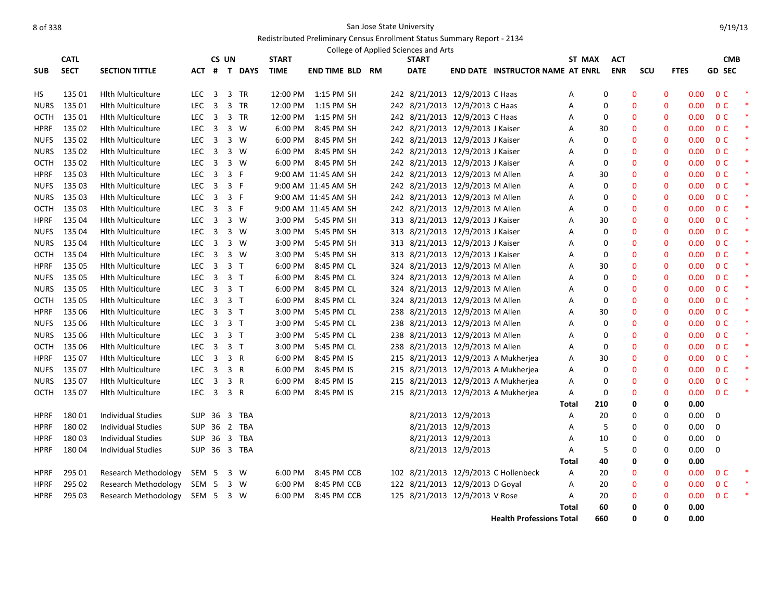## Redistributed Preliminary Census Enrollment Status Summary Report - 2134

|             | <b>CATL</b> |                             |               | CS UN                   |                | <b>START</b> |                        | College of Applied Sciences and Arts<br><b>START</b> |                     |                                         | ST MAX | АСТ         |              |              |                   | <b>CMB</b>     |  |
|-------------|-------------|-----------------------------|---------------|-------------------------|----------------|--------------|------------------------|------------------------------------------------------|---------------------|-----------------------------------------|--------|-------------|--------------|--------------|-------------------|----------------|--|
| <b>SUB</b>  | <b>SECT</b> | <b>SECTION TITTLE</b>       | ACT #         |                         | T DAYS         | <b>TIME</b>  | <b>END TIME BLD RM</b> | <b>DATE</b>                                          |                     | <b>END DATE INSTRUCTOR NAME AT ENRL</b> |        | <b>ENR</b>  | <b>SCU</b>   | <b>FTES</b>  |                   | <b>GD SEC</b>  |  |
| HS          | 135 01      | <b>Hith Multiculture</b>    | <b>LEC</b>    | $\overline{\mathbf{3}}$ | 3 TR           | 12:00 PM     | 1:15 PM SH             | 242 8/21/2013 12/9/2013 C Haas                       |                     |                                         | А      | $\mathbf 0$ | $\mathbf 0$  | 0            | 0.00              | 0 <sup>C</sup> |  |
| <b>NURS</b> | 135 01      | <b>Hith Multiculture</b>    | LEC.          | $\overline{\mathbf{3}}$ | 3 TR           | 12:00 PM     | 1:15 PM SH             | 242 8/21/2013 12/9/2013 C Haas                       |                     |                                         | Α      | 0           | $\mathbf 0$  | $\bf{0}$     | 0.00              | 0 <sup>C</sup> |  |
| OCTH        | 135 01      | <b>Hith Multiculture</b>    | <b>LEC</b>    | $\overline{\mathbf{3}}$ | 3 TR           | 12:00 PM     | 1:15 PM SH             | 242 8/21/2013 12/9/2013 C Haas                       |                     |                                         | А      | 0           | $\mathbf{0}$ | $\mathbf{0}$ | 0.00              | 0 <sup>C</sup> |  |
| <b>HPRF</b> | 135 02      | <b>Hith Multiculture</b>    | <b>LEC</b>    | $\overline{3}$          | 3 W            | 6:00 PM      | 8:45 PM SH             | 242 8/21/2013 12/9/2013 J Kaiser                     |                     |                                         | Α      | 30          | $\mathbf 0$  | 0            | 0.00              | 0 <sup>C</sup> |  |
| <b>NUFS</b> | 135 02      | <b>Hith Multiculture</b>    | <b>LEC</b>    | $\overline{3}$          | 3 W            | 6:00 PM      | 8:45 PM SH             | 242 8/21/2013 12/9/2013 J Kaiser                     |                     |                                         | А      | $\mathbf 0$ | $\mathbf 0$  | 0            | 0.00              | 0 <sup>C</sup> |  |
| <b>NURS</b> | 135 02      | <b>Hith Multiculture</b>    | <b>LEC</b>    | $\overline{\mathbf{3}}$ | 3 W            | 6:00 PM      | 8:45 PM SH             | 242 8/21/2013 12/9/2013 J Kaiser                     |                     |                                         | A      | 0           | $\mathbf 0$  | $\mathbf{0}$ | 0.00              | 0 <sup>C</sup> |  |
| OCTH        | 135 02      | <b>Hith Multiculture</b>    | <b>LEC</b>    | $\overline{3}$          | 3 W            | 6:00 PM      | 8:45 PM SH             | 242 8/21/2013 12/9/2013 J Kaiser                     |                     |                                         | Α      | $\mathbf 0$ | $\mathbf{0}$ | 0            | 0.00              | 0 <sup>C</sup> |  |
| <b>HPRF</b> | 135 03      | <b>Hith Multiculture</b>    | <b>LEC</b>    | $\overline{\mathbf{3}}$ | 3 F            |              | 9:00 AM 11:45 AM SH    | 242 8/21/2013 12/9/2013 M Allen                      |                     |                                         | A      | 30          | $\mathbf 0$  | 0            | 0.00              | 0 <sup>C</sup> |  |
| <b>NUFS</b> | 135 03      | <b>Hith Multiculture</b>    | <b>LEC</b>    | $\overline{\mathbf{3}}$ | 3 F            |              | 9:00 AM 11:45 AM SH    | 242 8/21/2013 12/9/2013 M Allen                      |                     |                                         | А      | $\mathbf 0$ | $\mathbf 0$  | 0            | 0.00              | 0 <sup>C</sup> |  |
| <b>NURS</b> | 135 03      | <b>Hith Multiculture</b>    | LEC.          | $\overline{\mathbf{3}}$ | 3 F            |              | 9:00 AM 11:45 AM SH    | 242 8/21/2013 12/9/2013 M Allen                      |                     |                                         | А      | 0           | $\mathbf{0}$ | $\mathbf{0}$ | 0.00 <sub>1</sub> | 0 <sup>C</sup> |  |
| OCTH        | 135 03      | <b>Hith Multiculture</b>    | <b>LEC</b>    | 3                       | 3 F            |              | 9:00 AM 11:45 AM SH    | 242 8/21/2013 12/9/2013 M Allen                      |                     |                                         | А      | 0           | $\mathbf 0$  | 0            | 0.00              | 0 <sup>C</sup> |  |
| <b>HPRF</b> | 135 04      | <b>Hith Multiculture</b>    | LEC.          | 3                       | 3 W            | 3:00 PM      | 5:45 PM SH             | 313 8/21/2013 12/9/2013 J Kaiser                     |                     |                                         | Α      | 30          | $\mathbf 0$  | 0            | 0.00              | 0 <sup>C</sup> |  |
| <b>NUFS</b> | 135 04      | <b>Hith Multiculture</b>    | <b>LEC</b>    | 3                       | 3 W            | 3:00 PM      | 5:45 PM SH             | 313 8/21/2013 12/9/2013 J Kaiser                     |                     |                                         | А      | $\mathbf 0$ | $\mathbf 0$  | 0            | 0.00              | 0 <sup>C</sup> |  |
| <b>NURS</b> | 135 04      | <b>Hith Multiculture</b>    | LEC.          | $\overline{\mathbf{3}}$ | 3 W            | 3:00 PM      | 5:45 PM SH             | 313 8/21/2013 12/9/2013 J Kaiser                     |                     |                                         | А      | 0           | $\mathbf{0}$ | $\mathbf{0}$ | 0.00              | 0 <sup>C</sup> |  |
| OCTH        | 135 04      | <b>Hith Multiculture</b>    | <b>LEC</b>    | $\overline{\mathbf{3}}$ | 3 W            | 3:00 PM      | 5:45 PM SH             | 313 8/21/2013 12/9/2013 J Kaiser                     |                     |                                         | Α      | 0           | $\mathbf 0$  | 0            | 0.00              | 0 <sup>C</sup> |  |
| <b>HPRF</b> | 135 05      | <b>Hith Multiculture</b>    | LEC.          | $\overline{\mathbf{3}}$ | 3 T            | 6:00 PM      | 8:45 PM CL             | 324 8/21/2013 12/9/2013 M Allen                      |                     |                                         | А      | 30          | $\mathbf{0}$ | 0            | 0.00              | 0 <sup>C</sup> |  |
| <b>NUFS</b> | 135 05      | <b>Hith Multiculture</b>    | LEC.          | $\overline{\mathbf{3}}$ | 3 <sub>T</sub> | 6:00 PM      | 8:45 PM CL             | 324 8/21/2013 12/9/2013 M Allen                      |                     |                                         | А      | 0           | $\mathbf 0$  | 0            | 0.00              | 0 <sup>C</sup> |  |
| <b>NURS</b> | 135 05      | <b>Hith Multiculture</b>    | <b>LEC</b>    | $\overline{3}$          | 3 <sub>1</sub> | 6:00 PM      | 8:45 PM CL             | 324 8/21/2013 12/9/2013 M Allen                      |                     |                                         | A      | $\mathbf 0$ | $\mathbf{0}$ | 0            | 0.00              | 0 <sup>C</sup> |  |
| OCTH        | 135 05      | <b>Hith Multiculture</b>    | <b>LEC</b>    | $\overline{\mathbf{3}}$ | 3 <sub>7</sub> | 6:00 PM      | 8:45 PM CL             | 324 8/21/2013 12/9/2013 M Allen                      |                     |                                         | А      | 0           | $\mathbf 0$  | 0            | 0.00              | 0 <sup>C</sup> |  |
| <b>HPRF</b> | 135 06      | <b>Hith Multiculture</b>    | <b>LEC</b>    | 3                       | 3 <sub>1</sub> | 3:00 PM      | 5:45 PM CL             | 238 8/21/2013 12/9/2013 M Allen                      |                     |                                         | Α      | 30          | $\mathbf 0$  | 0            | 0.00              | 0 <sup>C</sup> |  |
| <b>NUFS</b> | 135 06      | <b>Hith Multiculture</b>    | <b>LEC</b>    | $\overline{3}$          | 3 <sub>T</sub> | 3:00 PM      | 5:45 PM CL             | 238 8/21/2013 12/9/2013 M Allen                      |                     |                                         | Α      | 0           | $\mathbf 0$  | 0            | 0.00              | 0 <sup>C</sup> |  |
| <b>NURS</b> | 135 06      | <b>Hith Multiculture</b>    | <b>LEC</b>    | $\overline{\mathbf{3}}$ | 3 <sub>T</sub> | 3:00 PM      | 5:45 PM CL             | 238 8/21/2013 12/9/2013 M Allen                      |                     |                                         | А      | $\mathbf 0$ | $\mathbf{0}$ | 0            | 0.00              | 0 <sup>C</sup> |  |
| OCTH        | 135 06      | <b>Hith Multiculture</b>    | <b>LEC</b>    | $\overline{3}$          | 3 <sub>1</sub> | 3:00 PM      | 5:45 PM CL             | 238 8/21/2013 12/9/2013 M Allen                      |                     |                                         | А      | 0           | $\mathbf 0$  | 0            | 0.00              | 0 <sup>C</sup> |  |
| <b>HPRF</b> | 135 07      | <b>Hith Multiculture</b>    | <b>LEC</b>    | 3                       | 3 R            | 6:00 PM      | 8:45 PM IS             |                                                      |                     | 215 8/21/2013 12/9/2013 A Mukherjea     | А      | 30          | $\mathbf 0$  | 0            | 0.00              | 0 <sup>C</sup> |  |
| <b>NUFS</b> | 135 07      | <b>Hith Multiculture</b>    | LEC.          | $\overline{3}$          | 3 R            | 6:00 PM      | 8:45 PM IS             |                                                      |                     | 215 8/21/2013 12/9/2013 A Mukherjea     | Α      | 0           | $\mathbf 0$  | 0            | 0.00              | 0 <sup>C</sup> |  |
| <b>NURS</b> | 135 07      | <b>Hith Multiculture</b>    | <b>LEC</b>    | $\overline{3}$          | 3 R            | 6:00 PM      | 8:45 PM IS             |                                                      |                     | 215 8/21/2013 12/9/2013 A Mukherjea     | A      | $\mathbf 0$ | $\mathbf{0}$ | 0            | 0.00              | 0 <sup>C</sup> |  |
| OCTH        | 135 07      | <b>Hith Multiculture</b>    | LEC           | $\overline{\mathbf{3}}$ | 3 R            | 6:00 PM      | 8:45 PM IS             |                                                      |                     | 215 8/21/2013 12/9/2013 A Mukherjea     | Α      | 0           | $\mathbf 0$  | 0            | 0.00              | 0 <sup>C</sup> |  |
|             |             |                             |               |                         |                |              |                        |                                                      |                     |                                         | Total  | 210         | 0            | 0            | 0.00              |                |  |
| <b>HPRF</b> | 18001       | <b>Individual Studies</b>   |               |                         | SUP 36 3 TBA   |              |                        |                                                      | 8/21/2013 12/9/2013 |                                         | Α      | 20          | 0            | 0            | 0.00              | 0              |  |
| <b>HPRF</b> | 18002       | <b>Individual Studies</b>   | SUP 36        |                         | 2 TBA          |              |                        |                                                      | 8/21/2013 12/9/2013 |                                         | Α      | 5           | 0            | 0            | 0.00              | 0              |  |
| <b>HPRF</b> | 18003       | <b>Individual Studies</b>   | <b>SUP 36</b> |                         | 3 TBA          |              |                        |                                                      | 8/21/2013 12/9/2013 |                                         | Α      | 10          | 0            | 0            | 0.00              | 0              |  |
| <b>HPRF</b> | 18004       | <b>Individual Studies</b>   |               |                         | SUP 36 3 TBA   |              |                        |                                                      | 8/21/2013 12/9/2013 |                                         | Α      | 5           | $\mathbf 0$  | 0            | 0.00              | 0              |  |
|             |             |                             |               |                         |                |              |                        |                                                      |                     |                                         | Total  | 40          | 0            | 0            | 0.00              |                |  |
| <b>HPRF</b> | 295 01      | <b>Research Methodology</b> | SEM 5         |                         | 3 W            | 6:00 PM      | 8:45 PM CCB            |                                                      |                     | 102 8/21/2013 12/9/2013 C Hollenbeck    | Α      | 20          | $\mathbf{0}$ | 0            | 0.00              | 0 <sup>C</sup> |  |
| <b>HPRF</b> | 295 02      | Research Methodology        | SEM 5         |                         | 3 W            | 6:00 PM      | 8:45 PM CCB            | 122 8/21/2013 12/9/2013 D Goyal                      |                     |                                         | Α      | 20          | $\mathbf 0$  | 0            | 0.00              | 0 <sup>C</sup> |  |
| <b>HPRF</b> | 295 03      | <b>Research Methodology</b> | SEM 5         |                         | 3 W            | 6:00 PM      | 8:45 PM CCB            | 125 8/21/2013 12/9/2013 V Rose                       |                     |                                         | Α      | 20          | $\mathbf 0$  | 0            | 0.00              | 0 <sup>C</sup> |  |
|             |             |                             |               |                         |                |              |                        |                                                      |                     |                                         | Total  | 60          | $\mathbf{0}$ | 0            | 0.00              |                |  |

**Health Professions Total 660 0 0 0.00**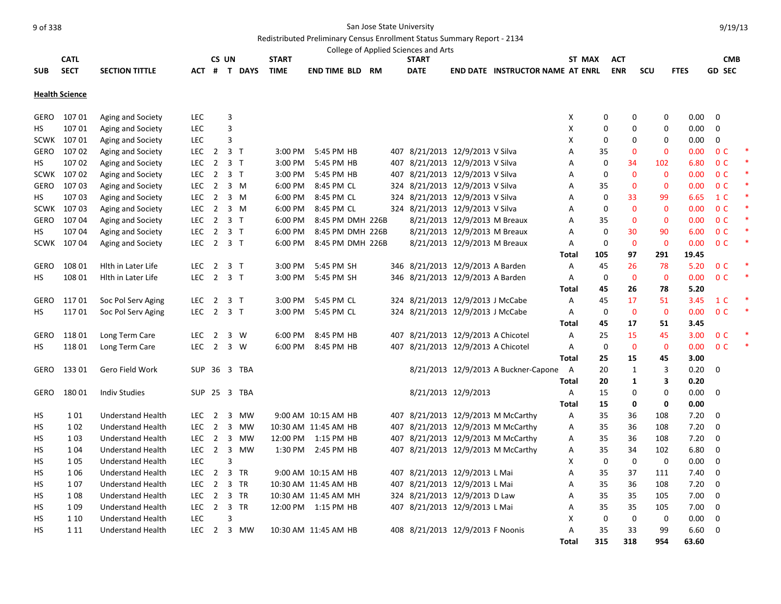|             | <b>CATL</b>           |                          |                  |                | CS UN          |              | <b>START</b> |                        |  | College of Applied Sciences and Arts<br><b>START</b> |                              |                                         | <b>ST MAX</b> |             | <b>ACT</b>     |              |                   |                | <b>CMB</b> |
|-------------|-----------------------|--------------------------|------------------|----------------|----------------|--------------|--------------|------------------------|--|------------------------------------------------------|------------------------------|-----------------------------------------|---------------|-------------|----------------|--------------|-------------------|----------------|------------|
| <b>SUB</b>  | <b>SECT</b>           | <b>SECTION TITTLE</b>    |                  |                |                | ACT # T DAYS | <b>TIME</b>  | <b>END TIME BLD RM</b> |  | <b>DATE</b>                                          |                              | <b>END DATE INSTRUCTOR NAME AT ENRL</b> |               |             | <b>ENR</b>     | scu          | <b>FTES</b>       | <b>GD SEC</b>  |            |
|             |                       |                          |                  |                |                |              |              |                        |  |                                                      |                              |                                         |               |             |                |              |                   |                |            |
|             | <b>Health Science</b> |                          |                  |                |                |              |              |                        |  |                                                      |                              |                                         |               |             |                |              |                   |                |            |
|             |                       |                          |                  |                |                |              |              |                        |  |                                                      |                              |                                         |               |             |                |              |                   |                |            |
| <b>GERO</b> | 107 01                | Aging and Society        | LEC              |                | 3              |              |              |                        |  |                                                      |                              |                                         | X             | $\mathbf 0$ | 0              | 0            | 0.00              | $\overline{0}$ |            |
| HS          | 107 01                | Aging and Society        | LEC              |                | 3              |              |              |                        |  |                                                      |                              |                                         | X             | 0           | 0              | 0            | 0.00              | $\Omega$       |            |
| <b>SCWK</b> | 10701                 | Aging and Society        | LEC              |                | 3              |              |              |                        |  |                                                      |                              |                                         | Χ             | $\mathbf 0$ | $\mathbf{0}$   | 0            | 0.00              | $\mathbf 0$    |            |
| GERO        | 107 02                | Aging and Society        | <b>LEC</b>       | $\overline{2}$ | 3 T            |              | 3:00 PM      | 5:45 PM HB             |  | 407 8/21/2013 12/9/2013 V Silva                      |                              |                                         | Α             | 35          | $\mathbf 0$    | $\mathbf 0$  | 0.00              | 0 <sup>C</sup> |            |
| <b>HS</b>   | 107 02                | Aging and Society        | LEC              | 2 3 T          |                |              | 3:00 PM      | 5:45 PM HB             |  | 407 8/21/2013 12/9/2013 V Silva                      |                              |                                         | Α             | $\mathbf 0$ | 34             | 102          | 6.80              | 0 <sup>c</sup> |            |
|             | SCWK 107 02           | Aging and Society        | LEC.             | $\overline{2}$ | 3 <sub>T</sub> |              | 3:00 PM      | 5:45 PM HB             |  | 407 8/21/2013 12/9/2013 V Silva                      |                              |                                         | Α             | 0           | $\Omega$       | $\mathbf 0$  | 0.00              | 0 <sup>C</sup> |            |
| <b>GERO</b> | 10703                 | Aging and Society        | <b>LEC</b>       | $\overline{2}$ |                | 3 M          | 6:00 PM      | 8:45 PM CL             |  | 324 8/21/2013 12/9/2013 V Silva                      |                              |                                         | A             | 35          | $\mathbf{0}$   | $\mathbf{0}$ | 0.00              | 0 <sup>C</sup> |            |
| <b>HS</b>   | 10703                 | Aging and Society        | <b>LEC</b>       | $\overline{2}$ |                | $3 \, M$     | 6:00 PM      | 8:45 PM CL             |  | 324 8/21/2013 12/9/2013 V Silva                      |                              |                                         | A             | 0           | 33             | 99           | 6.65              | 1 C            |            |
| <b>SCWK</b> | 10703                 | Aging and Society        | <b>LEC</b>       | $\overline{2}$ |                | 3 M          | 6:00 PM      | 8:45 PM CL             |  | 324 8/21/2013 12/9/2013 V Silva                      |                              |                                         | A             | $\mathbf 0$ | $\mathbf{0}$   | $\mathbf 0$  | 0.00              | 0 <sup>C</sup> |            |
| <b>GERO</b> | 10704                 | Aging and Society        | <b>LEC</b>       | $\overline{2}$ | 3 <sub>1</sub> |              | 6:00 PM      | 8:45 PM DMH 226B       |  |                                                      | 8/21/2013 12/9/2013 M Breaux |                                         | A             | 35          | $\mathbf 0$    | $\mathbf{0}$ | 0.00              | 0 <sup>C</sup> |            |
| HS          | 107 04                | Aging and Society        | <b>LEC</b>       | $\overline{2}$ | 3 <sub>1</sub> |              | 6:00 PM      | 8:45 PM DMH 226B       |  |                                                      | 8/21/2013 12/9/2013 M Breaux |                                         | Α             | 0           | 30             | 90           | 6.00              | 0 <sup>C</sup> |            |
| <b>SCWK</b> | 10704                 | Aging and Society        | LEC 2 3 T        |                |                |              | 6:00 PM      | 8:45 PM DMH 226B       |  |                                                      | 8/21/2013 12/9/2013 M Breaux |                                         | Α             | 0           | $\mathbf{0}$   | $\mathbf{0}$ | 0.00              | 0 <sup>C</sup> |            |
|             |                       |                          |                  |                |                |              |              |                        |  |                                                      |                              |                                         | <b>Total</b>  | 105         | 97             | 291          | 19.45             |                |            |
| GERO        | 108 01                | Hith in Later Life       | <b>LEC</b>       | $\overline{2}$ | 3 <sub>T</sub> |              | 3:00 PM      | 5:45 PM SH             |  | 346 8/21/2013 12/9/2013 A Barden                     |                              |                                         | Α             | 45          | 26             | 78           | 5.20              | 0 <sup>C</sup> |            |
| HS          | 108 01                | Hith in Later Life       | <b>LEC</b>       | $\overline{2}$ | 3 <sub>1</sub> |              | 3:00 PM      | 5:45 PM SH             |  | 346 8/21/2013 12/9/2013 A Barden                     |                              |                                         | Α             | 0           | $\mathbf{0}$   | $\mathbf{0}$ | 0.00              | 0 <sup>C</sup> |            |
|             |                       |                          |                  |                |                |              |              |                        |  |                                                      |                              |                                         | Total         | 45          | 26             | 78           | 5.20              |                |            |
| <b>GERO</b> | 11701                 | Soc Pol Serv Aging       | <b>LEC</b>       | $\overline{2}$ | 3 <sub>1</sub> |              | 3:00 PM      | 5:45 PM CL             |  | 324 8/21/2013 12/9/2013 J McCabe                     |                              |                                         | Α             | 45          | 17             | 51           | 3.45              | 1 <sup>C</sup> |            |
| <b>HS</b>   | 11701                 | Soc Pol Serv Aging       | LEC <sub>2</sub> |                | 3 <sub>1</sub> |              | 3:00 PM      | 5:45 PM CL             |  | 324 8/21/2013 12/9/2013 J McCabe                     |                              |                                         | A             | $\mathbf 0$ | $\overline{0}$ | $\mathbf{0}$ | 0.00              | 0 <sup>C</sup> |            |
|             |                       |                          |                  |                |                |              |              |                        |  |                                                      |                              |                                         | Total         | 45          | 17             | 51           | 3.45              |                |            |
| <b>GERO</b> | 11801                 | Long Term Care           | <b>LEC</b>       | $\overline{2}$ |                | 3 W          | 6:00 PM      | 8:45 PM HB             |  | 407 8/21/2013 12/9/2013 A Chicotel                   |                              |                                         | A             | 25          | 15             | 45           | 3.00 <sub>1</sub> | 0 <sup>C</sup> |            |
| HS          | 118 01                | Long Term Care           | LEC <sub>2</sub> |                |                | 3 W          | 6:00 PM      | 8:45 PM HB             |  | 407 8/21/2013 12/9/2013 A Chicotel                   |                              |                                         | Α             | $\mathbf 0$ | $\mathbf{0}$   | $\mathbf 0$  | 0.00              | 0 <sup>C</sup> |            |
|             |                       |                          |                  |                |                |              |              |                        |  |                                                      |                              |                                         | Total         | 25          | 15             | 45           | 3.00              |                |            |
| GERO        | 133 01                | Gero Field Work          |                  |                |                | SUP 36 3 TBA |              |                        |  |                                                      |                              | 8/21/2013 12/9/2013 A Buckner-Capone    | A             | 20          | 1              | 3            | 0.20              | $\mathbf 0$    |            |
|             |                       |                          |                  |                |                |              |              |                        |  |                                                      |                              |                                         | Total         | 20          | 1              | 3            | 0.20              |                |            |
| <b>GERO</b> | 18001                 | <b>Indiv Studies</b>     | <b>SUP</b>       |                |                | 25 3 TBA     |              |                        |  |                                                      | 8/21/2013 12/9/2013          |                                         | Α             | 15          | $\mathbf 0$    | $\mathbf 0$  | 0.00              | $\overline{0}$ |            |
|             |                       |                          |                  |                |                |              |              |                        |  |                                                      |                              |                                         | Total         | 15          | $\mathbf 0$    | $\mathbf 0$  | 0.00              |                |            |
| HS          | 101                   | <b>Understand Health</b> | <b>LEC</b>       | $\overline{2}$ |                | 3 MW         |              | 9:00 AM 10:15 AM HB    |  |                                                      |                              | 407 8/21/2013 12/9/2013 M McCarthy      | Α             | 35          | 36             | 108          | 7.20              | $\overline{0}$ |            |
| HS          | 102                   | <b>Understand Health</b> | <b>LEC</b>       | $\overline{2}$ |                | 3 MW         |              | 10:30 AM 11:45 AM HB   |  |                                                      |                              | 407 8/21/2013 12/9/2013 M McCarthy      | A             | 35          | 36             | 108          | 7.20              | $\overline{0}$ |            |
| HS          | 103                   | <b>Understand Health</b> | <b>LEC</b>       | $\overline{2}$ |                | 3 MW         |              | 12:00 PM 1:15 PM HB    |  |                                                      |                              | 407 8/21/2013 12/9/2013 M McCarthy      | Α             | 35          | 36             | 108          | 7.20              | $\mathbf 0$    |            |
| <b>HS</b>   | 104                   | <b>Understand Health</b> |                  |                |                | LEC 2 3 MW   |              | 1:30 PM 2:45 PM HB     |  |                                                      |                              | 407 8/21/2013 12/9/2013 M McCarthy      | Α             | 35          | 34             | 102          | 6.80              | $\mathbf 0$    |            |
| HS          | 105                   | <b>Understand Health</b> | <b>LEC</b>       |                | 3              |              |              |                        |  |                                                      |                              |                                         | X             | 0           | 0              | $\mathbf 0$  | 0.00              | $\mathbf 0$    |            |
| <b>HS</b>   | 106                   | <b>Understand Health</b> | <b>LEC</b>       | $\overline{2}$ |                | 3 TR         |              | 9:00 AM 10:15 AM HB    |  | 407 8/21/2013 12/9/2013 L Mai                        |                              |                                         | Α             | 35          | 37             | 111          | 7.40              | $\mathbf 0$    |            |
| HS          | 107                   | <b>Understand Health</b> | <b>LEC</b>       | $\overline{2}$ |                | 3 TR         |              | 10:30 AM 11:45 AM HB   |  | 407 8/21/2013 12/9/2013 L Mai                        |                              |                                         | Α             | 35          | 36             | 108          | 7.20              | 0              |            |
| <b>HS</b>   | 108                   | <b>Understand Health</b> | LEC 2 3 TR       |                |                |              |              | 10:30 AM 11:45 AM MH   |  | 324 8/21/2013 12/9/2013 D Law                        |                              |                                         | A             | 35          | 35             | 105          | 7.00              | $\mathbf 0$    |            |
| HS          | 109                   | <b>Understand Health</b> | LEC              | 2 3 TR         |                |              |              | 12:00 PM 1:15 PM HB    |  | 407 8/21/2013 12/9/2013 L Mai                        |                              |                                         | Α             | 35          | 35             | 105          | 7.00              | $\mathbf 0$    |            |
| <b>HS</b>   | 1 1 0                 | <b>Understand Health</b> | LEC              |                | 3              |              |              |                        |  |                                                      |                              |                                         | X             | $\mathbf 0$ | $\mathbf 0$    | 0            | 0.00              | $\mathbf 0$    |            |
| <b>HS</b>   | 1 1 1                 | <b>Understand Health</b> |                  |                |                | LEC 2 3 MW   |              | 10:30 AM 11:45 AM HB   |  | 408 8/21/2013 12/9/2013 F Noonis                     |                              |                                         | Α             | 35          | 33             | 99           | 6.60              | $\mathbf 0$    |            |
|             |                       |                          |                  |                |                |              |              |                        |  |                                                      |                              |                                         | <b>Total</b>  | 315         | 318            | 954          | 63.60             |                |            |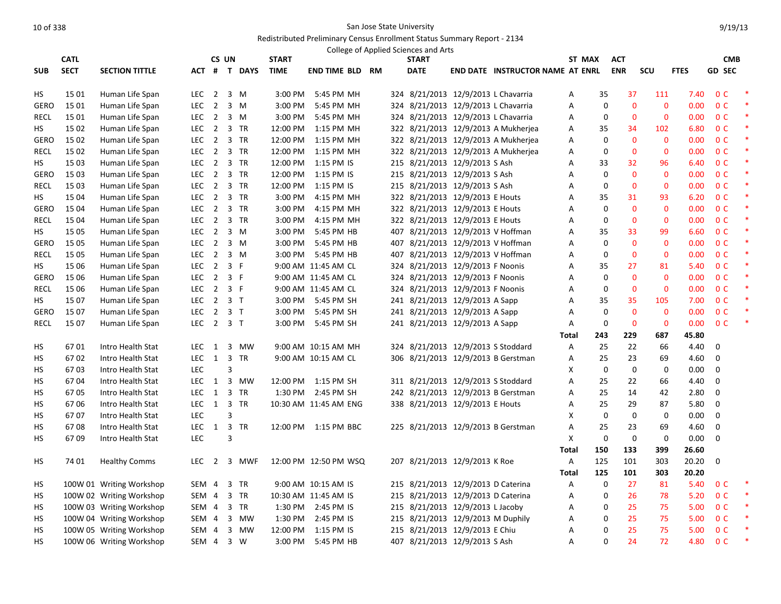|             |             |                          |                      |                         |                |              |                        | College of Applied Sciences and Arts |                                         |              |             |                |                |             |                |            |        |
|-------------|-------------|--------------------------|----------------------|-------------------------|----------------|--------------|------------------------|--------------------------------------|-----------------------------------------|--------------|-------------|----------------|----------------|-------------|----------------|------------|--------|
|             | <b>CATL</b> |                          |                      | CS UN                   |                | <b>START</b> |                        | <b>START</b>                         |                                         | ST MAX       |             | <b>ACT</b>     |                |             |                | <b>CMB</b> |        |
| <b>SUB</b>  | <b>SECT</b> | <b>SECTION TITTLE</b>    |                      |                         | ACT # T DAYS   | <b>TIME</b>  | <b>END TIME BLD RM</b> | <b>DATE</b>                          | <b>END DATE INSTRUCTOR NAME AT ENRL</b> |              |             | <b>ENR</b>     | SCU            | <b>FTES</b> | <b>GD SEC</b>  |            |        |
| HS          | 15 01       | Human Life Span          | <b>LEC</b>           | $\overline{2}$          | $3 \, M$       | 3:00 PM      | 5:45 PM MH             | 324 8/21/2013 12/9/2013 L Chavarria  |                                         | Α            | 35          | 37             | 111            | 7.40        | 0 <sup>C</sup> |            | *      |
| <b>GERO</b> | 15 01       | Human Life Span          | <b>LEC</b>           | $\overline{2}$          | $3 \, M$       | 3:00 PM      | 5:45 PM MH             | 324 8/21/2013 12/9/2013 L Chavarria  |                                         | Α            | $\mathbf 0$ | $\overline{0}$ | $\mathbf 0$    | 0.00        | 0 <sup>c</sup> |            | ∗      |
| RECL        | 15 01       | Human Life Span          | LEC 2 3 M            |                         |                | 3:00 PM      | 5:45 PM MH             | 324 8/21/2013 12/9/2013 L Chavarria  |                                         | Α            | 0           | $\mathbf 0$    | $\overline{0}$ | 0.00        | 0 <sup>c</sup> |            | *      |
| НS          | 15 02       | Human Life Span          | <b>LEC</b>           | $\overline{2}$          | 3 TR           |              | 12:00 PM 1:15 PM MH    |                                      | 322 8/21/2013 12/9/2013 A Mukherjea     | Α            | 35          | 34             | 102            | 6.80        | 0 <sup>c</sup> |            |        |
| GERO        | 15 02       | Human Life Span          | LEC.                 | $\overline{\mathbf{c}}$ | 3 TR           | 12:00 PM     | 1:15 PM MH             |                                      | 322 8/21/2013 12/9/2013 A Mukherjea     | A            | 0           | $\mathbf 0$    | $\overline{0}$ | 0.00        | 0 <sup>C</sup> |            |        |
| RECL        | 15 02       | Human Life Span          | <b>LEC</b>           | $\overline{2}$          | 3 TR           | 12:00 PM     | 1:15 PM MH             |                                      | 322 8/21/2013 12/9/2013 A Mukherjea     | Α            | 0           | $\mathbf{0}$   | $\mathbf 0$    | 0.00        | 0 <sup>c</sup> |            |        |
| HS          | 15 03       | Human Life Span          | <b>LEC</b>           |                         | 2 3 TR         | 12:00 PM     | 1:15 PM IS             | 215 8/21/2013 12/9/2013 S Ash        |                                         | Α            | 33          | 32             | 96             | 6.40        | 0 <sup>c</sup> |            |        |
| <b>GERO</b> | 15 03       | Human Life Span          | <b>LEC</b>           | $\overline{2}$          | 3 TR           | 12:00 PM     | 1:15 PM IS             | 215 8/21/2013 12/9/2013 S Ash        |                                         | Α            | $\mathbf 0$ | $\mathbf{0}$   | $\mathbf 0$    | 0.00        | 0 <sup>c</sup> |            |        |
| <b>RECL</b> | 15 03       | Human Life Span          | <b>LEC</b>           | $\overline{2}$          | 3 TR           | 12:00 PM     | 1:15 PM IS             | 215 8/21/2013 12/9/2013 S Ash        |                                         | Α            | 0           | $\mathbf 0$    | $\mathbf 0$    | 0.00        | 0 <sup>c</sup> |            | ∗      |
| HS          | 15 04       | Human Life Span          | <b>LEC</b>           |                         | 2 3 TR         | 3:00 PM      | 4:15 PM MH             | 322 8/21/2013 12/9/2013 E Houts      |                                         | Α            | 35          | 31             | 93             | 6.20        | 0 <sup>c</sup> |            |        |
| <b>GERO</b> | 15 04       | Human Life Span          | <b>LEC</b>           | $\overline{2}$          | 3 TR           | 3:00 PM      | 4:15 PM MH             | 322 8/21/2013 12/9/2013 E Houts      |                                         | Α            | 0           | $\mathbf{0}$   | $\mathbf 0$    | 0.00        | 0 <sup>c</sup> |            |        |
| <b>RECL</b> | 15 04       | Human Life Span          | <b>LEC</b>           | $\overline{2}$          | 3 TR           | 3:00 PM      | 4:15 PM MH             | 322 8/21/2013 12/9/2013 E Houts      |                                         | Α            | 0           | $\mathbf{0}$   | $\overline{0}$ | 0.00        | 0 <sup>c</sup> |            |        |
| HS          | 15 05       | Human Life Span          | <b>LEC</b>           | $\overline{2}$          | $3 \, M$       | 3:00 PM      | 5:45 PM HB             | 407 8/21/2013 12/9/2013 V Hoffman    |                                         | Α            | 35          | 33             | 99             | 6.60        | 0 <sup>c</sup> |            |        |
| <b>GERO</b> | 15 05       | Human Life Span          | LEC                  |                         | 2 3 M          | 3:00 PM      | 5:45 PM HB             | 407 8/21/2013 12/9/2013 V Hoffman    |                                         | A            | $\mathbf 0$ | $\mathbf{0}$   | $\overline{0}$ | 0.00        | 0 <sup>c</sup> |            |        |
| RECL        | 15 05       | Human Life Span          | <b>LEC</b>           | $\overline{2}$          | $3 \, M$       |              | 3:00 PM 5:45 PM HB     | 407 8/21/2013 12/9/2013 V Hoffman    |                                         | Α            | 0           | $\mathbf{0}$   | $\mathbf 0$    | 0.00        | 0 <sup>c</sup> |            |        |
| HS.         | 15 06       | Human Life Span          | <b>LEC</b>           | $\overline{2}$          | 3 F            |              | 9:00 AM 11:45 AM CL    | 324 8/21/2013 12/9/2013 F Noonis     |                                         | Α            | 35          | 27             | 81             | 5.40        | 0 <sup>c</sup> |            | ∗      |
| <b>GERO</b> | 15 06       | Human Life Span          | <b>LEC</b>           | $2 \t3 \tF$             |                |              | 9:00 AM 11:45 AM CL    | 324 8/21/2013 12/9/2013 F Noonis     |                                         | Α            | $\mathbf 0$ | $\overline{0}$ | $\mathbf 0$    | 0.00        | 0 <sup>C</sup> |            |        |
| <b>RECL</b> | 15 06       | Human Life Span          | <b>LEC</b>           | $\overline{2}$          | 3 F            |              | 9:00 AM 11:45 AM CL    | 324 8/21/2013 12/9/2013 F Noonis     |                                         | Α            | 0           | $\mathbf 0$    | $\mathbf 0$    | 0.00        | 0 <sup>c</sup> |            |        |
| НS          | 15 07       | Human Life Span          | <b>LEC</b>           | $2^{\circ}$             | 3 <sub>1</sub> |              | 3:00 PM 5:45 PM SH     | 241 8/21/2013 12/9/2013 A Sapp       |                                         | Α            | 35          | 35             | 105            | 7.00        | 0 <sup>c</sup> |            |        |
| <b>GERO</b> | 15 07       | Human Life Span          | <b>LEC</b>           | $\overline{2}$          | 3 <sub>1</sub> | 3:00 PM      | 5:45 PM SH             | 241 8/21/2013 12/9/2013 A Sapp       |                                         | Α            | 0           | $\mathbf 0$    | $\mathbf 0$    | 0.00        | 0 <sup>c</sup> |            | ∗      |
| <b>RECL</b> | 15 07       | Human Life Span          | LEC <sub>2</sub> 3 T |                         |                |              | 3:00 PM 5:45 PM SH     | 241 8/21/2013 12/9/2013 A Sapp       |                                         | Α            | $\mathbf 0$ | $\overline{0}$ | $\mathbf 0$    | 0.00        | 0 <sup>C</sup> |            | $\ast$ |
|             |             |                          |                      |                         |                |              |                        |                                      |                                         | Total        | 243         | 229            | 687            | 45.80       |                |            |        |
| HS          | 6701        | Intro Health Stat        | <b>LEC</b>           | 1                       | 3 MW           |              | 9:00 AM 10:15 AM MH    | 324 8/21/2013 12/9/2013 S Stoddard   |                                         | A            | 25          | 22             | 66             | 4.40        | $\mathbf 0$    |            |        |
| HS          | 6702        | Intro Health Stat        | <b>LEC</b>           |                         | 1 3 TR         |              | 9:00 AM 10:15 AM CL    |                                      | 306 8/21/2013 12/9/2013 B Gerstman      | Α            | 25          | 23             | 69             | 4.60        | $\mathbf 0$    |            |        |
| HS          | 6703        | Intro Health Stat        | <b>LEC</b>           |                         | 3              |              |                        |                                      |                                         | Χ            | 0           | 0              | $\mathbf 0$    | 0.00        | 0              |            |        |
| HS          | 6704        | Intro Health Stat        | <b>LEC</b>           | $\mathbf{1}$            | 3 MW           |              | 12:00 PM 1:15 PM SH    | 311 8/21/2013 12/9/2013 S Stoddard   |                                         | Α            | 25          | 22             | 66             | 4.40        | 0              |            |        |
| HS          | 6705        | Intro Health Stat        | <b>LEC</b>           | 1                       | 3 TR           |              | 1:30 PM 2:45 PM SH     |                                      | 242 8/21/2013 12/9/2013 B Gerstman      | Α            | 25          | 14             | 42             | 2.80        | 0              |            |        |
| HS          | 6706        | Intro Health Stat        | <b>LEC</b>           |                         | 1 3 TR         |              | 10:30 AM 11:45 AM ENG  | 338 8/21/2013 12/9/2013 E Houts      |                                         | Α            | 25          | 29             | 87             | 5.80        | 0              |            |        |
| HS          | 6707        | Intro Health Stat        | <b>LEC</b>           |                         | 3              |              |                        |                                      |                                         | Χ            | $\mathbf 0$ | 0              | 0              | 0.00        | 0              |            |        |
| HS          | 6708        | Intro Health Stat        | <b>LEC</b>           |                         | 1 3 TR         |              | 12:00 PM 1:15 PM BBC   |                                      | 225 8/21/2013 12/9/2013 B Gerstman      | A            | 25          | 23             | 69             | 4.60        | $\mathbf 0$    |            |        |
| HS          | 6709        | Intro Health Stat        | <b>LEC</b>           |                         | $\overline{3}$ |              |                        |                                      |                                         | X            | $\mathbf 0$ | $\mathbf 0$    | $\mathbf 0$    | 0.00        | 0              |            |        |
|             |             |                          |                      |                         |                |              |                        |                                      |                                         | <b>Total</b> | 150         | 133            | 399            | 26.60       |                |            |        |
| HS          | 74 01       | <b>Healthy Comms</b>     | LEC                  | $\overline{2}$          | 3 MWF          |              | 12:00 PM 12:50 PM WSQ  | 207 8/21/2013 12/9/2013 K Roe        |                                         | Α            | 125         | 101            | 303            | 20.20       | 0              |            |        |
|             |             |                          |                      |                         |                |              |                        |                                      |                                         | <b>Total</b> | 125         | 101            | 303            | 20.20       |                |            |        |
| HS          |             | 100W 01 Writing Workshop | SEM 4                |                         | 3 TR           |              | 9:00 AM 10:15 AM IS    | 215 8/21/2013 12/9/2013 D Caterina   |                                         | Α            | $\mathbf 0$ | 27             | 81             | 5.40        | 0 <sup>c</sup> |            | *      |
| HS          |             | 100W 02 Writing Workshop | SEM 4                |                         | 3 TR           |              | 10:30 AM 11:45 AM IS   | 215 8/21/2013 12/9/2013 D Caterina   |                                         | Α            | 0           | 26             | 78             | 5.20        | 0 <sup>C</sup> |            | $\ast$ |
| HS          |             | 100W 03 Writing Workshop | SEM 4                |                         | 3 TR           |              | 1:30 PM 2:45 PM IS     | 215 8/21/2013 12/9/2013 L Jacoby     |                                         | Α            | 0           | 25             | 75             | 5.00        | 0 <sup>c</sup> |            |        |
| HS          |             | 100W 04 Writing Workshop | SEM 4                |                         | 3 MW           | 1:30 PM      | 2:45 PM IS             | 215 8/21/2013 12/9/2013 M Duphily    |                                         | Α            | 0           | 25             | 75             | 5.00        | 0 <sup>C</sup> |            |        |
| HS          |             | 100W 05 Writing Workshop | SEM 4                |                         | 3 MW           |              | 12:00 PM 1:15 PM IS    | 215 8/21/2013 12/9/2013 E Chiu       |                                         | A            | $\mathbf 0$ | 25             | 75             | 5.00        | 0 <sup>c</sup> |            |        |
| HS          |             | 100W 06 Writing Workshop | SEM 4                |                         | $3 \quad W$    | 3:00 PM      | 5:45 PM HB             | 407 8/21/2013 12/9/2013 S Ash        |                                         | A            | $\Omega$    | 24             | 72             | 4.80        | 0 <sup>c</sup> |            |        |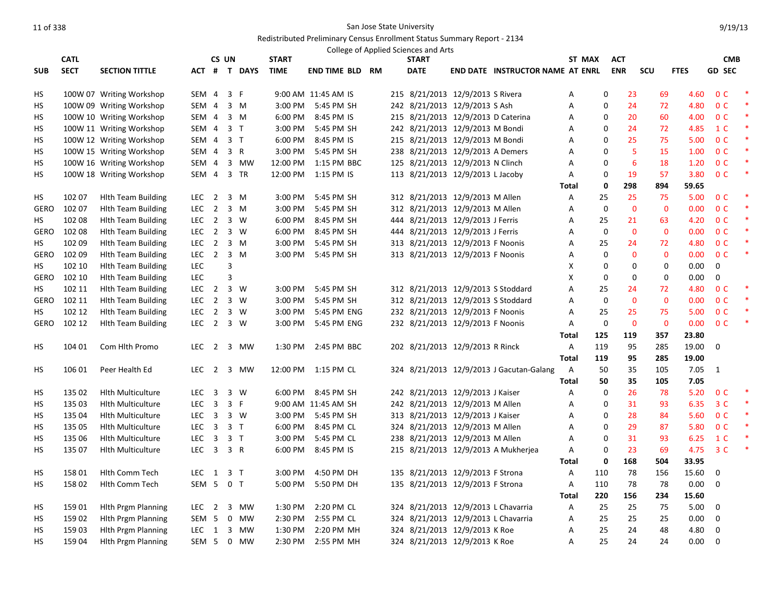|             |             |                           |                  |                         |                |              |                        |  | College of Applied Sciences and Arts |                                          |              |             |                |                |             |                |            |        |
|-------------|-------------|---------------------------|------------------|-------------------------|----------------|--------------|------------------------|--|--------------------------------------|------------------------------------------|--------------|-------------|----------------|----------------|-------------|----------------|------------|--------|
|             | <b>CATL</b> |                           |                  | CS UN                   |                | <b>START</b> |                        |  | <b>START</b>                         |                                          | ST MAX       |             | <b>ACT</b>     |                |             |                | <b>CMB</b> |        |
| <b>SUB</b>  | <b>SECT</b> | <b>SECTION TITTLE</b>     |                  |                         | ACT # T DAYS   | <b>TIME</b>  | <b>END TIME BLD RM</b> |  | <b>DATE</b>                          | <b>END DATE INSTRUCTOR NAME AT ENRL</b>  |              |             | <b>ENR</b>     | scu            | <b>FTES</b> | <b>GD SEC</b>  |            |        |
| HS          |             | 100W 07 Writing Workshop  | SEM 4            |                         | 3 F            |              | 9:00 AM 11:45 AM IS    |  | 215 8/21/2013 12/9/2013 S Rivera     |                                          | Α            | 0           | 23             | 69             | 4.60        | 0 <sup>C</sup> |            | $\ast$ |
| HS          |             | 100W 09 Writing Workshop  | SEM 4            |                         | 3 M            |              | 3:00 PM 5:45 PM SH     |  | 242 8/21/2013 12/9/2013 S Ash        |                                          | Α            | 0           | 24             | 72             | 4.80        | 0 <sup>C</sup> |            | ∗      |
| НS          |             | 100W 10 Writing Workshop  | SEM 4            |                         | 3 M            | 6:00 PM      | 8:45 PM IS             |  | 215 8/21/2013 12/9/2013 D Caterina   |                                          | Α            | $\mathbf 0$ | 20             | 60             | 4.00        | 0 <sup>C</sup> |            | *      |
| HS          |             | 100W 11 Writing Workshop  | SEM 4            |                         | 3 <sub>1</sub> | 3:00 PM      | 5:45 PM SH             |  | 242 8/21/2013 12/9/2013 M Bondi      |                                          | Α            | 0           | 24             | 72             | 4.85        | 1 C            |            | ∗      |
| HS          |             | 100W 12 Writing Workshop  | SEM 4            |                         | 3 <sub>7</sub> | 6:00 PM      | 8:45 PM IS             |  | 215 8/21/2013 12/9/2013 M Bondi      |                                          | Α            | $\mathbf 0$ | 25             | 75             | 5.00        | 0 <sup>C</sup> |            | *      |
| HS          |             | 100W 15 Writing Workshop  | SEM 4            |                         | 3 R            | 3:00 PM      | 5:45 PM SH             |  | 238 8/21/2013 12/9/2013 A Demers     |                                          | Α            | 0           | 5              | 15             | 1.00        | 0 <sup>C</sup> |            |        |
| HS          |             | 100W 16 Writing Workshop  | SEM 4            |                         | 3 MW           | 12:00 PM     | 1:15 PM BBC            |  | 125 8/21/2013 12/9/2013 N Clinch     |                                          | A            | $\mathbf 0$ | 6              | 18             | 1.20        | 0 <sup>C</sup> |            |        |
| HS          |             | 100W 18 Writing Workshop  | SEM 4            |                         | 3 TR           |              | 12:00 PM 1:15 PM IS    |  | 113 8/21/2013 12/9/2013 L Jacoby     |                                          | Α            | 0           | 19             | 57             | 3.80        | 0 <sup>C</sup> |            | $\ast$ |
|             |             |                           |                  |                         |                |              |                        |  |                                      |                                          | Total        | 0           | 298            | 894            | 59.65       |                |            |        |
| HS          | 102 07      | <b>Hith Team Building</b> | <b>LEC</b>       | $\overline{2}$          | 3 M            | 3:00 PM      | 5:45 PM SH             |  | 312 8/21/2013 12/9/2013 M Allen      |                                          | Α            | 25          | 25             | 75             | 5.00        | 0 <sup>C</sup> |            | *      |
| <b>GERO</b> | 102 07      | <b>Hith Team Building</b> | LEC.             | $\overline{2}$          | $3 \, M$       | 3:00 PM      | 5:45 PM SH             |  | 312 8/21/2013 12/9/2013 M Allen      |                                          | Α            | $\mathbf 0$ | $\overline{0}$ | $\overline{0}$ | 0.00        | 0 <sup>C</sup> |            |        |
| HS          | 102 08      | <b>Hith Team Building</b> | <b>LEC</b>       | $\overline{2}$          | 3 W            | 6:00 PM      | 8:45 PM SH             |  | 444 8/21/2013 12/9/2013 J Ferris     |                                          | Α            | 25          | 21             | 63             | 4.20        | 0 <sup>C</sup> |            | $\ast$ |
| GERO        | 102 08      | <b>Hith Team Building</b> | <b>LEC</b>       | $\overline{2}$          | 3 W            | 6:00 PM      | 8:45 PM SH             |  | 444 8/21/2013 12/9/2013 J Ferris     |                                          | Α            | $\mathbf 0$ | $\overline{0}$ | $\mathbf 0$    | 0.00        | 0 <sup>C</sup> |            | $\ast$ |
| HS          | 102 09      | <b>Hith Team Building</b> |                  |                         | LEC 2 3 M      | 3:00 PM      | 5:45 PM SH             |  | 313 8/21/2013 12/9/2013 F Noonis     |                                          | Α            | 25          | 24             | 72             | 4.80        | 0 <sup>C</sup> |            |        |
| <b>GERO</b> | 102 09      | <b>Hith Team Building</b> |                  |                         | LEC 2 3 M      | 3:00 PM      | 5:45 PM SH             |  | 313 8/21/2013 12/9/2013 F Noonis     |                                          | Α            | 0           | $\mathbf{0}$   | $\mathbf 0$    | 0.00        | 0 <sup>C</sup> |            | $\ast$ |
| HS          | 102 10      | <b>Hlth Team Building</b> | <b>LEC</b>       |                         | $\overline{3}$ |              |                        |  |                                      |                                          | X            | $\mathbf 0$ | $\mathbf 0$    | $\mathbf 0$    | 0.00        | $\mathbf 0$    |            |        |
| <b>GERO</b> | 102 10      | <b>Hith Team Building</b> | <b>LEC</b>       |                         | 3              |              |                        |  |                                      |                                          | X            | 0           | 0              | 0              | 0.00        | $\mathbf 0$    |            |        |
| HS.         | 102 11      | <b>Hith Team Building</b> | LEC              | $\overline{2}$          | $3 \quad W$    | 3:00 PM      | 5:45 PM SH             |  | 312 8/21/2013 12/9/2013 S Stoddard   |                                          | Α            | 25          | 24             | 72             | 4.80        | 0 <sup>C</sup> |            | *      |
| GERO        | 102 11      | <b>Hith Team Building</b> | <b>LEC</b>       | $\overline{2}$          | 3 W            | 3:00 PM      | 5:45 PM SH             |  | 312 8/21/2013 12/9/2013 S Stoddard   |                                          | Α            | 0           | $\overline{0}$ | $\mathbf 0$    | 0.00        | 0 <sup>C</sup> |            | $\ast$ |
| HS          | 102 12      | <b>Hlth Team Building</b> | <b>LEC</b>       | $\overline{2}$          | $3 \quad W$    | 3:00 PM      | 5:45 PM ENG            |  | 232 8/21/2013 12/9/2013 F Noonis     |                                          | Α            | 25          | 25             | 75             | 5.00        | 0 <sup>C</sup> |            |        |
| <b>GERO</b> | 102 12      | <b>Hith Team Building</b> |                  |                         | LEC 2 3 W      | 3:00 PM      | 5:45 PM ENG            |  | 232 8/21/2013 12/9/2013 F Noonis     |                                          | Α            | $\mathbf 0$ | $\mathbf 0$    | $\mathbf 0$    | 0.00        | 0 <sup>C</sup> |            | *      |
|             |             |                           |                  |                         |                |              |                        |  |                                      |                                          | Total        | 125         | 119            | 357            | 23.80       |                |            |        |
| HS          | 104 01      | Com Hith Promo            | <b>LEC</b>       |                         | 2 3 MW         | 1:30 PM      | 2:45 PM BBC            |  | 202 8/21/2013 12/9/2013 R Rinck      |                                          | A            | 119         | 95             | 285            | 19.00       | $\mathbf 0$    |            |        |
|             |             |                           |                  |                         |                |              |                        |  |                                      |                                          | <b>Total</b> | 119         | 95             | 285            | 19.00       |                |            |        |
| HS          | 106 01      | Peer Health Ed            | LEC <sub>2</sub> |                         | 3 MW           |              | 12:00 PM 1:15 PM CL    |  |                                      | 324 8/21/2013 12/9/2013 J Gacutan-Galang | Α            | 50          | 35             | 105            | 7.05        | $\mathbf{1}$   |            |        |
|             |             |                           |                  |                         |                |              |                        |  |                                      |                                          | <b>Total</b> | 50          | 35             | 105            | 7.05        |                |            |        |
| HS          | 135 02      | <b>Hith Multiculture</b>  | <b>LEC</b>       | 3                       | 3 W            |              | 6:00 PM 8:45 PM SH     |  | 242 8/21/2013 12/9/2013 J Kaiser     |                                          | Α            | $\mathbf 0$ | 26             | 78             | 5.20        | 0 <sup>C</sup> |            | *      |
| HS          | 135 03      | <b>Hith Multiculture</b>  | <b>LEC</b>       |                         | 3 3 F          |              | 9:00 AM 11:45 AM SH    |  | 242 8/21/2013 12/9/2013 M Allen      |                                          | Α            | 0           | 31             | 93             | 6.35        | 3 <sup>c</sup> |            | $\ast$ |
| HS          | 135 04      | <b>Hith Multiculture</b>  | <b>LEC</b>       | $\overline{3}$          | 3 W            | 3:00 PM      | 5:45 PM SH             |  | 313 8/21/2013 12/9/2013 J Kaiser     |                                          | Α            | 0           | 28             | 84             | 5.60        | 0 <sup>C</sup> |            |        |
| HS          | 135 05      | <b>Hith Multiculture</b>  | LEC.             | $\overline{\mathbf{3}}$ | 3 <sub>1</sub> | 6:00 PM      | 8:45 PM CL             |  | 324 8/21/2013 12/9/2013 M Allen      |                                          | Α            | 0           | 29             | 87             | 5.80        | 0 <sub>c</sub> |            | *      |
| HS          | 135 06      | <b>Hith Multiculture</b>  | <b>LEC</b>       | $\overline{3}$          | 3 <sub>7</sub> | 3:00 PM      | 5:45 PM CL             |  | 238 8/21/2013 12/9/2013 M Allen      |                                          | Α            | $\mathbf 0$ | 31             | 93             | 6.25        | 1 <sup>c</sup> |            |        |
| HS          | 135 07      | <b>Hith Multiculture</b>  | LEC 3 3 R        |                         |                | 6:00 PM      | 8:45 PM IS             |  |                                      | 215 8/21/2013 12/9/2013 A Mukherjea      | Α            | 0           | 23             | 69             | 4.75        | 3 <sup>c</sup> |            |        |
|             |             |                           |                  |                         |                |              |                        |  |                                      |                                          | <b>Total</b> | 0           | 168            | 504            | 33.95       |                |            |        |
| НS          | 158 01      | Hith Comm Tech            | <b>LEC</b>       | 1                       | 3 <sub>T</sub> | 3:00 PM      | 4:50 PM DH             |  | 135 8/21/2013 12/9/2013 F Strona     |                                          | Α            | 110         | 78             | 156            | 15.60       | 0              |            |        |
| HS          | 158 02      | Hlth Comm Tech            | SEM 5 0 T        |                         |                | 5:00 PM      | 5:50 PM DH             |  | 135 8/21/2013 12/9/2013 F Strona     |                                          | Α            | 110         | 78             | 78             | 0.00        | $\mathbf 0$    |            |        |
|             |             |                           |                  |                         |                |              |                        |  |                                      |                                          | <b>Total</b> | 220         | 156            | 234            | 15.60       |                |            |        |
| HS          | 159 01      | <b>Hith Prgm Planning</b> | LEC <sub>2</sub> |                         | 3 MW           | 1:30 PM      | 2:20 PM CL             |  |                                      | 324 8/21/2013 12/9/2013 L Chavarria      | A            | 25          | 25             | 75             | 5.00        | 0              |            |        |
| HS          | 159 02      | <b>Hith Prgm Planning</b> | SEM <sub>5</sub> |                         | 0 MW           | 2:30 PM      | 2:55 PM CL             |  |                                      | 324 8/21/2013 12/9/2013 L Chavarria      | Α            | 25          | 25             | 25             | 0.00        | 0              |            |        |
| HS          | 159 03      | <b>Hlth Prgm Planning</b> |                  |                         | LEC 1 3 MW     | 1:30 PM      | 2:20 PM MH             |  | 324 8/21/2013 12/9/2013 K Roe        |                                          | Α            | 25          | 24             | 48             | 4.80        | $\mathbf 0$    |            |        |
| HS          | 159 04      | <b>Hith Prgm Planning</b> | SEM <sub>5</sub> |                         | 0 MW           | 2:30 PM      | 2:55 PM MH             |  | 324 8/21/2013 12/9/2013 K Roe        |                                          | A            | 25          | 24             | 24             | 0.00        | $\mathbf 0$    |            |        |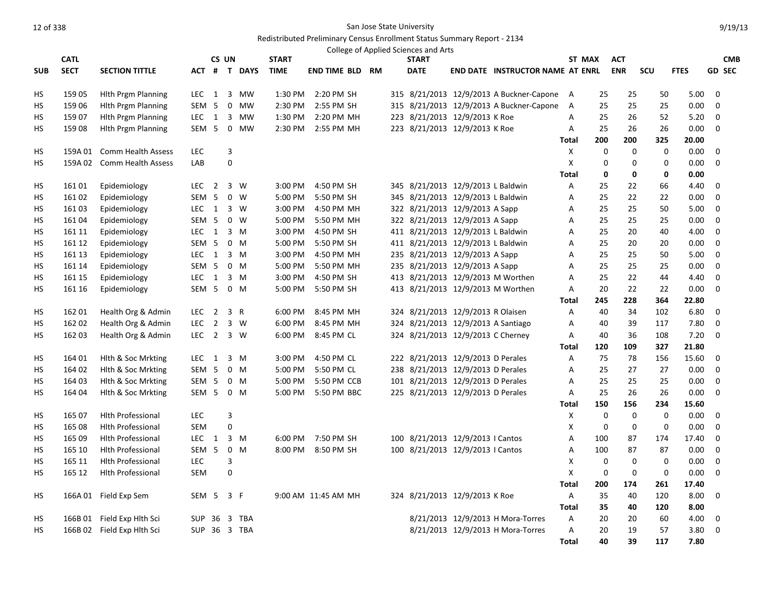|            | <b>CATL</b> |                            |                  |                | CS UN       |              | <b>START</b> |                        |  | College of Applied Sciences and Arts<br><b>START</b> |                                          |              | ST MAX      | ACT         |             |             |             | <b>CMB</b>    |
|------------|-------------|----------------------------|------------------|----------------|-------------|--------------|--------------|------------------------|--|------------------------------------------------------|------------------------------------------|--------------|-------------|-------------|-------------|-------------|-------------|---------------|
| <b>SUB</b> | <b>SECT</b> | <b>SECTION TITTLE</b>      |                  |                |             | ACT # T DAYS | <b>TIME</b>  | <b>END TIME BLD RM</b> |  | <b>DATE</b>                                          | <b>END DATE INSTRUCTOR NAME AT ENRL</b>  |              |             | <b>ENR</b>  | <b>SCU</b>  | <b>FTES</b> |             | <b>GD SEC</b> |
| HS         | 159 05      | <b>Hith Prgm Planning</b>  | <b>LEC</b>       | $\mathbf{1}$   |             | 3 MW         | 1:30 PM      | 2:20 PM SH             |  |                                                      | 315 8/21/2013 12/9/2013 A Buckner-Capone | - A          | 25          | 25          | 50          | 5.00        | $\mathbf 0$ |               |
| <b>HS</b>  | 159 06      | <b>Hlth Prgm Planning</b>  | SEM <sub>5</sub> |                | $\mathbf 0$ | MW           | 2:30 PM      | 2:55 PM SH             |  |                                                      | 315 8/21/2013 12/9/2013 A Buckner-Capone | A            | 25          | 25          | 25          | 0.00        | $\mathbf 0$ |               |
| HS         | 159 07      | <b>Hith Prgm Planning</b>  | LEC 1            |                |             | 3 MW         | 1:30 PM      | 2:20 PM MH             |  | 223 8/21/2013 12/9/2013 K Roe                        |                                          | Α            | 25          | 26          | 52          | 5.20        | 0           |               |
| НS         | 15908       | <b>Hlth Prgm Planning</b>  | SEM <sub>5</sub> |                |             | 0 MW         | 2:30 PM      | 2:55 PM MH             |  | 223 8/21/2013 12/9/2013 K Roe                        |                                          | Α            | 25          | 26          | 26          | 0.00        | $\mathbf 0$ |               |
|            |             |                            |                  |                |             |              |              |                        |  |                                                      |                                          | <b>Total</b> | 200         | 200         | 325         | 20.00       |             |               |
| HS         | 159A 01     | <b>Comm Health Assess</b>  | <b>LEC</b>       |                | 3           |              |              |                        |  |                                                      |                                          | Χ            | 0           | $\mathbf 0$ | $\mathbf 0$ | 0.00        | 0           |               |
| HS         |             | 159A 02 Comm Health Assess | LAB              |                | 0           |              |              |                        |  |                                                      |                                          | X            | $\mathbf 0$ | $\mathbf 0$ | 0           | 0.00        | 0           |               |
|            |             |                            |                  |                |             |              |              |                        |  |                                                      |                                          | <b>Total</b> | $\mathbf 0$ | $\mathbf 0$ | $\mathbf 0$ | 0.00        |             |               |
| HS         | 161 01      | Epidemiology               | <b>LEC</b>       | $\overline{2}$ | 3           | W            | 3:00 PM      | 4:50 PM SH             |  | 345 8/21/2013 12/9/2013 L Baldwin                    |                                          | A            | 25          | 22          | 66          | 4.40        | 0           |               |
| HS         | 161 02      | Epidemiology               | SEM              | 5              |             | 0 W          | 5:00 PM      | 5:50 PM SH             |  | 345 8/21/2013 12/9/2013 L Baldwin                    |                                          | A            | 25          | 22          | 22          | 0.00        | $\mathbf 0$ |               |
| HS         | 161 03      | Epidemiology               | LEC 1 3 W        |                |             |              | 3:00 PM      | 4:50 PM MH             |  | 322 8/21/2013 12/9/2013 A Sapp                       |                                          | Α            | 25          | 25          | 50          | 5.00        | 0           |               |
| HS         | 161 04      | Epidemiology               | SEM <sub>5</sub> |                |             | $0 \quad W$  | 5:00 PM      | 5:50 PM MH             |  | 322 8/21/2013 12/9/2013 A Sapp                       |                                          | Α            | 25          | 25          | 25          | 0.00        | $\mathbf 0$ |               |
| HS         | 161 11      | Epidemiology               | LEC 1            |                |             | $3 \, M$     | 3:00 PM      | 4:50 PM SH             |  | 411 8/21/2013 12/9/2013 L Baldwin                    |                                          | Α            | 25          | 20          | 40          | 4.00        | 0           |               |
| HS         | 161 12      | Epidemiology               | SEM <sub>5</sub> |                |             | 0 M          | 5:00 PM      | 5:50 PM SH             |  | 411 8/21/2013 12/9/2013 L Baldwin                    |                                          | Α            | 25          | 20          | 20          | 0.00        | 0           |               |
| HS         | 161 13      | Epidemiology               | LEC 1            |                |             | $3 \, M$     | 3:00 PM      | 4:50 PM MH             |  | 235 8/21/2013 12/9/2013 A Sapp                       |                                          | Α            | 25          | 25          | 50          | 5.00        | 0           |               |
| HS         | 161 14      | Epidemiology               | SEM <sub>5</sub> |                |             | 0 M          | 5:00 PM      | 5:50 PM MH             |  | 235 8/21/2013 12/9/2013 A Sapp                       |                                          | Α            | 25          | 25          | 25          | 0.00        | $\mathbf 0$ |               |
| HS         | 161 15      | Epidemiology               | LEC 1            |                |             | $3 \, M$     | 3:00 PM      | 4:50 PM SH             |  |                                                      | 413 8/21/2013 12/9/2013 M Worthen        | A            | 25          | 22          | 44          | 4.40        | 0           |               |
| НS         | 161 16      | Epidemiology               | SEM 5 0 M        |                |             |              | 5:00 PM      | 5:50 PM SH             |  |                                                      | 413 8/21/2013 12/9/2013 M Worthen        | A            | 20          | 22          | 22          | 0.00        | $\mathbf 0$ |               |
|            |             |                            |                  |                |             |              |              |                        |  |                                                      |                                          | Total        | 245         | 228         | 364         | 22.80       |             |               |
| HS         | 162 01      | Health Org & Admin         | <b>LEC</b>       | 2 3            |             | R            | 6:00 PM      | 8:45 PM MH             |  | 324 8/21/2013 12/9/2013 R Olaisen                    |                                          | A            | 40          | 34          | 102         | 6.80        | 0           |               |
| HS         | 162 02      | Health Org & Admin         | LEC              | $\overline{2}$ | 3 W         |              | 6:00 PM      | 8:45 PM MH             |  | 324 8/21/2013 12/9/2013 A Santiago                   |                                          | A            | 40          | 39          | 117         | 7.80        | $\mathbf 0$ |               |
| HS         | 162 03      | Health Org & Admin         | LEC 2 3 W        |                |             |              | 6:00 PM      | 8:45 PM CL             |  | 324 8/21/2013 12/9/2013 C Cherney                    |                                          | Α            | 40          | 36          | 108         | 7.20        | $\mathbf 0$ |               |
|            |             |                            |                  |                |             |              |              |                        |  |                                                      |                                          | <b>Total</b> | 120         | 109         | 327         | 21.80       |             |               |
| HS         | 164 01      | Hith & Soc Mrkting         | <b>LEC</b>       | 1              |             | 3 M          | 3:00 PM      | 4:50 PM CL             |  | 222 8/21/2013 12/9/2013 D Perales                    |                                          | Α            | 75          | 78          | 156         | 15.60       | 0           |               |
| HS         | 164 02      | Hith & Soc Mrkting         | SEM <sub>5</sub> |                |             | 0 M          | 5:00 PM      | 5:50 PM CL             |  | 238 8/21/2013 12/9/2013 D Perales                    |                                          | Α            | 25          | 27          | 27          | 0.00        | $\mathbf 0$ |               |
| HS         | 164 03      | Hith & Soc Mrkting         | SEM 5            |                |             | $0 \t M$     | 5:00 PM      | 5:50 PM CCB            |  | 101 8/21/2013 12/9/2013 D Perales                    |                                          | Α            | 25          | 25          | 25          | 0.00        | 0           |               |
| HS         | 164 04      | Hith & Soc Mrkting         | SEM <sub>5</sub> |                |             | $0 \t M$     | 5:00 PM      | 5:50 PM BBC            |  | 225 8/21/2013 12/9/2013 D Perales                    |                                          | A            | 25          | 26          | 26          | 0.00        | $\mathbf 0$ |               |
|            |             |                            |                  |                |             |              |              |                        |  |                                                      |                                          | Total        | 150         | 156         | 234         | 15.60       |             |               |
| HS         | 165 07      | <b>Hlth Professional</b>   | <b>LEC</b>       |                | 3           |              |              |                        |  |                                                      |                                          | X            | $\mathbf 0$ | $\mathbf 0$ | $\mathbf 0$ | 0.00        | $\mathbf 0$ |               |
| HS         | 165 08      | <b>Hith Professional</b>   | <b>SEM</b>       |                | 0           |              |              |                        |  |                                                      |                                          | Χ            | 0           | 0           | $\mathbf 0$ | 0.00        | 0           |               |
| HS         | 165 09      | <b>Hlth Professional</b>   | LEC 1            |                |             | 3 M          | 6:00 PM      | 7:50 PM SH             |  | 100 8/21/2013 12/9/2013   Cantos                     |                                          | Α            | 100         | 87          | 174         | 17.40       | 0           |               |
| HS         | 165 10      | <b>Hlth Professional</b>   | SEM <sub>5</sub> |                |             | 0 M          | 8:00 PM      | 8:50 PM SH             |  | 100 8/21/2013 12/9/2013   Cantos                     |                                          | Α            | 100         | 87          | 87          | 0.00        | $\mathbf 0$ |               |
| HS         | 165 11      | <b>Hith Professional</b>   | <b>LEC</b>       |                | 3           |              |              |                        |  |                                                      |                                          | Χ            | 0           | 0           | $\mathbf 0$ | 0.00        | 0           |               |
| HS         | 165 12      | <b>Hith Professional</b>   | <b>SEM</b>       |                | 0           |              |              |                        |  |                                                      |                                          | X            | $\mathbf 0$ | $\mathbf 0$ | $\mathbf 0$ | 0.00        | $\mathbf 0$ |               |
|            |             |                            |                  |                |             |              |              |                        |  |                                                      |                                          | Total        | 200         | 174         | 261         | 17.40       |             |               |
| HS.        |             | 166A 01 Field Exp Sem      | SEM 5            |                | 3 F         |              |              | 9:00 AM 11:45 AM MH    |  | 324 8/21/2013 12/9/2013 K Roe                        |                                          | A            | 35          | 40          | 120         | 8.00        | $\mathbf 0$ |               |
|            |             |                            |                  |                |             |              |              |                        |  |                                                      |                                          | <b>Total</b> | 35          | 40          | 120         | 8.00        |             |               |
| HS         |             | 166B 01 Field Exp Hlth Sci | <b>SUP</b>       |                |             | 36 3 TBA     |              |                        |  |                                                      | 8/21/2013 12/9/2013 H Mora-Torres        | A            | 20          | 20          | 60          | 4.00        | $\mathbf 0$ |               |
| <b>HS</b>  |             | 166B 02 Field Exp Hlth Sci | SUP 36 3 TBA     |                |             |              |              |                        |  |                                                      | 8/21/2013 12/9/2013 H Mora-Torres        | Α            | 20          | 19          | 57          | 3.80        | 0           |               |
|            |             |                            |                  |                |             |              |              |                        |  |                                                      |                                          | <b>Total</b> | 40          | 39          | 117         | 7.80        |             |               |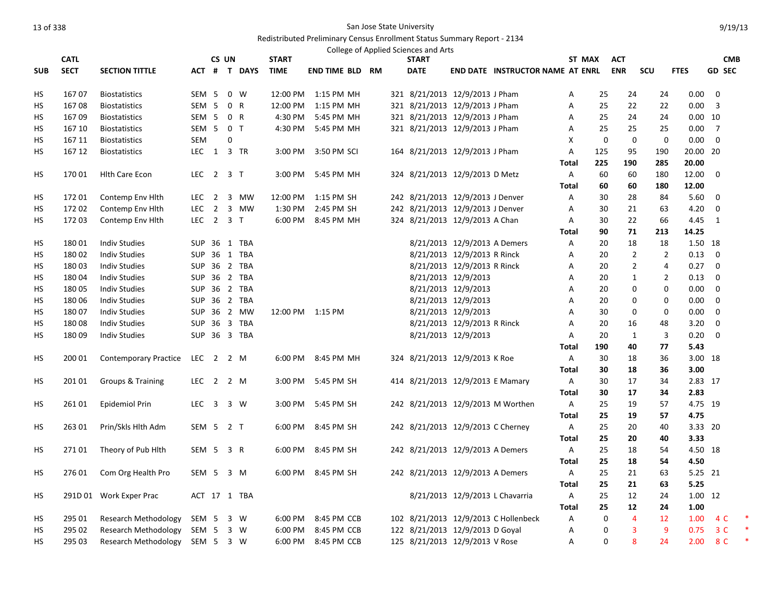|            |             |                              |                  |                |              |              |                        |  | College of Applied Sciences and Arts |                              |                                         |              |             |            |                                  |                        |                         |  |
|------------|-------------|------------------------------|------------------|----------------|--------------|--------------|------------------------|--|--------------------------------------|------------------------------|-----------------------------------------|--------------|-------------|------------|----------------------------------|------------------------|-------------------------|--|
|            | <b>CATL</b> |                              |                  | CS UN          |              | <b>START</b> |                        |  | <b>START</b>                         |                              |                                         |              | ST MAX      | <b>ACT</b> |                                  |                        | <b>CMB</b>              |  |
| <b>SUB</b> | <b>SECT</b> | <b>SECTION TITTLE</b>        |                  |                | ACT # T DAYS | <b>TIME</b>  | <b>END TIME BLD RM</b> |  | <b>DATE</b>                          |                              | <b>END DATE INSTRUCTOR NAME AT ENRL</b> |              |             | <b>ENR</b> | scu                              | <b>FTES</b>            | <b>GD SEC</b>           |  |
| HS         | 16707       | <b>Biostatistics</b>         | SEM <sub>5</sub> |                | $0 \quad W$  |              | 12:00 PM 1:15 PM MH    |  | 321 8/21/2013 12/9/2013 J Pham       |                              |                                         | A            | 25          | 24         | 24                               | 0.00                   | $\Omega$                |  |
| HS         | 16708       | <b>Biostatistics</b>         | SEM <sub>5</sub> |                | 0 R          |              | 12:00 PM 1:15 PM MH    |  | 321 8/21/2013 12/9/2013 J Pham       |                              |                                         | A            | 25          | 22         | 22                               | 0.00                   | $\overline{\mathbf{3}}$ |  |
| HS         | 16709       | <b>Biostatistics</b>         | SEM 5            |                | 0 R          | 4:30 PM      | 5:45 PM MH             |  | 321 8/21/2013 12/9/2013 J Pham       |                              |                                         | Α            | 25          | 24         | 24                               | 0.00                   | 10                      |  |
| HS         | 167 10      | <b>Biostatistics</b>         |                  |                | SEM 5 0 T    | 4:30 PM      | 5:45 PM MH             |  | 321 8/21/2013 12/9/2013 J Pham       |                              |                                         | Α            | 25          | 25         | 25                               | 0.00                   | $\overline{7}$          |  |
| HS         | 167 11      | <b>Biostatistics</b>         | SEM              |                | 0            |              |                        |  |                                      |                              |                                         | X            | $\mathbf 0$ |            | $\mathbf 0$                      | 0<br>0.00              | $\overline{0}$          |  |
| НS         | 167 12      | <b>Biostatistics</b>         |                  |                | LEC 1 3 TR   | 3:00 PM      | 3:50 PM SCI            |  | 164 8/21/2013 12/9/2013 J Pham       |                              |                                         | Α            | 125         | 95         | 190                              | 20.00 20               |                         |  |
|            |             |                              |                  |                |              |              |                        |  |                                      |                              |                                         | <b>Total</b> | 225         | 190        | 285                              | 20.00                  |                         |  |
| HS         | 170 01      | <b>Hith Care Econ</b>        |                  |                | LEC 2 3 T    | 3:00 PM      | 5:45 PM MH             |  | 324 8/21/2013 12/9/2013 D Metz       |                              |                                         | Α            | 60          | 60         | 180                              | 12.00                  | $\Omega$                |  |
|            |             |                              |                  |                |              |              |                        |  |                                      |                              |                                         | <b>Total</b> | 60          | 60         | 180                              | 12.00                  |                         |  |
| НS         | 17201       | Contemp Env Hith             | <b>LEC</b>       | $\overline{2}$ | 3 MW         | 12:00 PM     | 1:15 PM SH             |  | 242 8/21/2013 12/9/2013 J Denver     |                              |                                         | Α            | 30          | 28         | 84                               | 5.60                   | 0                       |  |
| НS         | 172 02      | Contemp Env Hlth             | <b>LEC</b>       | $\overline{2}$ | 3 MW         | 1:30 PM      | 2:45 PM SH             |  | 242 8/21/2013 12/9/2013 J Denver     |                              |                                         | Α            | 30          | 21         | 63                               | 4.20                   | $\mathbf 0$             |  |
| HS         | 172 03      | Contemp Env Hlth             |                  |                | LEC 2 3 T    | 6:00 PM      | 8:45 PM MH             |  | 324 8/21/2013 12/9/2013 A Chan       |                              |                                         | Α            | 30          | 22         | 66                               | 4.45                   | $\mathbf{1}$            |  |
|            |             |                              |                  |                |              |              |                        |  |                                      |                              |                                         | <b>Total</b> | 90          | 71         | 213                              | 14.25                  |                         |  |
| НS         | 18001       | <b>Indiv Studies</b>         |                  |                | SUP 36 1 TBA |              |                        |  |                                      | 8/21/2013 12/9/2013 A Demers |                                         | Α            | 20          | 18         | 18                               | 1.50 18                |                         |  |
| HS         | 180 02      | <b>Indiv Studies</b>         |                  |                | SUP 36 1 TBA |              |                        |  |                                      | 8/21/2013 12/9/2013 R Rinck  |                                         | Α            | 20          |            | $\overline{2}$                   | $\overline{2}$<br>0.13 | $\overline{\mathbf{0}}$ |  |
| HS         | 18003       | <b>Indiv Studies</b>         |                  |                | SUP 36 2 TBA |              |                        |  |                                      | 8/21/2013 12/9/2013 R Rinck  |                                         | Α            | 20          |            | $\overline{2}$<br>$\overline{4}$ | 0.27                   | $\overline{\mathbf{0}}$ |  |
| HS         | 180 04      | <b>Indiv Studies</b>         |                  |                | SUP 36 2 TBA |              |                        |  |                                      | 8/21/2013 12/9/2013          |                                         | Α            | 20          |            | $\mathbf{1}$                     | $\overline{2}$<br>0.13 | $\mathbf 0$             |  |
| <b>HS</b>  | 18005       | <b>Indiv Studies</b>         |                  |                | SUP 36 2 TBA |              |                        |  |                                      | 8/21/2013 12/9/2013          |                                         | A            | 20          |            | $\mathbf 0$                      | $\mathbf 0$<br>0.00    | $\overline{0}$          |  |
| HS         | 180 06      | <b>Indiv Studies</b>         |                  |                | SUP 36 2 TBA |              |                        |  |                                      | 8/21/2013 12/9/2013          |                                         | Α            | 20          |            | 0                                | 0<br>0.00              | $\overline{0}$          |  |
| HS         | 18007       | <b>Indiv Studies</b>         |                  |                | SUP 36 2 MW  |              | 12:00 PM 1:15 PM       |  |                                      | 8/21/2013 12/9/2013          |                                         | A            | 30          |            | 0                                | 0<br>0.00              | $\mathbf 0$             |  |
| HS         | 18008       | <b>Indiv Studies</b>         |                  |                | SUP 36 3 TBA |              |                        |  |                                      | 8/21/2013 12/9/2013 R Rinck  |                                         | Α            | 20          | 16         | 48                               | 3.20                   | $\mathbf 0$             |  |
| HS         | 18009       | <b>Indiv Studies</b>         |                  |                | SUP 36 3 TBA |              |                        |  |                                      | 8/21/2013 12/9/2013          |                                         | Α            | 20          | 1          |                                  | $\overline{3}$<br>0.20 | $\Omega$                |  |
|            |             |                              |                  |                |              |              |                        |  |                                      |                              |                                         | <b>Total</b> | 190         | 40         | 77                               | 5.43                   |                         |  |
| HS         | 200 01      | <b>Contemporary Practice</b> |                  |                | LEC 2 2 M    |              | 6:00 PM 8:45 PM MH     |  | 324 8/21/2013 12/9/2013 K Roe        |                              |                                         | Α            | 30          | 18         | 36                               | 3.00 18                |                         |  |
|            |             |                              |                  |                |              |              |                        |  |                                      |                              |                                         | <b>Total</b> | 30          | 18         | 36                               | 3.00                   |                         |  |
| HS         | 201 01      | Groups & Training            | LEC <sub>2</sub> |                | 2 M          | 3:00 PM      | 5:45 PM SH             |  | 414 8/21/2013 12/9/2013 E Mamary     |                              |                                         | Α            | 30          | 17         | 34                               | 2.83 17                |                         |  |
|            |             |                              |                  |                |              |              |                        |  |                                      |                              |                                         | <b>Total</b> | 30          | 17         | 34                               | 2.83                   |                         |  |
| НS         | 26101       | Epidemiol Prin               |                  |                | LEC 3 3 W    |              | 3:00 PM 5:45 PM SH     |  |                                      |                              | 242 8/21/2013 12/9/2013 M Worthen       | A            | 25          | 19         | 57                               | 4.75 19                |                         |  |
|            |             |                              |                  |                |              |              |                        |  |                                      |                              |                                         | Total        | 25          | 19         | 57                               | 4.75                   |                         |  |
| НS         | 263 01      | Prin/Skls Hlth Adm           |                  |                | SEM 5 2 T    |              | 6:00 PM 8:45 PM SH     |  | 242 8/21/2013 12/9/2013 C Cherney    |                              |                                         | $\mathsf{A}$ | 25          | 20         | 40                               | 3.33 20                |                         |  |
|            |             |                              |                  |                |              |              |                        |  |                                      |                              |                                         | <b>Total</b> | 25          | 20         | 40                               | 3.33                   |                         |  |
| <b>HS</b>  | 27101       | Theory of Pub Hlth           |                  |                | SEM 5 3 R    |              | 6:00 PM 8:45 PM SH     |  | 242 8/21/2013 12/9/2013 A Demers     |                              |                                         | Α            | 25          | 18         | 54                               | 4.50 18                |                         |  |
|            |             |                              |                  |                |              |              |                        |  |                                      |                              |                                         | <b>Total</b> | 25          | 18         | 54                               | 4.50                   |                         |  |
| НS         | 276 01      | Com Org Health Pro           | SEM <sub>5</sub> |                | 3 M          | 6:00 PM      | 8:45 PM SH             |  | 242 8/21/2013 12/9/2013 A Demers     |                              |                                         | Α            | 25          | 21         | 63                               | 5.25 21                |                         |  |
|            |             |                              |                  |                |              |              |                        |  |                                      |                              |                                         | <b>Total</b> | 25          | 21         | 63                               | 5.25                   |                         |  |
| НS         |             | 291D 01 Work Exper Prac      |                  |                | ACT 17 1 TBA |              |                        |  |                                      |                              | 8/21/2013 12/9/2013 L Chavarria         | A            | 25          | 12         | 24                               | 1.00 12                |                         |  |
|            |             |                              |                  |                |              |              |                        |  |                                      |                              |                                         | <b>Total</b> | 25          | 12         | 24                               | 1.00                   |                         |  |
| НS         | 295 01      | <b>Research Methodology</b>  | SEM 5            |                | 3 W          | 6:00 PM      | 8:45 PM CCB            |  |                                      |                              | 102 8/21/2013 12/9/2013 C Hollenbeck    | Α            | $\mathbf 0$ |            | $\overline{4}$<br>12             | 1.00                   | 4 C                     |  |
| <b>HS</b>  | 295 02      | <b>Research Methodology</b>  | SEM <sub>5</sub> |                | 3 W          | 6:00 PM      | 8:45 PM CCB            |  | 122 8/21/2013 12/9/2013 D Goyal      |                              |                                         | A            | $\mathbf 0$ |            | 3                                | 9<br>0.75              | 3 <sup>C</sup>          |  |
| <b>HS</b>  | 295 03      | Research Methodology         |                  |                | SEM 5 3 W    | 6:00 PM      | 8:45 PM CCB            |  | 125 8/21/2013 12/9/2013 V Rose       |                              |                                         | A            | $\Omega$    |            | 8<br>24                          | 2.00                   | 8 C                     |  |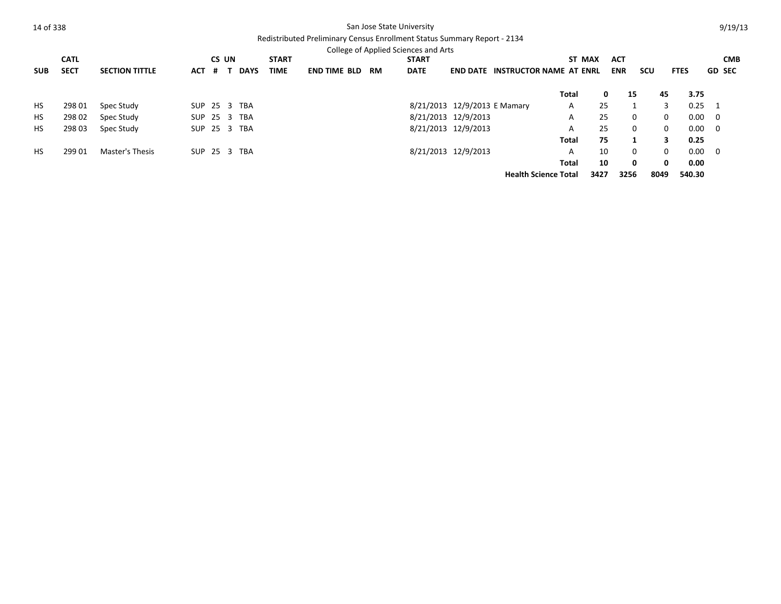|  | 14 of 338 |
|--|-----------|
|  |           |

#### San Jose State University

|            | College of Applied Sciences and Arts |                        |            |       |              |              |                     |           |              |                              |                                |        |            |                          |             |                         |  |
|------------|--------------------------------------|------------------------|------------|-------|--------------|--------------|---------------------|-----------|--------------|------------------------------|--------------------------------|--------|------------|--------------------------|-------------|-------------------------|--|
|            | <b>CATL</b>                          |                        |            | CS UN |              | <b>START</b> |                     |           | <b>START</b> |                              |                                | ST MAX | <b>ACT</b> |                          |             | <b>CMB</b>              |  |
| <b>SUB</b> | <b>SECT</b>                          | <b>SECTION TITTLE</b>  | <b>ACT</b> | #     | <b>DAYS</b>  | <b>TIME</b>  | <b>END TIME BLD</b> | <b>RM</b> | <b>DATE</b>  | <b>END DATE</b>              | <b>INSTRUCTOR NAME AT ENRL</b> |        | <b>ENR</b> | scu                      | <b>FTES</b> | <b>GD SEC</b>           |  |
|            |                                      |                        |            |       |              |              |                     |           |              |                              | Total                          |        | 0          | 45<br>15                 | 3.75        |                         |  |
| <b>HS</b>  | 298 01                               | Spec Study             |            |       | SUP 25 3 TBA |              |                     |           |              | 8/21/2013 12/9/2013 E Mamary |                                | A      | 25         | 3                        | 0.25        |                         |  |
| HS         | 298 02                               | Spec Study             |            |       | SUP 25 3 TBA |              |                     |           |              | 8/21/2013 12/9/2013          |                                | A      | 25         | 0<br>$\mathbf{0}$        | 0.00        | - 0                     |  |
| <b>HS</b>  | 298 03                               | Spec Study             |            |       | SUP 25 3 TBA |              |                     |           |              | 8/21/2013 12/9/2013          |                                | A      | 25         | $\Omega$<br>$\mathbf{0}$ | 0.00        | $\overline{\mathbf{0}}$ |  |
|            |                                      |                        |            |       |              |              |                     |           |              |                              | Total                          |        | 75         | 3.                       | 0.25        |                         |  |
| <b>HS</b>  | 299 01                               | <b>Master's Thesis</b> |            |       | SUP 25 3 TBA |              |                     |           |              | 8/21/2013 12/9/2013          |                                | A      | 10         | 0<br>0                   | $0.00\,$    | $\overline{\mathbf{0}}$ |  |
|            |                                      |                        |            |       |              |              |                     |           |              |                              | Total                          |        | 10         | 0<br>0                   | 0.00        |                         |  |
|            |                                      |                        |            |       |              |              |                     |           |              |                              | <b>Health Science Total</b>    | 3427   | 3256       | 8049                     | 540.30      |                         |  |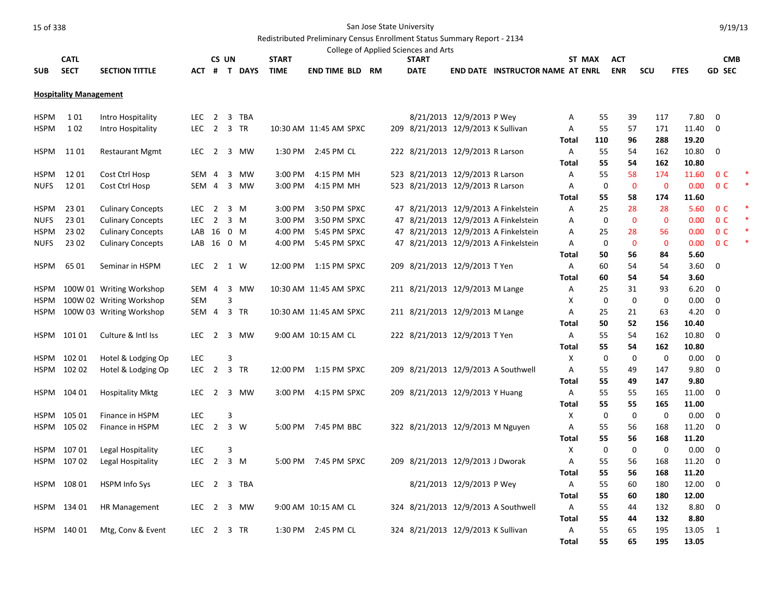|             |                               |                          |                  |                |          |               |                        |                        |  | College of Applied Sciences and Arts |                           |                                         |               |             |              |             |             |                |            |  |
|-------------|-------------------------------|--------------------------|------------------|----------------|----------|---------------|------------------------|------------------------|--|--------------------------------------|---------------------------|-----------------------------------------|---------------|-------------|--------------|-------------|-------------|----------------|------------|--|
|             | <b>CATL</b>                   |                          |                  | CS UN          |          |               | <b>START</b>           |                        |  | <b>START</b>                         |                           |                                         | <b>ST MAX</b> |             | <b>ACT</b>   |             |             |                | <b>CMB</b> |  |
| <b>SUB</b>  | <b>SECT</b>                   | <b>SECTION TITTLE</b>    | ACT #            |                |          | <b>T DAYS</b> | <b>TIME</b>            | <b>END TIME BLD RM</b> |  | <b>DATE</b>                          |                           | <b>END DATE INSTRUCTOR NAME AT ENRL</b> |               |             | <b>ENR</b>   | <b>SCU</b>  | <b>FTES</b> | <b>GD SEC</b>  |            |  |
|             | <b>Hospitality Management</b> |                          |                  |                |          |               |                        |                        |  |                                      |                           |                                         |               |             |              |             |             |                |            |  |
| <b>HSPM</b> | 101                           | Intro Hospitality        | LEC.             | $\overline{2}$ |          | 3 TBA         |                        |                        |  |                                      | 8/21/2013 12/9/2013 P Wey |                                         | Α             | 55          | 39           | 117         | 7.80        | 0              |            |  |
| HSPM        | 102                           | Intro Hospitality        |                  | LEC 2 3 TR     |          |               | 10:30 AM 11:45 AM SPXC |                        |  | 209 8/21/2013 12/9/2013 K Sullivan   |                           |                                         | Α             | 55          | 57           | 171         | 11.40       | $\mathbf{0}$   |            |  |
|             |                               |                          |                  |                |          |               |                        |                        |  |                                      |                           |                                         | Total         | 110         | 96           | 288         | 19.20       |                |            |  |
| <b>HSPM</b> | 11 01                         | <b>Restaurant Mgmt</b>   | <b>LEC</b>       | $\overline{2}$ |          | 3 MW          | 1:30 PM                | 2:45 PM CL             |  | 222 8/21/2013 12/9/2013 R Larson     |                           |                                         | Α             | 55          | 54           | 162         | 10.80       | $\mathbf 0$    |            |  |
|             |                               |                          |                  |                |          |               |                        |                        |  |                                      |                           |                                         | Total         | 55          | 54           | 162         | 10.80       |                |            |  |
| <b>HSPM</b> | 12 01                         | Cost Ctrl Hosp           | SEM 4            |                |          | 3 MW          | 3:00 PM                | 4:15 PM MH             |  | 523 8/21/2013 12/9/2013 R Larson     |                           |                                         | Α             | 55          | 58           | 174         | 11.60       | 0 <sup>C</sup> |            |  |
| <b>NUFS</b> | 1201                          |                          |                  |                |          | 3 MW          | 3:00 PM                | 4:15 PM MH             |  | 523 8/21/2013 12/9/2013 R Larson     |                           |                                         |               | 0           | $\mathbf 0$  | $\mathbf 0$ | 0.00        | 0 <sup>C</sup> |            |  |
|             |                               | Cost Ctrl Hosp           | SEM 4            |                |          |               |                        |                        |  |                                      |                           |                                         | Α             |             |              |             |             |                |            |  |
|             |                               |                          |                  |                |          |               |                        |                        |  |                                      |                           |                                         | <b>Total</b>  | 55          | 58           | 174         | 11.60       |                |            |  |
| <b>HSPM</b> | 23 01                         | <b>Culinary Concepts</b> | LEC              | $\overline{2}$ | 3 M      |               | 3:00 PM                | 3:50 PM SPXC           |  |                                      |                           | 47 8/21/2013 12/9/2013 A Finkelstein    | Α             | 25          | 28           | 28          | 5.60        | 0 <sup>C</sup> |            |  |
| <b>NUFS</b> | 23 01                         | <b>Culinary Concepts</b> | LEC.             | $\overline{2}$ | $3 \, M$ |               | 3:00 PM                | 3:50 PM SPXC           |  |                                      |                           | 47 8/21/2013 12/9/2013 A Finkelstein    | A             | $\mathbf 0$ | $\mathbf{0}$ | $\mathbf 0$ | 0.00        | 0 <sup>C</sup> |            |  |
| <b>HSPM</b> | 23 02                         | <b>Culinary Concepts</b> | LAB              | 16             | $0$ M    |               | 4:00 PM                | 5:45 PM SPXC           |  |                                      |                           | 47 8/21/2013 12/9/2013 A Finkelstein    | A             | 25          | 28           | 56          | 0.00        | 0 <sup>C</sup> |            |  |
| <b>NUFS</b> | 23 02                         | <b>Culinary Concepts</b> |                  | LAB 16 0 M     |          |               | 4:00 PM                | 5:45 PM SPXC           |  |                                      |                           | 47 8/21/2013 12/9/2013 A Finkelstein    | Α             | 0           | $\mathbf 0$  | $\mathbf 0$ | 0.00        | 0 <sup>C</sup> |            |  |
|             |                               |                          |                  |                |          |               |                        |                        |  |                                      |                           |                                         | Total         | 50          | 56           | 84          | 5.60        |                |            |  |
| <b>HSPM</b> | 65 01                         | Seminar in HSPM          | <b>LEC</b>       | 2 1 W          |          |               | 12:00 PM               | 1:15 PM SPXC           |  | 209 8/21/2013 12/9/2013 T Yen        |                           |                                         | Α             | 60          | 54           | 54          | 3.60        | $\mathbf{0}$   |            |  |
|             |                               |                          |                  |                |          |               |                        |                        |  |                                      |                           |                                         | Total         | 60          | 54           | 54          | 3.60        |                |            |  |
| <b>HSPM</b> |                               | 100W 01 Writing Workshop | SEM 4            |                |          | 3 MW          | 10:30 AM 11:45 AM SPXC |                        |  | 211 8/21/2013 12/9/2013 M Lange      |                           |                                         | Α             | 25          | 31           | 93          | 6.20        | $\mathbf 0$    |            |  |
| <b>HSPM</b> |                               | 100W 02 Writing Workshop | SEM              |                | 3        |               |                        |                        |  |                                      |                           |                                         | X             | 0           | 0            | 0           | 0.00        | 0              |            |  |
| <b>HSPM</b> |                               | 100W 03 Writing Workshop | SEM 4            |                | 3 TR     |               | 10:30 AM 11:45 AM SPXC |                        |  | 211 8/21/2013 12/9/2013 M Lange      |                           |                                         | Α             | 25          | 21           | 63          | 4.20        | $\mathbf 0$    |            |  |
|             |                               |                          |                  |                |          |               |                        |                        |  |                                      |                           |                                         | Total         | 50          | 52           | 156         | 10.40       |                |            |  |
| <b>HSPM</b> | 101 01                        | Culture & Intl Iss       | LEC.             | 2              |          | 3 MW          |                        | 9:00 AM 10:15 AM CL    |  | 222 8/21/2013 12/9/2013 T Yen        |                           |                                         | A             | 55          | 54           | 162         | 10.80       | $\Omega$       |            |  |
|             |                               |                          |                  |                |          |               |                        |                        |  |                                      |                           |                                         | <b>Total</b>  | 55          | 54           | 162         | 10.80       |                |            |  |
| HSPM        | 102 01                        | Hotel & Lodging Op       | <b>LEC</b>       |                | 3        |               |                        |                        |  |                                      |                           |                                         | Χ             | 0           | 0            | 0           | 0.00        | $\mathbf 0$    |            |  |
| <b>HSPM</b> | 102 02                        | Hotel & Lodging Op       | LEC              | $\overline{2}$ | 3 TR     |               | 12:00 PM               | 1:15 PM SPXC           |  |                                      |                           | 209 8/21/2013 12/9/2013 A Southwell     | Α             | 55          | 49           | 147         | 9.80        | $\mathbf 0$    |            |  |
|             |                               |                          |                  |                |          |               |                        |                        |  |                                      |                           |                                         | Total         | 55          | 49           | 147         | 9.80        |                |            |  |
| <b>HSPM</b> | 104 01                        | <b>Hospitality Mktg</b>  | <b>LEC</b>       | $\overline{2}$ |          | 3 MW          | 3:00 PM                | 4:15 PM SPXC           |  | 209 8/21/2013 12/9/2013 Y Huang      |                           |                                         | Α             | 55          | 55           | 165         | 11.00       | $\Omega$       |            |  |
|             |                               |                          |                  |                |          |               |                        |                        |  |                                      |                           |                                         | Total         | 55          | 55           | 165         | 11.00       |                |            |  |
| HSPM        | 105 01                        | Finance in HSPM          | <b>LEC</b>       |                | 3        |               |                        |                        |  |                                      |                           |                                         | $\mathsf{x}$  | 0           | $\mathbf 0$  | $\mathbf 0$ | 0.00        | $\Omega$       |            |  |
| <b>HSPM</b> | 105 02                        | Finance in HSPM          | <b>LEC</b>       | $2^{\circ}$    | 3 W      |               |                        | 5:00 PM 7:45 PM BBC    |  | 322 8/21/2013 12/9/2013 M Nguyen     |                           |                                         | Α             | 55          | 56           | 168         | 11.20       | $\mathbf 0$    |            |  |
|             |                               |                          |                  |                |          |               |                        |                        |  |                                      |                           |                                         | Total         | 55          | 56           | 168         | 11.20       |                |            |  |
| <b>HSPM</b> | 10701                         | Legal Hospitality        | <b>LEC</b>       |                | 3        |               |                        |                        |  |                                      |                           |                                         | X             | 0           | $\mathbf 0$  | $\mathbf 0$ | 0.00        | $\mathbf 0$    |            |  |
| HSPM        | 10702                         | Legal Hospitality        | LEC <sub>2</sub> |                | 3 M      |               | 5:00 PM                | 7:45 PM SPXC           |  | 209 8/21/2013 12/9/2013 J Dworak     |                           |                                         | Α             | 55          | 56           | 168         | 11.20       | 0              |            |  |
|             |                               |                          |                  |                |          |               |                        |                        |  |                                      |                           |                                         | Total         | 55          | 56           | 168         | 11.20       |                |            |  |
| <b>HSPM</b> | 108 01                        | <b>HSPM Info Sys</b>     | <b>LEC</b>       | $\overline{2}$ |          | 3 TBA         |                        |                        |  |                                      | 8/21/2013 12/9/2013 P Wey |                                         | Α             | 55          | 60           | 180         | 12.00       | $\mathbf{0}$   |            |  |
|             |                               |                          |                  |                |          |               |                        |                        |  |                                      |                           |                                         | Total         | 55          | 60           | 180         | 12.00       |                |            |  |
|             | HSPM 134 01                   | <b>HR Management</b>     | <b>LEC</b>       | $\overline{2}$ |          | 3 MW          |                        | 9:00 AM 10:15 AM CL    |  |                                      |                           | 324 8/21/2013 12/9/2013 A Southwell     | Α             | 55          | 44           | 132         | 8.80        | $\overline{0}$ |            |  |
|             |                               |                          |                  |                |          |               |                        |                        |  |                                      |                           |                                         | Total         | 55          | 44           | 132         | 8.80        |                |            |  |
|             | HSPM 140 01                   | Mtg, Conv & Event        |                  | LEC 2 3 TR     |          |               | 1:30 PM                | 2:45 PM CL             |  | 324 8/21/2013 12/9/2013 K Sullivan   |                           |                                         | Α             | 55          | 65           | 195         | 13.05       | -1             |            |  |
|             |                               |                          |                  |                |          |               |                        |                        |  |                                      |                           |                                         | <b>Total</b>  | 55          | 65           | 195         | 13.05       |                |            |  |
|             |                               |                          |                  |                |          |               |                        |                        |  |                                      |                           |                                         |               |             |              |             |             |                |            |  |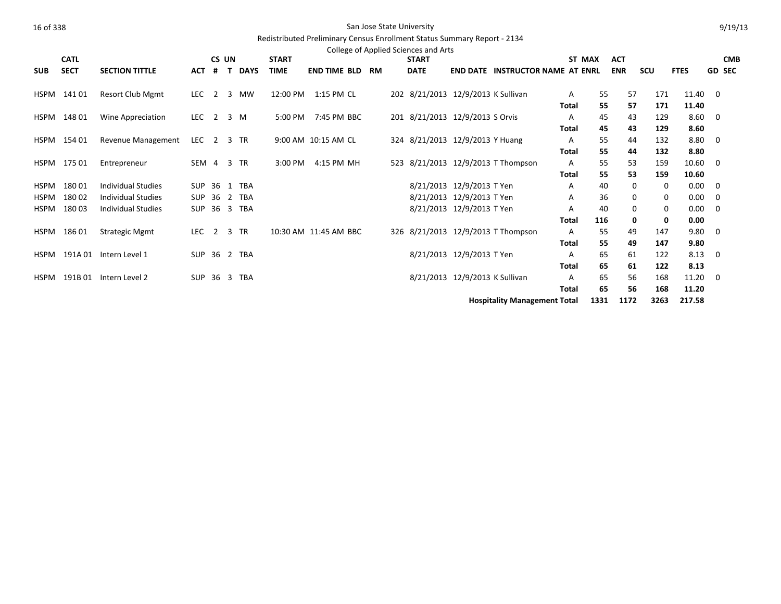|             |             |                           |              |                |          |              |                       |           | College of Applied Sciences and Arts |                                    |                                         |              |        |            |            |             |                |               |
|-------------|-------------|---------------------------|--------------|----------------|----------|--------------|-----------------------|-----------|--------------------------------------|------------------------------------|-----------------------------------------|--------------|--------|------------|------------|-------------|----------------|---------------|
|             | <b>CATL</b> |                           |              | CS UN          |          | <b>START</b> |                       |           | <b>START</b>                         |                                    |                                         |              | ST MAX | <b>ACT</b> |            |             |                | <b>CMB</b>    |
| <b>SUB</b>  | <b>SECT</b> | <b>SECTION TITTLE</b>     | <b>ACT</b>   | #              | T DAYS   | <b>TIME</b>  | <b>END TIME BLD</b>   | <b>RM</b> | <b>DATE</b>                          |                                    | <b>END DATE INSTRUCTOR NAME AT ENRL</b> |              |        | <b>ENR</b> | <b>SCU</b> | <b>FTES</b> |                | <b>GD SEC</b> |
|             | HSPM 14101  | Resort Club Mgmt          | LEC          | $\overline{2}$ | 3 MW     | 12:00 PM     | 1:15 PM CL            |           |                                      | 202 8/21/2013 12/9/2013 K Sullivan |                                         | A            | 55     | 57         | 171        | 11.40       | $\overline{0}$ |               |
|             |             |                           |              |                |          |              |                       |           |                                      |                                    |                                         | Total        | 55     | 57         | 171        | 11.40       |                |               |
|             | HSPM 148 01 | Wine Appreciation         | LEC          | 2 3 M          |          | 5:00 PM      | 7:45 PM BBC           |           |                                      | 201 8/21/2013 12/9/2013 S Orvis    |                                         | Α            | 45     | 43         | 129        | 8.60        | $\mathbf 0$    |               |
|             |             |                           |              |                |          |              |                       |           |                                      |                                    |                                         | Total        | 45     | 43         | 129        | 8.60        |                |               |
|             | HSPM 154 01 | <b>Revenue Management</b> | LEC 2 3 TR   |                |          |              | 9:00 AM 10:15 AM CL   |           |                                      | 324 8/21/2013 12/9/2013 Y Huang    |                                         | Α            | 55     | 44         | 132        | 8.80        | 0              |               |
|             |             |                           |              |                |          |              |                       |           |                                      |                                    |                                         | <b>Total</b> | 55     | 44         | 132        | 8.80        |                |               |
|             | HSPM 17501  | Entrepreneur              | SEM 4        |                | 3 TR     | 3:00 PM      | 4:15 PM MH            |           |                                      |                                    | 523 8/21/2013 12/9/2013 T Thompson      | A            | 55     | 53         | 159        | 10.60       | $\mathbf 0$    |               |
|             |             |                           |              |                |          |              |                       |           |                                      |                                    |                                         | Total        | 55     | 53         | 159        | 10.60       |                |               |
| <b>HSPM</b> | 18001       | Individual Studies        | <b>SUP</b>   |                | 36 1 TBA |              |                       |           |                                      | 8/21/2013 12/9/2013 TYen           |                                         | Α            | 40     | 0          | 0          | 0.00        | 0              |               |
| <b>HSPM</b> | 18002       | Individual Studies        | <b>SUP</b>   | 36             | 2 TBA    |              |                       |           |                                      | 8/21/2013 12/9/2013 T Yen          |                                         | Α            | 36     | 0          | 0          | $0.00\,$    | 0              |               |
|             | HSPM 18003  | Individual Studies        | SUP 36 3 TBA |                |          |              |                       |           |                                      | 8/21/2013 12/9/2013 T Yen          |                                         | Α            | 40     | 0          | 0          | $0.00\,$    | $\mathbf 0$    |               |
|             |             |                           |              |                |          |              |                       |           |                                      |                                    |                                         | <b>Total</b> | 116    | 0          | 0          | 0.00        |                |               |
|             | HSPM 186 01 | <b>Strategic Mgmt</b>     | LEC          | $2^{\circ}$    | 3 TR     |              | 10:30 AM 11:45 AM BBC |           |                                      |                                    | 326 8/21/2013 12/9/2013 T Thompson      | A            | 55     | 49         | 147        | 9.80        | 0              |               |
|             |             |                           |              |                |          |              |                       |           |                                      |                                    |                                         | <b>Total</b> | 55     | 49         | 147        | 9.80        |                |               |
|             | HSPM 191A01 | Intern Level 1            | <b>SUP</b>   |                | 36 2 TBA |              |                       |           |                                      | 8/21/2013 12/9/2013 T Yen          |                                         | A            | 65     | 61         | 122        | 8.13        | 0              |               |
|             |             |                           |              |                |          |              |                       |           |                                      |                                    |                                         | Total        | 65     | 61         | 122        | 8.13        |                |               |
| <b>HSPM</b> | 191B 01     | Intern Level 2            | SUP          |                | 36 3 TBA |              |                       |           |                                      | 8/21/2013 12/9/2013 K Sullivan     |                                         | A            | 65     | 56         | 168        | 11.20       | 0              |               |
|             |             |                           |              |                |          |              |                       |           |                                      |                                    |                                         | Total        | 65     | 56         | 168        | 11.20       |                |               |
|             |             |                           |              |                |          |              |                       |           |                                      |                                    | <b>Hospitality Management Total</b>     |              | 1331   | 1172       | 3263       | 217.58      |                |               |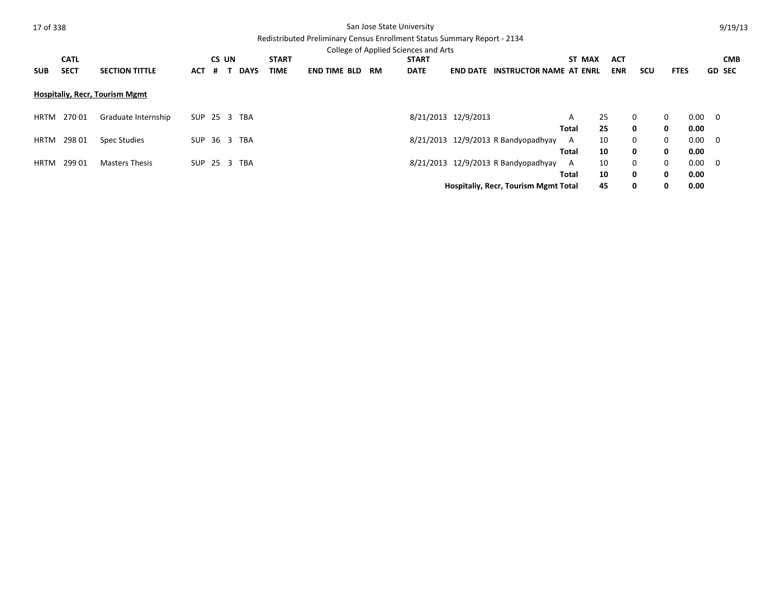|  |  | г | n. |
|--|--|---|----|
|--|--|---|----|

#### San Jose State University

|             |             |                                       |            |       |              |              |                     |    | College of Applied Sciences and Arts |                                                   |            |               |            |              |                  |                  |                         |            |
|-------------|-------------|---------------------------------------|------------|-------|--------------|--------------|---------------------|----|--------------------------------------|---------------------------------------------------|------------|---------------|------------|--------------|------------------|------------------|-------------------------|------------|
|             | <b>CATL</b> |                                       |            | CS UN |              | <b>START</b> |                     |    | <b>START</b>                         |                                                   |            | <b>ST MAX</b> | <b>ACT</b> |              |                  |                  |                         | <b>CMB</b> |
| <b>SUB</b>  | <b>SECT</b> | <b>SECTION TITTLE</b>                 | ACT        | #     | <b>DAYS</b>  | <b>TIME</b>  | <b>END TIME BLD</b> | RM | <b>DATE</b>                          | <b>INSTRUCTOR NAME AT ENRL</b><br><b>END DATE</b> |            |               | ENR        | scu          | <b>FTES</b>      |                  | <b>GD SEC</b>           |            |
|             |             | <b>Hospitaliy, Recr, Tourism Mgmt</b> |            |       |              |              |                     |    |                                      |                                                   |            |               |            |              |                  |                  |                         |            |
| HRTM        | 27001       | Graduate Internship                   | SUP        |       | 25 3 TBA     |              |                     |    |                                      | 8/21/2013 12/9/2013                               | A<br>Total | 25<br>25      | 0          | $\mathbf{0}$ | $\mathbf 0$<br>0 | 0.00<br>0.00     | $\overline{\mathbf{0}}$ |            |
| HRTM        | 298 01      | <b>Spec Studies</b>                   | <b>SUP</b> |       | 36 3 TBA     |              |                     |    |                                      | 8/21/2013 12/9/2013 R Bandyopadhyay               | A<br>Total | 10<br>10      | 0<br>0     |              | 0<br>0           | $0.00\,$<br>0.00 | $\overline{\mathbf{0}}$ |            |
| <b>HRTM</b> | 299 01      | <b>Masters Thesis</b>                 |            |       | SUP 25 3 TBA |              |                     |    |                                      | 8/21/2013 12/9/2013 R Bandyopadhyay               | A<br>Total | 10<br>10      | 0          | 0            | 0<br>0           | 0.00<br>0.00     | $\overline{\mathbf{0}}$ |            |
|             |             |                                       |            |       |              |              |                     |    |                                      | Hospitaliy, Recr, Tourism Mgmt Total              |            | 45            |            | 0            | 0                | 0.00             |                         |            |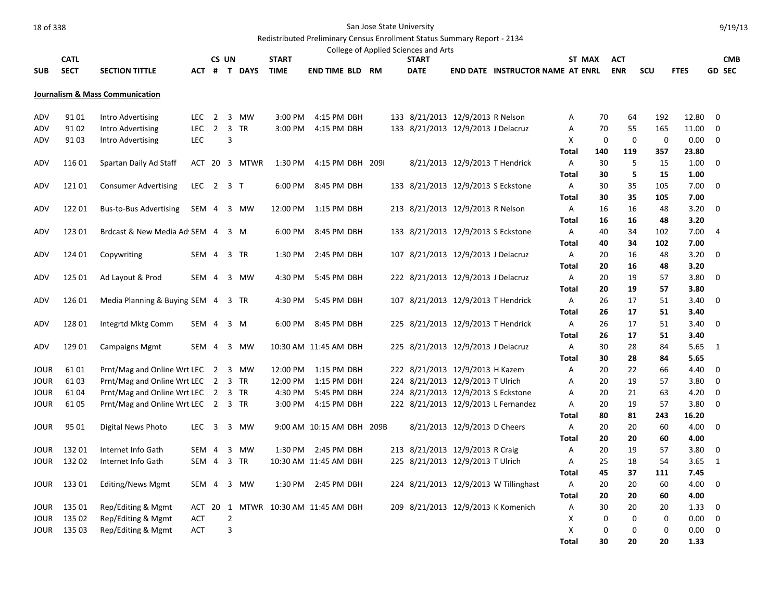|             |             |                                    |            |                |                |               |              |                                     |  | College of Applied Sciences and Arts |                                |                                         |                   |               |            |             |              |                |               |
|-------------|-------------|------------------------------------|------------|----------------|----------------|---------------|--------------|-------------------------------------|--|--------------------------------------|--------------------------------|-----------------------------------------|-------------------|---------------|------------|-------------|--------------|----------------|---------------|
|             | <b>CATL</b> |                                    |            | CS UN          |                |               | <b>START</b> |                                     |  | <b>START</b>                         |                                |                                         |                   | <b>ST MAX</b> | <b>ACT</b> |             |              |                | <b>CMB</b>    |
| <b>SUB</b>  | <b>SECT</b> | <b>SECTION TITTLE</b>              |            |                |                | ACT # T DAYS  | <b>TIME</b>  | <b>END TIME BLD RM</b>              |  | <b>DATE</b>                          |                                | <b>END DATE INSTRUCTOR NAME AT ENRL</b> |                   |               | <b>ENR</b> | <b>SCU</b>  | <b>FTES</b>  |                | <b>GD SEC</b> |
|             |             | Journalism & Mass Communication    |            |                |                |               |              |                                     |  |                                      |                                |                                         |                   |               |            |             |              |                |               |
| ADV         | 91 01       | Intro Advertising                  | <b>LEC</b> | $\overline{2}$ |                | 3 MW          | 3:00 PM      | 4:15 PM DBH                         |  | 133 8/21/2013 12/9/2013 R Nelson     |                                |                                         | Α                 | 70            | 64         | 192         | 12.80        | 0              |               |
| ADV         | 9102        | Intro Advertising                  | <b>LEC</b> | $\overline{2}$ | 3 TR           |               | 3:00 PM      | 4:15 PM DBH                         |  | 133 8/21/2013 12/9/2013 J Delacruz   |                                |                                         | A                 | 70            | 55         | 165         | 11.00        | $\mathbf 0$    |               |
| ADV         | 91 03       | Intro Advertising                  | <b>LEC</b> |                | 3              |               |              |                                     |  |                                      |                                |                                         | Х                 | 0             | 0          | $\mathbf 0$ | 0.00         | $\mathbf 0$    |               |
|             |             |                                    |            |                |                |               |              |                                     |  |                                      |                                |                                         | <b>Total</b>      | 140           | 119        | 357         | 23.80        |                |               |
| ADV         | 116 01      | Spartan Daily Ad Staff             |            |                |                | ACT 20 3 MTWR | 1:30 PM      | 4:15 PM DBH 209I                    |  |                                      | 8/21/2013 12/9/2013 T Hendrick |                                         | Α                 | 30            | 5          | 15          | 1.00         | $\mathbf 0$    |               |
|             |             |                                    |            |                |                |               |              |                                     |  |                                      |                                |                                         | Total             | 30            | 5          | 15          | 1.00         |                |               |
| ADV         | 12101       | <b>Consumer Advertising</b>        | LEC 2 3 T  |                |                |               | 6:00 PM      | 8:45 PM DBH                         |  | 133 8/21/2013 12/9/2013 S Eckstone   |                                |                                         | A                 | 30            | 35         | 105         | 7.00         | $\mathbf 0$    |               |
|             |             |                                    |            |                |                |               |              |                                     |  |                                      |                                |                                         | Total             | 30            | 35         | 105         | 7.00         |                |               |
| ADV         | 122 01      | <b>Bus-to-Bus Advertising</b>      | SEM 4      |                |                | 3 MW          |              | 12:00 PM 1:15 PM DBH                |  | 213 8/21/2013 12/9/2013 R Nelson     |                                |                                         | Α                 | 16            | 16         | 48          | 3.20         | $\mathbf 0$    |               |
|             |             |                                    |            |                |                |               |              |                                     |  |                                      |                                |                                         | Total             | 16            | 16         | 48          | 3.20         |                |               |
| ADV         | 123 01      | Brdcast & New Media Adv SEM 4      |            |                | 3 M            |               | 6:00 PM      | 8:45 PM DBH                         |  | 133 8/21/2013 12/9/2013 S Eckstone   |                                |                                         | A                 | 40            | 34         | 102         | 7.00         | $\overline{4}$ |               |
|             |             |                                    |            |                |                |               |              |                                     |  |                                      |                                |                                         | Total             | 40            | 34         | 102         | 7.00         |                |               |
| ADV         | 124 01      | Copywriting                        | SEM 4 3 TR |                |                |               | 1:30 PM      | 2:45 PM DBH                         |  | 107 8/21/2013 12/9/2013 J Delacruz   |                                |                                         | A                 | 20            | 16         | 48          | 3.20         | $\mathbf 0$    |               |
|             |             |                                    |            |                |                |               |              |                                     |  |                                      |                                |                                         | <b>Total</b>      | 20            | 16         | 48          | 3.20         |                |               |
| ADV         | 125 01      | Ad Layout & Prod                   | SEM 4      |                |                | 3 MW          | 4:30 PM      | 5:45 PM DBH                         |  | 222 8/21/2013 12/9/2013 J Delacruz   |                                |                                         | A                 | 20            | 19         | 57          | 3.80         | $\mathbf 0$    |               |
|             |             |                                    |            |                |                |               |              |                                     |  |                                      |                                |                                         | <b>Total</b>      | 20            | 19         | 57          | 3.80         |                |               |
| ADV         | 126 01      | Media Planning & Buying SEM 4      |            |                |                | 3 TR          | 4:30 PM      | 5:45 PM DBH                         |  | 107 8/21/2013 12/9/2013 T Hendrick   |                                |                                         | Α                 | 26            | 17         | 51          | 3.40         | $\mathbf 0$    |               |
|             |             |                                    |            |                |                |               |              |                                     |  |                                      |                                |                                         | <b>Total</b>      | 26            | 17         | 51          | 3.40         |                |               |
| ADV         | 128 01      | Integrtd Mktg Comm                 | SEM 4      |                | 3 M            |               | 6:00 PM      | 8:45 PM DBH                         |  | 225 8/21/2013 12/9/2013 T Hendrick   |                                |                                         | A                 | 26            | 17         | 51          | 3.40         | 0              |               |
| ADV         | 129 01      | <b>Campaigns Mgmt</b>              | SEM 4      |                |                | 3 MW          |              | 10:30 AM 11:45 AM DBH               |  | 225 8/21/2013 12/9/2013 J Delacruz   |                                |                                         | <b>Total</b><br>A | 26<br>30      | 17<br>28   | 51<br>84    | 3.40<br>5.65 | 1              |               |
|             |             |                                    |            |                |                |               |              |                                     |  |                                      |                                |                                         | <b>Total</b>      | 30            | 28         | 84          | 5.65         |                |               |
| <b>JOUR</b> | 6101        | Prnt/Mag and Online Wrt LEC 2 3 MW |            |                |                |               | 12:00 PM     | 1:15 PM DBH                         |  | 222 8/21/2013 12/9/2013 H Kazem      |                                |                                         | Α                 | 20            | 22         | 66          | 4.40         | 0              |               |
| <b>JOUR</b> | 6103        | Prnt/Mag and Online Wrt LEC 2      |            |                |                | 3 TR          | 12:00 PM     | 1:15 PM DBH                         |  | 224 8/21/2013 12/9/2013 T Ulrich     |                                |                                         | A                 | 20            | 19         | 57          | 3.80         | $\mathbf 0$    |               |
| <b>JOUR</b> | 61 04       | Prnt/Mag and Online Wrt LEC        |            | 2 3 TR         |                |               | 4:30 PM      | 5:45 PM DBH                         |  | 224 8/21/2013 12/9/2013 S Eckstone   |                                |                                         | A                 | 20            | 21         | 63          | 4.20         | 0              |               |
| <b>JOUR</b> | 6105        | Prnt/Mag and Online Wrt LEC 2 3 TR |            |                |                |               | 3:00 PM      | 4:15 PM DBH                         |  |                                      |                                | 222 8/21/2013 12/9/2013 L Fernandez     | A                 | 20            | 19         | 57          | 3.80         | $\mathbf 0$    |               |
|             |             |                                    |            |                |                |               |              |                                     |  |                                      |                                |                                         | <b>Total</b>      | 80            | 81         | 243         | 16.20        |                |               |
| <b>JOUR</b> | 95 01       | <b>Digital News Photo</b>          | LEC.       | 3              |                | 3 MW          |              | 9:00 AM 10:15 AM DBH 209B           |  |                                      | 8/21/2013 12/9/2013 D Cheers   |                                         | A                 | 20            | 20         | 60          | 4.00         | $\mathbf 0$    |               |
|             |             |                                    |            |                |                |               |              |                                     |  |                                      |                                |                                         | <b>Total</b>      | 20            | 20         | 60          | 4.00         |                |               |
| JOUR        | 132 01      | Internet Info Gath                 | SEM 4      |                |                | 3 MW          |              | 1:30 PM 2:45 PM DBH                 |  | 213 8/21/2013 12/9/2013 R Craig      |                                |                                         | Α                 | 20            | 19         | 57          | 3.80         | 0              |               |
| <b>JOUR</b> | 132 02      | Internet Info Gath                 | SEM 4      |                | 3 TR           |               |              | 10:30 AM 11:45 AM DBH               |  | 225 8/21/2013 12/9/2013 T Ulrich     |                                |                                         | A                 | 25            | 18         | 54          | 3.65         | $\mathbf{1}$   |               |
|             |             |                                    |            |                |                |               |              |                                     |  |                                      |                                |                                         | Total             | 45            | 37         | 111         | 7.45         |                |               |
| <b>JOUR</b> | 13301       | <b>Editing/News Mgmt</b>           | SEM        | $\overline{4}$ |                | 3 MW          |              | 1:30 PM 2:45 PM DBH                 |  |                                      |                                | 224 8/21/2013 12/9/2013 W Tillinghast   | Α                 | 20            | 20         | 60          | 4.00         | $\mathbf 0$    |               |
|             |             |                                    |            |                |                |               |              |                                     |  |                                      |                                |                                         | <b>Total</b>      | 20            | 20         | 60          | 4.00         |                |               |
| <b>JOUR</b> | 135 01      | Rep/Editing & Mgmt                 |            |                |                |               |              | ACT 20 1 MTWR 10:30 AM 11:45 AM DBH |  |                                      |                                | 209 8/21/2013 12/9/2013 K Komenich      | Α                 | 30            | 20         | 20          | 1.33         | 0              |               |
| <b>JOUR</b> | 135 02      | Rep/Editing & Mgmt                 | <b>ACT</b> |                | $\overline{2}$ |               |              |                                     |  |                                      |                                |                                         | Х                 | 0             | 0          | $\mathbf 0$ | 0.00         | 0              |               |
| <b>JOUR</b> | 135 03      | Rep/Editing & Mgmt                 | <b>ACT</b> |                | $\overline{3}$ |               |              |                                     |  |                                      |                                |                                         | X                 | $\Omega$      | $\Omega$   | $\Omega$    | 0.00         | $\mathbf 0$    |               |
|             |             |                                    |            |                |                |               |              |                                     |  |                                      |                                |                                         | <b>Total</b>      | 30            | 20         | 20          | 1.33         |                |               |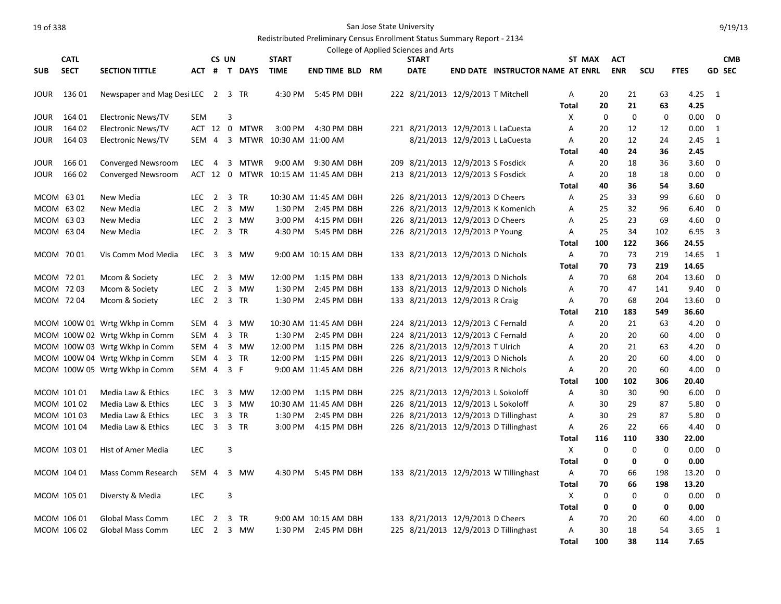|             | <b>CATL</b> |                                   |                  | CS UN                   |   |              | <b>START</b>             |                                     |  | College of Applied Sciences and Arts<br><b>START</b> |                                |                                         |              | ST MAX      | <b>ACT</b>  |             |               |              | <b>CMB</b>    |
|-------------|-------------|-----------------------------------|------------------|-------------------------|---|--------------|--------------------------|-------------------------------------|--|------------------------------------------------------|--------------------------------|-----------------------------------------|--------------|-------------|-------------|-------------|---------------|--------------|---------------|
| <b>SUB</b>  | <b>SECT</b> | <b>SECTION TITTLE</b>             |                  |                         |   | ACT # T DAYS | <b>TIME</b>              | <b>END TIME BLD RM</b>              |  | <b>DATE</b>                                          |                                | <b>END DATE INSTRUCTOR NAME AT ENRL</b> |              |             | <b>ENR</b>  | <b>SCU</b>  | <b>FTES</b>   |              | <b>GD SEC</b> |
|             |             |                                   |                  |                         |   |              |                          |                                     |  |                                                      |                                |                                         |              |             |             |             |               |              |               |
| JOUR        | 136 01      | Newspaper and Mag Desi LEC 2 3 TR |                  |                         |   |              |                          | 4:30 PM 5:45 PM DBH                 |  | 222 8/21/2013 12/9/2013 T Mitchell                   |                                |                                         | A            | 20          | 21          | 63          | 4.25          | 1            |               |
|             |             |                                   |                  |                         |   |              |                          |                                     |  |                                                      |                                |                                         | Total        | 20          | 21          | 63          | 4.25          |              |               |
| <b>JOUR</b> | 164 01      | <b>Electronic News/TV</b>         | <b>SEM</b>       |                         | 3 |              |                          |                                     |  |                                                      |                                |                                         | X            | 0           | $\mathbf 0$ | $\mathbf 0$ | 0.00          | 0            |               |
| <b>JOUR</b> | 164 02      | Electronic News/TV                | ACT 12 0         |                         |   | MTWR         |                          | 3:00 PM 4:30 PM DBH                 |  | 221 8/21/2013 12/9/2013 L LaCuesta                   |                                |                                         | Α            | 20          | 12          | 12          | 0.00          | $\mathbf{1}$ |               |
| <b>JOUR</b> | 164 03      | <b>Electronic News/TV</b>         | SEM 4            |                         |   |              | 3 MTWR 10:30 AM 11:00 AM |                                     |  |                                                      | 8/21/2013 12/9/2013 L LaCuesta |                                         | Α            | 20          | 12          | 24          | 2.45          | 1            |               |
|             |             |                                   |                  |                         |   |              |                          |                                     |  |                                                      |                                |                                         | Total        | 40          | 24          | 36          | 2.45          |              |               |
| JOUR        | 166 01      | <b>Converged Newsroom</b>         | LEC              | $\overline{4}$          |   | 3 MTWR       |                          | 9:00 AM 9:30 AM DBH                 |  | 209 8/21/2013 12/9/2013 S Fosdick                    |                                |                                         | A            | 20          | 18          | 36          | 3.60          | $\mathbf 0$  |               |
| JOUR        | 166 02      | <b>Converged Newsroom</b>         |                  |                         |   |              |                          | ACT 12 0 MTWR 10:15 AM 11:45 AM DBH |  | 213 8/21/2013 12/9/2013 S Fosdick                    |                                |                                         | A            | 20          | 18          | 18          | 0.00          | 0            |               |
|             |             |                                   |                  |                         |   |              |                          |                                     |  |                                                      |                                |                                         | Total        | 40          | 36          | 54          | 3.60          |              |               |
|             | MCOM 6301   | New Media                         | LEC.             | $\overline{2}$          |   | 3 TR         |                          | 10:30 AM 11:45 AM DBH               |  | 226 8/21/2013 12/9/2013 D Cheers                     |                                |                                         | Α            | 25          | 33          | 99          | 6.60          | $\mathbf 0$  |               |
|             | MCOM 63 02  | New Media                         | <b>LEC</b>       |                         |   | 2 3 MW       | 1:30 PM                  | 2:45 PM DBH                         |  |                                                      |                                | 226 8/21/2013 12/9/2013 K Komenich      | A            | 25          | 32          | 96          | 6.40          | $\mathbf 0$  |               |
|             | MCOM 6303   | New Media                         | LEC.             |                         |   | 2 3 MW       | 3:00 PM                  | 4:15 PM DBH                         |  | 226 8/21/2013 12/9/2013 D Cheers                     |                                |                                         | A            | 25          | 23          | 69          | 4.60          | $\mathbf 0$  |               |
|             | MCOM 63 04  | New Media                         | LEC 2 3 TR       |                         |   |              | 4:30 PM                  | 5:45 PM DBH                         |  | 226 8/21/2013 12/9/2013 P Young                      |                                |                                         | Α            | 25          | 34          | 102         | 6.95          | 3            |               |
|             |             |                                   |                  |                         |   |              |                          |                                     |  |                                                      |                                |                                         | Total        | 100         | 122         | 366         | 24.55         |              |               |
|             | MCOM 7001   | Vis Comm Mod Media                | LEC <sub>3</sub> |                         |   | 3 MW         |                          | 9:00 AM 10:15 AM DBH                |  | 133 8/21/2013 12/9/2013 D Nichols                    |                                |                                         | A            | 70          | 73          | 219         | 14.65         | 1            |               |
|             |             |                                   |                  |                         |   |              |                          |                                     |  |                                                      |                                |                                         | Total        | 70          | 73          | 219         | 14.65         |              |               |
|             | MCOM 7201   | Mcom & Society                    | <b>LEC</b>       | $\overline{2}$          |   | 3 MW         | 12:00 PM                 | 1:15 PM DBH                         |  | 133 8/21/2013 12/9/2013 D Nichols                    |                                |                                         | Α            | 70          | 68          | 204         | 13.60         | 0            |               |
|             | MCOM 7203   | Mcom & Society                    | <b>LEC</b>       |                         |   | 2 3 MW       | 1:30 PM                  | 2:45 PM DBH                         |  | 133 8/21/2013 12/9/2013 D Nichols                    |                                |                                         | Α            | 70          | 47          | 141         | 9.40          | $\mathbf 0$  |               |
|             | MCOM 72 04  | Mcom & Society                    | LEC 2 3 TR       |                         |   |              | 1:30 PM                  | 2:45 PM DBH                         |  | 133 8/21/2013 12/9/2013 R Craig                      |                                |                                         | Α            | 70          | 68          | 204         | 13.60         | 0            |               |
|             |             |                                   |                  |                         |   |              |                          |                                     |  |                                                      |                                |                                         | Total        | 210         | 183         | 549         | 36.60         |              |               |
|             |             | MCOM 100W 01 Wrtg Wkhp in Comm    | SEM 4            |                         |   | 3 MW         |                          | 10:30 AM 11:45 AM DBH               |  | 224 8/21/2013 12/9/2013 C Fernald                    |                                |                                         | Α            | 20          | 21          | 63          | 4.20          | 0            |               |
|             |             | MCOM 100W 02 Wrtg Wkhp in Comm    | SEM 4            |                         |   | 3 TR         | 1:30 PM                  | 2:45 PM DBH                         |  | 224 8/21/2013 12/9/2013 C Fernald                    |                                |                                         | A            | 20          | 20          | 60          | 4.00          | $\mathbf 0$  |               |
|             |             | MCOM 100W 03 Wrtg Wkhp in Comm    | SEM 4            |                         |   | 3 MW         | 12:00 PM                 | 1:15 PM DBH                         |  | 226 8/21/2013 12/9/2013 T Ulrich                     |                                |                                         | Α            | 20          | 21          | 63          | 4.20          | 0            |               |
|             |             | MCOM 100W 04 Wrtg Wkhp in Comm    | SEM 4            |                         |   | 3 TR         |                          | 12:00 PM 1:15 PM DBH                |  | 226 8/21/2013 12/9/2013 D Nichols                    |                                |                                         | Α            | 20          | 20          | 60          | 4.00          | $\mathbf 0$  |               |
|             |             | MCOM 100W 05 Wrtg Wkhp in Comm    | SEM 4 3 F        |                         |   |              |                          | 9:00 AM 11:45 AM DBH                |  | 226 8/21/2013 12/9/2013 R Nichols                    |                                |                                         | Α<br>Total   | 20          | 20<br>102   | 60          | 4.00          | $\mathbf 0$  |               |
|             | MCOM 101 01 | Media Law & Ethics                | LEC.             | 3                       | 3 | MW           | 12:00 PM                 | 1:15 PM DBH                         |  | 225 8/21/2013 12/9/2013 L Sokoloff                   |                                |                                         | Α            | 100<br>30   | 30          | 306<br>90   | 20.40<br>6.00 | 0            |               |
|             | MCOM 101 02 | Media Law & Ethics                | LEC.             | $\overline{\mathbf{3}}$ |   | 3 MW         |                          | 10:30 AM 11:45 AM DBH               |  | 226 8/21/2013 12/9/2013 L Sokoloff                   |                                |                                         | Α            | 30          | 29          | 87          | 5.80          | 0            |               |
|             | MCOM 101 03 | Media Law & Ethics                | LEC              | 3 3 TR                  |   |              | 1:30 PM                  | 2:45 PM DBH                         |  |                                                      |                                | 226 8/21/2013 12/9/2013 D Tillinghast   | Α            | 30          | 29          | 87          | 5.80          | 0            |               |
|             | MCOM 101 04 | Media Law & Ethics                | LEC.             | 3 3 TR                  |   |              | 3:00 PM                  | 4:15 PM DBH                         |  |                                                      |                                | 226 8/21/2013 12/9/2013 D Tillinghast   | Α            | 26          | 22          | 66          | 4.40          | $\mathbf 0$  |               |
|             |             |                                   |                  |                         |   |              |                          |                                     |  |                                                      |                                |                                         | <b>Total</b> | 116         | 110         | 330         | 22.00         |              |               |
|             | MCOM 103 01 | Hist of Amer Media                | <b>LEC</b>       |                         | 3 |              |                          |                                     |  |                                                      |                                |                                         | Χ            | 0           | $\mathbf 0$ | $\mathbf 0$ | 0.00          | $\mathbf 0$  |               |
|             |             |                                   |                  |                         |   |              |                          |                                     |  |                                                      |                                |                                         | Total        | 0           | 0           | 0           | 0.00          |              |               |
|             | MCOM 104 01 | Mass Comm Research                | SEM 4            |                         |   | 3 MW         | 4:30 PM                  | 5:45 PM DBH                         |  |                                                      |                                | 133 8/21/2013 12/9/2013 W Tillinghast   | Α            | 70          | 66          | 198         | 13.20         | $\mathbf 0$  |               |
|             |             |                                   |                  |                         |   |              |                          |                                     |  |                                                      |                                |                                         | Total        | 70          | 66          | 198         | 13.20         |              |               |
|             | MCOM 105 01 | Diversty & Media                  | <b>LEC</b>       |                         | 3 |              |                          |                                     |  |                                                      |                                |                                         | X            | $\mathbf 0$ | $\mathbf 0$ | $\mathbf 0$ | 0.00          | $\mathbf 0$  |               |
|             |             |                                   |                  |                         |   |              |                          |                                     |  |                                                      |                                |                                         | Total        | 0           | 0           | 0           | 0.00          |              |               |
|             | MCOM 106 01 | <b>Global Mass Comm</b>           | <b>LEC</b>       | $2^{\circ}$             |   | 3 TR         |                          | 9:00 AM 10:15 AM DBH                |  | 133 8/21/2013 12/9/2013 D Cheers                     |                                |                                         | A            | 70          | 20          | 60          | 4.00          | $\mathbf 0$  |               |
|             | MCOM 106 02 | <b>Global Mass Comm</b>           | LEC 2 3 MW       |                         |   |              |                          | 1:30 PM 2:45 PM DBH                 |  |                                                      |                                | 225 8/21/2013 12/9/2013 D Tillinghast   | Α            | 30          | 18          | 54          | 3.65          | $\mathbf{1}$ |               |
|             |             |                                   |                  |                         |   |              |                          |                                     |  |                                                      |                                |                                         | Total        | 100         | 38          | 114         | 7.65          |              |               |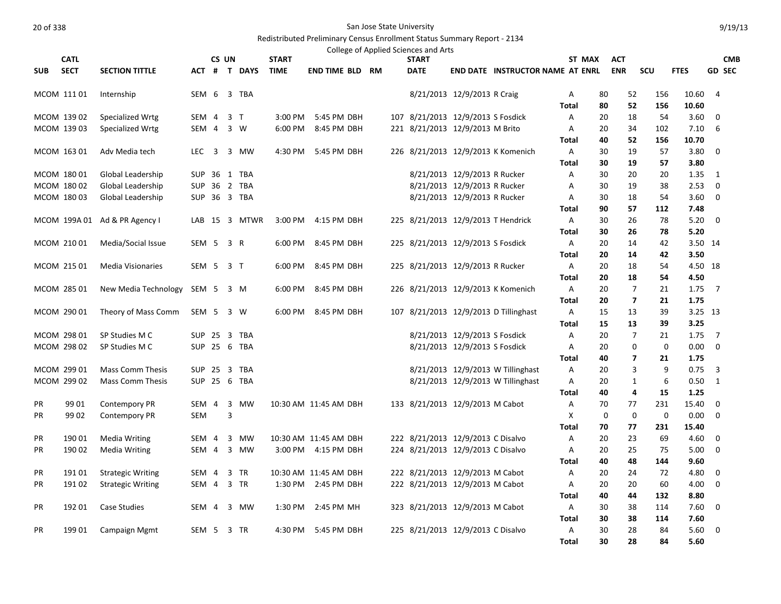|            | <b>CATL</b>                |                                  |                              | CS UN |                |              | <b>START</b> |                        |  | College of Applied Sciences and Arts<br><b>START</b> |                                                                |                                         |              | <b>ST MAX</b> | <b>ACT</b> |                            |              |                  | <b>CMB</b>    |
|------------|----------------------------|----------------------------------|------------------------------|-------|----------------|--------------|--------------|------------------------|--|------------------------------------------------------|----------------------------------------------------------------|-----------------------------------------|--------------|---------------|------------|----------------------------|--------------|------------------|---------------|
| <b>SUB</b> | <b>SECT</b>                | <b>SECTION TITTLE</b>            |                              |       |                | ACT # T DAYS | <b>TIME</b>  | <b>END TIME BLD RM</b> |  | <b>DATE</b>                                          |                                                                | <b>END DATE INSTRUCTOR NAME AT ENRL</b> |              |               | <b>ENR</b> | SCU                        | <b>FTES</b>  |                  | <b>GD SEC</b> |
|            | MCOM 111 01                | Internship                       | SEM 6                        |       |                | 3 TBA        |              |                        |  |                                                      | 8/21/2013 12/9/2013 R Craig                                    |                                         | A            | 80            | 52         | 156                        | 10.60        | $\overline{4}$   |               |
|            |                            |                                  |                              |       |                |              |              |                        |  |                                                      |                                                                |                                         | Total        | 80            | 52         | 156                        | 10.60        |                  |               |
|            | MCOM 139 02                | Specialized Wrtg                 | SEM 4                        |       | 3 <sub>1</sub> |              | 3:00 PM      | 5:45 PM DBH            |  | 107 8/21/2013 12/9/2013 S Fosdick                    |                                                                |                                         | Α            | 20            | 18         | 54                         | 3.60         | 0                |               |
|            | MCOM 139 03                | Specialized Wrtg                 | SEM 4                        |       |                | 3 W          | 6:00 PM      | 8:45 PM DBH            |  | 221 8/21/2013 12/9/2013 M Brito                      |                                                                |                                         | Α            | 20            | 34         | 102                        | 7.10         | 6                |               |
|            |                            |                                  |                              |       |                |              |              |                        |  |                                                      |                                                                |                                         | <b>Total</b> | 40            | 52         | 156                        | 10.70        |                  |               |
|            | MCOM 163 01                | Adv Media tech                   | <b>LEC</b>                   | 3     |                | 3 MW         | 4:30 PM      | 5:45 PM DBH            |  |                                                      |                                                                | 226 8/21/2013 12/9/2013 K Komenich      | A            | 30            | 19         | 57                         | 3.80         | 0                |               |
|            |                            |                                  |                              |       |                |              |              |                        |  |                                                      |                                                                |                                         | Total        | 30            | 19         | 57                         | 3.80         |                  |               |
|            | MCOM 180 01                | Global Leadership                | SUP 36 1 TBA                 |       |                |              |              |                        |  |                                                      | 8/21/2013 12/9/2013 R Rucker                                   |                                         | Α            | 30            | 20         | 20                         | 1.35         | 1                |               |
|            | MCOM 180 02                | Global Leadership                | <b>SUP</b>                   |       |                | 36 2 TBA     |              |                        |  |                                                      | 8/21/2013 12/9/2013 R Rucker                                   |                                         | A            | 30            | 19         | 38                         | 2.53         | $\mathbf 0$      |               |
|            | MCOM 180 03                | Global Leadership                | SUP 36 3 TBA                 |       |                |              |              |                        |  |                                                      | 8/21/2013 12/9/2013 R Rucker                                   |                                         | Α            | 30            | 18         | 54                         | 3.60         | 0                |               |
|            |                            |                                  |                              |       |                |              |              |                        |  |                                                      |                                                                |                                         | Total        | 90            | 57         | 112                        | 7.48         |                  |               |
|            |                            | MCOM 199A 01 Ad & PR Agency I    | LAB                          |       |                | 15 3 MTWR    | 3:00 PM      | 4:15 PM DBH            |  | 225 8/21/2013 12/9/2013 T Hendrick                   |                                                                |                                         | A            | 30            | 26         | 78                         | 5.20         | 0                |               |
|            |                            |                                  |                              |       |                |              |              |                        |  |                                                      |                                                                |                                         | Total        | 30            | 26         | 78                         | 5.20         |                  |               |
|            | MCOM 210 01                | Media/Social Issue               | SEM 5 3 R                    |       |                |              | 6:00 PM      | 8:45 PM DBH            |  | 225 8/21/2013 12/9/2013 S Fosdick                    |                                                                |                                         | A            | 20            | 14         | 42                         | 3.50 14      |                  |               |
|            |                            |                                  |                              |       |                |              |              |                        |  |                                                      |                                                                |                                         | Total        | 20            | 14         | 42                         | 3.50         |                  |               |
|            | MCOM 215 01                | <b>Media Visionaries</b>         | SEM 5 3 T                    |       |                |              | 6:00 PM      | 8:45 PM DBH            |  | 225 8/21/2013 12/9/2013 R Rucker                     |                                                                |                                         | A            | 20            | 18         | 54                         | 4.50 18      |                  |               |
|            |                            |                                  |                              |       |                |              |              |                        |  |                                                      |                                                                |                                         | Total        | 20            | 18         | 54                         | 4.50         |                  |               |
|            | MCOM 285 01                | New Media Technology             | SEM 5                        |       | 3 M            |              | 6:00 PM      | 8:45 PM DBH            |  |                                                      |                                                                | 226 8/21/2013 12/9/2013 K Komenich      | A            | 20            |            | $\overline{7}$<br>21       | 1.75         | 7                |               |
|            |                            |                                  |                              |       |                |              |              |                        |  |                                                      |                                                                |                                         | Total        | 20            |            | $\overline{7}$<br>21       | 1.75         |                  |               |
|            | MCOM 290 01                | Theory of Mass Comm              | SEM 5                        |       | 3 W            |              | 6:00 PM      | 8:45 PM DBH            |  |                                                      |                                                                | 107 8/21/2013 12/9/2013 D Tillinghast   | A            | 15            | 13         | 39                         | 3.25 13      |                  |               |
|            |                            |                                  |                              |       |                |              |              |                        |  |                                                      |                                                                |                                         | Total        | 15            | 13         | 39<br>$\overline{7}$       | 3.25<br>1.75 |                  |               |
|            | MCOM 298 01<br>MCOM 298 02 | SP Studies M C<br>SP Studies M C | SUP 25 3 TBA<br>SUP 25 6 TBA |       |                |              |              |                        |  |                                                      | 8/21/2013 12/9/2013 S Fosdick<br>8/21/2013 12/9/2013 S Fosdick |                                         | A            | 20<br>20      |            | 21<br>0<br>$\mathbf 0$     | 0.00         | 7<br>$\mathbf 0$ |               |
|            |                            |                                  |                              |       |                |              |              |                        |  |                                                      |                                                                |                                         | A            | 40            |            | $\overline{\mathbf{z}}$    |              |                  |               |
|            | MCOM 299 01                | <b>Mass Comm Thesis</b>          | SUP 25 3 TBA                 |       |                |              |              |                        |  |                                                      |                                                                | 8/21/2013 12/9/2013 W Tillinghast       | Total<br>Α   | 20            |            | 21<br>3<br>9               | 1.75<br>0.75 | 3                |               |
|            | MCOM 299 02                | <b>Mass Comm Thesis</b>          | SUP 25 6 TBA                 |       |                |              |              |                        |  |                                                      |                                                                | 8/21/2013 12/9/2013 W Tillinghast       | Α            | 20            |            | 6<br>1                     | 0.50         | $\mathbf{1}$     |               |
|            |                            |                                  |                              |       |                |              |              |                        |  |                                                      |                                                                |                                         | Total        | 40            |            | 4<br>15                    | 1.25         |                  |               |
| PR         | 99 01                      | <b>Contempory PR</b>             | SEM 4                        |       |                | 3 MW         |              | 10:30 AM 11:45 AM DBH  |  | 133 8/21/2013 12/9/2013 M Cabot                      |                                                                |                                         | Α            | 70            | 77         | 231                        | 15.40        | 0                |               |
| <b>PR</b>  | 99 02                      | Contempory PR                    | <b>SEM</b>                   |       | 3              |              |              |                        |  |                                                      |                                                                |                                         | X            | 0             |            | $\mathbf 0$<br>$\mathbf 0$ | 0.00         | $\mathbf 0$      |               |
|            |                            |                                  |                              |       |                |              |              |                        |  |                                                      |                                                                |                                         | <b>Total</b> | 70            | 77         | 231                        | 15.40        |                  |               |
| <b>PR</b>  | 190 01                     | <b>Media Writing</b>             | SEM 4                        |       | $\overline{3}$ | MW           |              | 10:30 AM 11:45 AM DBH  |  | 222 8/21/2013 12/9/2013 C Disalvo                    |                                                                |                                         | Α            | 20            | 23         | 69                         | 4.60         | $\mathbf 0$      |               |
| PR         | 190 02                     | Media Writing                    | SEM 4                        |       |                | 3 MW         |              | 3:00 PM 4:15 PM DBH    |  | 224 8/21/2013 12/9/2013 C Disalvo                    |                                                                |                                         | Α            | 20            | 25         | 75                         | 5.00         | $\mathbf 0$      |               |
|            |                            |                                  |                              |       |                |              |              |                        |  |                                                      |                                                                |                                         | Total        | 40            | 48         | 144                        | 9.60         |                  |               |
| PR         | 191 01                     | <b>Strategic Writing</b>         | SEM 4                        |       | 3              | <b>TR</b>    |              | 10:30 AM 11:45 AM DBH  |  | 222 8/21/2013 12/9/2013 M Cabot                      |                                                                |                                         | A            | 20            | 24         | 72                         | 4.80         | 0                |               |
| PR         | 191 02                     | <b>Strategic Writing</b>         | SEM 4                        |       |                | 3 TR         | 1:30 PM      | 2:45 PM DBH            |  | 222 8/21/2013 12/9/2013 M Cabot                      |                                                                |                                         | A            | 20            | 20         | 60                         | 4.00         | $\mathbf 0$      |               |
|            |                            |                                  |                              |       |                |              |              |                        |  |                                                      |                                                                |                                         | Total        | 40            | 44         | 132                        | 8.80         |                  |               |
| PR         | 192 01                     | Case Studies                     | SEM 4                        |       |                | 3 MW         | 1:30 PM      | 2:45 PM MH             |  | 323 8/21/2013 12/9/2013 M Cabot                      |                                                                |                                         | A            | 30            | 38         | 114                        | 7.60         | $\mathbf 0$      |               |
|            |                            |                                  |                              |       |                |              |              |                        |  |                                                      |                                                                |                                         | Total        | 30            | 38         | 114                        | 7.60         |                  |               |
| PR         | 199 01                     | Campaign Mgmt                    | SEM 5 3 TR                   |       |                |              | 4:30 PM      | 5:45 PM DBH            |  | 225 8/21/2013 12/9/2013 C Disalvo                    |                                                                |                                         | A            | 30            | 28         | 84                         | 5.60         | $\mathbf 0$      |               |
|            |                            |                                  |                              |       |                |              |              |                        |  |                                                      |                                                                |                                         | Total        | 30            | 28         | 84                         | 5.60         |                  |               |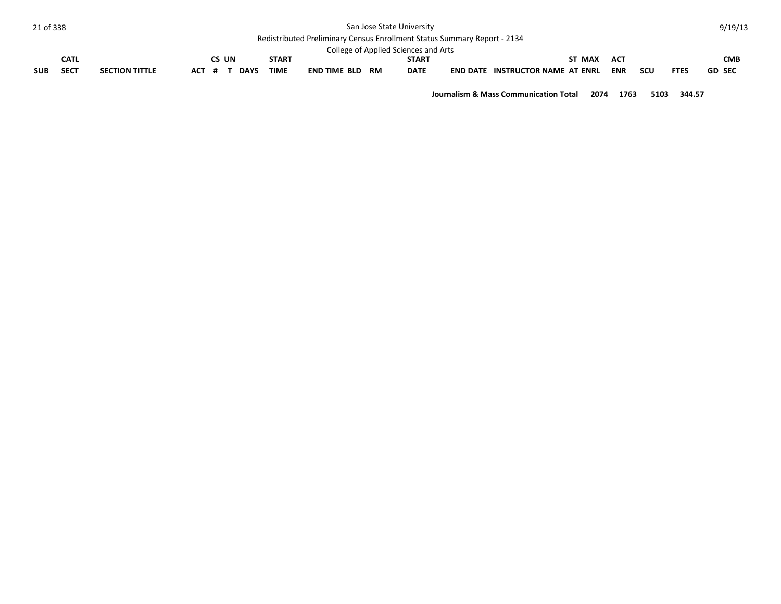| 21 of 338  |             |                       |                      |              |                                                                                 |           | San Jose State University            |                                         |            |     |             | 9/19/13       |
|------------|-------------|-----------------------|----------------------|--------------|---------------------------------------------------------------------------------|-----------|--------------------------------------|-----------------------------------------|------------|-----|-------------|---------------|
|            |             |                       |                      |              | <b>Redistributed Preliminary Census Enrollment Status Summary Report - 2134</b> |           |                                      |                                         |            |     |             |               |
|            |             |                       |                      |              |                                                                                 |           | College of Applied Sciences and Arts |                                         |            |     |             |               |
|            | CATL        |                       | CS UN                | <b>START</b> |                                                                                 |           | <b>START</b>                         | ST MAX                                  | ACT        |     |             | <b>CMB</b>    |
| <b>SUB</b> | <b>SECT</b> | <b>SECTION TITTLE</b> | <b>DAYS</b><br>ACT # | <b>TIME</b>  | <b>END TIME BLD</b>                                                             | <b>RM</b> | <b>DATE</b>                          | <b>END DATE INSTRUCTOR NAME AT ENRL</b> | <b>ENR</b> | scu | <b>FTES</b> | <b>GD SEC</b> |

**Journalism & Mass Communication Total 2074 1763 5103 344.57**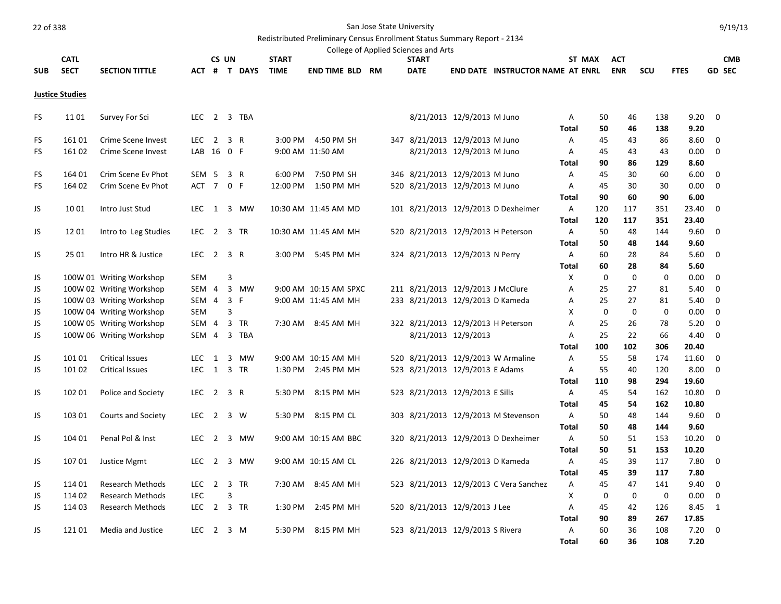## Redistributed Preliminary Census Enrollment Status Summary Report - 2134

|            | <b>CATL</b>            |                          |                  | CS UN          |     |              | <b>START</b> |                        |  | College of Applied Sciences and Arts<br><b>START</b> |                            |                                         |              | ST MAX      | <b>ACT</b> |                            |             |             | <b>CMB</b>    |
|------------|------------------------|--------------------------|------------------|----------------|-----|--------------|--------------|------------------------|--|------------------------------------------------------|----------------------------|-----------------------------------------|--------------|-------------|------------|----------------------------|-------------|-------------|---------------|
| <b>SUB</b> | <b>SECT</b>            | <b>SECTION TITTLE</b>    |                  |                |     | ACT # T DAYS | <b>TIME</b>  | <b>END TIME BLD RM</b> |  | <b>DATE</b>                                          |                            | <b>END DATE INSTRUCTOR NAME AT ENRL</b> |              |             | <b>ENR</b> | <b>SCU</b>                 | <b>FTES</b> |             | <b>GD SEC</b> |
|            | <b>Justice Studies</b> |                          |                  |                |     |              |              |                        |  |                                                      |                            |                                         |              |             |            |                            |             |             |               |
|            |                        |                          |                  |                |     |              |              |                        |  |                                                      |                            |                                         |              |             |            |                            |             |             |               |
| FS.        | 11 01                  | Survey For Sci           | LEC 2 3 TBA      |                |     |              |              |                        |  |                                                      | 8/21/2013 12/9/2013 M Juno |                                         | Α            | 50          | 46         | 138                        | 9.20        | 0           |               |
|            |                        |                          |                  |                |     |              |              |                        |  |                                                      |                            |                                         | Total        | 50          | 46         | 138                        | 9.20        |             |               |
| FS.        | 16101                  | Crime Scene Invest       | <b>LEC</b>       | $\overline{2}$ | 3 R |              |              | 3:00 PM 4:50 PM SH     |  | 347 8/21/2013 12/9/2013 M Juno                       |                            |                                         | Α            | 45          | 43         | 86                         | 8.60        | $\mathbf 0$ |               |
| FS.        | 161 02                 | Crime Scene Invest       | $LAB$ 16         |                | 0 F |              |              | 9:00 AM 11:50 AM       |  |                                                      | 8/21/2013 12/9/2013 M Juno |                                         | A            | 45          | 43         | 43                         | 0.00        | 0           |               |
|            |                        |                          |                  |                |     |              |              |                        |  |                                                      |                            |                                         | Total        | 90          | 86         | 129                        | 8.60        |             |               |
| FS.        | 164 01                 | Crim Scene Ev Phot       | SEM <sub>5</sub> |                | 3 R |              | 6:00 PM      | 7:50 PM SH             |  | 346 8/21/2013 12/9/2013 M Juno                       |                            |                                         | A            | 45          | 30         | 60                         | 6.00        | $\mathbf 0$ |               |
| FS.        | 164 02                 | Crim Scene Ev Phot       | ACT              | 7              | 0 F |              | 12:00 PM     | 1:50 PM MH             |  | 520 8/21/2013 12/9/2013 M Juno                       |                            |                                         | Α            | 45          | 30         | 30                         | 0.00        | $\Omega$    |               |
|            |                        |                          |                  |                |     |              |              |                        |  |                                                      |                            |                                         | <b>Total</b> | 90          | 60         | 90                         | 6.00        |             |               |
| JS         | 1001                   | Intro Just Stud          | LEC 1            |                |     | 3 MW         |              | 10:30 AM 11:45 AM MD   |  |                                                      |                            | 101 8/21/2013 12/9/2013 D Dexheimer     | Α            | 120         | 117        | 351                        | 23.40       | $\mathbf 0$ |               |
|            |                        |                          |                  |                |     |              |              |                        |  |                                                      |                            |                                         | <b>Total</b> | 120         | 117        | 351                        | 23.40       |             |               |
| JS         | 1201                   | Intro to Leg Studies     | <b>LEC</b>       | 2 3 TR         |     |              |              | 10:30 AM 11:45 AM MH   |  | 520 8/21/2013 12/9/2013 H Peterson                   |                            |                                         | A            | 50          | 48         | 144                        | 9.60        | $\mathbf 0$ |               |
|            |                        |                          |                  |                |     |              |              |                        |  |                                                      |                            |                                         | Total        | 50          | 48         | 144                        | 9.60        |             |               |
| JS         | 25 01                  | Intro HR & Justice       | LEC 2 3 R        |                |     |              |              | 3:00 PM 5:45 PM MH     |  | 324 8/21/2013 12/9/2013 N Perry                      |                            |                                         | $\mathsf{A}$ | 60          | 28         | 84                         | 5.60        | $\Omega$    |               |
|            |                        |                          |                  |                |     |              |              |                        |  |                                                      |                            |                                         | <b>Total</b> | 60          | 28         | 84                         | 5.60        |             |               |
| JS         |                        | 100W 01 Writing Workshop | <b>SEM</b>       |                | 3   |              |              |                        |  |                                                      |                            |                                         | X            | $\mathbf 0$ |            | $\mathbf 0$<br>$\mathbf 0$ | 0.00        | 0           |               |
| JS         |                        | 100W 02 Writing Workshop | SEM 4            |                |     | 3 MW         |              | 9:00 AM 10:15 AM SPXC  |  | 211 8/21/2013 12/9/2013 J McClure                    |                            |                                         | Α            | 25          | 27         | 81                         | 5.40        | $\mathbf 0$ |               |
| JS         |                        | 100W 03 Writing Workshop | SEM 4 3 F        |                |     |              |              | 9:00 AM 11:45 AM MH    |  | 233 8/21/2013 12/9/2013 D Kameda                     |                            |                                         | Α            | 25          | 27         | 81                         | 5.40        | 0           |               |
| JS         |                        | 100W 04 Writing Workshop | <b>SEM</b>       |                | 3   |              |              |                        |  |                                                      |                            |                                         | X            | $\mathbf 0$ |            | $\mathbf 0$<br>$\mathbf 0$ | 0.00        | $\mathbf 0$ |               |
| JS         |                        | 100W 05 Writing Workshop | SEM 4            |                |     | 3 TR         |              | 7:30 AM 8:45 AM MH     |  | 322 8/21/2013 12/9/2013 H Peterson                   |                            |                                         | Α            | 25          | 26         | 78                         | 5.20        | 0           |               |
| JS         |                        | 100W 06 Writing Workshop | SEM 4 3 TBA      |                |     |              |              |                        |  |                                                      | 8/21/2013 12/9/2013        |                                         | A            | 25          | 22         | 66                         | 4.40        | $\Omega$    |               |
|            |                        |                          |                  |                |     |              |              |                        |  |                                                      |                            |                                         | <b>Total</b> | 100         | 102        | 306                        | 20.40       |             |               |
| JS         | 101 01                 | <b>Critical Issues</b>   | <b>LEC</b>       | 1              |     | 3 MW         |              | 9:00 AM 10:15 AM MH    |  |                                                      |                            | 520 8/21/2013 12/9/2013 W Armaline      | $\mathsf{A}$ | 55          | 58         | 174                        | 11.60       | 0           |               |
| JS         | 101 02                 | <b>Critical Issues</b>   | LEC 1 3 TR       |                |     |              |              | 1:30 PM 2:45 PM MH     |  | 523 8/21/2013 12/9/2013 E Adams                      |                            |                                         | Α            | 55          | 40         | 120                        | 8.00        | $\mathbf 0$ |               |
|            |                        |                          |                  |                |     |              |              |                        |  |                                                      |                            |                                         | <b>Total</b> | 110         | 98         | 294                        | 19.60       |             |               |
| JS         | 102 01                 | Police and Society       | LEC.             | $\overline{2}$ | 3 R |              | 5:30 PM      | 8:15 PM MH             |  | 523 8/21/2013 12/9/2013 E Sills                      |                            |                                         | A            | 45          | 54         | 162                        | 10.80       | 0           |               |
|            |                        |                          |                  |                |     |              |              |                        |  |                                                      |                            |                                         | <b>Total</b> | 45          | 54         | 162                        | 10.80       |             |               |
| JS         | 103 01                 | Courts and Society       | <b>LEC</b>       | 2 3 W          |     |              |              | 5:30 PM 8:15 PM CL     |  |                                                      |                            | 303 8/21/2013 12/9/2013 M Stevenson     | A            | 50          | 48         | 144                        | 9.60        | $\mathbf 0$ |               |
|            |                        |                          |                  |                |     |              |              |                        |  |                                                      |                            |                                         | <b>Total</b> | 50          | 48         | 144                        | 9.60        |             |               |
| JS         | 104 01                 | Penal Pol & Inst         |                  |                |     | LEC 2 3 MW   |              | 9:00 AM 10:15 AM BBC   |  |                                                      |                            | 320 8/21/2013 12/9/2013 D Dexheimer     | A            | 50          | 51         | 153                        | 10.20       | $\mathbf 0$ |               |
|            |                        |                          |                  |                |     |              |              |                        |  |                                                      |                            |                                         | Total        | 50          | 51         | 153                        | 10.20       |             |               |
| JS         | 107 01                 | Justice Mgmt             | <b>LEC</b>       | $\overline{2}$ |     | 3 MW         |              | 9:00 AM 10:15 AM CL    |  | 226 8/21/2013 12/9/2013 D Kameda                     |                            |                                         | Α            | 45          | 39         | 117                        | 7.80        | $\mathbf 0$ |               |
|            |                        |                          |                  |                |     |              |              |                        |  |                                                      |                            |                                         | Total        | 45          | 39         | 117                        | 7.80        |             |               |
| JS         | 114 01                 | <b>Research Methods</b>  | LEC 2 3 TR       |                |     |              |              | 7:30 AM 8:45 AM MH     |  |                                                      |                            | 523 8/21/2013 12/9/2013 C Vera Sanchez  | Α            | 45          | 47         | 141                        | 9.40        | 0           |               |
| JS         | 114 02                 | <b>Research Methods</b>  | <b>LEC</b>       |                | 3   |              |              |                        |  |                                                      |                            |                                         | X            | $\mathbf 0$ |            | $\mathbf 0$<br>$\mathbf 0$ | 0.00        | 0           |               |
| JS         | 114 03                 | <b>Research Methods</b>  | LEC 2 3 TR       |                |     |              | 1:30 PM      | 2:45 PM MH             |  | 520 8/21/2013 12/9/2013 J Lee                        |                            |                                         | Α            | 45          | 42         | 126                        | 8.45        | 1           |               |
|            |                        |                          |                  |                |     |              |              |                        |  |                                                      |                            |                                         | <b>Total</b> | 90          | 89         | 267                        | 17.85       |             |               |
| JS         | 121 01                 | Media and Justice        | LEC <sub>2</sub> |                |     | 3 M          | 5:30 PM      | 8:15 PM MH             |  | 523 8/21/2013 12/9/2013 S Rivera                     |                            |                                         | Α            | 60          | 36         | 108                        | 7.20        | $\mathbf 0$ |               |
|            |                        |                          |                  |                |     |              |              |                        |  |                                                      |                            |                                         | <b>Total</b> | 60          | 36         | 108                        | 7.20        |             |               |

9/19/13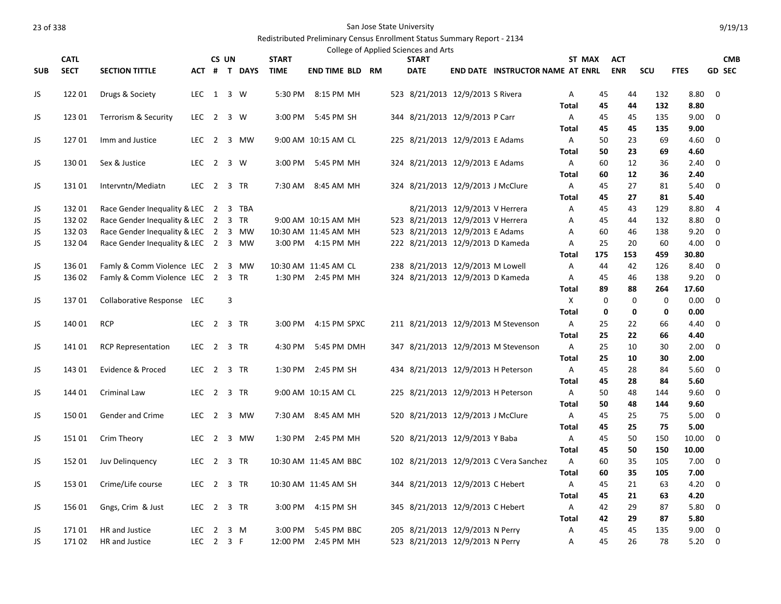|            | <b>CATL</b> |                                      |            |        | CS UN |              | <b>START</b> |                        |  | College of Applied Sciences and Arts<br><b>START</b> |                               |                                         |                | ST MAX | <b>ACT</b> |                            |             |                | <b>CMB</b>    |
|------------|-------------|--------------------------------------|------------|--------|-------|--------------|--------------|------------------------|--|------------------------------------------------------|-------------------------------|-----------------------------------------|----------------|--------|------------|----------------------------|-------------|----------------|---------------|
| <b>SUB</b> | <b>SECT</b> | <b>SECTION TITTLE</b>                |            |        |       | ACT # T DAYS | <b>TIME</b>  | <b>END TIME BLD RM</b> |  | <b>DATE</b>                                          |                               | <b>END DATE INSTRUCTOR NAME AT ENRL</b> |                |        | <b>ENR</b> | <b>SCU</b>                 | <b>FTES</b> |                | <b>GD SEC</b> |
|            |             |                                      |            |        |       |              |              |                        |  |                                                      |                               |                                         |                |        |            |                            |             |                |               |
| JS         | 122 01      | Drugs & Society                      | <b>LEC</b> | 1 3 W  |       |              |              | 5:30 PM 8:15 PM MH     |  | 523 8/21/2013 12/9/2013 S Rivera                     |                               |                                         | Α              | 45     | 44         | 132                        | 8.80        | $\mathbf 0$    |               |
|            |             |                                      |            |        |       |              |              |                        |  |                                                      |                               |                                         | <b>Total</b>   | 45     | 44         | 132                        | 8.80        |                |               |
| JS         | 123 01      | <b>Terrorism &amp; Security</b>      | LEC 2 3 W  |        |       |              |              | 3:00 PM 5:45 PM SH     |  | 344 8/21/2013 12/9/2013 P Carr                       |                               |                                         | A              | 45     | 45         | 135                        | 9.00        | $\mathbf 0$    |               |
|            |             |                                      |            |        |       |              |              |                        |  |                                                      |                               |                                         | Total          | 45     | 45         | 135                        | 9.00        |                |               |
| JS         | 12701       | Imm and Justice                      | <b>LEC</b> |        |       | 2 3 MW       |              | 9:00 AM 10:15 AM CL    |  | 225 8/21/2013 12/9/2013 E Adams                      |                               |                                         | A              | 50     | 23         | 69                         | 4.60        | $\mathbf 0$    |               |
|            |             |                                      |            |        |       |              |              |                        |  |                                                      |                               |                                         | Total          | 50     | 23         | 69                         | 4.60        |                |               |
| JS         | 13001       | Sex & Justice                        | LEC 2 3 W  |        |       |              |              | 3:00 PM 5:45 PM MH     |  | 324 8/21/2013 12/9/2013 E Adams                      |                               |                                         | A              | 60     | 12         | 36                         | 2.40        | $\mathbf 0$    |               |
|            |             |                                      |            |        |       |              |              |                        |  |                                                      |                               |                                         | <b>Total</b>   | 60     | 12         | 36                         | 2.40        |                |               |
| JS         | 13101       | Intervntn/Mediatn                    | <b>LEC</b> | 2 3 TR |       |              |              | 7:30 AM 8:45 AM MH     |  | 324 8/21/2013 12/9/2013 J McClure                    |                               |                                         | $\mathsf{A}$   | 45     | 27         | 81                         | 5.40        | $\mathbf 0$    |               |
|            |             |                                      |            |        |       |              |              |                        |  |                                                      |                               |                                         | <b>Total</b>   | 45     | 27         | 81                         | 5.40        |                |               |
| JS         | 132 01      | Race Gender Inequality & LEC 2 3 TBA |            |        |       |              |              |                        |  |                                                      | 8/21/2013 12/9/2013 V Herrera |                                         | Α              | 45     | 43         | 129                        | 8.80        | $\overline{4}$ |               |
| JS         | 132 02      | Race Gender Inequality & LEC 2 3 TR  |            |        |       |              |              | 9:00 AM 10:15 AM MH    |  | 523 8/21/2013 12/9/2013 V Herrera                    |                               |                                         | Α              | 45     | 44         | 132                        | 8.80        | 0              |               |
| JS         | 132 03      | Race Gender Inequality & LEC 2 3 MW  |            |        |       |              |              | 10:30 AM 11:45 AM MH   |  | 523 8/21/2013 12/9/2013 E Adams                      |                               |                                         | Α              | 60     | 46         | 138                        | 9.20        | 0              |               |
| JS         | 132 04      | Race Gender Inequality & LEC 2 3 MW  |            |        |       |              |              | 3:00 PM 4:15 PM MH     |  | 222 8/21/2013 12/9/2013 D Kameda                     |                               |                                         | Α              | 25     | 20         | 60                         | 4.00        | $\mathbf 0$    |               |
|            |             |                                      |            |        |       |              |              |                        |  |                                                      |                               |                                         | Total          | 175    | 153        | 459                        | 30.80       |                |               |
| JS         | 136 01      | Famly & Comm Violence LEC 2 3 MW     |            |        |       |              |              | 10:30 AM 11:45 AM CL   |  | 238 8/21/2013 12/9/2013 M Lowell                     |                               |                                         | $\overline{A}$ | 44     | 42         | 126                        | 8.40        | $\mathbf 0$    |               |
| JS         | 136 02      | Famly & Comm Violence LEC 2 3 TR     |            |        |       |              |              | 1:30 PM 2:45 PM MH     |  | 324 8/21/2013 12/9/2013 D Kameda                     |                               |                                         | Α              | 45     | 46         | 138                        | 9.20        | $\mathbf 0$    |               |
|            |             |                                      |            |        |       |              |              |                        |  |                                                      |                               |                                         | <b>Total</b>   | 89     | 88         | 264                        | 17.60       |                |               |
| JS         | 13701       | Collaborative Response LEC           |            |        | 3     |              |              |                        |  |                                                      |                               |                                         | X              | 0      |            | 0<br>0                     | 0.00        | $\mathbf 0$    |               |
|            |             |                                      |            |        |       |              |              |                        |  |                                                      |                               |                                         | <b>Total</b>   | 0      |            | $\mathbf 0$<br>$\mathbf 0$ | 0.00        |                |               |
| JS         | 140 01      | <b>RCP</b>                           | LEC 2 3 TR |        |       |              | 3:00 PM      | 4:15 PM SPXC           |  |                                                      |                               | 211 8/21/2013 12/9/2013 M Stevenson     | Α              | 25     | 22         | 66                         | 4.40        | $\mathbf 0$    |               |
|            |             |                                      |            |        |       |              |              |                        |  |                                                      |                               |                                         | Total          | 25     | 22         | 66                         | 4.40        |                |               |
| JS         | 141 01      | <b>RCP Representation</b>            | LEC 2 3 TR |        |       |              | 4:30 PM      | 5:45 PM DMH            |  |                                                      |                               | 347 8/21/2013 12/9/2013 M Stevenson     | A              | 25     | 10         | 30                         | 2.00        | $\mathbf 0$    |               |
|            |             |                                      |            |        |       |              |              |                        |  |                                                      |                               |                                         | Total          | 25     | 10         | 30                         | 2.00        |                |               |
| JS         | 143 01      | Evidence & Proced                    | LEC 2 3 TR |        |       |              |              | 1:30 PM 2:45 PM SH     |  | 434 8/21/2013 12/9/2013 H Peterson                   |                               |                                         | Α              | 45     | 28         | 84                         | 5.60        | $\mathbf 0$    |               |
|            |             |                                      |            |        |       |              |              |                        |  |                                                      |                               |                                         | Total          | 45     | 28         | 84                         | 5.60        |                |               |
| JS         | 144 01      | Criminal Law                         | LEC 2 3 TR |        |       |              |              | 9:00 AM 10:15 AM CL    |  | 225 8/21/2013 12/9/2013 H Peterson                   |                               |                                         | A              | 50     | 48         | 144                        | 9.60        | $\mathbf 0$    |               |
|            |             |                                      |            |        |       |              |              |                        |  |                                                      |                               |                                         | <b>Total</b>   | 50     | 48         | 144                        | 9.60        |                |               |
| JS         | 150 01      | Gender and Crime                     |            |        |       | LEC 2 3 MW   |              | 7:30 AM 8:45 AM MH     |  | 520 8/21/2013 12/9/2013 J McClure                    |                               |                                         | A              | 45     | 25         | 75                         | 5.00        | $\mathbf 0$    |               |
|            |             |                                      |            |        |       |              |              |                        |  |                                                      |                               |                                         | Total          | 45     | 25         | 75                         | 5.00        |                |               |
| JS         | 151 01      | Crim Theory                          |            |        |       | LEC 2 3 MW   |              | 1:30 PM 2:45 PM MH     |  | 520 8/21/2013 12/9/2013 Y Baba                       |                               |                                         | A              | 45     | 50         | 150                        | 10.00       | $\mathbf 0$    |               |
|            |             |                                      |            |        |       |              |              |                        |  |                                                      |                               |                                         | <b>Total</b>   | 45     | 50         | 150                        | 10.00       |                |               |
| JS         | 152 01      | Juv Delinguency                      | <b>LEC</b> | 2 3 TR |       |              |              | 10:30 AM 11:45 AM BBC  |  |                                                      |                               | 102 8/21/2013 12/9/2013 C Vera Sanchez  | A              | 60     | 35         | 105                        | 7.00        | $\mathbf 0$    |               |
|            |             |                                      |            |        |       |              |              |                        |  |                                                      |                               |                                         | <b>Total</b>   | 60     | 35         | 105                        | 7.00        |                |               |
| JS         | 153 01      | Crime/Life course                    | LEC 2 3 TR |        |       |              |              | 10:30 AM 11:45 AM SH   |  | 344 8/21/2013 12/9/2013 C Hebert                     |                               |                                         | A              | 45     | 21         | 63                         | 4.20        | 0              |               |
|            |             |                                      |            |        |       |              |              |                        |  |                                                      |                               |                                         | Total          | 45     | 21         | 63                         | 4.20        |                |               |
| JS         | 156 01      | Gngs, Crim & Just                    | LEC 2 3 TR |        |       |              |              | 3:00 PM 4:15 PM SH     |  | 345 8/21/2013 12/9/2013 C Hebert                     |                               |                                         | A              | 42     | 29         | 87                         | 5.80        | $\mathbf 0$    |               |
|            |             |                                      |            |        |       |              |              |                        |  |                                                      |                               |                                         | Total          | 42     | 29         | 87                         | 5.80        |                |               |
| JS         | 17101       | HR and Justice                       | LEC 2 3 M  |        |       |              | 3:00 PM      | 5:45 PM BBC            |  | 205 8/21/2013 12/9/2013 N Perry                      |                               |                                         | A              | 45     | 45         | 135                        | 9.00        | $\mathbf 0$    |               |
| JS         | 17102       | HR and Justice                       | LEC 2 3 F  |        |       |              |              | 12:00 PM 2:45 PM MH    |  | 523 8/21/2013 12/9/2013 N Perry                      |                               |                                         | A              | 45     | 26         | 78                         | 5.20        | $\mathbf 0$    |               |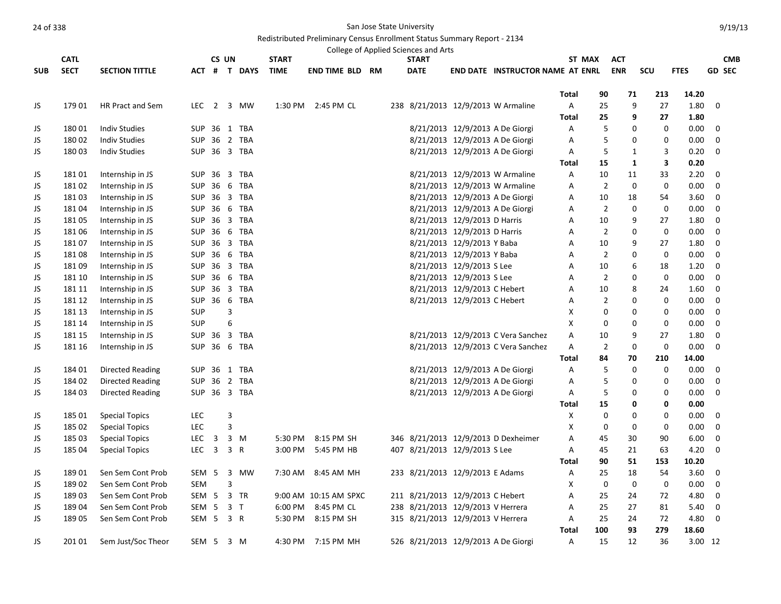| <b>CATL</b><br>CS UN<br><b>START</b><br><b>START</b><br><b>ST MAX</b><br><b>ACT</b><br><b>SECT</b><br>ACT # T DAYS<br><b>DATE</b><br><b>ENR</b><br><b>FTES</b><br><b>SECTION TITTLE</b><br><b>TIME</b><br><b>END TIME BLD RM</b><br><b>END DATE INSTRUCTOR NAME AT ENRL</b><br>scu<br><b>SUB</b><br>213<br>14.20<br><b>Total</b><br>90<br>71<br>LEC 2 3 MW<br>238 8/21/2013 12/9/2013 W Armaline<br>25<br>9<br>27<br>1.80<br>JS<br>179 01<br>HR Pract and Sem<br>1:30 PM<br>2:45 PM CL<br>A<br>$\mathbf 0$<br><b>Total</b><br>25<br>9<br>27<br>1.80<br>8/21/2013 12/9/2013 A De Giorgi<br>5<br>$\mathbf 0$<br>180 01<br><b>Indiv Studies</b><br>SUP 36 1 TBA<br>Α<br>0<br>0.00<br>JS<br>0<br>5<br>JS<br>180 02<br>SUP 36 2 TBA<br>8/21/2013 12/9/2013 A De Giorgi<br>0<br>0<br>0.00<br>0<br><b>Indiv Studies</b><br>Α<br>5<br>JS<br>18003<br>SUP 36 3 TBA<br>8/21/2013 12/9/2013 A De Giorgi<br>3<br><b>Indiv Studies</b><br>$\mathbf{1}$<br>0.20<br>$\mathbf 0$<br>A<br>15<br>1<br>3<br>0.20<br>Total<br>JS<br>SUP 36 3 TBA<br>8/21/2013 12/9/2013 W Armaline<br>10<br>33<br>2.20<br>18101<br>Internship in JS<br>Α<br>11<br>0<br>$\mathbf 0$<br>18102<br>SUP 36 6 TBA<br>8/21/2013 12/9/2013 W Armaline<br>$\overline{2}$<br>0<br>0.00<br>JS<br>Internship in JS<br>0<br>Α<br>JS<br>18103<br>Internship in JS<br>SUP 36 3 TBA<br>8/21/2013 12/9/2013 A De Giorgi<br>10<br>18<br>54<br>3.60<br>0<br>Α<br>0<br>SUP 36 6 TBA<br>8/21/2013 12/9/2013 A De Giorgi<br>$\overline{2}$<br>$\mathbf 0$<br>0.00<br>JS<br>18104<br>Internship in JS<br>0<br>Α<br>9<br>JS<br>18105<br>SUP 36 3 TBA<br>8/21/2013 12/9/2013 D Harris<br>10<br>27<br>1.80<br>0<br>Internship in JS<br>Α<br>$\overline{2}$<br>0<br>$\mathbf 0$<br>JS<br>18106<br><b>SUP</b><br>36 6 TBA<br>8/21/2013 12/9/2013 D Harris<br>0.00<br>$\mathbf 0$<br>Internship in JS<br>A<br>JS<br><b>SUP</b><br>36 3 TBA<br>8/21/2013 12/9/2013 Y Baba<br>10<br>9<br>18107<br>Internship in JS<br>27<br>1.80<br>0<br>A<br>8/21/2013 12/9/2013 Y Baba<br>$\overline{2}$<br>$\mathbf 0$<br>$\mathbf 0$<br>0.00<br>JS<br>18108<br>Internship in JS<br>SUP 36 6 TBA<br>0<br>Α<br>JS<br>18109<br><b>SUP</b><br>36 3 TBA<br>8/21/2013 12/9/2013 S Lee<br>10<br>6<br>18<br>1.20<br>Internship in JS<br>0<br>A<br>JS<br>36 6 TBA<br>8/21/2013 12/9/2013 S Lee<br>$\overline{2}$<br>0<br>$\mathbf 0$<br>181 10<br>Internship in JS<br><b>SUP</b><br>0.00<br>0<br>Α<br>JS<br>181 11<br>Internship in JS<br>SUP 36 3 TBA<br>8/21/2013 12/9/2013 C Hebert<br>10<br>8<br>24<br>1.60<br>Α<br>0<br>SUP 36 6 TBA<br>$\overline{2}$<br>$\mathbf 0$<br>0.00<br>JS<br>181 12<br>Internship in JS<br>8/21/2013 12/9/2013 C Hebert<br>0<br>0<br>Α<br>JS<br>3<br>0<br>0<br>0<br>181 13<br>Internship in JS<br><b>SUP</b><br>Χ<br>0.00<br>0 | College of Applied Sciences and Arts |               |
|-----------------------------------------------------------------------------------------------------------------------------------------------------------------------------------------------------------------------------------------------------------------------------------------------------------------------------------------------------------------------------------------------------------------------------------------------------------------------------------------------------------------------------------------------------------------------------------------------------------------------------------------------------------------------------------------------------------------------------------------------------------------------------------------------------------------------------------------------------------------------------------------------------------------------------------------------------------------------------------------------------------------------------------------------------------------------------------------------------------------------------------------------------------------------------------------------------------------------------------------------------------------------------------------------------------------------------------------------------------------------------------------------------------------------------------------------------------------------------------------------------------------------------------------------------------------------------------------------------------------------------------------------------------------------------------------------------------------------------------------------------------------------------------------------------------------------------------------------------------------------------------------------------------------------------------------------------------------------------------------------------------------------------------------------------------------------------------------------------------------------------------------------------------------------------------------------------------------------------------------------------------------------------------------------------------------------------------------------------------------------------------------------------------------------------------------------------------------------------------------------------------------------------------------------------------------------------------------------------------------------------------------------------------------------------------------------------------------------------------------------------------------------|--------------------------------------|---------------|
|                                                                                                                                                                                                                                                                                                                                                                                                                                                                                                                                                                                                                                                                                                                                                                                                                                                                                                                                                                                                                                                                                                                                                                                                                                                                                                                                                                                                                                                                                                                                                                                                                                                                                                                                                                                                                                                                                                                                                                                                                                                                                                                                                                                                                                                                                                                                                                                                                                                                                                                                                                                                                                                                                                                                                                       |                                      | <b>CMB</b>    |
|                                                                                                                                                                                                                                                                                                                                                                                                                                                                                                                                                                                                                                                                                                                                                                                                                                                                                                                                                                                                                                                                                                                                                                                                                                                                                                                                                                                                                                                                                                                                                                                                                                                                                                                                                                                                                                                                                                                                                                                                                                                                                                                                                                                                                                                                                                                                                                                                                                                                                                                                                                                                                                                                                                                                                                       |                                      | <b>GD SEC</b> |
|                                                                                                                                                                                                                                                                                                                                                                                                                                                                                                                                                                                                                                                                                                                                                                                                                                                                                                                                                                                                                                                                                                                                                                                                                                                                                                                                                                                                                                                                                                                                                                                                                                                                                                                                                                                                                                                                                                                                                                                                                                                                                                                                                                                                                                                                                                                                                                                                                                                                                                                                                                                                                                                                                                                                                                       |                                      |               |
|                                                                                                                                                                                                                                                                                                                                                                                                                                                                                                                                                                                                                                                                                                                                                                                                                                                                                                                                                                                                                                                                                                                                                                                                                                                                                                                                                                                                                                                                                                                                                                                                                                                                                                                                                                                                                                                                                                                                                                                                                                                                                                                                                                                                                                                                                                                                                                                                                                                                                                                                                                                                                                                                                                                                                                       |                                      |               |
|                                                                                                                                                                                                                                                                                                                                                                                                                                                                                                                                                                                                                                                                                                                                                                                                                                                                                                                                                                                                                                                                                                                                                                                                                                                                                                                                                                                                                                                                                                                                                                                                                                                                                                                                                                                                                                                                                                                                                                                                                                                                                                                                                                                                                                                                                                                                                                                                                                                                                                                                                                                                                                                                                                                                                                       |                                      |               |
|                                                                                                                                                                                                                                                                                                                                                                                                                                                                                                                                                                                                                                                                                                                                                                                                                                                                                                                                                                                                                                                                                                                                                                                                                                                                                                                                                                                                                                                                                                                                                                                                                                                                                                                                                                                                                                                                                                                                                                                                                                                                                                                                                                                                                                                                                                                                                                                                                                                                                                                                                                                                                                                                                                                                                                       |                                      |               |
|                                                                                                                                                                                                                                                                                                                                                                                                                                                                                                                                                                                                                                                                                                                                                                                                                                                                                                                                                                                                                                                                                                                                                                                                                                                                                                                                                                                                                                                                                                                                                                                                                                                                                                                                                                                                                                                                                                                                                                                                                                                                                                                                                                                                                                                                                                                                                                                                                                                                                                                                                                                                                                                                                                                                                                       |                                      |               |
|                                                                                                                                                                                                                                                                                                                                                                                                                                                                                                                                                                                                                                                                                                                                                                                                                                                                                                                                                                                                                                                                                                                                                                                                                                                                                                                                                                                                                                                                                                                                                                                                                                                                                                                                                                                                                                                                                                                                                                                                                                                                                                                                                                                                                                                                                                                                                                                                                                                                                                                                                                                                                                                                                                                                                                       |                                      |               |
|                                                                                                                                                                                                                                                                                                                                                                                                                                                                                                                                                                                                                                                                                                                                                                                                                                                                                                                                                                                                                                                                                                                                                                                                                                                                                                                                                                                                                                                                                                                                                                                                                                                                                                                                                                                                                                                                                                                                                                                                                                                                                                                                                                                                                                                                                                                                                                                                                                                                                                                                                                                                                                                                                                                                                                       |                                      |               |
|                                                                                                                                                                                                                                                                                                                                                                                                                                                                                                                                                                                                                                                                                                                                                                                                                                                                                                                                                                                                                                                                                                                                                                                                                                                                                                                                                                                                                                                                                                                                                                                                                                                                                                                                                                                                                                                                                                                                                                                                                                                                                                                                                                                                                                                                                                                                                                                                                                                                                                                                                                                                                                                                                                                                                                       |                                      |               |
|                                                                                                                                                                                                                                                                                                                                                                                                                                                                                                                                                                                                                                                                                                                                                                                                                                                                                                                                                                                                                                                                                                                                                                                                                                                                                                                                                                                                                                                                                                                                                                                                                                                                                                                                                                                                                                                                                                                                                                                                                                                                                                                                                                                                                                                                                                                                                                                                                                                                                                                                                                                                                                                                                                                                                                       |                                      |               |
|                                                                                                                                                                                                                                                                                                                                                                                                                                                                                                                                                                                                                                                                                                                                                                                                                                                                                                                                                                                                                                                                                                                                                                                                                                                                                                                                                                                                                                                                                                                                                                                                                                                                                                                                                                                                                                                                                                                                                                                                                                                                                                                                                                                                                                                                                                                                                                                                                                                                                                                                                                                                                                                                                                                                                                       |                                      |               |
|                                                                                                                                                                                                                                                                                                                                                                                                                                                                                                                                                                                                                                                                                                                                                                                                                                                                                                                                                                                                                                                                                                                                                                                                                                                                                                                                                                                                                                                                                                                                                                                                                                                                                                                                                                                                                                                                                                                                                                                                                                                                                                                                                                                                                                                                                                                                                                                                                                                                                                                                                                                                                                                                                                                                                                       |                                      |               |
|                                                                                                                                                                                                                                                                                                                                                                                                                                                                                                                                                                                                                                                                                                                                                                                                                                                                                                                                                                                                                                                                                                                                                                                                                                                                                                                                                                                                                                                                                                                                                                                                                                                                                                                                                                                                                                                                                                                                                                                                                                                                                                                                                                                                                                                                                                                                                                                                                                                                                                                                                                                                                                                                                                                                                                       |                                      |               |
|                                                                                                                                                                                                                                                                                                                                                                                                                                                                                                                                                                                                                                                                                                                                                                                                                                                                                                                                                                                                                                                                                                                                                                                                                                                                                                                                                                                                                                                                                                                                                                                                                                                                                                                                                                                                                                                                                                                                                                                                                                                                                                                                                                                                                                                                                                                                                                                                                                                                                                                                                                                                                                                                                                                                                                       |                                      |               |
|                                                                                                                                                                                                                                                                                                                                                                                                                                                                                                                                                                                                                                                                                                                                                                                                                                                                                                                                                                                                                                                                                                                                                                                                                                                                                                                                                                                                                                                                                                                                                                                                                                                                                                                                                                                                                                                                                                                                                                                                                                                                                                                                                                                                                                                                                                                                                                                                                                                                                                                                                                                                                                                                                                                                                                       |                                      |               |
|                                                                                                                                                                                                                                                                                                                                                                                                                                                                                                                                                                                                                                                                                                                                                                                                                                                                                                                                                                                                                                                                                                                                                                                                                                                                                                                                                                                                                                                                                                                                                                                                                                                                                                                                                                                                                                                                                                                                                                                                                                                                                                                                                                                                                                                                                                                                                                                                                                                                                                                                                                                                                                                                                                                                                                       |                                      |               |
|                                                                                                                                                                                                                                                                                                                                                                                                                                                                                                                                                                                                                                                                                                                                                                                                                                                                                                                                                                                                                                                                                                                                                                                                                                                                                                                                                                                                                                                                                                                                                                                                                                                                                                                                                                                                                                                                                                                                                                                                                                                                                                                                                                                                                                                                                                                                                                                                                                                                                                                                                                                                                                                                                                                                                                       |                                      |               |
|                                                                                                                                                                                                                                                                                                                                                                                                                                                                                                                                                                                                                                                                                                                                                                                                                                                                                                                                                                                                                                                                                                                                                                                                                                                                                                                                                                                                                                                                                                                                                                                                                                                                                                                                                                                                                                                                                                                                                                                                                                                                                                                                                                                                                                                                                                                                                                                                                                                                                                                                                                                                                                                                                                                                                                       |                                      |               |
|                                                                                                                                                                                                                                                                                                                                                                                                                                                                                                                                                                                                                                                                                                                                                                                                                                                                                                                                                                                                                                                                                                                                                                                                                                                                                                                                                                                                                                                                                                                                                                                                                                                                                                                                                                                                                                                                                                                                                                                                                                                                                                                                                                                                                                                                                                                                                                                                                                                                                                                                                                                                                                                                                                                                                                       |                                      |               |
|                                                                                                                                                                                                                                                                                                                                                                                                                                                                                                                                                                                                                                                                                                                                                                                                                                                                                                                                                                                                                                                                                                                                                                                                                                                                                                                                                                                                                                                                                                                                                                                                                                                                                                                                                                                                                                                                                                                                                                                                                                                                                                                                                                                                                                                                                                                                                                                                                                                                                                                                                                                                                                                                                                                                                                       |                                      |               |
|                                                                                                                                                                                                                                                                                                                                                                                                                                                                                                                                                                                                                                                                                                                                                                                                                                                                                                                                                                                                                                                                                                                                                                                                                                                                                                                                                                                                                                                                                                                                                                                                                                                                                                                                                                                                                                                                                                                                                                                                                                                                                                                                                                                                                                                                                                                                                                                                                                                                                                                                                                                                                                                                                                                                                                       |                                      |               |
| <b>SUP</b><br>6<br>JS<br>181 14<br>X<br>$\mathbf 0$<br>$\mathbf{0}$<br>$\mathbf 0$<br>0.00<br>$\boldsymbol{0}$<br>Internship in JS                                                                                                                                                                                                                                                                                                                                                                                                                                                                                                                                                                                                                                                                                                                                                                                                                                                                                                                                                                                                                                                                                                                                                                                                                                                                                                                                                                                                                                                                                                                                                                                                                                                                                                                                                                                                                                                                                                                                                                                                                                                                                                                                                                                                                                                                                                                                                                                                                                                                                                                                                                                                                                    |                                      |               |
| JS<br>181 15<br>8/21/2013 12/9/2013 C Vera Sanchez<br>9<br>27<br>1.80<br>Internship in JS<br>SUP 36 3 TBA<br>10<br>0<br>Α                                                                                                                                                                                                                                                                                                                                                                                                                                                                                                                                                                                                                                                                                                                                                                                                                                                                                                                                                                                                                                                                                                                                                                                                                                                                                                                                                                                                                                                                                                                                                                                                                                                                                                                                                                                                                                                                                                                                                                                                                                                                                                                                                                                                                                                                                                                                                                                                                                                                                                                                                                                                                                             |                                      |               |
| SUP 36 6 TBA<br>8/21/2013 12/9/2013 C Vera Sanchez<br>$\overline{2}$<br>0<br>$\mathbf 0$<br>0.00<br>JS<br>181 16<br>Internship in JS<br>Α<br>$\Omega$                                                                                                                                                                                                                                                                                                                                                                                                                                                                                                                                                                                                                                                                                                                                                                                                                                                                                                                                                                                                                                                                                                                                                                                                                                                                                                                                                                                                                                                                                                                                                                                                                                                                                                                                                                                                                                                                                                                                                                                                                                                                                                                                                                                                                                                                                                                                                                                                                                                                                                                                                                                                                 |                                      |               |
| 84<br>70<br>210<br>14.00<br><b>Total</b>                                                                                                                                                                                                                                                                                                                                                                                                                                                                                                                                                                                                                                                                                                                                                                                                                                                                                                                                                                                                                                                                                                                                                                                                                                                                                                                                                                                                                                                                                                                                                                                                                                                                                                                                                                                                                                                                                                                                                                                                                                                                                                                                                                                                                                                                                                                                                                                                                                                                                                                                                                                                                                                                                                                              |                                      |               |
| 8/21/2013 12/9/2013 A De Giorgi<br>5<br>$\mathbf 0$<br>0<br>184 01<br>Directed Reading<br>SUP 36 1 TBA<br>Α<br>0.00<br>0<br>JS                                                                                                                                                                                                                                                                                                                                                                                                                                                                                                                                                                                                                                                                                                                                                                                                                                                                                                                                                                                                                                                                                                                                                                                                                                                                                                                                                                                                                                                                                                                                                                                                                                                                                                                                                                                                                                                                                                                                                                                                                                                                                                                                                                                                                                                                                                                                                                                                                                                                                                                                                                                                                                        |                                      |               |
| 5<br>184 02<br><b>Directed Reading</b><br>SUP 36 2 TBA<br>8/21/2013 12/9/2013 A De Giorgi<br>$\mathbf 0$<br>$\mathbf 0$<br>0.00<br>$\mathbf 0$<br>JS<br>Α                                                                                                                                                                                                                                                                                                                                                                                                                                                                                                                                                                                                                                                                                                                                                                                                                                                                                                                                                                                                                                                                                                                                                                                                                                                                                                                                                                                                                                                                                                                                                                                                                                                                                                                                                                                                                                                                                                                                                                                                                                                                                                                                                                                                                                                                                                                                                                                                                                                                                                                                                                                                             |                                      |               |
| 5<br>JS<br>184 03<br>SUP 36 3 TBA<br>8/21/2013 12/9/2013 A De Giorgi<br>0<br>0<br>Directed Reading<br>0.00<br>$\mathbf 0$<br>A                                                                                                                                                                                                                                                                                                                                                                                                                                                                                                                                                                                                                                                                                                                                                                                                                                                                                                                                                                                                                                                                                                                                                                                                                                                                                                                                                                                                                                                                                                                                                                                                                                                                                                                                                                                                                                                                                                                                                                                                                                                                                                                                                                                                                                                                                                                                                                                                                                                                                                                                                                                                                                        |                                      |               |
| 15<br>0<br>0<br>0.00<br>Total                                                                                                                                                                                                                                                                                                                                                                                                                                                                                                                                                                                                                                                                                                                                                                                                                                                                                                                                                                                                                                                                                                                                                                                                                                                                                                                                                                                                                                                                                                                                                                                                                                                                                                                                                                                                                                                                                                                                                                                                                                                                                                                                                                                                                                                                                                                                                                                                                                                                                                                                                                                                                                                                                                                                         |                                      |               |
| 185 01<br><b>LEC</b><br>3<br>X<br>$\mathbf 0$<br>$\mathbf 0$<br>$\mathbf 0$<br>0.00<br>JS<br><b>Special Topics</b><br>$\mathbf 0$                                                                                                                                                                                                                                                                                                                                                                                                                                                                                                                                                                                                                                                                                                                                                                                                                                                                                                                                                                                                                                                                                                                                                                                                                                                                                                                                                                                                                                                                                                                                                                                                                                                                                                                                                                                                                                                                                                                                                                                                                                                                                                                                                                                                                                                                                                                                                                                                                                                                                                                                                                                                                                     |                                      |               |
| <b>LEC</b><br>3<br>0.00<br>JS<br>185 02<br><b>Special Topics</b><br>Χ<br>0<br>0<br>0<br>0                                                                                                                                                                                                                                                                                                                                                                                                                                                                                                                                                                                                                                                                                                                                                                                                                                                                                                                                                                                                                                                                                                                                                                                                                                                                                                                                                                                                                                                                                                                                                                                                                                                                                                                                                                                                                                                                                                                                                                                                                                                                                                                                                                                                                                                                                                                                                                                                                                                                                                                                                                                                                                                                             |                                      |               |
| JS<br>185 03<br>LEC <sub>3</sub><br>3 M<br>8:15 PM SH<br>346 8/21/2013 12/9/2013 D Dexheimer<br>45<br>30<br>90<br>6.00<br>$\mathbf 0$<br><b>Special Topics</b><br>5:30 PM<br>Α                                                                                                                                                                                                                                                                                                                                                                                                                                                                                                                                                                                                                                                                                                                                                                                                                                                                                                                                                                                                                                                                                                                                                                                                                                                                                                                                                                                                                                                                                                                                                                                                                                                                                                                                                                                                                                                                                                                                                                                                                                                                                                                                                                                                                                                                                                                                                                                                                                                                                                                                                                                        |                                      |               |
| LEC 3 3 R<br>407 8/21/2013 12/9/2013 S Lee<br>4.20<br>JS<br>185 04<br><b>Special Topics</b><br>3:00 PM<br>5:45 PM HB<br>Α<br>45<br>21<br>63<br>$\mathbf 0$                                                                                                                                                                                                                                                                                                                                                                                                                                                                                                                                                                                                                                                                                                                                                                                                                                                                                                                                                                                                                                                                                                                                                                                                                                                                                                                                                                                                                                                                                                                                                                                                                                                                                                                                                                                                                                                                                                                                                                                                                                                                                                                                                                                                                                                                                                                                                                                                                                                                                                                                                                                                            |                                      |               |
| 90<br>51<br>153<br>10.20<br>Total                                                                                                                                                                                                                                                                                                                                                                                                                                                                                                                                                                                                                                                                                                                                                                                                                                                                                                                                                                                                                                                                                                                                                                                                                                                                                                                                                                                                                                                                                                                                                                                                                                                                                                                                                                                                                                                                                                                                                                                                                                                                                                                                                                                                                                                                                                                                                                                                                                                                                                                                                                                                                                                                                                                                     |                                      |               |
| JS<br>18901<br>Sen Sem Cont Prob<br>$\overline{3}$<br>233 8/21/2013 12/9/2013 E Adams<br>25<br>18<br>3.60<br>SEM <sub>5</sub><br>MW<br>7:30 AM<br>8:45 AM MH<br>54<br>0<br>Α                                                                                                                                                                                                                                                                                                                                                                                                                                                                                                                                                                                                                                                                                                                                                                                                                                                                                                                                                                                                                                                                                                                                                                                                                                                                                                                                                                                                                                                                                                                                                                                                                                                                                                                                                                                                                                                                                                                                                                                                                                                                                                                                                                                                                                                                                                                                                                                                                                                                                                                                                                                          |                                      |               |
| 18902<br>3<br>0<br>$\mathbf 0$<br>0<br>0.00<br>JS<br>Sen Sem Cont Prob<br><b>SEM</b><br>Χ<br>0                                                                                                                                                                                                                                                                                                                                                                                                                                                                                                                                                                                                                                                                                                                                                                                                                                                                                                                                                                                                                                                                                                                                                                                                                                                                                                                                                                                                                                                                                                                                                                                                                                                                                                                                                                                                                                                                                                                                                                                                                                                                                                                                                                                                                                                                                                                                                                                                                                                                                                                                                                                                                                                                        |                                      |               |
| 211 8/21/2013 12/9/2013 C Hebert<br>JS<br>18903<br>Sen Sem Cont Prob<br>SEM 5 3 TR<br>9:00 AM 10:15 AM SPXC<br>25<br>72<br>4.80<br>A<br>24<br>0                                                                                                                                                                                                                                                                                                                                                                                                                                                                                                                                                                                                                                                                                                                                                                                                                                                                                                                                                                                                                                                                                                                                                                                                                                                                                                                                                                                                                                                                                                                                                                                                                                                                                                                                                                                                                                                                                                                                                                                                                                                                                                                                                                                                                                                                                                                                                                                                                                                                                                                                                                                                                       |                                      |               |
| 18904<br>3T<br>6:00 PM<br>8:45 PM CL<br>238 8/21/2013 12/9/2013 V Herrera<br>25<br>81<br>5.40<br>JS<br>Sen Sem Cont Prob<br>SEM 5<br>27<br>0<br>Α                                                                                                                                                                                                                                                                                                                                                                                                                                                                                                                                                                                                                                                                                                                                                                                                                                                                                                                                                                                                                                                                                                                                                                                                                                                                                                                                                                                                                                                                                                                                                                                                                                                                                                                                                                                                                                                                                                                                                                                                                                                                                                                                                                                                                                                                                                                                                                                                                                                                                                                                                                                                                     |                                      |               |
| 72<br>JS<br>18905<br>Sen Sem Cont Prob<br>SEM 5 3 R<br>5:30 PM 8:15 PM SH<br>315 8/21/2013 12/9/2013 V Herrera<br>25<br>24<br>4.80<br>0<br>Α                                                                                                                                                                                                                                                                                                                                                                                                                                                                                                                                                                                                                                                                                                                                                                                                                                                                                                                                                                                                                                                                                                                                                                                                                                                                                                                                                                                                                                                                                                                                                                                                                                                                                                                                                                                                                                                                                                                                                                                                                                                                                                                                                                                                                                                                                                                                                                                                                                                                                                                                                                                                                          |                                      |               |
| 93<br>279<br>100<br>18.60<br>Total                                                                                                                                                                                                                                                                                                                                                                                                                                                                                                                                                                                                                                                                                                                                                                                                                                                                                                                                                                                                                                                                                                                                                                                                                                                                                                                                                                                                                                                                                                                                                                                                                                                                                                                                                                                                                                                                                                                                                                                                                                                                                                                                                                                                                                                                                                                                                                                                                                                                                                                                                                                                                                                                                                                                    |                                      |               |
| 12<br>36<br>JS<br>201 01<br>Sem Just/Soc Theor<br>SEM 5 3 M<br>4:30 PM<br>7:15 PM MH<br>526 8/21/2013 12/9/2013 A De Giorgi<br>Α<br>15<br>3.00 12                                                                                                                                                                                                                                                                                                                                                                                                                                                                                                                                                                                                                                                                                                                                                                                                                                                                                                                                                                                                                                                                                                                                                                                                                                                                                                                                                                                                                                                                                                                                                                                                                                                                                                                                                                                                                                                                                                                                                                                                                                                                                                                                                                                                                                                                                                                                                                                                                                                                                                                                                                                                                     |                                      |               |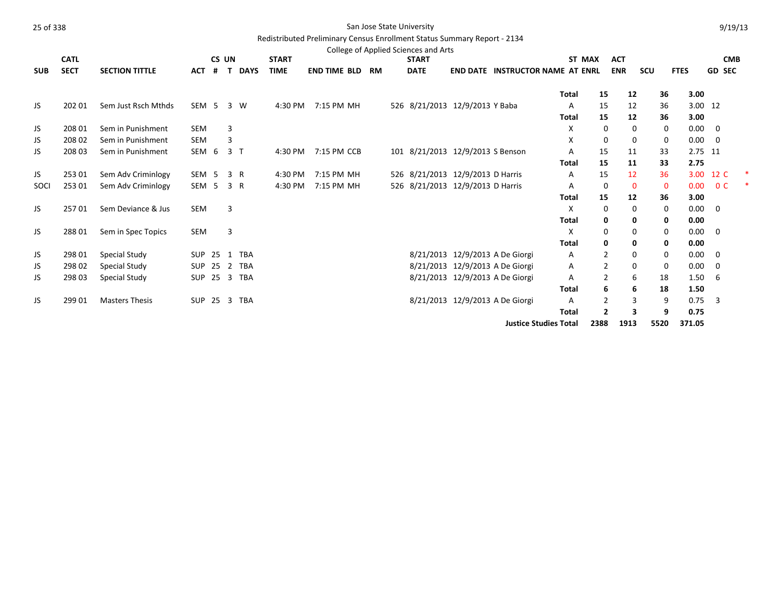|            |             |                       |                  |       |                |             |              |                     |           | College of Applied Sciences and Arts |                                         |               |                |              |             |             |                |  |
|------------|-------------|-----------------------|------------------|-------|----------------|-------------|--------------|---------------------|-----------|--------------------------------------|-----------------------------------------|---------------|----------------|--------------|-------------|-------------|----------------|--|
|            | <b>CATL</b> |                       |                  | CS UN |                |             | <b>START</b> |                     |           | <b>START</b>                         |                                         | <b>ST MAX</b> |                | <b>ACT</b>   |             |             | <b>CMB</b>     |  |
| <b>SUB</b> | <b>SECT</b> | <b>SECTION TITTLE</b> | <b>ACT</b>       | #     | $\mathbf{T}$   | <b>DAYS</b> | <b>TIME</b>  | <b>END TIME BLD</b> | <b>RM</b> | <b>DATE</b>                          | <b>END DATE INSTRUCTOR NAME AT ENRL</b> |               |                | <b>ENR</b>   | SCU         | <b>FTES</b> | <b>GD SEC</b>  |  |
|            |             |                       |                  |       |                |             |              |                     |           |                                      |                                         | <b>Total</b>  | 15             | 12           | 36          | 3.00        |                |  |
| JS         | 202 01      | Sem Just Rsch Mthds   | SEM <sub>5</sub> |       | $3 \ W$        |             | 4:30 PM      | 7:15 PM MH          |           | 526 8/21/2013 12/9/2013 Y Baba       |                                         | Α             | 15             | 12           | 36          | 3.00 12     |                |  |
|            |             |                       |                  |       |                |             |              |                     |           |                                      |                                         | <b>Total</b>  | 15             | 12           | 36          | 3.00        |                |  |
| JS         | 208 01      | Sem in Punishment     | <b>SEM</b>       |       | 3              |             |              |                     |           |                                      |                                         | X             | 0              | 0            | 0           | 0.00        | 0              |  |
| JS         | 208 02      | Sem in Punishment     | <b>SEM</b>       |       | 3              |             |              |                     |           |                                      |                                         | X             | 0              | 0            | 0           | 0.00        | - 0            |  |
| JS         | 208 03      | Sem in Punishment     | SEM              | 6     | 3 <sub>1</sub> |             | 4:30 PM      | 7:15 PM CCB         |           | 101 8/21/2013 12/9/2013 S Benson     |                                         | Α             | 15             | 11           | 33          | 2.75        | 11             |  |
|            |             |                       |                  |       |                |             |              |                     |           |                                      |                                         | <b>Total</b>  | 15             | 11           | 33          | 2.75        |                |  |
| JS         | 253 01      | Sem Adv Criminlogy    | SEM 5            |       | 3 R            |             | 4:30 PM      | 7:15 PM MH          |           | 526 8/21/2013 12/9/2013 D Harris     |                                         | A             | 15             | 12           | 36          | 3.00        | 12 C           |  |
| SOCI       | 253 01      | Sem Adv Criminlogy    | SEM <sub>5</sub> |       | 3 R            |             | 4:30 PM      | 7:15 PM MH          |           | 526 8/21/2013 12/9/2013 D Harris     |                                         | Α             | 0              | $\mathbf{0}$ | $\mathbf 0$ | 0.00        | 0 <sup>C</sup> |  |
|            |             |                       |                  |       |                |             |              |                     |           |                                      |                                         | <b>Total</b>  | 15             | 12           | 36          | 3.00        |                |  |
| JS         | 25701       | Sem Deviance & Jus    | <b>SEM</b>       |       | 3              |             |              |                     |           |                                      |                                         | X             | 0              | 0            | 0           | 0.00        | - 0            |  |
|            |             |                       |                  |       |                |             |              |                     |           |                                      |                                         | <b>Total</b>  | 0              | 0            | 0           | 0.00        |                |  |
| JS         | 28801       | Sem in Spec Topics    | SEM              |       | 3              |             |              |                     |           |                                      |                                         | X             | 0              | 0            | 0           | $0.00\,$    | 0              |  |
|            |             |                       |                  |       |                |             |              |                     |           |                                      |                                         | <b>Total</b>  | 0              | 0            | 0           | 0.00        |                |  |
| JS         | 298 01      | Special Study         | SUP 25 1 TBA     |       |                |             |              |                     |           |                                      | 8/21/2013 12/9/2013 A De Giorgi         | Α             | 2              | 0            | 0           | 0.00        | 0              |  |
| JS         | 298 02      | Special Study         | <b>SUP 25</b>    |       | $\overline{2}$ | TBA         |              |                     |           |                                      | 8/21/2013 12/9/2013 A De Giorgi         | Α             | $\overline{2}$ | 0            | 0           | 0.00        | $\mathbf 0$    |  |
| JS         | 298 03      | Special Study         | <b>SUP 25</b>    |       | $\overline{3}$ | TBA         |              |                     |           |                                      | 8/21/2013 12/9/2013 A De Giorgi         | Α             | 2              | 6            | 18          | 1.50        | - 6            |  |
|            |             |                       |                  |       |                |             |              |                     |           |                                      |                                         | <b>Total</b>  | 6              | 6            | 18          | 1.50        |                |  |
| JS         | 299 01      | <b>Masters Thesis</b> | <b>SUP 25</b>    |       |                | 3 TBA       |              |                     |           |                                      | 8/21/2013 12/9/2013 A De Giorgi         | A             | $\overline{2}$ | 3            | 9           | 0.75        | -3             |  |
|            |             |                       |                  |       |                |             |              |                     |           |                                      |                                         | <b>Total</b>  | $\overline{2}$ | 3            | 9           | 0.75        |                |  |
|            |             |                       |                  |       |                |             |              |                     |           |                                      | <b>Justice Studies Total</b>            |               | 2388           | 1913         | 5520        | 371.05      |                |  |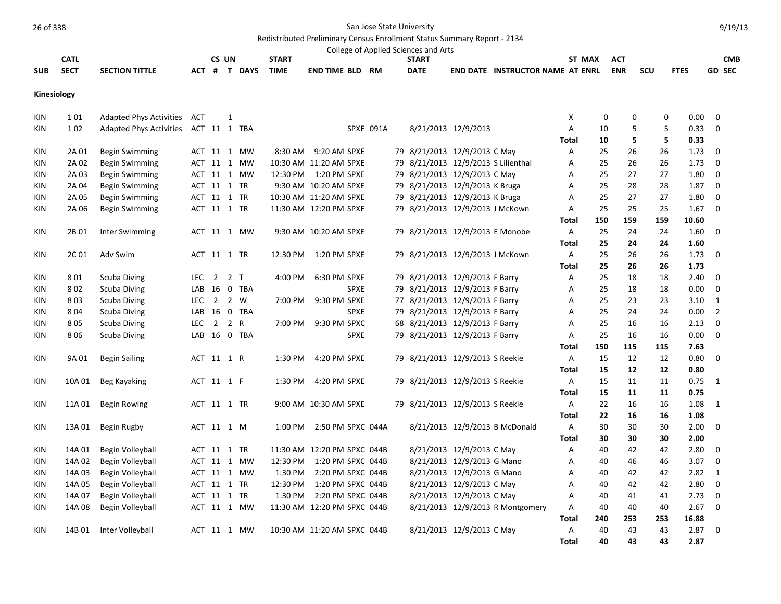## Redistributed Preliminary Census Enrollment Status Summary Report - 2134

|                    |             |                                |             |       |              |              |              |                             |             |  | College of Applied Sciences and Arts |                            |                                         |              |               |            |            |             |                |               |
|--------------------|-------------|--------------------------------|-------------|-------|--------------|--------------|--------------|-----------------------------|-------------|--|--------------------------------------|----------------------------|-----------------------------------------|--------------|---------------|------------|------------|-------------|----------------|---------------|
|                    | <b>CATL</b> |                                |             |       | CS UN        |              | <b>START</b> |                             |             |  | <b>START</b>                         |                            |                                         |              | <b>ST MAX</b> | <b>ACT</b> |            |             |                | <b>CMB</b>    |
| <b>SUB</b>         | <b>SECT</b> | <b>SECTION TITTLE</b>          |             |       |              | ACT # T DAYS | <b>TIME</b>  | <b>END TIME BLD RM</b>      |             |  | <b>DATE</b>                          |                            | <b>END DATE INSTRUCTOR NAME AT ENRL</b> |              |               | <b>ENR</b> | <b>SCU</b> | <b>FTES</b> |                | <b>GD SEC</b> |
| <b>Kinesiology</b> |             |                                |             |       |              |              |              |                             |             |  |                                      |                            |                                         |              |               |            |            |             |                |               |
| KIN                | 101         | <b>Adapted Phys Activities</b> | <b>ACT</b>  |       | $\mathbf{1}$ |              |              |                             |             |  |                                      |                            |                                         | Х            | 0             | 0          | 0          | 0.00        | $\mathbf 0$    |               |
| <b>KIN</b>         | 102         | <b>Adapted Phys Activities</b> |             |       |              | ACT 11 1 TBA |              |                             | SPXE 091A   |  |                                      | 8/21/2013 12/9/2013        |                                         | A            | 10            | 5          | 5          | 0.33        | $\mathbf 0$    |               |
|                    |             |                                |             |       |              |              |              |                             |             |  |                                      |                            |                                         | Total        | 10            | 5          | 5          | 0.33        |                |               |
| KIN                | 2A 01       | Begin Swimming                 |             |       |              | ACT 11 1 MW  |              | 8:30 AM 9:20 AM SPXE        |             |  | 79 8/21/2013 12/9/2013 C May         |                            |                                         | Α            | 25            | 26         | 26         | 1.73        | 0              |               |
| KIN                | 2A 02       | <b>Begin Swimming</b>          |             |       |              | ACT 11 1 MW  |              | 10:30 AM 11:20 AM SPXE      |             |  | 79 8/21/2013 12/9/2013 S Lilienthal  |                            |                                         | А            | 25            | 26         | 26         | 1.73        | $\mathbf 0$    |               |
| KIN                | 2A 03       | <b>Begin Swimming</b>          |             |       |              | ACT 11 1 MW  |              | 12:30 PM 1:20 PM SPXE       |             |  | 79 8/21/2013 12/9/2013 C May         |                            |                                         | А            | 25            | 27         | 27         | 1.80        | 0              |               |
| KIN                | 2A 04       | <b>Begin Swimming</b>          | ACT 11 1 TR |       |              |              |              | 9:30 AM 10:20 AM SPXE       |             |  | 79 8/21/2013 12/9/2013 K Bruga       |                            |                                         | A            | 25            | 28         | 28         | 1.87        | 0              |               |
| KIN                | 2A 05       | <b>Begin Swimming</b>          | ACT 11 1 TR |       |              |              |              | 10:30 AM 11:20 AM SPXE      |             |  | 79 8/21/2013 12/9/2013 K Bruga       |                            |                                         | Α            | 25            | 27         | 27         | 1.80        | 0              |               |
| <b>KIN</b>         | 2A 06       | <b>Begin Swimming</b>          | ACT 11 1 TR |       |              |              |              | 11:30 AM 12:20 PM SPXE      |             |  | 79 8/21/2013 12/9/2013 J McKown      |                            |                                         | A            | 25            | 25         | 25         | 1.67        | $\mathbf 0$    |               |
|                    |             |                                |             |       |              |              |              |                             |             |  |                                      |                            |                                         | Total        | 150           | 159        | 159        | 10.60       |                |               |
| KIN                | 2B 01       | Inter Swimming                 |             |       |              | ACT 11 1 MW  |              | 9:30 AM 10:20 AM SPXE       |             |  | 79 8/21/2013 12/9/2013 E Monobe      |                            |                                         | A            | 25            | 24         | 24         | 1.60        | 0              |               |
|                    |             |                                |             |       |              |              |              |                             |             |  |                                      |                            |                                         | <b>Total</b> | 25            | 24         | 24         | 1.60        |                |               |
| KIN                | 2C 01       | Adv Swim                       | ACT 11 1 TR |       |              |              |              | 12:30 PM 1:20 PM SPXE       |             |  | 79 8/21/2013 12/9/2013 J McKown      |                            |                                         | A            | 25            | 26         | 26         | 1.73        | $\mathbf 0$    |               |
|                    |             |                                |             |       |              |              |              |                             |             |  |                                      |                            |                                         | <b>Total</b> | 25            | 26         | 26         | 1.73        |                |               |
| KIN                | 801         | Scuba Diving                   | <b>LEC</b>  | 2 2 T |              |              | 4:00 PM      | 6:30 PM SPXE                |             |  | 79 8/21/2013 12/9/2013 F Barry       |                            |                                         | Α            | 25            | 18         | 18         | 2.40        | 0              |               |
| KIN                | 802         | Scuba Diving                   |             |       |              | LAB 16 0 TBA |              |                             | <b>SPXE</b> |  | 79 8/21/2013 12/9/2013 F Barry       |                            |                                         | Α            | 25            | 18         | 18         | 0.00        | 0              |               |
| KIN                | 803         | Scuba Diving                   | LEC 2 2 W   |       |              |              | 7:00 PM      | 9:30 PM SPXE                |             |  | 77 8/21/2013 12/9/2013 F Barry       |                            |                                         | Α            | 25            | 23         | 23         | 3.10        | $\mathbf{1}$   |               |
| KIN                | 804         | Scuba Diving                   |             |       |              | LAB 16 0 TBA |              |                             | <b>SPXE</b> |  | 79 8/21/2013 12/9/2013 F Barry       |                            |                                         | Α            | 25            | 24         | 24         | 0.00        | $\overline{2}$ |               |
| KIN                | 805         | Scuba Diving                   | <b>LEC</b>  | 2 2 R |              |              | 7:00 PM      | 9:30 PM SPXC                |             |  | 68 8/21/2013 12/9/2013 F Barry       |                            |                                         | A            | 25            | 16         | 16         | 2.13        | $\mathbf 0$    |               |
| KIN                | 806         | Scuba Diving                   |             |       |              | LAB 16 0 TBA |              |                             | <b>SPXE</b> |  | 79 8/21/2013 12/9/2013 F Barry       |                            |                                         | Α            | 25            | 16         | 16         | 0.00        | $\mathbf 0$    |               |
|                    |             |                                |             |       |              |              |              |                             |             |  |                                      |                            |                                         | <b>Total</b> | 150           | 115        | 115        | 7.63        |                |               |
| KIN                | 9A 01       | <b>Begin Sailing</b>           | ACT 11 1 R  |       |              |              | 1:30 PM      | 4:20 PM SPXE                |             |  | 79 8/21/2013 12/9/2013 S Reekie      |                            |                                         | A            | 15            | 12         | 12         | 0.80        | $\mathbf 0$    |               |
|                    |             |                                |             |       |              |              |              |                             |             |  |                                      |                            |                                         | Total        | 15            | 12         | 12         | 0.80        |                |               |
| KIN                | 10A 01      | Beg Kayaking                   | ACT 11 1 F  |       |              |              | 1:30 PM      | 4:20 PM SPXE                |             |  | 79 8/21/2013 12/9/2013 S Reekie      |                            |                                         | Α            | 15            | 11         | 11         | 0.75        | 1              |               |
|                    |             |                                |             |       |              |              |              |                             |             |  |                                      |                            |                                         | Total        | 15            | 11         | 11         | 0.75        |                |               |
| <b>KIN</b>         | 11A 01      | <b>Begin Rowing</b>            | ACT 11 1 TR |       |              |              |              | 9:00 AM 10:30 AM SPXE       |             |  | 79 8/21/2013 12/9/2013 S Reekie      |                            |                                         | A            | 22            | 16         | 16         | 1.08        | 1              |               |
|                    |             |                                |             |       |              |              |              |                             |             |  |                                      |                            |                                         | Total        | 22            | 16         | 16         | 1.08        |                |               |
| <b>KIN</b>         | 13A 01      | Begin Rugby                    | ACT 11 1 M  |       |              |              | 1:00 PM      | 2:50 PM SPXC 044A           |             |  |                                      |                            | 8/21/2013 12/9/2013 B McDonald          | A            | 30            | 30         | 30         | 2.00        | $\mathbf 0$    |               |
|                    |             |                                |             |       |              |              |              |                             |             |  |                                      |                            |                                         | <b>Total</b> | 30            | 30         | 30         | 2.00        |                |               |
| KIN                | 14A 01      | Begin Volleyball               | ACT 11 1 TR |       |              |              |              | 11:30 AM 12:20 PM SPXC 044B |             |  |                                      | 8/21/2013 12/9/2013 C May  |                                         | Α            | 40            | 42         | 42         | 2.80        | 0              |               |
| KIN                | 14A 02      | Begin Volleyball               |             |       |              | ACT 11 1 MW  | 12:30 PM     | 1:20 PM SPXC 044B           |             |  |                                      | 8/21/2013 12/9/2013 G Mano |                                         | Α            | 40            | 46         | 46         | 3.07        | 0              |               |
| KIN                | 14A 03      | Begin Volleyball               |             |       |              | ACT 11 1 MW  | 1:30 PM      | 2:20 PM SPXC 044B           |             |  |                                      | 8/21/2013 12/9/2013 G Mano |                                         | Α            | 40            | 42         | 42         | 2.82        | 1              |               |
| <b>KIN</b>         | 14A 05      | Begin Volleyball               | ACT 11 1 TR |       |              |              | 12:30 PM     | 1:20 PM SPXC 044B           |             |  |                                      | 8/21/2013 12/9/2013 C May  |                                         | A            | 40            | 42         | 42         | 2.80        | $\mathbf 0$    |               |
| KIN                | 14A 07      | Begin Volleyball               | ACT 11 1 TR |       |              |              | 1:30 PM      | 2:20 PM SPXC 044B           |             |  |                                      | 8/21/2013 12/9/2013 C May  |                                         | А            | 40            | 41         | 41         | 2.73        | 0              |               |
| KIN                | 14A 08      | Begin Volleyball               |             |       |              | ACT 11 1 MW  |              | 11:30 AM 12:20 PM SPXC 044B |             |  |                                      |                            | 8/21/2013 12/9/2013 R Montgomery        | Α            | 40            | 40         | 40         | 2.67        | $\mathbf 0$    |               |
|                    |             |                                |             |       |              |              |              |                             |             |  |                                      |                            |                                         | Total        | 240           | 253        | 253        | 16.88       |                |               |
| <b>KIN</b>         | 14B 01      | Inter Volleyball               |             |       |              | ACT 11 1 MW  |              | 10:30 AM 11:20 AM SPXC 044B |             |  |                                      | 8/21/2013 12/9/2013 C May  |                                         | Α            | 40            | 43         | 43         | 2.87        | 0              |               |
|                    |             |                                |             |       |              |              |              |                             |             |  |                                      |                            |                                         | <b>Total</b> | 40            | 43         | 43         | 2.87        |                |               |

9/19/13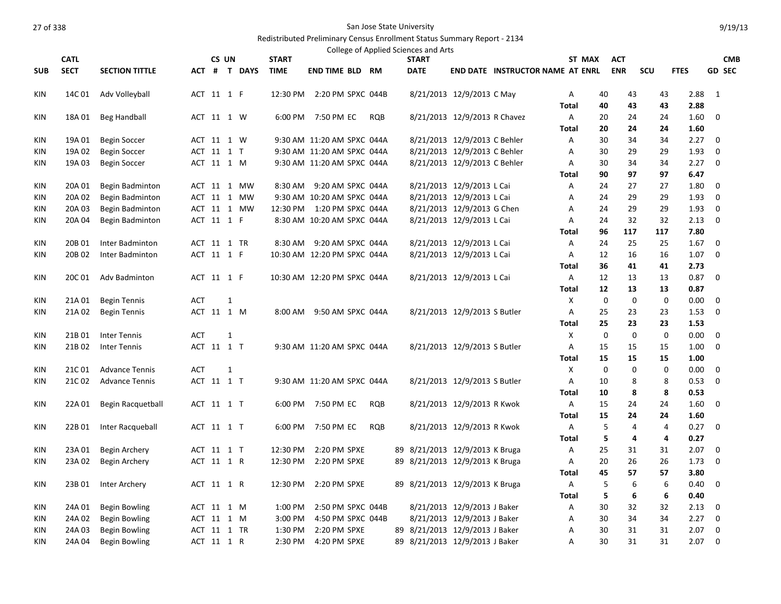|            | <b>CATL</b> |                       |             | CS UN |   |              | <b>START</b> |                             |            | College of Applied Sciences and Arts<br><b>START</b> |                              | ST MAX                                  |             | <b>ACT</b>  |            |                     |                  | <b>CMB</b>    |
|------------|-------------|-----------------------|-------------|-------|---|--------------|--------------|-----------------------------|------------|------------------------------------------------------|------------------------------|-----------------------------------------|-------------|-------------|------------|---------------------|------------------|---------------|
| <b>SUB</b> | <b>SECT</b> | <b>SECTION TITTLE</b> |             |       |   | ACT # T DAYS | <b>TIME</b>  | <b>END TIME BLD RM</b>      |            | <b>DATE</b>                                          |                              | <b>END DATE INSTRUCTOR NAME AT ENRL</b> |             | <b>ENR</b>  | <b>SCU</b> | <b>FTES</b>         |                  | <b>GD SEC</b> |
|            |             |                       |             |       |   |              |              |                             |            |                                                      |                              |                                         |             |             |            |                     |                  |               |
| KIN        | 14C 01      | Adv Volleyball        | ACT 11 1 F  |       |   |              | 12:30 PM     | 2:20 PM SPXC 044B           |            |                                                      | 8/21/2013 12/9/2013 C May    | A                                       | 40          | 43          | 43         | 2.88                | $\mathbf{1}$     |               |
|            |             |                       |             |       |   |              |              |                             |            |                                                      |                              | Total                                   | 40          | 43          | 43         | 2.88                |                  |               |
| KIN        | 18A 01      | Beg Handball          | ACT 11 1 W  |       |   |              |              | 6:00 PM 7:50 PM EC          | <b>RQB</b> |                                                      | 8/21/2013 12/9/2013 R Chavez | A                                       | 20          | 24          | 24         | 1.60                | 0                |               |
|            |             |                       |             |       |   |              |              |                             |            |                                                      |                              | <b>Total</b>                            | 20          | 24          | 24         | 1.60                |                  |               |
| KIN        | 19A 01      | Begin Soccer          | ACT 11 1 W  |       |   |              |              | 9:30 AM 11:20 AM SPXC 044A  |            |                                                      | 8/21/2013 12/9/2013 C Behler | Α                                       | 30          | 34          | 34         | 2.27                | 0                |               |
| <b>KIN</b> | 19A 02      | <b>Begin Soccer</b>   | ACT 11 1 T  |       |   |              |              | 9:30 AM 11:20 AM SPXC 044A  |            |                                                      | 8/21/2013 12/9/2013 C Behler | Α                                       | 30          | 29          | 29         | 1.93                | $\mathbf 0$      |               |
| <b>KIN</b> | 19A 03      | <b>Begin Soccer</b>   | ACT 11 1 M  |       |   |              |              | 9:30 AM 11:20 AM SPXC 044A  |            |                                                      | 8/21/2013 12/9/2013 C Behler | A                                       | 30          | 34          | 34         | 2.27                | $\mathbf 0$      |               |
|            |             |                       |             |       |   |              |              |                             |            |                                                      |                              | Total                                   | 90          | 97          | 97         | 6.47                |                  |               |
| <b>KIN</b> | 20A 01      | Begin Badminton       | ACT 11 1 MW |       |   |              | 8:30 AM      | 9:20 AM SPXC 044A           |            |                                                      | 8/21/2013 12/9/2013 L Cai    | Α                                       | 24          | 27          | 27         | 1.80                | 0                |               |
| KIN        | 20A 02      | Begin Badminton       | ACT 11 1 MW |       |   |              |              | 9:30 AM 10:20 AM SPXC 044A  |            |                                                      | 8/21/2013 12/9/2013 L Cai    | Α                                       | 24          | 29          | 29         | 1.93                | 0                |               |
| KIN        | 20A 03      | Begin Badminton       | ACT 11 1 MW |       |   |              |              | 12:30 PM  1:20 PM SPXC 044A |            |                                                      | 8/21/2013 12/9/2013 G Chen   | Α                                       | 24          | 29          | 29         | 1.93                | $\mathbf 0$      |               |
| KIN        | 20A 04      | Begin Badminton       | ACT 11 1 F  |       |   |              |              | 8:30 AM 10:20 AM SPXC 044A  |            |                                                      | 8/21/2013 12/9/2013 L Cai    | Α                                       | 24          | 32          | 32         | 2.13                | $\mathbf 0$      |               |
|            |             |                       |             |       |   |              |              |                             |            |                                                      |                              | Total                                   | 96          | 117         | 117        | 7.80                |                  |               |
| <b>KIN</b> | 20B 01      | Inter Badminton       | ACT 11 1 TR |       |   |              |              | 8:30 AM 9:20 AM SPXC 044A   |            |                                                      | 8/21/2013 12/9/2013 L Cai    | A                                       | 24          | 25          | 25         | 1.67                | $\mathbf 0$      |               |
| <b>KIN</b> | 20B 02      | Inter Badminton       | ACT 11 1 F  |       |   |              |              | 10:30 AM 12:20 PM SPXC 044A |            |                                                      | 8/21/2013 12/9/2013 L Cai    | A                                       | 12          | 16          | 16         | 1.07                | 0                |               |
|            |             |                       |             |       |   |              |              |                             |            |                                                      |                              | Total                                   | 36          | 41          | 41         | 2.73                |                  |               |
| <b>KIN</b> | 20C 01      | Adv Badminton         | ACT 11 1 F  |       |   |              |              | 10:30 AM 12:20 PM SPXC 044A |            |                                                      | 8/21/2013 12/9/2013 L Cai    | A                                       | 12          | 13          | 13         | 0.87                | 0                |               |
|            |             |                       |             |       |   |              |              |                             |            |                                                      |                              | Total                                   | 12          | 13          | 13         | 0.87                |                  |               |
| KIN        | 21A 01      | <b>Begin Tennis</b>   | <b>ACT</b>  |       | 1 |              |              |                             |            |                                                      |                              | X                                       | 0           | $\mathbf 0$ |            | $\mathbf 0$<br>0.00 | $\mathbf 0$      |               |
| KIN        | 21A 02      | <b>Begin Tennis</b>   | ACT 11 1 M  |       |   |              | 8:00 AM      | 9:50 AM SPXC 044A           |            |                                                      | 8/21/2013 12/9/2013 S Butler | Α                                       | 25          | 23          | 23         | 1.53                | 0                |               |
|            |             |                       |             |       |   |              |              |                             |            |                                                      |                              | <b>Total</b>                            | 25          | 23          | 23         | 1.53                |                  |               |
| KIN        | 21B 01      | Inter Tennis          | <b>ACT</b>  |       | 1 |              |              |                             |            |                                                      |                              | Χ                                       | 0           | $\mathbf 0$ |            | $\mathbf 0$<br>0.00 | 0                |               |
| <b>KIN</b> | 21B 02      | Inter Tennis          | ACT 11 1 T  |       |   |              |              | 9:30 AM 11:20 AM SPXC 044A  |            |                                                      | 8/21/2013 12/9/2013 S Butler | A                                       | 15          | 15          | 15         | 1.00                | $\mathbf 0$      |               |
|            |             |                       |             |       |   |              |              |                             |            |                                                      |                              | <b>Total</b>                            | 15          | 15          | 15         | 1.00                |                  |               |
| KIN        | 21C 01      | <b>Advance Tennis</b> | <b>ACT</b>  |       | 1 |              |              |                             |            |                                                      |                              | Χ                                       | 0           | 0           |            | $\mathbf 0$<br>0.00 | 0                |               |
| <b>KIN</b> | 21C 02      | <b>Advance Tennis</b> | ACT 11 1 T  |       |   |              |              | 9:30 AM 11:20 AM SPXC 044A  |            |                                                      | 8/21/2013 12/9/2013 S Butler | A                                       | 10          | 8           |            | 8<br>0.53           | 0                |               |
|            |             |                       |             |       |   |              |              |                             |            |                                                      |                              | Total                                   | 10          | 8           |            | 8<br>0.53           |                  |               |
| KIN        | 22A 01      | Begin Racquetball     | ACT 11 1 T  |       |   |              |              | 6:00 PM 7:50 PM EC          | <b>RQB</b> |                                                      | 8/21/2013 12/9/2013 R Kwok   | A                                       | 15          | 24          | 24         | 1.60                | $\mathbf 0$      |               |
|            |             |                       |             |       |   |              |              |                             |            |                                                      |                              | Total                                   | 15          | 24          | 24         | 1.60                |                  |               |
| KIN        | 22B 01      | Inter Racqueball      | ACT 11 1 T  |       |   |              | 6:00 PM      | 7:50 PM EC                  | <b>RQB</b> |                                                      | 8/21/2013 12/9/2013 R Kwok   | A                                       | $\mathsf S$ | 4           |            | 4<br>0.27           | 0                |               |
|            |             |                       |             |       |   |              |              |                             |            |                                                      |                              | <b>Total</b>                            | 5           | 4           |            | 0.27<br>4           |                  |               |
| KIN        | 23A 01      | Begin Archery         | ACT 11 1 T  |       |   |              | 12:30 PM     | 2:20 PM SPXE                |            | 89 8/21/2013 12/9/2013 K Bruga                       |                              | Α                                       | 25          | 31          | 31         | 2.07                | 0                |               |
| KIN        | 23A 02      | Begin Archery         | ACT 11 1 R  |       |   |              | 12:30 PM     | 2:20 PM SPXE                |            | 89 8/21/2013 12/9/2013 K Bruga                       |                              | A                                       | 20          | 26          | 26         | 1.73                | 0                |               |
|            |             |                       |             |       |   |              |              |                             |            |                                                      |                              | Total                                   | 45          | 57          | 57         | 3.80                |                  |               |
| KIN        | 23B 01      | Inter Archery         | ACT 11 1 R  |       |   |              | 12:30 PM     | 2:20 PM SPXE                |            | 89 8/21/2013 12/9/2013 K Bruga                       |                              | A                                       | 5           | 6           |            | 6<br>0.40           | 0                |               |
|            |             |                       |             |       |   |              |              |                             |            |                                                      |                              | <b>Total</b>                            | 5           | 6           |            | 6<br>0.40           |                  |               |
| KIN        | 24A 01      | Begin Bowling         | ACT 11 1 M  |       |   |              | 1:00 PM      | 2:50 PM SPXC 044B           |            |                                                      | 8/21/2013 12/9/2013 J Baker  | Α                                       | 30          | 32          | 32         | 2.13                | 0<br>$\mathbf 0$ |               |
| KIN        | 24A 02      | <b>Begin Bowling</b>  | ACT 11 1 M  |       |   |              | 3:00 PM      | 4:50 PM SPXC 044B           |            |                                                      | 8/21/2013 12/9/2013 J Baker  | Α                                       | 30          | 34          | 34         | 2.27                |                  |               |
| <b>KIN</b> | 24A 03      | Begin Bowling         | ACT 11 1 TR |       |   |              | 1:30 PM      | 2:20 PM SPXE                |            | 89 8/21/2013 12/9/2013 J Baker                       |                              | Α                                       | 30          | 31          | 31         | 2.07                | $\mathbf 0$      |               |
| KIN        | 24A 04      | Begin Bowling         | ACT 11 1 R  |       |   |              | 2:30 PM      | 4:20 PM SPXE                |            | 89 8/21/2013 12/9/2013 J Baker                       |                              | Α                                       | 30          | 31          | 31         | 2.07                | $\Omega$         |               |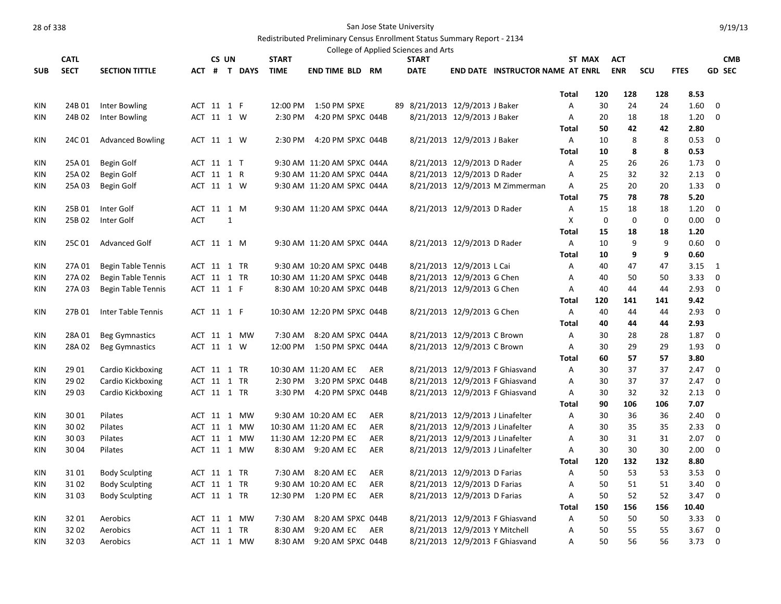|            |             |                           |             |       |              |              |              |                             |            | College of Applied Sciences and Arts |                                  |                                         |              |             |            |             |                     |             |               |
|------------|-------------|---------------------------|-------------|-------|--------------|--------------|--------------|-----------------------------|------------|--------------------------------------|----------------------------------|-----------------------------------------|--------------|-------------|------------|-------------|---------------------|-------------|---------------|
|            | <b>CATL</b> |                           |             | CS UN |              |              | <b>START</b> |                             |            | <b>START</b>                         |                                  |                                         |              | ST MAX      | <b>ACT</b> |             |                     |             | <b>CMB</b>    |
| <b>SUB</b> | <b>SECT</b> | <b>SECTION TITTLE</b>     |             |       |              | ACT # T DAYS | <b>TIME</b>  | <b>END TIME BLD RM</b>      |            | <b>DATE</b>                          |                                  | <b>END DATE INSTRUCTOR NAME AT ENRL</b> |              |             | <b>ENR</b> | <b>SCU</b>  | <b>FTES</b>         |             | <b>GD SEC</b> |
|            |             |                           |             |       |              |              |              |                             |            |                                      |                                  |                                         | <b>Total</b> | 120         | 128        | 128         | 8.53                |             |               |
| <b>KIN</b> | 24B 01      | Inter Bowling             | ACT 11 1 F  |       |              |              | 12:00 PM     | 1:50 PM SPXE                |            | 89 8/21/2013 12/9/2013 J Baker       |                                  |                                         | Α            | 30          | 24         | 24          | 1.60                |             | 0             |
| <b>KIN</b> | 24B 02      | Inter Bowling             | ACT 11 1 W  |       |              |              | 2:30 PM      | 4:20 PM SPXC 044B           |            |                                      | 8/21/2013 12/9/2013 J Baker      |                                         | Α            | 20          | 18         | 18          | 1.20                | $\mathbf 0$ |               |
|            |             |                           |             |       |              |              |              |                             |            |                                      |                                  |                                         | Total        | 50          | 42         | 42          | 2.80                |             |               |
| <b>KIN</b> | 24C 01      | <b>Advanced Bowling</b>   | ACT 11 1 W  |       |              |              | 2:30 PM      | 4:20 PM SPXC 044B           |            |                                      | 8/21/2013 12/9/2013 J Baker      |                                         | $\mathsf{A}$ | 10          |            | 8           | 8<br>0.53           | $\mathbf 0$ |               |
|            |             |                           |             |       |              |              |              |                             |            |                                      |                                  |                                         | Total        | 10          |            | 8           | 8<br>0.53           |             |               |
| KIN        | 25A 01      | <b>Begin Golf</b>         | ACT 11 1 T  |       |              |              |              | 9:30 AM 11:20 AM SPXC 044A  |            |                                      | 8/21/2013 12/9/2013 D Rader      |                                         | Α            | 25          | 26         | 26          | 1.73                | $\mathbf 0$ |               |
| KIN        | 25A 02      | Begin Golf                | ACT 11 1 R  |       |              |              |              | 9:30 AM 11:20 AM SPXC 044A  |            |                                      | 8/21/2013 12/9/2013 D Rader      |                                         | Α            | 25          | 32         | 32          | 2.13                | $\mathbf 0$ |               |
| <b>KIN</b> | 25A 03      | <b>Begin Golf</b>         | ACT 11 1 W  |       |              |              |              | 9:30 AM 11:20 AM SPXC 044A  |            |                                      |                                  | 8/21/2013 12/9/2013 M Zimmerman         | A            | 25          | 20         | 20          | 1.33                | $\mathbf 0$ |               |
|            |             |                           |             |       |              |              |              |                             |            |                                      |                                  |                                         | <b>Total</b> | 75          | 78         | 78          | 5.20                |             |               |
| KIN        | 25B 01      | Inter Golf                | ACT 11 1 M  |       |              |              |              | 9:30 AM 11:20 AM SPXC 044A  |            |                                      | 8/21/2013 12/9/2013 D Rader      |                                         | Α            | 15          | 18         | 18          | 1.20                | 0           |               |
| KIN        | 25B 02      | Inter Golf                | <b>ACT</b>  |       | $\mathbf{1}$ |              |              |                             |            |                                      |                                  |                                         | X            | $\mathbf 0$ |            | $\mathbf 0$ | $\mathbf 0$<br>0.00 | $\mathbf 0$ |               |
|            |             |                           |             |       |              |              |              |                             |            |                                      |                                  |                                         | Total        | 15          | 18         | 18          | 1.20                |             |               |
| <b>KIN</b> |             | 25C 01 Advanced Golf      | ACT 11 1 M  |       |              |              |              | 9:30 AM 11:20 AM SPXC 044A  |            |                                      | 8/21/2013 12/9/2013 D Rader      |                                         | A            | 10          |            | 9           | 9<br>0.60           | $\Omega$    |               |
|            |             |                           |             |       |              |              |              |                             |            |                                      |                                  |                                         | Total        | 10          |            | 9           | 9<br>0.60           |             |               |
| <b>KIN</b> | 27A 01      | <b>Begin Table Tennis</b> | ACT 11 1 TR |       |              |              |              | 9:30 AM 10:20 AM SPXC 044B  |            |                                      | 8/21/2013 12/9/2013 L Cai        |                                         | A            | 40          | 47         | 47          | 3.15                | 1           |               |
| <b>KIN</b> | 27A 02      | <b>Begin Table Tennis</b> | ACT 11 1 TR |       |              |              |              | 10:30 AM 11:20 AM SPXC 044B |            |                                      | 8/21/2013 12/9/2013 G Chen       |                                         | Α            | 40          | 50         | 50          | 3.33                | 0           |               |
| <b>KIN</b> | 27A 03      | <b>Begin Table Tennis</b> | ACT 11 1 F  |       |              |              |              | 8:30 AM 10:20 AM SPXC 044B  |            |                                      | 8/21/2013 12/9/2013 G Chen       |                                         | A            | 40          | 44         | 44          | 2.93                | $\mathbf 0$ |               |
|            |             |                           |             |       |              |              |              |                             |            |                                      |                                  |                                         | Total        | 120         | 141        | 141         | 9.42                |             |               |
| <b>KIN</b> | 27B 01      | Inter Table Tennis        | ACT 11 1 F  |       |              |              |              | 10:30 AM 12:20 PM SPXC 044B |            |                                      | 8/21/2013 12/9/2013 G Chen       |                                         | Α            | 40          | 44         | 44          | 2.93                | $\mathbf 0$ |               |
|            |             |                           |             |       |              |              |              |                             |            |                                      |                                  |                                         | Total        | 40          | 44         | 44          | 2.93                |             |               |
| KIN        | 28A 01      | <b>Beg Gymnastics</b>     | ACT 11 1 MW |       |              |              | 7:30 AM      | 8:20 AM SPXC 044A           |            |                                      | 8/21/2013 12/9/2013 C Brown      |                                         | A            | 30          | 28         | 28          | 1.87                | 0           |               |
| KIN        | 28A 02      | <b>Beg Gymnastics</b>     | ACT 11 1 W  |       |              |              | 12:00 PM     | 1:50 PM SPXC 044A           |            |                                      | 8/21/2013 12/9/2013 C Brown      |                                         | Α            | 30          | 29         | 29          | 1.93                | $\mathbf 0$ |               |
|            |             |                           |             |       |              |              |              |                             |            |                                      |                                  |                                         | Total        | 60          | 57         | 57          | 3.80                |             |               |
| <b>KIN</b> | 29 01       | Cardio Kickboxing         | ACT 11 1 TR |       |              |              |              | 10:30 AM 11:20 AM EC        | <b>AER</b> |                                      |                                  | 8/21/2013 12/9/2013 F Ghiasvand         | Α            | 30          | 37         | 37          | 2.47                | $\mathbf 0$ |               |
| KIN        | 29 02       | Cardio Kickboxing         | ACT 11 1 TR |       |              |              | 2:30 PM      | 3:20 PM SPXC 044B           |            |                                      |                                  | 8/21/2013 12/9/2013 F Ghiasvand         | A            | 30          | 37         | 37          | 2.47                | $\mathbf 0$ |               |
| KIN        | 29 03       | Cardio Kickboxing         | ACT 11 1 TR |       |              |              | 3:30 PM      | 4:20 PM SPXC 044B           |            |                                      |                                  | 8/21/2013 12/9/2013 F Ghiasvand         | Α            | 30          | 32         | 32          | 2.13                | $\mathbf 0$ |               |
|            | 30 01       | Pilates                   | ACT 11 1 MW |       |              |              |              | 9:30 AM 10:20 AM EC         | AER        |                                      | 8/21/2013 12/9/2013 J Linafelter |                                         | Total<br>Α   | 90<br>30    | 106<br>36  | 106<br>36   | 7.07<br>2.40        | $\mathbf 0$ |               |
| KIN<br>KIN | 30 02       | Pilates                   | ACT 11 1 MW |       |              |              |              | 10:30 AM 11:20 AM EC        | AER        |                                      | 8/21/2013 12/9/2013 J Linafelter |                                         | Α            | 30          | 35         | 35          | 2.33                | 0           |               |
| KIN        | 30 03       | Pilates                   |             |       |              | ACT 11 1 MW  |              | 11:30 AM 12:20 PM EC        | <b>AER</b> |                                      | 8/21/2013 12/9/2013 J Linafelter |                                         | Α            | 30          | 31         | 31          | 2.07                | $\mathbf 0$ |               |
| KIN        | 30 04       | Pilates                   |             |       |              | ACT 11 1 MW  |              | 8:30 AM 9:20 AM EC          | AER        |                                      | 8/21/2013 12/9/2013 J Linafelter |                                         | Α            | 30          | 30         | 30          | 2.00                | $\Omega$    |               |
|            |             |                           |             |       |              |              |              |                             |            |                                      |                                  |                                         | <b>Total</b> | 120         | 132        | 132         | 8.80                |             |               |
| KIN        | 3101        | <b>Body Sculpting</b>     | ACT 11 1 TR |       |              |              | 7:30 AM      | 8:20 AM EC                  | AER        |                                      | 8/21/2013 12/9/2013 D Farias     |                                         | Α            | 50          | 53         | 53          | 3.53                | 0           |               |
| KIN        | 31 02       | <b>Body Sculpting</b>     | ACT 11 1 TR |       |              |              |              | 9:30 AM 10:20 AM EC         | <b>AER</b> |                                      | 8/21/2013 12/9/2013 D Farias     |                                         | Α            | 50          | 51         | 51          | 3.40                |             | 0             |
| KIN        | 3103        | <b>Body Sculpting</b>     | ACT 11 1 TR |       |              |              |              | 12:30 PM 1:20 PM EC         | <b>AER</b> |                                      | 8/21/2013 12/9/2013 D Farias     |                                         | A            | 50          | 52         | 52          | 3.47                | $\mathbf 0$ |               |
|            |             |                           |             |       |              |              |              |                             |            |                                      |                                  |                                         | <b>Total</b> | 150         | 156        | 156         | 10.40               |             |               |
| KIN        | 32 01       | Aerobics                  | ACT 11 1 MW |       |              |              | 7:30 AM      | 8:20 AM SPXC 044B           |            |                                      |                                  | 8/21/2013 12/9/2013 F Ghiasvand         | Α            | 50          | 50         | 50          | 3.33                | 0           |               |
| <b>KIN</b> | 32 02       | Aerobics                  | ACT 11 1 TR |       |              |              | 8:30 AM      | 9:20 AM EC                  | AER        |                                      | 8/21/2013 12/9/2013 Y Mitchell   |                                         | A            | 50          | 55         | 55          | 3.67                | $\mathbf 0$ |               |
| KIN        | 32 03       | Aerobics                  | ACT 11 1 MW |       |              |              | 8:30 AM      | 9:20 AM SPXC 044B           |            |                                      |                                  | 8/21/2013 12/9/2013 F Ghiasvand         | A            | 50          | 56         | 56          | 3.73                | $\mathbf 0$ |               |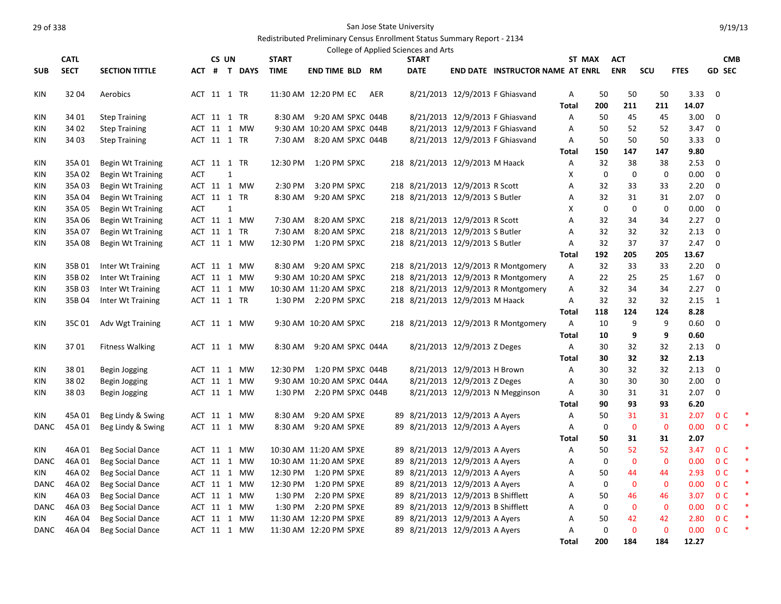## Redistributed Preliminary Census Enrollment Status Summary Report - 2134

|             |             |                          |            |              |              |              |                            |     | College of Applied Sciences and Arts |                                    |                                         |              |             |              |                |             |                |            |
|-------------|-------------|--------------------------|------------|--------------|--------------|--------------|----------------------------|-----|--------------------------------------|------------------------------------|-----------------------------------------|--------------|-------------|--------------|----------------|-------------|----------------|------------|
|             | <b>CATL</b> |                          |            | CS UN        |              | <b>START</b> |                            |     | <b>START</b>                         |                                    |                                         |              | ST MAX      | <b>ACT</b>   |                |             |                | <b>CMB</b> |
| <b>SUB</b>  | <b>SECT</b> | <b>SECTION TITTLE</b>    |            |              | ACT # T DAYS | <b>TIME</b>  | <b>END TIME BLD RM</b>     |     | <b>DATE</b>                          |                                    | <b>END DATE INSTRUCTOR NAME AT ENRL</b> |              |             | <b>ENR</b>   | scu            | <b>FTES</b> | <b>GD SEC</b>  |            |
| KIN         | 32 04       | Aerobics                 |            | ACT 11 1 TR  |              |              | 11:30 AM 12:20 PM EC       | AER |                                      |                                    | 8/21/2013 12/9/2013 F Ghiasvand         | Α            | 50          | 50           | 50             | 3.33        | $\mathbf 0$    |            |
|             |             |                          |            |              |              |              |                            |     |                                      |                                    |                                         | <b>Total</b> | 200         | 211          | 211            | 14.07       |                |            |
| KIN         | 34 01       | <b>Step Training</b>     |            | ACT 11 1 TR  |              | 8:30 AM      | 9:20 AM SPXC 044B          |     |                                      |                                    | 8/21/2013 12/9/2013 F Ghiasvand         | Α            | 50          | 45           | 45             | 3.00        | $\mathbf 0$    |            |
| KIN         | 34 02       | <b>Step Training</b>     |            |              | ACT 11 1 MW  |              | 9:30 AM 10:20 AM SPXC 044B |     |                                      |                                    | 8/21/2013 12/9/2013 F Ghiasvand         | Α            | 50          | 52           | 52             | 3.47        | $\mathbf 0$    |            |
| KIN         | 34 03       | <b>Step Training</b>     |            | ACT 11 1 TR  |              | 7:30 AM      | 8:20 AM SPXC 044B          |     |                                      |                                    | 8/21/2013 12/9/2013 F Ghiasvand         | Α            | 50          | 50           | 50             | 3.33        | $\mathbf 0$    |            |
|             |             |                          |            |              |              |              |                            |     |                                      |                                    |                                         | <b>Total</b> | 150         | 147          | 147            | 9.80        |                |            |
| KIN         | 35A 01      | Begin Wt Training        |            | ACT 11 1 TR  |              |              | 12:30 PM 1:20 PM SPXC      |     |                                      | 218 8/21/2013 12/9/2013 M Haack    |                                         | Α            | 32          | 38           | 38             | 2.53        | $\mathbf 0$    |            |
| KIN         | 35A02       | <b>Begin Wt Training</b> | <b>ACT</b> | $\mathbf{1}$ |              |              |                            |     |                                      |                                    |                                         | Χ            | $\mathbf 0$ | $\mathbf 0$  | 0              | 0.00        | $\mathbf 0$    |            |
| KIN         | 35A03       | <b>Begin Wt Training</b> |            |              | ACT 11 1 MW  | 2:30 PM      | 3:20 PM SPXC               |     |                                      | 218 8/21/2013 12/9/2013 R Scott    |                                         | A            | 32          | 33           | 33             | 2.20        | $\mathbf 0$    |            |
| <b>KIN</b>  | 35A04       | <b>Begin Wt Training</b> |            | ACT 11 1 TR  |              | 8:30 AM      | 9:20 AM SPXC               |     |                                      | 218 8/21/2013 12/9/2013 S Butler   |                                         | A            | 32          | 31           | 31             | 2.07        | $\mathbf 0$    |            |
| KIN         | 35A 05      | <b>Begin Wt Training</b> | ACT        | $\mathbf{1}$ |              |              |                            |     |                                      |                                    |                                         | Χ            | 0           | 0            | 0              | 0.00        | $\Omega$       |            |
| KIN         | 35A06       | <b>Begin Wt Training</b> |            |              | ACT 11 1 MW  | 7:30 AM      | 8:20 AM SPXC               |     |                                      | 218 8/21/2013 12/9/2013 R Scott    |                                         | A            | 32          | 34           | 34             | 2.27        | $\mathbf 0$    |            |
| KIN         | 35A 07      | Begin Wt Training        |            | ACT 11 1 TR  |              | 7:30 AM      | 8:20 AM SPXC               |     |                                      | 218 8/21/2013 12/9/2013 S Butler   |                                         | Α            | 32          | 32           | 32             | 2.13        | $\mathbf 0$    |            |
| KIN         | 35A08       | <b>Begin Wt Training</b> |            |              | ACT 11 1 MW  | 12:30 PM     | 1:20 PM SPXC               |     |                                      | 218 8/21/2013 12/9/2013 S Butler   |                                         | Α            | 32          | 37           | 37             | 2.47        | $\mathbf 0$    |            |
|             |             |                          |            |              |              |              |                            |     |                                      |                                    |                                         | <b>Total</b> | 192         | 205          | 205            | 13.67       |                |            |
| KIN         | 35B 01      | Inter Wt Training        |            |              | ACT 11 1 MW  | 8:30 AM      | 9:20 AM SPXC               |     |                                      |                                    | 218 8/21/2013 12/9/2013 R Montgomery    | Α            | 32          | 33           | 33             | 2.20        | $\mathbf 0$    |            |
| KIN         | 35B02       | Inter Wt Training        |            |              | ACT 11 1 MW  |              | 9:30 AM 10:20 AM SPXC      |     |                                      |                                    | 218 8/21/2013 12/9/2013 R Montgomery    | Α            | 22          | 25           | 25             | 1.67        | $\mathbf{0}$   |            |
| KIN         | 35B03       | Inter Wt Training        |            |              | ACT 11 1 MW  |              | 10:30 AM 11:20 AM SPXC     |     |                                      |                                    | 218 8/21/2013 12/9/2013 R Montgomery    | Α            | 32          | 34           | 34             | 2.27        | $\mathbf 0$    |            |
| KIN         | 35B04       | Inter Wt Training        |            | ACT 11 1 TR  |              |              | 1:30 PM 2:20 PM SPXC       |     |                                      | 218 8/21/2013 12/9/2013 M Haack    |                                         | Α            | 32          | 32           | 32             | 2.15        | $\mathbf{1}$   |            |
|             |             |                          |            |              |              |              |                            |     |                                      |                                    |                                         | <b>Total</b> | 118         | 124          | 124            | 8.28        |                |            |
| KIN         | 35C 01      | Adv Wgt Training         |            |              | ACT 11 1 MW  |              | 9:30 AM 10:20 AM SPXC      |     |                                      |                                    | 218 8/21/2013 12/9/2013 R Montgomery    | A            | 10          | 9            | 9              | 0.60        | $\overline{0}$ |            |
|             |             |                          |            |              |              |              |                            |     |                                      |                                    |                                         | <b>Total</b> | 10          | 9            | 9              | 0.60        |                |            |
| KIN         | 3701        | <b>Fitness Walking</b>   |            |              | ACT 11 1 MW  | 8:30 AM      | 9:20 AM SPXC 044A          |     |                                      | 8/21/2013 12/9/2013 Z Deges        |                                         | Α            | 30          | 32           | 32             | 2.13        | $\overline{0}$ |            |
|             |             |                          |            |              |              |              |                            |     |                                      |                                    |                                         | <b>Total</b> | 30          | 32           | 32             | 2.13        |                |            |
| KIN         | 3801        | Begin Jogging            |            |              | ACT 11 1 MW  | 12:30 PM     | 1:20 PM SPXC 044B          |     |                                      | 8/21/2013 12/9/2013 H Brown        |                                         | Α            | 30          | 32           | 32             | 2.13        | $\mathbf 0$    |            |
| KIN         | 3802        | Begin Jogging            |            |              | ACT 11 1 MW  |              | 9:30 AM 10:20 AM SPXC 044A |     |                                      | 8/21/2013 12/9/2013 Z Deges        |                                         | Α            | 30          | 30           | 30             | 2.00        | $\mathbf 0$    |            |
| KIN         | 38 03       | Begin Jogging            |            |              | ACT 11 1 MW  | 1:30 PM      | 2:20 PM SPXC 044B          |     |                                      |                                    | 8/21/2013 12/9/2013 N Megginson         | Α            | 30          | 31           | 31             | 2.07        | $\overline{0}$ |            |
|             |             |                          |            |              |              |              |                            |     |                                      |                                    |                                         | Total        | 90          | 93           | 93             | 6.20        |                |            |
| <b>KIN</b>  | 45A 01      | Beg Lindy & Swing        |            |              | ACT 11 1 MW  | 8:30 AM      | 9:20 AM SPXE               |     |                                      | 89 8/21/2013 12/9/2013 A Ayers     |                                         | Α            | 50          | 31           | 31             | 2.07        | 0 <sup>C</sup> |            |
| DANC        | 45A 01      | Beg Lindy & Swing        |            |              | ACT 11 1 MW  | 8:30 AM      | 9:20 AM SPXE               |     |                                      | 89 8/21/2013 12/9/2013 A Ayers     |                                         | Α            | 0           | $\mathbf 0$  | $\mathbf 0$    | 0.00        | 0 <sup>C</sup> |            |
|             |             |                          |            |              |              |              |                            |     |                                      |                                    |                                         | <b>Total</b> | 50          | 31           | 31             | 2.07        |                |            |
| KIN         | 46A 01      | <b>Beg Social Dance</b>  |            |              | ACT 11 1 MW  |              | 10:30 AM 11:20 AM SPXE     |     |                                      | 89 8/21/2013 12/9/2013 A Ayers     |                                         | Α            | 50          | 52           | 52             | 3.47        | 0 <sup>C</sup> |            |
| DANC        | 46A01       | Beg Social Dance         |            |              | ACT 11 1 MW  |              | 10:30 AM 11:20 AM SPXE     |     |                                      | 89 8/21/2013 12/9/2013 A Ayers     |                                         | Α            | 0           | $\mathbf{0}$ | $\mathbf 0$    | 0.00        | 0 <sup>C</sup> |            |
| KIN         | 46A 02      | <b>Beg Social Dance</b>  |            |              | ACT 11 1 MW  |              | 12:30 PM 1:20 PM SPXE      |     |                                      | 89 8/21/2013 12/9/2013 A Ayers     |                                         | Α            | 50          | 44           | 44             | 2.93        | 0 <sup>C</sup> |            |
| DANC        | 46A 02      | Beg Social Dance         |            |              | ACT 11 1 MW  | 12:30 PM     | 1:20 PM SPXE               |     |                                      | 89 8/21/2013 12/9/2013 A Ayers     |                                         | Α            | 0           | $\mathbf{0}$ | $\mathbf 0$    | 0.00        | 0 <sup>C</sup> |            |
| KIN         | 46A 03      | <b>Beg Social Dance</b>  |            |              | ACT 11 1 MW  | 1:30 PM      | 2:20 PM SPXE               |     |                                      | 89 8/21/2013 12/9/2013 B Shifflett |                                         | A            | 50          | 46           | 46             | 3.07        | 0 <sup>C</sup> |            |
| <b>DANC</b> | 46A03       | <b>Beg Social Dance</b>  |            |              | ACT 11 1 MW  | 1:30 PM      | 2:20 PM SPXE               |     |                                      | 89 8/21/2013 12/9/2013 B Shifflett |                                         | A            | 0           | $\mathbf{0}$ | $\mathbf 0$    | 0.00        | 0 <sup>C</sup> |            |
| KIN         | 46A04       | Beg Social Dance         |            |              | ACT 11 1 MW  |              | 11:30 AM 12:20 PM SPXE     |     |                                      | 89 8/21/2013 12/9/2013 A Ayers     |                                         | A            | 50          | 42           | 42             | 2.80        | 0 <sup>C</sup> |            |
| DANC        | 46A 04      | Beg Social Dance         |            |              | ACT 11 1 MW  |              | 11:30 AM 12:20 PM SPXE     |     |                                      | 89 8/21/2013 12/9/2013 A Ayers     |                                         | Α            | $\mathbf 0$ | $\mathbf{0}$ | $\overline{0}$ | 0.00        | 0 <sup>C</sup> |            |
|             |             |                          |            |              |              |              |                            |     |                                      |                                    |                                         | <b>Total</b> | 200         | 184          | 184            | 12.27       |                |            |

9/19/13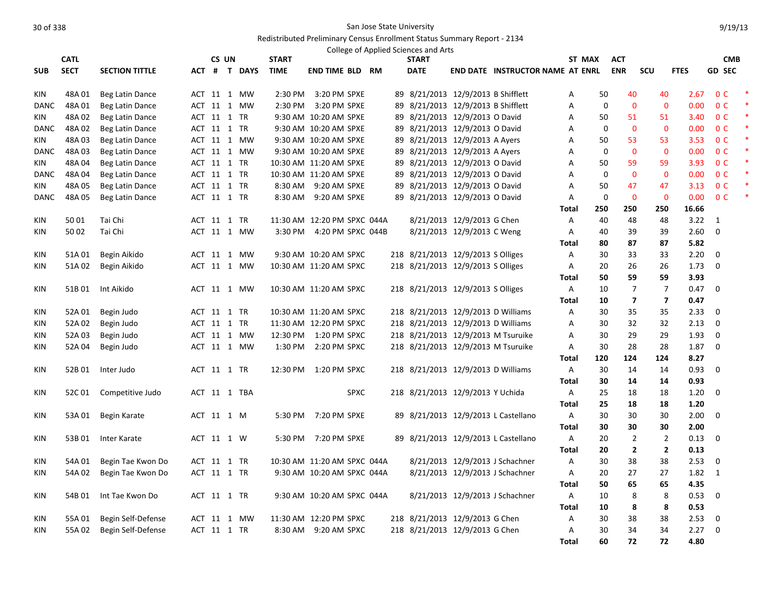|             |             |                       |              |              |              |                             | College of Applied Sciences and Arts |                            |                                         |              |             |                |                                  |             |                |  |
|-------------|-------------|-----------------------|--------------|--------------|--------------|-----------------------------|--------------------------------------|----------------------------|-----------------------------------------|--------------|-------------|----------------|----------------------------------|-------------|----------------|--|
|             | <b>CATL</b> |                       | CS UN        |              | <b>START</b> |                             | <b>START</b>                         |                            |                                         | ST MAX       |             | <b>ACT</b>     |                                  |             | <b>CMB</b>     |  |
| <b>SUB</b>  | <b>SECT</b> | <b>SECTION TITTLE</b> |              | ACT # T DAYS | <b>TIME</b>  | <b>END TIME BLD RM</b>      | <b>DATE</b>                          |                            | <b>END DATE INSTRUCTOR NAME AT ENRL</b> |              |             | <b>ENR</b>     | scu                              | <b>FTES</b> | <b>GD SEC</b>  |  |
| KIN         | 48A01       | Beg Latin Dance       | ACT 11 1 MW  |              | 2:30 PM      | 3:20 PM SPXE                | 89 8/21/2013 12/9/2013 B Shifflett   |                            |                                         | Α            | 50          | 40             | 40                               | 2.67        | 0 <sup>C</sup> |  |
| <b>DANC</b> | 48A 01      | Beg Latin Dance       | ACT 11 1 MW  |              |              | 2:30 PM 3:20 PM SPXE        | 89 8/21/2013 12/9/2013 B Shifflett   |                            |                                         | Α            | 0           | $\mathbf 0$    | $\mathbf 0$                      | 0.00        | 0 <sup>C</sup> |  |
| KIN         | 48A02       | Beg Latin Dance       | ACT 11 1 TR  |              |              | 9:30 AM 10:20 AM SPXE       | 89 8/21/2013 12/9/2013 O David       |                            |                                         | Α            | 50          | 51             | 51                               | 3.40        | 0 <sup>C</sup> |  |
| <b>DANC</b> | 48A02       | Beg Latin Dance       | ACT 11 1 TR  |              |              | 9:30 AM 10:20 AM SPXE       | 89 8/21/2013 12/9/2013 O David       |                            |                                         | Α            | 0           | $\mathbf 0$    | $\mathbf 0$                      | 0.00        | 0 <sup>C</sup> |  |
| KIN         | 48A03       | Beg Latin Dance       | ACT 11 1 MW  |              |              | 9:30 AM 10:20 AM SPXE       | 89 8/21/2013 12/9/2013 A Ayers       |                            |                                         | Α            | 50          | 53             | 53                               | 3.53        | 0 <sup>C</sup> |  |
| <b>DANC</b> | 48A03       | Beg Latin Dance       | ACT 11 1 MW  |              |              | 9:30 AM 10:20 AM SPXE       | 89 8/21/2013 12/9/2013 A Ayers       |                            |                                         | Α            | 0           | $\mathbf 0$    | $\mathbf 0$                      | 0.00        | 0 <sup>C</sup> |  |
| KIN         | 48A 04      | Beg Latin Dance       | ACT 11 1 TR  |              |              | 10:30 AM 11:20 AM SPXE      | 89 8/21/2013 12/9/2013 O David       |                            |                                         | A            | 50          | 59             | 59                               | 3.93        | 0 <sup>C</sup> |  |
| <b>DANC</b> | 48A 04      | Beg Latin Dance       | ACT 11 1 TR  |              |              | 10:30 AM 11:20 AM SPXE      | 89 8/21/2013 12/9/2013 O David       |                            |                                         | Α            | $\mathbf 0$ | $\mathbf{0}$   | $\mathbf 0$                      | 0.00        | 0 <sup>C</sup> |  |
| <b>KIN</b>  | 48A 05      | Beg Latin Dance       | ACT 11 1 TR  |              |              | 8:30 AM 9:20 AM SPXE        | 89 8/21/2013 12/9/2013 O David       |                            |                                         | A            | 50          | 47             | 47                               | 3.13        | 0 <sup>C</sup> |  |
| <b>DANC</b> | 48A 05      | Beg Latin Dance       | ACT 11 1 TR  |              | 8:30 AM      | 9:20 AM SPXE                | 89 8/21/2013 12/9/2013 O David       |                            |                                         | Α            | $\mathbf 0$ | $\mathbf 0$    | $\mathbf 0$                      | 0.00        | 0 <sup>C</sup> |  |
|             |             |                       |              |              |              |                             |                                      |                            |                                         | <b>Total</b> | 250         | 250            | 250                              | 16.66       |                |  |
| KIN         | 50 01       | Tai Chi               | ACT 11 1 TR  |              |              | 11:30 AM 12:20 PM SPXC 044A |                                      | 8/21/2013 12/9/2013 G Chen |                                         | Α            | 40          | 48             | 48                               | 3.22        | $\overline{1}$ |  |
| KIN         | 50 02       | Tai Chi               | ACT 11 1 MW  |              |              | 3:30 PM 4:20 PM SPXC 044B   |                                      | 8/21/2013 12/9/2013 C Weng |                                         | Α            | 40          | 39             | 39                               | 2.60        | $\mathbf 0$    |  |
|             |             |                       |              |              |              |                             |                                      |                            |                                         | <b>Total</b> | 80          | 87             | 87                               | 5.82        |                |  |
| KIN         | 51A 01      | Begin Aikido          | ACT 11 1 MW  |              |              | 9:30 AM 10:20 AM SPXC       | 218 8/21/2013 12/9/2013 S Olliges    |                            |                                         | Α            | 30          | 33             | 33                               | 2.20        | $\mathbf 0$    |  |
| KIN         | 51A 02      | Begin Aikido          | ACT 11 1 MW  |              |              | 10:30 AM 11:20 AM SPXC      | 218 8/21/2013 12/9/2013 S Olliges    |                            |                                         | Α            | 20          | 26             | 26                               | 1.73        | $\overline{0}$ |  |
|             |             |                       |              |              |              |                             |                                      |                            |                                         | <b>Total</b> | 50          | 59             | 59                               | 3.93        |                |  |
| KIN         | 51B 01      | Int Aikido            | ACT 11 1 MW  |              |              | 10:30 AM 11:20 AM SPXC      | 218 8/21/2013 12/9/2013 S Olliges    |                            |                                         | Α            | 10          |                | $\overline{7}$<br>$\overline{7}$ | 0.47        | $\mathbf 0$    |  |
|             |             |                       |              |              |              |                             |                                      |                            |                                         | <b>Total</b> | 10          | $\overline{7}$ | $\overline{7}$                   | 0.47        |                |  |
| KIN         | 52A 01      | Begin Judo            | ACT 11 1 TR  |              |              | 10:30 AM 11:20 AM SPXC      | 218 8/21/2013 12/9/2013 D Williams   |                            |                                         | Α            | 30          | 35             | 35                               | 2.33        | 0              |  |
| KIN         | 52A 02      | Begin Judo            | ACT 11 1 TR  |              |              | 11:30 AM 12:20 PM SPXC      | 218 8/21/2013 12/9/2013 D Williams   |                            |                                         | Α            | 30          | 32             | 32                               | 2.13        | $\mathbf 0$    |  |
| KIN         | 52A 03      | Begin Judo            | ACT 11 1 MW  |              |              | 12:30 PM 1:20 PM SPXC       | 218 8/21/2013 12/9/2013 M Tsuruike   |                            |                                         | Α            | 30          | 29             | 29                               | 1.93        | $\mathbf 0$    |  |
| KIN         | 52A 04      | Begin Judo            | ACT 11 1 MW  |              |              | 1:30 PM 2:20 PM SPXC        | 218 8/21/2013 12/9/2013 M Tsuruike   |                            |                                         | A            | 30          | 28             | 28                               | 1.87        | $\overline{0}$ |  |
|             |             |                       |              |              |              |                             |                                      |                            |                                         | Total        | 120         | 124            | 124                              | 8.27        |                |  |
| KIN         | 52B01       | Inter Judo            | ACT 11 1 TR  |              |              | 12:30 PM  1:20 PM SPXC      | 218 8/21/2013 12/9/2013 D Williams   |                            |                                         | Α            | 30          | 14             | 14                               | 0.93        | $\Omega$       |  |
|             |             |                       |              |              |              |                             |                                      |                            |                                         | <b>Total</b> | 30          | 14             | 14                               | 0.93        |                |  |
| KIN         | 52C 01      | Competitive Judo      | ACT 11 1 TBA |              |              | <b>SPXC</b>                 | 218 8/21/2013 12/9/2013 Y Uchida     |                            |                                         | A            | 25          | 18             | 18                               | 1.20        | $\overline{0}$ |  |
|             |             |                       |              |              |              |                             |                                      |                            |                                         | <b>Total</b> | 25          | 18             | 18                               | 1.20        |                |  |
| KIN         | 53A 01      | Begin Karate          | ACT 11 1 M   |              |              | 5:30 PM 7:20 PM SPXE        |                                      |                            | 89 8/21/2013 12/9/2013 L Castellano     | A            | 30          | 30             | 30                               | 2.00        | $\Omega$       |  |
|             |             |                       |              |              |              |                             |                                      |                            |                                         | <b>Total</b> | 30          | 30             | 30                               | 2.00        |                |  |
| KIN         | 53B 01      | Inter Karate          | ACT 11 1 W   |              |              | 5:30 PM 7:20 PM SPXE        |                                      |                            | 89 8/21/2013 12/9/2013 L Castellano     | A            | 20          |                | $\overline{2}$<br>$\overline{2}$ | 0.13        | $\overline{0}$ |  |
|             |             |                       |              |              |              |                             |                                      |                            |                                         | <b>Total</b> | 20          |                | $\overline{2}$<br>$\overline{2}$ | 0.13        |                |  |
| KIN         | 54A 01      | Begin Tae Kwon Do     | ACT 11 1 TR  |              |              | 10:30 AM 11:20 AM SPXC 044A |                                      |                            | 8/21/2013 12/9/2013 J Schachner         | A            | 30          | 38             | 38                               | 2.53        | $\mathbf 0$    |  |
| KIN         | 54A 02      | Begin Tae Kwon Do     | ACT 11 1 TR  |              |              | 9:30 AM 10:20 AM SPXC 044A  |                                      |                            | 8/21/2013 12/9/2013 J Schachner         | Α            | 20          | 27             | 27                               | 1.82        | $\mathbf{1}$   |  |
|             |             |                       |              |              |              |                             |                                      |                            |                                         | Total        | 50          | 65             | 65                               | 4.35        |                |  |
| KIN         | 54B 01      | Int Tae Kwon Do       | ACT 11 1 TR  |              |              | 9:30 AM 10:20 AM SPXC 044A  |                                      |                            | 8/21/2013 12/9/2013 J Schachner         | Α            | 10          | 8              | 8                                | 0.53        | $\overline{0}$ |  |
|             |             |                       |              |              |              |                             |                                      |                            |                                         | <b>Total</b> | 10          |                | 8<br>8                           | 0.53        |                |  |
| KIN         | 55A 01      | Begin Self-Defense    | ACT 11 1 MW  |              |              | 11:30 AM 12:20 PM SPXC      | 218 8/21/2013 12/9/2013 G Chen       |                            |                                         | Α            | 30          | 38             | 38                               | 2.53        | 0              |  |
| KIN         | 55A 02      | Begin Self-Defense    | ACT 11 1 TR  |              |              | 8:30 AM 9:20 AM SPXC        | 218 8/21/2013 12/9/2013 G Chen       |                            |                                         | Α            | 30          | 34             | 34                               | 2.27        | $\Omega$       |  |
|             |             |                       |              |              |              |                             |                                      |                            |                                         | Total        | 60          | 72             | 72                               | 4.80        |                |  |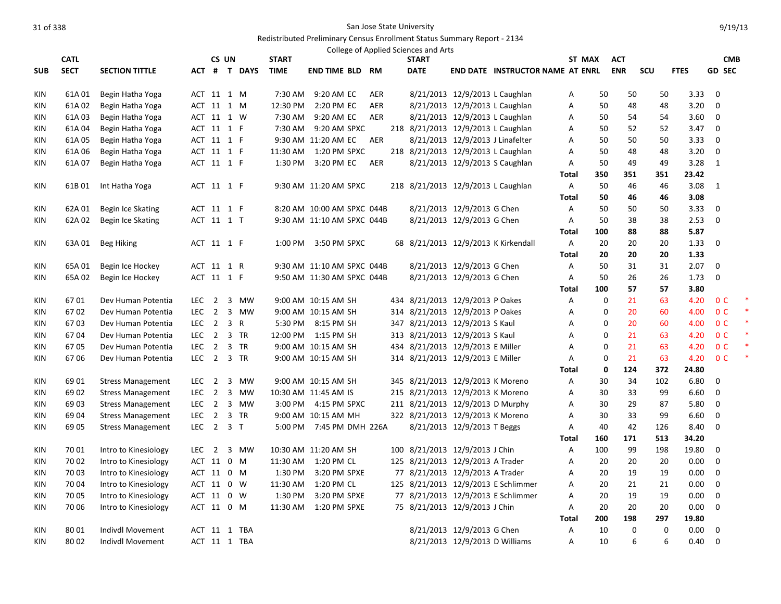|            |             |                          |            |                |              |              |                            |            | College of Applied Sciences and Arts |                                  |                                         |              |             |            |          |                     |                |                |  |
|------------|-------------|--------------------------|------------|----------------|--------------|--------------|----------------------------|------------|--------------------------------------|----------------------------------|-----------------------------------------|--------------|-------------|------------|----------|---------------------|----------------|----------------|--|
|            | <b>CATL</b> |                          |            | CS UN          |              | <b>START</b> |                            |            | <b>START</b>                         |                                  |                                         | ST MAX       |             | <b>ACT</b> |          |                     |                | <b>CMB</b>     |  |
| <b>SUB</b> | <b>SECT</b> | <b>SECTION TITTLE</b>    |            |                | ACT # T DAYS | <b>TIME</b>  | <b>END TIME BLD RM</b>     |            | <b>DATE</b>                          |                                  | <b>END DATE INSTRUCTOR NAME AT ENRL</b> |              |             | <b>ENR</b> | scu      | <b>FTES</b>         |                | <b>GD SEC</b>  |  |
| KIN        | 61A 01      | Begin Hatha Yoga         |            | ACT 11 1 M     |              | 7:30 AM      | 9:20 AM EC                 | <b>AER</b> |                                      | 8/21/2013 12/9/2013 L Caughlan   |                                         | Α            | 50          | 50         | 50       | 3.33                | $\mathbf 0$    |                |  |
| <b>KIN</b> | 61A 02      | Begin Hatha Yoga         |            | ACT 11 1 M     |              | 12:30 PM     | 2:20 PM EC                 | AER        |                                      | 8/21/2013 12/9/2013 L Caughlan   |                                         | Α            | 50          | 48         | 48       | 3.20                | $\mathbf 0$    |                |  |
| KIN        | 61A03       | Begin Hatha Yoga         |            | ACT 11 1 W     |              | 7:30 AM      | 9:20 AM EC                 | AER        |                                      | 8/21/2013 12/9/2013 L Caughlan   |                                         | Α            | 50          | 54         | 54       | 3.60                | $\mathbf 0$    |                |  |
| KIN        | 61A 04      | Begin Hatha Yoga         |            | ACT 11 1 F     |              | 7:30 AM      | 9:20 AM SPXC               |            | 218 8/21/2013 12/9/2013 L Caughlan   |                                  |                                         | Α            | 50          | 52         | 52       | 3.47                | $\mathbf 0$    |                |  |
| <b>KIN</b> | 61A 05      | Begin Hatha Yoga         |            | ACT 11 1 F     |              |              | 9:30 AM 11:20 AM EC        | AER        |                                      | 8/21/2013 12/9/2013 J Linafelter |                                         | Α            | 50          | 50         | 50       | 3.33                | $\mathbf 0$    |                |  |
| KIN        | 61A06       | Begin Hatha Yoga         |            | ACT 11 1 F     |              | 11:30 AM     | 1:20 PM SPXC               |            | 218 8/21/2013 12/9/2013 L Caughlan   |                                  |                                         | Α            | 50          | 48         | 48       | 3.20                | $\mathbf 0$    |                |  |
| <b>KIN</b> | 61A07       | Begin Hatha Yoga         |            | ACT 11 1 F     |              | 1:30 PM      | 3:20 PM EC                 | AER        |                                      |                                  | 8/21/2013 12/9/2013 S Caughlan          | Α            | 50          | 49         | 49       | 3.28                | 1              |                |  |
|            |             |                          |            |                |              |              |                            |            |                                      |                                  |                                         | <b>Total</b> | 350         | 351        | 351      | 23.42               |                |                |  |
| KIN        | 61B 01      | Int Hatha Yoga           |            | ACT 11 1 F     |              |              | 9:30 AM 11:20 AM SPXC      |            | 218 8/21/2013 12/9/2013 L Caughlan   |                                  |                                         | A            | 50          | 46         | 46       | 3.08                | $\mathbf{1}$   |                |  |
|            |             |                          |            |                |              |              |                            |            |                                      |                                  |                                         | <b>Total</b> | 50          | 46         | 46       | 3.08                |                |                |  |
| KIN        | 62A 01      | Begin Ice Skating        |            | ACT 11 1 F     |              |              | 8:20 AM 10:00 AM SPXC 044B |            |                                      | 8/21/2013 12/9/2013 G Chen       |                                         | Α            | 50          | 50         | 50       | 3.33                | $\mathbf{0}$   |                |  |
| KIN        | 62A 02      | Begin Ice Skating        |            | ACT 11 1 T     |              |              | 9:30 AM 11:10 AM SPXC 044B |            |                                      | 8/21/2013 12/9/2013 G Chen       |                                         | Α            | 50          | 38         | 38       | 2.53                | $\mathbf 0$    |                |  |
|            |             |                          |            |                |              |              |                            |            |                                      |                                  |                                         | Total        | 100         | 88         | 88       | 5.87                |                |                |  |
| KIN        | 63A 01      | Beg Hiking               |            | ACT 11 1 F     |              |              | 1:00 PM 3:50 PM SPXC       |            |                                      |                                  | 68 8/21/2013 12/9/2013 K Kirkendall     | Α            | 20          | 20         | 20       | 1.33                | $\mathbf 0$    |                |  |
|            |             |                          |            |                |              |              |                            |            |                                      |                                  |                                         | <b>Total</b> | 20          | 20         | 20       | 1.33                |                |                |  |
| KIN        | 65A 01      | Begin Ice Hockey         |            | ACT 11 1 R     |              |              | 9:30 AM 11:10 AM SPXC 044B |            |                                      | 8/21/2013 12/9/2013 G Chen       |                                         | Α            | 50          | 31         | 31       | 2.07                | $\mathbf 0$    |                |  |
| KIN        | 65A 02      | Begin Ice Hockey         |            | ACT 11 1 F     |              |              | 9:50 AM 11:30 AM SPXC 044B |            |                                      | 8/21/2013 12/9/2013 G Chen       |                                         | Α            | 50          | 26         | 26       | 1.73                |                | $\mathbf 0$    |  |
|            |             |                          |            |                |              |              |                            |            |                                      |                                  |                                         | <b>Total</b> | 100         | 57         | 57       | 3.80                |                |                |  |
| KIN        | 6701        | Dev Human Potentia       | <b>LEC</b> | $\overline{2}$ | 3 MW         |              | 9:00 AM 10:15 AM SH        |            | 434 8/21/2013 12/9/2013 P Oakes      |                                  |                                         | Α            | 0           | 21         | 63       | 4.20                |                | 0 <sup>C</sup> |  |
| <b>KIN</b> | 6702        | Dev Human Potentia       | LEC.       | $\overline{2}$ | 3 MW         |              | 9:00 AM 10:15 AM SH        |            | 314 8/21/2013 12/9/2013 P Oakes      |                                  |                                         | A            | $\mathbf 0$ | 20         | 60       | 4.00                |                | 0 <sup>C</sup> |  |
| KIN        | 6703        | Dev Human Potentia       |            | LEC 2 3 R      |              |              | 5:30 PM 8:15 PM SH         |            | 347 8/21/2013 12/9/2013 S Kaul       |                                  |                                         | Α            | 0           | 20         | 60       | 4.00                |                | 0 <sup>C</sup> |  |
| KIN        | 6704        | Dev Human Potentia       | LEC        |                | 2 3 TR       |              | 12:00 PM 1:15 PM SH        |            | 313 8/21/2013 12/9/2013 S Kaul       |                                  |                                         | A            | 0           | 21         | 63       | 4.20                |                | 0 <sup>C</sup> |  |
| <b>KIN</b> | 6705        | Dev Human Potentia       | <b>LEC</b> | $\overline{2}$ | 3 TR         |              | 9:00 AM 10:15 AM SH        |            | 434 8/21/2013 12/9/2013 E Miller     |                                  |                                         | A            | 0           | 21         | 63       | 4.20                |                | 0 <sup>C</sup> |  |
| <b>KIN</b> | 6706        | Dev Human Potentia       | <b>LEC</b> | $\overline{2}$ | 3 TR         |              | 9:00 AM 10:15 AM SH        |            | 314 8/21/2013 12/9/2013 E Miller     |                                  |                                         | Α            | $\mathbf 0$ | 21         | 63       | 4.20                |                | 0 <sup>C</sup> |  |
|            |             |                          |            |                |              |              |                            |            |                                      |                                  |                                         | <b>Total</b> | $\mathbf 0$ | 124        | 372      | 24.80               |                |                |  |
| KIN        | 69 01       | <b>Stress Management</b> | LEC.       | $\overline{2}$ | 3 MW         |              | 9:00 AM 10:15 AM SH        |            | 345 8/21/2013 12/9/2013 K Moreno     |                                  |                                         | A            | 30          | 34         | 102      | 6.80                | $\Omega$       |                |  |
| <b>KIN</b> | 69 02       | <b>Stress Management</b> | <b>LEC</b> | $\overline{2}$ | 3 MW         |              | 10:30 AM 11:45 AM IS       |            | 215 8/21/2013 12/9/2013 K Moreno     |                                  |                                         | Α            | 30          | 33         | 99       | 6.60                | $\mathbf 0$    |                |  |
| KIN        | 69 03       | <b>Stress Management</b> |            |                | LEC 2 3 MW   |              | 3:00 PM 4:15 PM SPXC       |            | 211 8/21/2013 12/9/2013 D Murphy     |                                  |                                         | Α            | 30          | 29         | 87       | 5.80                | $\mathbf 0$    |                |  |
| <b>KIN</b> | 69 04       | <b>Stress Management</b> | LEC        |                | 2 3 TR       |              | 9:00 AM 10:15 AM MH        |            | 322 8/21/2013 12/9/2013 K Moreno     |                                  |                                         | Α            | 30          | 33         | 99       | 6.60                | $\mathbf 0$    |                |  |
| KIN        | 6905        | <b>Stress Management</b> |            | LEC 2 3 T      |              |              | 5:00 PM 7:45 PM DMH 226A   |            |                                      | 8/21/2013 12/9/2013 T Beggs      |                                         | Α            | 40          | 42         | 126      | 8.40                | $\mathbf 0$    |                |  |
|            |             |                          |            |                |              |              |                            |            |                                      |                                  |                                         | <b>Total</b> | 160         | 171        | 513      | 34.20               |                |                |  |
| KIN        | 7001        | Intro to Kinesiology     | LEC        | $\overline{2}$ | 3 MW         |              | 10:30 AM 11:20 AM SH       |            | 100 8/21/2013 12/9/2013 J Chin       |                                  |                                         | Α            | 100         | 99         | 198      | 19.80               | $\Omega$       |                |  |
| KIN        | 70 02       | Intro to Kinesiology     |            | ACT 11 0 M     |              |              | 11:30 AM  1:20 PM CL       |            | 125 8/21/2013 12/9/2013 A Trader     |                                  |                                         | Α            | 20          | 20         | 20       | 0.00                | $\overline{0}$ |                |  |
| <b>KIN</b> | 70 03       | Intro to Kinesiology     |            | ACT 11 0 M     |              | 1:30 PM      | 3:20 PM SPXE               |            | 77 8/21/2013 12/9/2013 A Trader      |                                  |                                         | Α            | 20          | 19         | 19       | 0.00                | $\mathbf 0$    |                |  |
| KIN        | 70 04       | Intro to Kinesiology     |            | ACT 11 0 W     |              | 11:30 AM     | 1:20 PM CL                 |            |                                      |                                  | 125 8/21/2013 12/9/2013 E Schlimmer     | Α            | 20          | 21         | 21       | 0.00                | $\mathbf 0$    |                |  |
| KIN        | 70 05       | Intro to Kinesiology     |            | ACT 11         | 0 W          | 1:30 PM      | 3:20 PM SPXE               |            |                                      |                                  | 77 8/21/2013 12/9/2013 E Schlimmer      | Α            | 20          | 19         | 19       | 0.00                | $\mathbf 0$    |                |  |
| KIN        | 70 06       | Intro to Kinesiology     |            | ACT 11 0 M     |              |              | 11:30 AM  1:20 PM SPXE     |            | 75 8/21/2013 12/9/2013 J Chin        |                                  |                                         | Α            | 20          | 20         | 20       | 0.00                | $\mathbf 0$    |                |  |
|            |             |                          |            |                |              |              |                            |            |                                      |                                  |                                         | Total        | 200         | 198        | 297      | 19.80               |                |                |  |
| KIN        | 80 01       | <b>Indivdl Movement</b>  |            |                | ACT 11 1 TBA |              |                            |            |                                      | 8/21/2013 12/9/2013 G Chen       |                                         | Α            | 10          |            | $\Omega$ | $\mathbf 0$<br>0.00 |                | $\mathbf 0$    |  |
| <b>KIN</b> | 8002        | Indivdl Movement         |            |                | ACT 11 1 TBA |              |                            |            |                                      | 8/21/2013 12/9/2013 D Williams   |                                         | A            | 10          |            | 6        | 6<br>0.40           |                | $\Omega$       |  |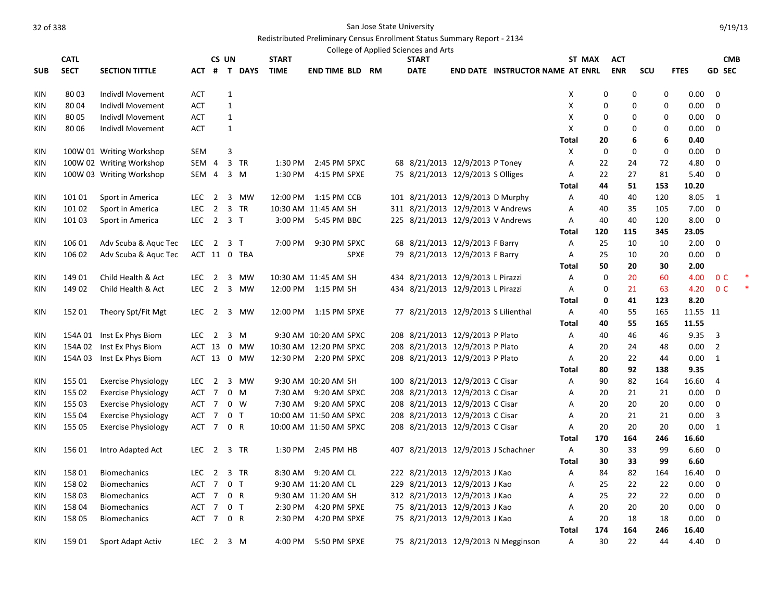|            |             |                            |                  |                 |                |              |              |                        |             |  | College of Applied Sciences and Arts |                                         |              |             |            |     |                 |                         |  |
|------------|-------------|----------------------------|------------------|-----------------|----------------|--------------|--------------|------------------------|-------------|--|--------------------------------------|-----------------------------------------|--------------|-------------|------------|-----|-----------------|-------------------------|--|
|            | <b>CATL</b> |                            |                  |                 | CS UN          |              | <b>START</b> |                        |             |  | <b>START</b>                         |                                         | ST MAX       |             | <b>ACT</b> |     |                 | <b>CMB</b>              |  |
| <b>SUB</b> | <b>SECT</b> | <b>SECTION TITTLE</b>      |                  |                 |                | ACT # T DAYS | <b>TIME</b>  | <b>END TIME BLD RM</b> |             |  | <b>DATE</b>                          | <b>END DATE INSTRUCTOR NAME AT ENRL</b> |              |             | <b>ENR</b> | SCU | <b>FTES</b>     | <b>GD SEC</b>           |  |
| KIN        | 80 03       | Indivdl Movement           | <b>ACT</b>       |                 | $\mathbf{1}$   |              |              |                        |             |  |                                      |                                         | X            | $\mathbf 0$ |            | 0   | 0<br>0.00       | $\overline{0}$          |  |
| KIN        | 8004        | Indivdl Movement           | <b>ACT</b>       |                 | $\mathbf{1}$   |              |              |                        |             |  |                                      |                                         | X            | 0           |            | 0   | 0<br>0.00       | $\mathbf 0$             |  |
| KIN        | 80 05       | Indivdl Movement           | <b>ACT</b>       |                 | $\mathbf{1}$   |              |              |                        |             |  |                                      |                                         | X            | 0           |            | 0   | 0<br>0.00       | $\mathbf 0$             |  |
| KIN        | 80 06       | Indivdl Movement           | <b>ACT</b>       |                 | $\mathbf{1}$   |              |              |                        |             |  |                                      |                                         | Χ            | 0           |            | 0   | 0<br>0.00       | $\mathbf 0$             |  |
|            |             |                            |                  |                 |                |              |              |                        |             |  |                                      |                                         | <b>Total</b> | 20          |            | 6   | 6<br>0.40       |                         |  |
| KIN        |             | 100W 01 Writing Workshop   | <b>SEM</b>       |                 | 3              |              |              |                        |             |  |                                      |                                         | X            | 0           | 0          |     | 0<br>0.00       | $\mathbf 0$             |  |
| KIN        |             | 100W 02 Writing Workshop   | SEM 4            |                 | 3 TR           |              | 1:30 PM      | 2:45 PM SPXC           |             |  | 68 8/21/2013 12/9/2013 P Toney       |                                         | Α            | 22          | 24         |     | 4.80<br>72      | $\mathbf 0$             |  |
| KIN        |             | 100W 03 Writing Workshop   | SEM 4            |                 | 3 M            |              | 1:30 PM      | 4:15 PM SPXE           |             |  | 75 8/21/2013 12/9/2013 S Olliges     |                                         | Α            | 22          | 27         |     | 81<br>5.40      | $\mathbf 0$             |  |
|            |             |                            |                  |                 |                |              |              |                        |             |  |                                      |                                         | <b>Total</b> | 44          | 51         |     | 153<br>10.20    |                         |  |
| KIN        | 101 01      | Sport in America           | <b>LEC</b>       | $\overline{2}$  |                | 3 MW         | 12:00 PM     | 1:15 PM CCB            |             |  | 101 8/21/2013 12/9/2013 D Murphy     |                                         | Α            | 40          | 40         |     | 8.05<br>120     | $\mathbf{1}$            |  |
| KIN        | 101 02      | Sport in America           | <b>LEC</b>       | $\overline{2}$  | 3 TR           |              |              | 10:30 AM 11:45 AM SH   |             |  | 311 8/21/2013 12/9/2013 V Andrews    |                                         | Α            | 40          | 35         |     | 7.00<br>105     | $\mathbf 0$             |  |
| KIN        | 101 03      | Sport in America           | LEC 2 3 T        |                 |                |              | 3:00 PM      | 5:45 PM BBC            |             |  | 225 8/21/2013 12/9/2013 V Andrews    |                                         | Α            | 40          | 40         |     | 8.00<br>120     | $\mathbf 0$             |  |
|            |             |                            |                  |                 |                |              |              |                        |             |  |                                      |                                         | <b>Total</b> | 120         | 115        |     | 345<br>23.05    |                         |  |
| KIN        | 106 01      | Adv Scuba & Aquc Tec       | LEC 2 3 T        |                 |                |              | 7:00 PM      | 9:30 PM SPXC           |             |  | 68 8/21/2013 12/9/2013 F Barry       |                                         | Α            | 25          | 10         |     | 2.00<br>10      | $\mathbf 0$             |  |
| KIN        | 106 02      | Adv Scuba & Aquc Tec       | ACT 11 0 TBA     |                 |                |              |              |                        | <b>SPXE</b> |  | 79 8/21/2013 12/9/2013 F Barry       |                                         | Α            | 25          | 10         |     | 0.00<br>20      | $\mathbf 0$             |  |
|            |             |                            |                  |                 |                |              |              |                        |             |  |                                      |                                         | Total        | 50          | 20         |     | 30<br>2.00      |                         |  |
| KIN        | 149 01      | Child Health & Act         | <b>LEC</b>       |                 |                | 2 3 MW       |              | 10:30 AM 11:45 AM SH   |             |  | 434 8/21/2013 12/9/2013 L Pirazzi    |                                         | Α            | $\mathbf 0$ | 20         |     | 4.00<br>60      | 0 <sup>C</sup>          |  |
| KIN        | 149 02      | Child Health & Act         | LEC 2 3 MW       |                 |                |              |              | 12:00 PM 1:15 PM SH    |             |  | 434 8/21/2013 12/9/2013 L Pirazzi    |                                         | Α            | 0           | 21         |     | 4.20<br>63      | 0 <sup>C</sup>          |  |
|            |             |                            |                  |                 |                |              |              |                        |             |  |                                      |                                         | Total        | 0           | 41         |     | 8.20<br>123     |                         |  |
| KIN        | 152 01      | Theory Spt/Fit Mgt         | <b>LEC</b>       | $\overline{2}$  |                | 3 MW         | 12:00 PM     | 1:15 PM SPXE           |             |  | 77 8/21/2013 12/9/2013 S Lilienthal  |                                         | Α            | 40          | 55         |     | 165<br>11.55 11 |                         |  |
|            |             |                            |                  |                 |                |              |              |                        |             |  |                                      |                                         | Total        | 40          | 55         |     | 11.55<br>165    |                         |  |
| KIN        |             | 154A 01 Inst Ex Phys Biom  | LEC <sub>2</sub> |                 | 3 M            |              |              | 9:30 AM 10:20 AM SPXC  |             |  | 208 8/21/2013 12/9/2013 P Plato      |                                         | Α            | 40          | 46         |     | 9.35<br>46      | $\overline{\mathbf{3}}$ |  |
| KIN        |             | 154A 02 Inst Ex Phys Biom  |                  |                 |                | ACT 13 0 MW  |              | 10:30 AM 12:20 PM SPXC |             |  | 208 8/21/2013 12/9/2013 P Plato      |                                         | A            | 20          | 24         |     | 0.00<br>48      | $\overline{2}$          |  |
| KIN        |             | 154A 03 Inst Ex Phys Biom  | ACT 13 0 MW      |                 |                |              |              | 12:30 PM 2:20 PM SPXC  |             |  | 208 8/21/2013 12/9/2013 P Plato      |                                         | Α            | 20          | 22         |     | 0.00<br>44      | $\mathbf{1}$            |  |
|            |             |                            |                  |                 |                |              |              |                        |             |  |                                      |                                         | Total        | 80          | 92         |     | 9.35<br>138     |                         |  |
| KIN        | 155 01      | <b>Exercise Physiology</b> | <b>LEC</b>       | $\overline{2}$  |                | 3 MW         |              | 9:30 AM 10:20 AM SH    |             |  | 100 8/21/2013 12/9/2013 C Cisar      |                                         | Α            | 90          | 82         |     | 164<br>16.60    | $\overline{4}$          |  |
| KIN        | 155 02      | <b>Exercise Physiology</b> | ACT 7            |                 | $0 \t M$       |              | 7:30 AM      | 9:20 AM SPXC           |             |  | 208 8/21/2013 12/9/2013 C Cisar      |                                         | A            | 20          | 21         |     | 21<br>0.00      | $\mathbf 0$             |  |
| KIN        | 155 03      | <b>Exercise Physiology</b> | ACT 7            |                 | $0 \quad W$    |              | 7:30 AM      | 9:20 AM SPXC           |             |  | 208 8/21/2013 12/9/2013 C Cisar      |                                         | Α            | 20          | 20         |     | 0.00<br>20      | 0                       |  |
| KIN        | 155 04      | <b>Exercise Physiology</b> | ACT 7            |                 | 0 <sub>T</sub> |              |              | 10:00 AM 11:50 AM SPXC |             |  | 208 8/21/2013 12/9/2013 C Cisar      |                                         | Α            | 20          | 21         |     | 0.00<br>21      | $\overline{3}$          |  |
| KIN        | 155 05      | <b>Exercise Physiology</b> | ACT 7            |                 | 0 R            |              |              | 10:00 AM 11:50 AM SPXC |             |  | 208 8/21/2013 12/9/2013 C Cisar      |                                         | Α            | 20          | 20         |     | 20<br>0.00      | $\mathbf{1}$            |  |
|            |             |                            |                  |                 |                |              |              |                        |             |  |                                      |                                         | Total        | 170         | 164        |     | 16.60<br>246    |                         |  |
| KIN        | 156 01      | Intro Adapted Act          | LEC 2 3 TR       |                 |                |              |              | 1:30 PM 2:45 PM HB     |             |  |                                      | 407 8/21/2013 12/9/2013 J Schachner     | Α            | 30          | 33         |     | 6.60<br>99      | $\mathbf 0$             |  |
|            |             |                            |                  |                 |                |              |              |                        |             |  |                                      |                                         | Total        | 30          | 33         |     | 6.60<br>99      |                         |  |
| KIN        | 158 01      | <b>Biomechanics</b>        | <b>LEC</b>       | 2               | 3 TR           |              | 8:30 AM      | 9:20 AM CL             |             |  | 222 8/21/2013 12/9/2013 J Kao        |                                         | Α            | 84          | 82         |     | 164<br>16.40    | $\mathbf 0$             |  |
| KIN        | 158 02      | <b>Biomechanics</b>        | ACT              | $7\overline{ }$ | 0 <sub>T</sub> |              |              | 9:30 AM 11:20 AM CL    |             |  | 229 8/21/2013 12/9/2013 J Kao        |                                         | A            | 25          | 22         |     | 22<br>0.00      | $\mathbf 0$             |  |
| KIN        | 158 03      | <b>Biomechanics</b>        | ACT 7            |                 | 0 R            |              |              | 9:30 AM 11:20 AM SH    |             |  | 312 8/21/2013 12/9/2013 J Kao        |                                         | Α            | 25          | 22         |     | 22<br>0.00      | $\mathbf 0$             |  |
| KIN        | 158 04      | <b>Biomechanics</b>        | ACT 7            |                 | 0 <sub>T</sub> |              | 2:30 PM      | 4:20 PM SPXE           |             |  | 75 8/21/2013 12/9/2013 J Kao         |                                         | Α            | 20          | 20         |     | 20<br>0.00      | $\mathbf 0$             |  |
| KIN        | 158 05      | <b>Biomechanics</b>        | ACT 7            |                 | 0 R            |              | 2:30 PM      | 4:20 PM SPXE           |             |  | 75 8/21/2013 12/9/2013 J Kao         |                                         | Α            | 20          | 18         |     | 18<br>0.00      | $\mathbf 0$             |  |
|            |             |                            |                  |                 |                |              |              |                        |             |  |                                      |                                         | Total        | 174         | 164        |     | 246<br>16.40    |                         |  |
| KIN        | 159 01      | Sport Adapt Activ          | LEC <sub>2</sub> |                 | 3 M            |              | 4:00 PM      | 5:50 PM SPXE           |             |  |                                      | 75 8/21/2013 12/9/2013 N Megginson      | Α            | 30          | 22         |     | 4.40<br>44      | 0                       |  |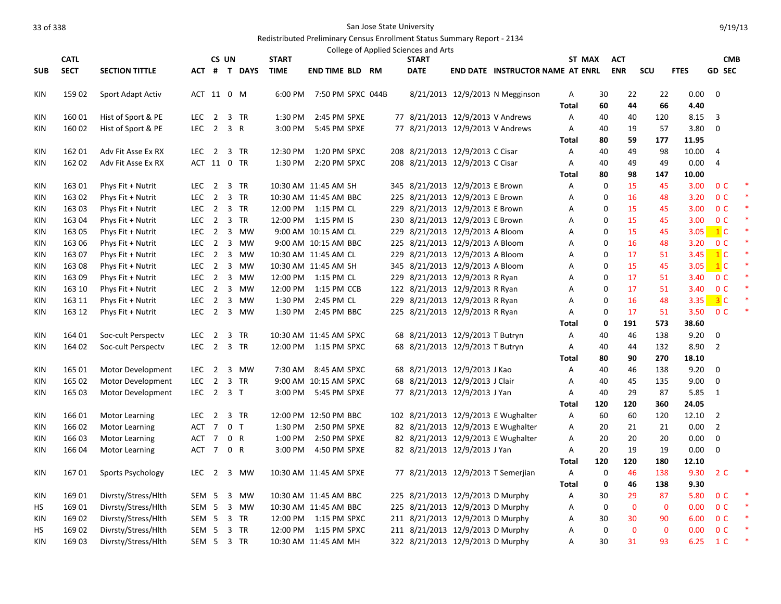|            |             |                       |                  |                         |                |              |                           |  | College of Applied Sciences and Arts |                                  |                                         |              |             |             |              |             |                 |            |
|------------|-------------|-----------------------|------------------|-------------------------|----------------|--------------|---------------------------|--|--------------------------------------|----------------------------------|-----------------------------------------|--------------|-------------|-------------|--------------|-------------|-----------------|------------|
|            | <b>CATL</b> |                       |                  | CS UN                   |                | <b>START</b> |                           |  | <b>START</b>                         |                                  |                                         | ST MAX       |             | <b>ACT</b>  |              |             |                 | <b>CMB</b> |
| <b>SUB</b> | <b>SECT</b> | <b>SECTION TITTLE</b> |                  |                         | ACT # T DAYS   | <b>TIME</b>  | <b>END TIME BLD RM</b>    |  | <b>DATE</b>                          |                                  | <b>END DATE INSTRUCTOR NAME AT ENRL</b> |              |             | <b>ENR</b>  | scu          | <b>FTES</b> | <b>GD SEC</b>   |            |
| KIN        | 159 02      | Sport Adapt Activ     |                  |                         | ACT 11 0 M     |              | 6:00 PM 7:50 PM SPXC 044B |  |                                      |                                  | 8/21/2013 12/9/2013 N Megginson         | Α            | 30          | 22          | 22           | 0.00        | $\overline{0}$  |            |
|            |             |                       |                  |                         |                |              |                           |  |                                      |                                  |                                         | <b>Total</b> | 60          | 44          | 66           | 4.40        |                 |            |
| KIN        | 160 01      | Hist of Sport & PE    |                  |                         | LEC 2 3 TR     | 1:30 PM      | 2:45 PM SPXE              |  |                                      |                                  | 77 8/21/2013 12/9/2013 V Andrews        | Α            | 40          | 40          | 120          | 8.15        | $\overline{3}$  |            |
| KIN        | 160 02      | Hist of Sport & PE    | LEC <sub>2</sub> |                         | 3 R            | 3:00 PM      | 5:45 PM SPXE              |  |                                      |                                  | 77 8/21/2013 12/9/2013 V Andrews        | Α            | 40          | 19          | 57           | 3.80        | $\mathbf 0$     |            |
|            |             |                       |                  |                         |                |              |                           |  |                                      |                                  |                                         | <b>Total</b> | 80          | 59          | 177          | 11.95       |                 |            |
| KIN        | 162 01      | Adv Fit Asse Ex RX    |                  |                         | LEC 2 3 TR     | 12:30 PM     | 1:20 PM SPXC              |  |                                      | 208 8/21/2013 12/9/2013 C Cisar  |                                         | Α            | 40          | 49          | 98           | 10.00       | $\overline{4}$  |            |
| KIN        | 162 02      | Adv Fit Asse Ex RX    |                  |                         | ACT 11 0 TR    | 1:30 PM      | 2:20 PM SPXC              |  |                                      | 208 8/21/2013 12/9/2013 C Cisar  |                                         | Α            | 40          | 49          | 49           | 0.00        | $\overline{4}$  |            |
|            |             |                       |                  |                         |                |              |                           |  |                                      |                                  |                                         | <b>Total</b> | 80          | 98          | 147          | 10.00       |                 |            |
| KIN        | 163 01      | Phys Fit + Nutrit     | LEC.             | $\overline{2}$          | 3 TR           |              | 10:30 AM 11:45 AM SH      |  |                                      | 345 8/21/2013 12/9/2013 E Brown  |                                         | Α            | $\bf{0}$    | 15          | 45           | 3.00        | 0 <sup>C</sup>  |            |
| KIN        | 163 02      | Phys Fit + Nutrit     | <b>LEC</b>       |                         | 2 3 TR         |              | 10:30 AM 11:45 AM BBC     |  |                                      | 225 8/21/2013 12/9/2013 E Brown  |                                         | Α            | 0           | 16          | 48           | 3.20        | 0 <sup>C</sup>  |            |
| KIN        | 163 03      | Phys Fit + Nutrit     | <b>LEC</b>       | $\overline{2}$          | 3 TR           |              | 12:00 PM 1:15 PM CL       |  |                                      | 229 8/21/2013 12/9/2013 E Brown  |                                         | Α            | 0           | 15          | 45           | 3.00        | 0 <sup>C</sup>  |            |
| KIN        | 163 04      | Phys Fit + Nutrit     | <b>LEC</b>       | $\overline{2}$          | 3 TR           |              | 12:00 PM 1:15 PM IS       |  |                                      | 230 8/21/2013 12/9/2013 E Brown  |                                         | Α            | $\mathbf 0$ | 15          | 45           | 3.00        | 0 <sup>C</sup>  |            |
| KIN        | 163 05      | Phys Fit + Nutrit     | <b>LEC</b>       | $\overline{2}$          | 3 MW           |              | 9:00 AM 10:15 AM CL       |  |                                      | 229 8/21/2013 12/9/2013 A Bloom  |                                         | Α            | 0           | 15          | 45           | 3.05        | $\overline{1}C$ |            |
| KIN        | 163 06      | Phys Fit + Nutrit     |                  |                         | LEC 2 3 MW     |              | 9:00 AM 10:15 AM BBC      |  |                                      | 225 8/21/2013 12/9/2013 A Bloom  |                                         | Α            | $\mathbf 0$ | 16          | 48           | 3.20        | 0 <sup>C</sup>  |            |
| KIN        | 163 07      | Phys Fit + Nutrit     | <b>LEC</b>       | $\overline{2}$          | 3 MW           |              | 10:30 AM 11:45 AM CL      |  |                                      | 229 8/21/2013 12/9/2013 A Bloom  |                                         | Α            | 0           | 17          | 51           | 3.45        | 1 <sup>c</sup>  |            |
| <b>KIN</b> | 163 08      | Phys Fit + Nutrit     | LEC.             | $\overline{\mathbf{c}}$ | 3 MW           |              | 10:30 AM 11:45 AM SH      |  |                                      | 345 8/21/2013 12/9/2013 A Bloom  |                                         | A            | $\mathbf 0$ | 15          | 45           | 3.05        | $\boxed{1}$ C   |            |
| KIN        | 163 09      | Phys Fit + Nutrit     | LEC <sub>2</sub> |                         | 3 MW           |              | 12:00 PM 1:15 PM CL       |  |                                      | 229 8/21/2013 12/9/2013 R Ryan   |                                         | Α            | 0           | 17          | 51           | 3.40        | 0 <sup>C</sup>  |            |
| KIN        | 163 10      | Phys Fit + Nutrit     | <b>LEC</b>       | $\overline{2}$          | 3 MW           |              | 12:00 PM 1:15 PM CCB      |  |                                      | 122 8/21/2013 12/9/2013 R Ryan   |                                         | A            | $\mathbf 0$ | 17          | 51           | 3.40        | 0 <sup>C</sup>  |            |
| KIN        | 163 11      | Phys Fit + Nutrit     | <b>LEC</b>       | $\overline{2}$          | 3 MW           | 1:30 PM      | 2:45 PM CL                |  |                                      | 229 8/21/2013 12/9/2013 R Ryan   |                                         | Α            | 0           | 16          | 48           | 3.35        | 3C              |            |
| KIN        | 163 12      | Phys Fit + Nutrit     | LEC <sub>2</sub> |                         | 3 MW           | 1:30 PM      | 2:45 PM BBC               |  |                                      | 225 8/21/2013 12/9/2013 R Ryan   |                                         | Α            | $\mathbf 0$ | 17          | 51           | 3.50        | 0 <sup>C</sup>  |            |
|            |             |                       |                  |                         |                |              |                           |  |                                      |                                  |                                         | <b>Total</b> | 0           | 191         | 573          | 38.60       |                 |            |
| KIN        | 164 01      | Soc-cult Perspectv    | LEC.             | $\overline{2}$          | 3 TR           |              | 10:30 AM 11:45 AM SPXC    |  |                                      | 68 8/21/2013 12/9/2013 T Butryn  |                                         | Α            | 40          | 46          | 138          | 9.20        | $\mathbf 0$     |            |
| KIN        | 164 02      | Soc-cult Perspectv    |                  |                         | LEC 2 3 TR     |              | 12:00 PM   1:15 PM SPXC   |  |                                      | 68 8/21/2013 12/9/2013 T Butryn  |                                         | Α            | 40          | 44          | 132          | 8.90        | $\overline{2}$  |            |
|            |             |                       |                  |                         |                |              |                           |  |                                      |                                  |                                         | Total        | 80          | 90          | 270          | 18.10       |                 |            |
| KIN        | 165 01      | Motor Development     | <b>LEC</b>       | $\overline{2}$          | 3 MW           |              | 7:30 AM 8:45 AM SPXC      |  |                                      | 68 8/21/2013 12/9/2013 J Kao     |                                         | Α            | 40          | 46          | 138          | 9.20        | $\overline{0}$  |            |
| KIN        | 165 02      | Motor Development     | <b>LEC</b>       |                         | 2 3 TR         |              | 9:00 AM 10:15 AM SPXC     |  |                                      | 68 8/21/2013 12/9/2013 J Clair   |                                         | Α            | 40          | 45          | 135          | 9.00        | $\overline{0}$  |            |
| KIN        | 165 03      | Motor Development     | LEC <sub>2</sub> |                         | 3 <sub>1</sub> |              | 3:00 PM 5:45 PM SPXE      |  |                                      | 77 8/21/2013 12/9/2013 J Yan     |                                         | Α            | 40          | 29          | 87           | 5.85        | $\mathbf{1}$    |            |
|            |             |                       |                  |                         |                |              |                           |  |                                      |                                  |                                         | <b>Total</b> | 120         | 120         | 360          | 24.05       |                 |            |
| KIN        | 166 01      | <b>Motor Learning</b> | LEC <sub>2</sub> |                         | 3 TR           |              | 12:00 PM 12:50 PM BBC     |  |                                      |                                  | 102 8/21/2013 12/9/2013 E Wughalter     | Α            | 60          | 60          | 120          | 12.10       | $\overline{2}$  |            |
| KIN        | 166 02      | <b>Motor Learning</b> | ACT 7            |                         | 0 <sub>T</sub> | 1:30 PM      | 2:50 PM SPXE              |  |                                      |                                  | 82 8/21/2013 12/9/2013 E Wughalter      | Α            | 20          | 21          | 21           | 0.00        | $\overline{2}$  |            |
| KIN        | 166 03      | <b>Motor Learning</b> | ACT 7            |                         | 0 R            | 1:00 PM      | 2:50 PM SPXE              |  |                                      |                                  | 82 8/21/2013 12/9/2013 E Wughalter      | Α            | 20          | 20          | 20           | 0.00        | $\mathbf 0$     |            |
| KIN        | 166 04      | <b>Motor Learning</b> | ACT 7            |                         | 0 R            | 3:00 PM      | 4:50 PM SPXE              |  |                                      | 82 8/21/2013 12/9/2013 J Yan     |                                         | Α            | 20          | 19          | 19           | 0.00        | $\Omega$        |            |
|            |             |                       |                  |                         |                |              |                           |  |                                      |                                  |                                         | <b>Total</b> | 120         | 120         | 180          | 12.10       |                 |            |
| KIN        | 16701       | Sports Psychology     | LEC.             | $\overline{2}$          | 3 MW           |              | 10:30 AM 11:45 AM SPXE    |  |                                      |                                  | 77 8/21/2013 12/9/2013 T Semerjian      | Α            | 0           | 46          | 138          | 9.30        | 2 C             |            |
|            |             |                       |                  |                         |                |              |                           |  |                                      |                                  |                                         | <b>Total</b> | 0           | 46          | 138          | 9.30        |                 |            |
| KIN        | 169 01      | Divrsty/Stress/Hlth   | SEM 5            |                         | 3 MW           |              | 10:30 AM 11:45 AM BBC     |  |                                      | 225 8/21/2013 12/9/2013 D Murphy |                                         | Α            | 30          | 29          | 87           | 5.80        | 0 <sup>C</sup>  |            |
| HS         | 169 01      | Divrsty/Stress/Hlth   | SEM <sub>5</sub> |                         | 3 MW           |              | 10:30 AM 11:45 AM BBC     |  |                                      | 225 8/21/2013 12/9/2013 D Murphy |                                         | A            | 0           | $\mathbf 0$ | $\mathbf 0$  | 0.00        | 0 <sup>C</sup>  |            |
| KIN        | 169 02      | Divrsty/Stress/Hlth   | SEM 5            |                         | 3 TR           |              | 12:00 PM 1:15 PM SPXC     |  |                                      | 211 8/21/2013 12/9/2013 D Murphy |                                         | Α            | 30          | 30          | 90           | 6.00        | 0 <sup>C</sup>  |            |
| <b>HS</b>  | 169 02      | Divrsty/Stress/Hlth   |                  |                         | SEM 5 3 TR     |              | 12:00 PM   1:15 PM SPXC   |  |                                      | 211 8/21/2013 12/9/2013 D Murphy |                                         | A            | $\mathbf 0$ | $\Omega$    | $\mathbf{0}$ | 0.00        | 0 <sup>C</sup>  |            |
| KIN        | 169 03      | Divrsty/Stress/Hlth   |                  |                         | SEM 5 3 TR     |              | 10:30 AM 11:45 AM MH      |  |                                      | 322 8/21/2013 12/9/2013 D Murphy |                                         | A            | 30          | 31          | 93           | 6.25        | 1 C             |            |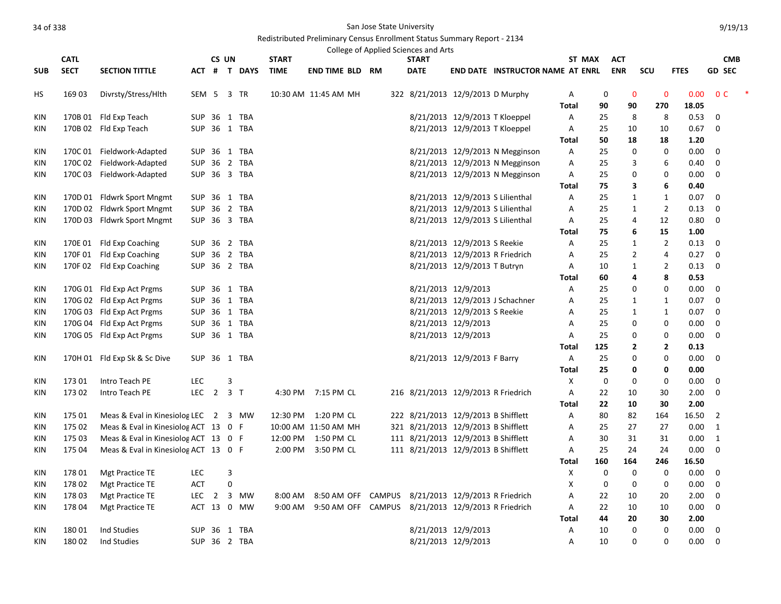|            | <b>CATL</b> |                                      |            | CS UN          |              | <b>START</b> |                                                            | College of Applied Sciences and Arts<br><b>START</b> |                                  |                                         | ST MAX       |     | <b>ACT</b>   |                     |             |                | <b>CMB</b> |
|------------|-------------|--------------------------------------|------------|----------------|--------------|--------------|------------------------------------------------------------|------------------------------------------------------|----------------------------------|-----------------------------------------|--------------|-----|--------------|---------------------|-------------|----------------|------------|
| <b>SUB</b> | <b>SECT</b> | <b>SECTION TITTLE</b>                |            |                | ACT # T DAYS | <b>TIME</b>  | <b>END TIME BLD RM</b>                                     | <b>DATE</b>                                          |                                  | <b>END DATE INSTRUCTOR NAME AT ENRL</b> |              |     | <b>ENR</b>   | SCU                 | <b>FTES</b> | <b>GD SEC</b>  |            |
|            |             |                                      |            |                |              |              |                                                            |                                                      |                                  |                                         |              |     |              |                     |             |                |            |
| HS         | 169 03      | Divrsty/Stress/Hlth                  |            |                | SEM 5 3 TR   |              | 10:30 AM 11:45 AM MH                                       | 322 8/21/2013 12/9/2013 D Murphy                     |                                  |                                         | Α            | 0   | $\mathbf 0$  | $\mathbf 0$         | 0.00        | 0 <sup>C</sup> |            |
|            |             |                                      |            |                |              |              |                                                            |                                                      |                                  |                                         | <b>Total</b> | 90  | 90           | 270                 | 18.05       |                |            |
| KIN        |             | 170B 01 Fld Exp Teach                |            |                | SUP 36 1 TBA |              |                                                            |                                                      | 8/21/2013 12/9/2013 T Kloeppel   |                                         | Α            | 25  | 8            | 8                   | 0.53        | $\mathbf 0$    |            |
| KIN        |             | 170B 02 Fld Exp Teach                |            |                | SUP 36 1 TBA |              |                                                            |                                                      | 8/21/2013 12/9/2013 T Kloeppel   |                                         | Α            | 25  | 10           | 10                  | 0.67        | $\mathbf 0$    |            |
|            |             |                                      |            |                |              |              |                                                            |                                                      |                                  |                                         | <b>Total</b> | 50  | 18           | 18                  | 1.20        |                |            |
| KIN        |             | 170C 01 Fieldwork-Adapted            |            |                | SUP 36 1 TBA |              |                                                            |                                                      |                                  | 8/21/2013 12/9/2013 N Megginson         | Α            | 25  | 0            | 0                   | 0.00        | $\mathbf 0$    |            |
| KIN        |             | 170C 02 Fieldwork-Adapted            |            |                | SUP 36 2 TBA |              |                                                            |                                                      |                                  | 8/21/2013 12/9/2013 N Megginson         | Α            | 25  | 3            | 6                   | 0.40        | $\mathbf 0$    |            |
| KIN        |             | 170C 03 Fieldwork-Adapted            |            |                | SUP 36 3 TBA |              |                                                            |                                                      |                                  | 8/21/2013 12/9/2013 N Megginson         | Α            | 25  | 0            | 0                   | 0.00        | $\mathbf 0$    |            |
|            |             |                                      |            |                |              |              |                                                            |                                                      |                                  |                                         | Total        | 75  | 3            | 6                   | 0.40        |                |            |
| KIN        |             | 170D 01 Fldwrk Sport Mngmt           |            |                | SUP 36 1 TBA |              |                                                            |                                                      |                                  | 8/21/2013 12/9/2013 S Lilienthal        | Α            | 25  | $\mathbf{1}$ | $\mathbf{1}$        | 0.07        | 0              |            |
| KIN        |             | 170D 02 Fldwrk Sport Mngmt           |            |                | SUP 36 2 TBA |              |                                                            |                                                      |                                  | 8/21/2013 12/9/2013 S Lilienthal        | Α            | 25  | $\mathbf{1}$ | $\overline{2}$      | 0.13        | $\mathbf{0}$   |            |
| KIN        |             | 170D 03 Fldwrk Sport Mngmt           |            |                | SUP 36 3 TBA |              |                                                            |                                                      | 8/21/2013 12/9/2013 S Lilienthal |                                         | Α            | 25  | 4            | 12                  | 0.80        | $\mathbf 0$    |            |
|            |             |                                      |            |                |              |              |                                                            |                                                      |                                  |                                         | Total        | 75  | 6            | 15                  | 1.00        |                |            |
| KIN        |             | 170E 01 Fld Exp Coaching             |            |                | SUP 36 2 TBA |              |                                                            |                                                      | 8/21/2013 12/9/2013 S Reekie     |                                         | Α            | 25  | $\mathbf{1}$ | $\overline{2}$      | 0.13        | 0              |            |
| KIN        |             | 170F 01 Fld Exp Coaching             |            |                | SUP 36 2 TBA |              |                                                            |                                                      | 8/21/2013 12/9/2013 R Friedrich  |                                         | Α            | 25  |              | $\overline{2}$<br>4 | 0.27        | $\mathbf 0$    |            |
| KIN        |             | 170F 02 Fld Exp Coaching             |            |                | SUP 36 2 TBA |              |                                                            |                                                      | 8/21/2013 12/9/2013 T Butryn     |                                         | Α            | 10  | $\mathbf{1}$ | $\overline{2}$      | 0.13        | $\mathbf 0$    |            |
|            |             |                                      |            |                |              |              |                                                            |                                                      |                                  |                                         | Total        | 60  | 4            | 8                   | 0.53        |                |            |
| KIN        |             | 170G 01 Fld Exp Act Prgms            |            |                | SUP 36 1 TBA |              |                                                            |                                                      | 8/21/2013 12/9/2013              |                                         | A            | 25  | $\mathbf 0$  | $\mathbf 0$         | 0.00        | $\mathbf 0$    |            |
| KIN        |             | 170G 02 Fld Exp Act Prgms            |            |                | SUP 36 1 TBA |              |                                                            |                                                      |                                  | 8/21/2013 12/9/2013 J Schachner         | Α            | 25  | $\mathbf{1}$ | $\mathbf{1}$        | 0.07        | $\mathbf 0$    |            |
| KIN        |             | 170G 03 Fld Exp Act Prgms            |            |                | SUP 36 1 TBA |              |                                                            |                                                      | 8/21/2013 12/9/2013 S Reekie     |                                         | A            | 25  | $\mathbf{1}$ | $\mathbf{1}$        | 0.07        | $\mathbf 0$    |            |
| KIN        |             | 170G 04 Fld Exp Act Prgms            |            |                | SUP 36 1 TBA |              |                                                            |                                                      | 8/21/2013 12/9/2013              |                                         | Α            | 25  | 0            | 0                   | 0.00        | $\mathbf 0$    |            |
| KIN        |             | 170G 05 Fld Exp Act Prgms            |            |                | SUP 36 1 TBA |              |                                                            |                                                      | 8/21/2013 12/9/2013              |                                         | Α            | 25  | 0            | 0                   | 0.00        | $\mathbf 0$    |            |
|            |             |                                      |            |                |              |              |                                                            |                                                      |                                  |                                         | Total        | 125 | $\mathbf{2}$ | $\overline{2}$      | 0.13        |                |            |
| KIN        |             | 170H 01 Fld Exp Sk & Sc Dive         |            |                | SUP 36 1 TBA |              |                                                            |                                                      | 8/21/2013 12/9/2013 F Barry      |                                         | Α            | 25  | $\mathbf 0$  | $\pmb{0}$           | 0.00        | $\mathbf 0$    |            |
|            |             |                                      |            |                |              |              |                                                            |                                                      |                                  |                                         | <b>Total</b> | 25  | 0            | 0                   | 0.00        |                |            |
| KIN        | 17301       | Intro Teach PE                       | <b>LEC</b> |                | 3            |              |                                                            |                                                      |                                  |                                         | $\mathsf{x}$ | 0   | 0            | 0                   | 0.00        | $\mathbf{0}$   |            |
| KIN        | 17302       | Intro Teach PE                       |            | LEC 2 3 T      |              |              | 4:30 PM 7:15 PM CL                                         | 216 8/21/2013 12/9/2013 R Friedrich                  |                                  |                                         | Α            | 22  | 10           | 30                  | 2.00        | $\mathbf 0$    |            |
|            |             |                                      |            |                |              |              |                                                            |                                                      |                                  |                                         | Total        | 22  | 10           | 30                  | 2.00        |                |            |
| KIN        | 175 01      | Meas & Eval in Kinesiolog LEC 2      |            |                | 3 MW         |              | 12:30 PM 1:20 PM CL                                        | 222 8/21/2013 12/9/2013 B Shifflett                  |                                  |                                         | Α            | 80  | 82           | 164                 | 16.50       | $\overline{2}$ |            |
| KIN        | 175 02      | Meas & Eval in Kinesiolog ACT 13 0 F |            |                |              |              | 10:00 AM 11:50 AM MH                                       | 321 8/21/2013 12/9/2013 B Shifflett                  |                                  |                                         | Α            | 25  | 27           | 27                  | 0.00        | $\mathbf{1}$   |            |
| KIN        | 175 03      | Meas & Eval in Kinesiolog ACT 13 0 F |            |                |              |              | 12:00 PM 1:50 PM CL                                        | 111 8/21/2013 12/9/2013 B Shifflett                  |                                  |                                         | Α            | 30  | 31           | 31                  | 0.00        | $\mathbf{1}$   |            |
| KIN        | 175 04      | Meas & Eval in Kinesiolog ACT 13 0 F |            |                |              |              | 2:00 PM 3:50 PM CL                                         | 111 8/21/2013 12/9/2013 B Shifflett                  |                                  |                                         | Α            | 25  | 24           | 24                  | 0.00        | $\Omega$       |            |
|            |             |                                      |            |                |              |              |                                                            |                                                      |                                  |                                         | <b>Total</b> | 160 | 164          | 246                 | 16.50       |                |            |
| KIN        | 178 01      | <b>Mgt Practice TE</b>               | <b>LEC</b> |                | 3            |              |                                                            |                                                      |                                  |                                         | Χ            | 0   | 0            | 0                   | 0.00        | 0              |            |
| KIN        | 178 02      | <b>Mgt Practice TE</b>               | <b>ACT</b> |                | $\mathbf 0$  |              |                                                            |                                                      |                                  |                                         | Χ            | 0   | 0            | 0                   | 0.00        | $\mathbf 0$    |            |
| KIN        | 178 03      | <b>Mgt Practice TE</b>               | <b>LEC</b> | $\overline{2}$ | 3 MW         | 8:00 AM      | 8:50 AM OFF CAMPUS 8/21/2013 12/9/2013 R Friedrich         |                                                      |                                  |                                         | Α            | 22  | 10           | 20                  | 2.00        | $\mathbf 0$    |            |
| KIN        | 178 04      | <b>Mgt Practice TE</b>               |            |                | ACT 13 0 MW  |              | 9:00 AM 9:50 AM OFF CAMPUS 8/21/2013 12/9/2013 R Friedrich |                                                      |                                  |                                         | Α            | 22  | 10           | 10                  | 0.00        | $\mathbf 0$    |            |
|            |             |                                      |            |                |              |              |                                                            |                                                      |                                  |                                         | Total        | 44  | 20           | 30                  | 2.00        |                |            |
| KIN        | 18001       | <b>Ind Studies</b>                   |            |                | SUP 36 1 TBA |              |                                                            |                                                      | 8/21/2013 12/9/2013              |                                         | Α            | 10  | $\Omega$     | $\mathbf 0$         | 0.00        | $\mathbf 0$    |            |
| KIN        | 18002       | Ind Studies                          |            |                | SUP 36 2 TBA |              |                                                            |                                                      | 8/21/2013 12/9/2013              |                                         | A            | 10  | $\Omega$     | $\mathbf 0$         | 0.00        | $\mathbf 0$    |            |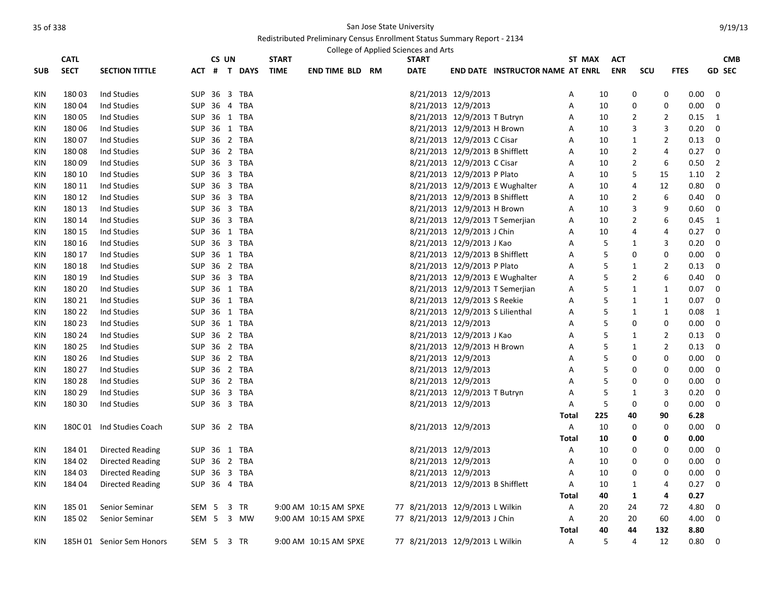|            |             |                           |       |              |              |              |                        | College of Applied Sciences and Arts |                                  |                                         |              |     |            |                |                |          |                |
|------------|-------------|---------------------------|-------|--------------|--------------|--------------|------------------------|--------------------------------------|----------------------------------|-----------------------------------------|--------------|-----|------------|----------------|----------------|----------|----------------|
|            | <b>CATL</b> |                           |       | CS UN        |              | <b>START</b> |                        | <b>START</b>                         |                                  |                                         | ST MAX       |     | <b>ACT</b> |                |                |          | <b>CMB</b>     |
| <b>SUB</b> | <b>SECT</b> | <b>SECTION TITTLE</b>     |       |              | ACT # T DAYS | <b>TIME</b>  | <b>END TIME BLD RM</b> | <b>DATE</b>                          |                                  | <b>END DATE INSTRUCTOR NAME AT ENRL</b> |              |     | <b>ENR</b> | SCU            | <b>FTES</b>    |          | <b>GD SEC</b>  |
| KIN        | 18003       | Ind Studies               |       | SUP 36 3 TBA |              |              |                        |                                      | 8/21/2013 12/9/2013              |                                         | A            | 10  |            | 0              | 0              | $0.00\,$ | 0              |
| ΚIΝ        | 180 04      | Ind Studies               |       | SUP 36 4 TBA |              |              |                        |                                      | 8/21/2013 12/9/2013              |                                         | A            | 10  |            | 0              | 0              | 0.00     | 0              |
| ΚIΝ        | 180 05      | Ind Studies               |       | SUP 36 1 TBA |              |              |                        |                                      | 8/21/2013 12/9/2013 T Butryn     |                                         | Α            | 10  |            | $\overline{2}$ | $\overline{2}$ | 0.15     | 1              |
| ΚIΝ        | 180 06      | Ind Studies               |       | SUP 36 1 TBA |              |              |                        |                                      | 8/21/2013 12/9/2013 H Brown      |                                         | Α            | 10  |            | 3              | 3              | 0.20     | 0              |
| ΚIΝ        | 18007       | Ind Studies               |       | SUP 36 2 TBA |              |              |                        |                                      | 8/21/2013 12/9/2013 C Cisar      |                                         | A            | 10  |            | $\mathbf{1}$   | $\overline{2}$ | 0.13     | $\mathbf 0$    |
| KIN        | 18008       | Ind Studies               |       | SUP 36 2 TBA |              |              |                        |                                      | 8/21/2013 12/9/2013 B Shifflett  |                                         | Α            | 10  |            | $\overline{2}$ | 4              | 0.27     | 0              |
| ΚIΝ        | 18009       | Ind Studies               |       | SUP 36 3 TBA |              |              |                        |                                      | 8/21/2013 12/9/2013 C Cisar      |                                         | A            | 10  |            | $\overline{2}$ | 6              | 0.50     | $\overline{2}$ |
| KIN        | 180 10      | Ind Studies               |       | SUP 36 3 TBA |              |              |                        |                                      | 8/21/2013 12/9/2013 P Plato      |                                         | A            | 10  |            | 5<br>15        |                | 1.10     | $\overline{2}$ |
| KIN        | 180 11      | Ind Studies               |       | SUP 36 3 TBA |              |              |                        |                                      |                                  | 8/21/2013 12/9/2013 E Wughalter         | Α            | 10  |            | 12<br>4        |                | 0.80     | 0              |
| ΚIΝ        | 180 12      | Ind Studies               |       | SUP 36 3 TBA |              |              |                        |                                      | 8/21/2013 12/9/2013 B Shifflett  |                                         | A            | 10  |            | $\overline{2}$ | 6              | 0.40     | 0              |
| KIN        | 180 13      | Ind Studies               |       | SUP 36 3 TBA |              |              |                        |                                      | 8/21/2013 12/9/2013 H Brown      |                                         | Α            | 10  |            | 3              | 9              | 0.60     | 0              |
| ΚIΝ        | 180 14      | Ind Studies               |       | SUP 36 3 TBA |              |              |                        |                                      |                                  | 8/21/2013 12/9/2013 T Semerjian         | Α            | 10  |            | $\overline{2}$ | 6              | 0.45     | 1              |
| KIN        | 180 15      | Ind Studies               |       | SUP 36 1 TBA |              |              |                        |                                      | 8/21/2013 12/9/2013 J Chin       |                                         | Α            | 10  |            | 4              | 4              | 0.27     | $\mathbf 0$    |
| ΚIΝ        | 180 16      | Ind Studies               |       | SUP 36 3 TBA |              |              |                        |                                      | 8/21/2013 12/9/2013 J Kao        |                                         | Α            | 5   |            | $\mathbf{1}$   | 3              | 0.20     | 0              |
| KIN        | 180 17      | Ind Studies               |       | SUP 36 1 TBA |              |              |                        |                                      | 8/21/2013 12/9/2013 B Shifflett  |                                         | Α            | 5   |            | $\mathbf 0$    | 0              | 0.00     | 0              |
| KIN        | 180 18      | Ind Studies               |       | SUP 36 2 TBA |              |              |                        |                                      | 8/21/2013 12/9/2013 P Plato      |                                         | A            | 5   |            | $\mathbf{1}$   | $\overline{2}$ | 0.13     | 0              |
| KIN        | 180 19      | Ind Studies               |       | SUP 36 3 TBA |              |              |                        |                                      |                                  | 8/21/2013 12/9/2013 E Wughalter         | A            | 5   |            | $\overline{2}$ | 6              | 0.40     | $\mathbf 0$    |
| KIN        | 180 20      | Ind Studies               |       | SUP 36 1 TBA |              |              |                        |                                      |                                  | 8/21/2013 12/9/2013 T Semerjian         | A            | 5   |            | $\mathbf{1}$   | 1              | 0.07     | 0              |
| KIN        | 180 21      | Ind Studies               |       | SUP 36 1 TBA |              |              |                        |                                      | 8/21/2013 12/9/2013 S Reekie     |                                         | A            | 5   |            | $\mathbf{1}$   | $\mathbf{1}$   | 0.07     | $\mathbf 0$    |
| KIN        | 180 22      | Ind Studies               |       | SUP 36 1 TBA |              |              |                        |                                      | 8/21/2013 12/9/2013 S Lilienthal |                                         | Α            | 5   |            | $\mathbf{1}$   | 1              | 0.08     | 1              |
| ΚIΝ        | 180 23      | Ind Studies               |       | SUP 36 1 TBA |              |              |                        |                                      | 8/21/2013 12/9/2013              |                                         | Α            | 5   |            | 0              | 0              | 0.00     | 0              |
| KIN        | 180 24      | Ind Studies               |       | SUP 36 2 TBA |              |              |                        |                                      | 8/21/2013 12/9/2013 J Kao        |                                         | A            | 5   |            | $\mathbf{1}$   | $\overline{2}$ | 0.13     | $\mathbf 0$    |
| KIN        | 180 25      | Ind Studies               |       | SUP 36 2 TBA |              |              |                        |                                      | 8/21/2013 12/9/2013 H Brown      |                                         | A            | 5   |            | $\mathbf{1}$   | $\overline{2}$ | 0.13     | 0              |
| ΚIΝ        | 180 26      | Ind Studies               |       | SUP 36 2 TBA |              |              |                        |                                      | 8/21/2013 12/9/2013              |                                         | Α            | 5   |            | 0              | 0              | 0.00     | 0              |
| <b>KIN</b> | 180 27      | Ind Studies               |       | SUP 36 2 TBA |              |              |                        |                                      | 8/21/2013 12/9/2013              |                                         | Α            | 5   |            | 0              | 0              | 0.00     | 0              |
| ΚIΝ        | 180 28      | Ind Studies               |       | SUP 36 2 TBA |              |              |                        |                                      | 8/21/2013 12/9/2013              |                                         | Α            | 5   |            | 0              | 0              | 0.00     | 0              |
| KIN        | 180 29      | Ind Studies               |       | SUP 36 3 TBA |              |              |                        |                                      | 8/21/2013 12/9/2013 T Butryn     |                                         | Α            | 5   |            | $\mathbf{1}$   | 3              | 0.20     | 0              |
| ΚIΝ        | 180 30      | Ind Studies               |       | SUP 36 3 TBA |              |              |                        |                                      | 8/21/2013 12/9/2013              |                                         | Α            | 5   |            | $\mathbf 0$    | 0              | 0.00     | $\mathbf 0$    |
|            |             |                           |       |              |              |              |                        |                                      |                                  |                                         | Total        | 225 | 40         |                | 90             | 6.28     |                |
| KIN        | 180C 01     | Ind Studies Coach         |       | SUP 36 2 TBA |              |              |                        |                                      | 8/21/2013 12/9/2013              |                                         | A            | 10  |            | 0              | $\mathbf 0$    | 0.00     | $\mathbf{0}$   |
|            |             |                           |       |              |              |              |                        |                                      |                                  |                                         | <b>Total</b> | 10  |            | 0              | 0              | 0.00     |                |
| KIN        | 184 01      | Directed Reading          |       | SUP 36 1 TBA |              |              |                        |                                      | 8/21/2013 12/9/2013              |                                         | Α            | 10  |            | 0              | 0              | 0.00     | 0              |
| KIN        | 184 02      | Directed Reading          |       | SUP 36 2 TBA |              |              |                        |                                      | 8/21/2013 12/9/2013              |                                         | Α            | 10  |            | 0              | $\mathbf 0$    | 0.00     | 0              |
| ΚIΝ        | 184 03      | Directed Reading          |       | SUP 36 3 TBA |              |              |                        |                                      | 8/21/2013 12/9/2013              |                                         | A            | 10  |            | $\mathbf 0$    | 0              | 0.00     | $\mathbf 0$    |
| KIN        | 184 04      | Directed Reading          |       | SUP 36 4 TBA |              |              |                        |                                      | 8/21/2013 12/9/2013 B Shifflett  |                                         | A            | 10  |            | 1              | 4              | 0.27     | 0              |
|            |             |                           |       |              |              |              |                        |                                      |                                  |                                         | <b>Total</b> | 40  |            | $\mathbf{1}$   | 4              | 0.27     |                |
| ΚIΝ        | 185 01      | Senior Seminar            | SEM 5 |              | 3 TR         |              | 9:00 AM 10:15 AM SPXE  | 77 8/21/2013 12/9/2013 L Wilkin      |                                  |                                         | Α            | 20  | 24         |                | 72             | 4.80     | 0              |
| ΚIΝ        | 185 02      | Senior Seminar            | SEM 5 |              | 3 MW         |              | 9:00 AM 10:15 AM SPXE  | 77 8/21/2013 12/9/2013 J Chin        |                                  |                                         | A            | 20  | 20         |                | 60             | 4.00     | 0              |
|            |             |                           |       |              |              |              |                        |                                      |                                  |                                         | Total        | 40  | 44         | 132            |                | 8.80     |                |
| ΚIΝ        |             | 185H 01 Senior Sem Honors | SEM 5 |              | 3 TR         |              | 9:00 AM 10:15 AM SPXE  | 77 8/21/2013 12/9/2013 L Wilkin      |                                  |                                         | Α            | 5   |            | 4<br>12        |                | 0.80     | $\Omega$       |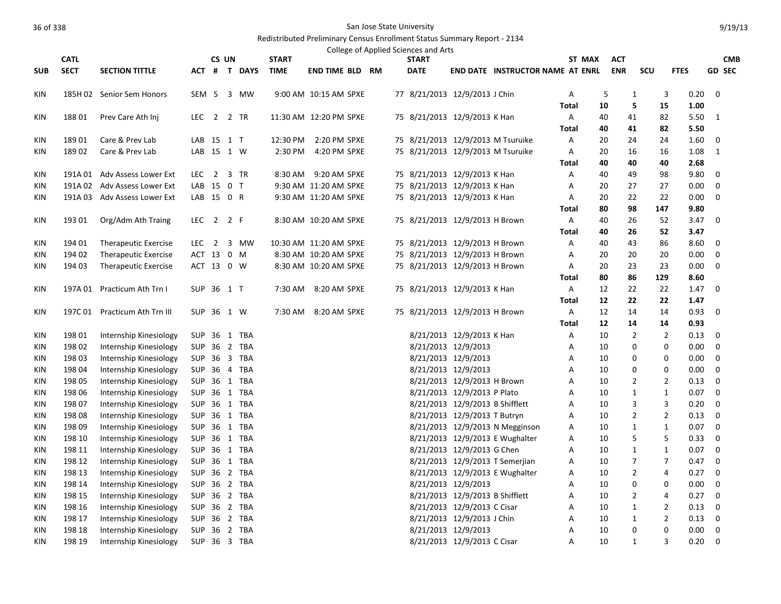|            | <b>CATL</b> |                               |                  | CS UN |              | <b>START</b> |                        |  | College of Applied Sciences and Arts<br><b>START</b> |                                 |                                         | ST MAX     |          | <b>ACT</b>     |                |              |                  | <b>CMB</b>    |
|------------|-------------|-------------------------------|------------------|-------|--------------|--------------|------------------------|--|------------------------------------------------------|---------------------------------|-----------------------------------------|------------|----------|----------------|----------------|--------------|------------------|---------------|
| <b>SUB</b> | <b>SECT</b> | <b>SECTION TITTLE</b>         |                  |       | ACT # T DAYS | <b>TIME</b>  | <b>END TIME BLD RM</b> |  | <b>DATE</b>                                          |                                 | <b>END DATE INSTRUCTOR NAME AT ENRL</b> |            |          | <b>ENR</b>     | SCU            | <b>FTES</b>  |                  | <b>GD SEC</b> |
|            |             |                               |                  |       |              |              |                        |  |                                                      |                                 |                                         |            |          |                |                |              |                  |               |
| <b>KIN</b> |             | 185H 02 Senior Sem Honors     | SEM 5 3 MW       |       |              |              | 9:00 AM 10:15 AM SPXE  |  | 77 8/21/2013 12/9/2013 J Chin                        |                                 |                                         | A          | 5        | 1              | 3              | 0.20         | $\mathbf 0$      |               |
|            |             |                               |                  |       |              |              |                        |  |                                                      |                                 |                                         | Total      | 10       | 5              | 15             | 1.00         |                  |               |
| <b>KIN</b> | 18801       | Prev Care Ath Inj             | LEC 2 2 TR       |       |              |              | 11:30 AM 12:20 PM SPXE |  | 75 8/21/2013 12/9/2013 K Han                         |                                 |                                         | Α          | 40       | 41             | 82             | 5.50         | $\mathbf{1}$     |               |
|            |             |                               |                  |       |              |              |                        |  |                                                      |                                 |                                         | Total      | 40       | 41             | 82             | 5.50         |                  |               |
| KIN        | 18901       | Care & Prev Lab               | LAB 15 1 T       |       |              | 12:30 PM     | 2:20 PM SPXE           |  | 75 8/21/2013 12/9/2013 M Tsuruike                    |                                 |                                         | Α          | 20       | 24             | 24             | 1.60         | 0                |               |
| KIN        | 18902       | Care & Prev Lab               | LAB 15 1 W       |       |              | 2:30 PM      | 4:20 PM SPXE           |  | 75 8/21/2013 12/9/2013 M Tsuruike                    |                                 |                                         | Α          | 20       | 16             | 16             | 1.08         | $\mathbf{1}$     |               |
|            |             |                               |                  |       |              |              |                        |  |                                                      |                                 |                                         | Total      | 40       | 40             | 40             | 2.68         |                  |               |
| KIN        |             | 191A 01 Adv Assess Lower Ext  | LEC <sub>2</sub> |       | 3 TR         | 8:30 AM      | 9:20 AM SPXE           |  | 75 8/21/2013 12/9/2013 K Han                         |                                 |                                         | Α          | 40       | 49             | 98             | 9.80         | 0                |               |
| <b>KIN</b> |             | 191A 02 Adv Assess Lower Ext  | LAB 15 0 T       |       |              |              | 9:30 AM 11:20 AM SPXE  |  | 75 8/21/2013 12/9/2013 K Han                         |                                 |                                         | А          | 20       | 27             | 27             | 0.00         | 0                |               |
| KIN        | 191A 03     | Adv Assess Lower Ext          | LAB 15 0 R       |       |              |              | 9:30 AM 11:20 AM SPXE  |  | 75 8/21/2013 12/9/2013 K Han                         |                                 |                                         | Α          | 20       | 22             | 22             | 0.00         | 0                |               |
|            |             |                               |                  |       |              |              |                        |  |                                                      |                                 |                                         | Total      | 80       | 98             | 147            | 9.80         |                  |               |
| KIN        | 193 01      | Org/Adm Ath Traing            | LEC 2 2 F        |       |              |              | 8:30 AM 10:20 AM SPXE  |  | 75 8/21/2013 12/9/2013 H Brown                       |                                 |                                         | Α          | 40       | 26             | 52             | 3.47         | 0                |               |
|            |             |                               |                  |       |              |              |                        |  |                                                      |                                 |                                         | Total      | 40       | 26             | 52             | 3.47         |                  |               |
| KIN        | 194 01      | <b>Therapeutic Exercise</b>   |                  |       | LEC 2 3 MW   |              | 10:30 AM 11:20 AM SPXE |  | 75 8/21/2013 12/9/2013 H Brown                       |                                 |                                         | Α          | 40       | 43             | 86             | 8.60         | 0                |               |
| KIN        | 194 02      | <b>Therapeutic Exercise</b>   | ACT 13 0 M       |       |              |              | 8:30 AM 10:20 AM SPXE  |  | 75 8/21/2013 12/9/2013 H Brown                       |                                 |                                         | Α          | 20       | 20             | 20             | 0.00         | 0                |               |
| KIN        | 194 03      | <b>Therapeutic Exercise</b>   | ACT 13 0 W       |       |              |              | 8:30 AM 10:20 AM SPXE  |  | 75 8/21/2013 12/9/2013 H Brown                       |                                 |                                         | Α          | 20       | 23             | 23             | 0.00         | 0                |               |
|            |             |                               |                  |       |              |              |                        |  |                                                      |                                 |                                         | Total      | 80       | 86             | 129            | 8.60         |                  |               |
| <b>KIN</b> |             | 197A 01 Practicum Ath Trn I   | SUP 36 1 T       |       |              | 7:30 AM      | 8:20 AM SPXE           |  | 75 8/21/2013 12/9/2013 K Han                         |                                 |                                         | A          | 12<br>12 | 22<br>22       | 22<br>22       | 1.47<br>1.47 | $\mathbf 0$      |               |
| <b>KIN</b> |             | 197C 01 Practicum Ath Trn III | SUP 36 1 W       |       |              | 7:30 AM      | 8:20 AM SPXE           |  | 75 8/21/2013 12/9/2013 H Brown                       |                                 |                                         | Total<br>A | 12       | 14             | 14             | 0.93         | 0                |               |
|            |             |                               |                  |       |              |              |                        |  |                                                      |                                 |                                         | Total      | 12       | 14             | 14             | 0.93         |                  |               |
| KIN        | 198 01      | Internship Kinesiology        | SUP 36 1 TBA     |       |              |              |                        |  |                                                      | 8/21/2013 12/9/2013 K Han       |                                         | Α          | 10       | $\overline{2}$ | 2              | 0.13         | 0                |               |
| KIN        | 198 02      | Internship Kinesiology        | SUP 36 2 TBA     |       |              |              |                        |  |                                                      | 8/21/2013 12/9/2013             |                                         | Α          | 10       | 0              | $\mathbf 0$    | 0.00         | 0                |               |
| KIN        | 198 03      | Internship Kinesiology        | SUP 36 3 TBA     |       |              |              |                        |  |                                                      | 8/21/2013 12/9/2013             |                                         | Α          | 10       | 0              | 0              | 0.00         | 0                |               |
| KIN        | 198 04      | Internship Kinesiology        | SUP 36 4 TBA     |       |              |              |                        |  |                                                      | 8/21/2013 12/9/2013             |                                         | Α          | 10       | 0              | $\mathbf 0$    | 0.00         | $\mathbf 0$      |               |
| <b>KIN</b> | 198 05      | Internship Kinesiology        | SUP 36 1 TBA     |       |              |              |                        |  |                                                      | 8/21/2013 12/9/2013 H Brown     |                                         | А          | 10       | $\overline{2}$ | $\overline{2}$ | 0.13         | 0                |               |
| KIN        | 198 06      | Internship Kinesiology        | <b>SUP</b>       |       | 36 1 TBA     |              |                        |  |                                                      | 8/21/2013 12/9/2013 P Plato     |                                         | A          | 10       | $\mathbf{1}$   | $\mathbf{1}$   | 0.07         | 0                |               |
| KIN        | 198 07      | Internship Kinesiology        | SUP 36 1 TBA     |       |              |              |                        |  |                                                      | 8/21/2013 12/9/2013 B Shifflett |                                         | А          | 10       | 3              | 3              | 0.20         | 0                |               |
| KIN        | 198 08      | Internship Kinesiology        | SUP 36 1 TBA     |       |              |              |                        |  |                                                      | 8/21/2013 12/9/2013 T Butryn    |                                         | Α          | 10       | $\overline{2}$ | $\overline{2}$ | 0.13         | 0                |               |
| KIN        | 198 09      | Internship Kinesiology        | SUP 36 1 TBA     |       |              |              |                        |  |                                                      |                                 | 8/21/2013 12/9/2013 N Megginson         | А          | 10       | $\mathbf{1}$   | $\mathbf{1}$   | 0.07         | 0                |               |
| KIN        | 198 10      | Internship Kinesiology        | SUP 36 1 TBA     |       |              |              |                        |  |                                                      |                                 | 8/21/2013 12/9/2013 E Wughalter         | Α          | 10       | 5              | 5              | 0.33         | $\mathbf 0$      |               |
| KIN        | 198 11      | Internship Kinesiology        | SUP 36 1 TBA     |       |              |              |                        |  |                                                      | 8/21/2013 12/9/2013 G Chen      |                                         | Α          | 10       | 1              | $\mathbf{1}$   | 0.07         | 0                |               |
| KIN        | 198 12      | Internship Kinesiology        | SUP 36 1 TBA     |       |              |              |                        |  |                                                      |                                 | 8/21/2013 12/9/2013 T Semerjian         | A          | 10       | $\overline{7}$ | $\overline{7}$ | 0.47         | $\boldsymbol{0}$ |               |
| <b>KIN</b> | 198 13      | Internship Kinesiology        | <b>SUP</b>       |       | 36 2 TBA     |              |                        |  |                                                      |                                 | 8/21/2013 12/9/2013 E Wughalter         | Α          | 10       | $\overline{2}$ | 4              | 0.27         | 0                |               |
| KIN        | 198 14      | Internship Kinesiology        | SUP 36 2 TBA     |       |              |              |                        |  |                                                      | 8/21/2013 12/9/2013             |                                         | A          | 10       | $\mathbf 0$    | $\mathbf 0$    | 0.00         | 0                |               |
| KIN        | 198 15      | Internship Kinesiology        | SUP 36 2 TBA     |       |              |              |                        |  |                                                      | 8/21/2013 12/9/2013 B Shifflett |                                         | Α          | 10       | $\overline{2}$ | 4              | 0.27         | 0                |               |
| KIN        | 198 16      | Internship Kinesiology        | SUP              |       | 36 2 TBA     |              |                        |  |                                                      | 8/21/2013 12/9/2013 C Cisar     |                                         | Α          | 10       | $\mathbf{1}$   | $\overline{2}$ | 0.13         | 0                |               |
| KIN        | 198 17      | Internship Kinesiology        | SUP              |       | 36 2 TBA     |              |                        |  |                                                      | 8/21/2013 12/9/2013 J Chin      |                                         | А          | 10       | 1              | $\overline{2}$ | 0.13         | 0                |               |
| KIN        | 198 18      | Internship Kinesiology        | SUP 36 2 TBA     |       |              |              |                        |  |                                                      | 8/21/2013 12/9/2013             |                                         | Α          | 10       | 0              | $\Omega$       | 0.00         | 0                |               |
| KIN        | 198 19      | Internship Kinesiology        | SUP 36 3 TBA     |       |              |              |                        |  |                                                      | 8/21/2013 12/9/2013 C Cisar     |                                         | A          | 10       | $\mathbf{1}$   | 3              | 0.20         | $\Omega$         |               |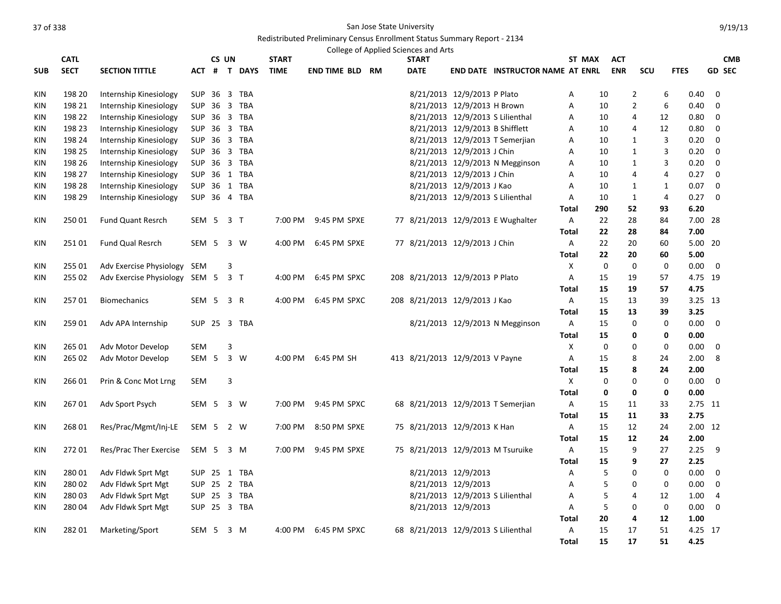|            | <b>CATL</b> |                          |                  | CS UN        |                |              | <b>START</b> |                        |  | College of Applied Sciences and Arts<br><b>START</b> |                                  |                                         |              | ST MAX | <b>ACT</b> |                                |                      |             | <b>CMB</b>    |
|------------|-------------|--------------------------|------------------|--------------|----------------|--------------|--------------|------------------------|--|------------------------------------------------------|----------------------------------|-----------------------------------------|--------------|--------|------------|--------------------------------|----------------------|-------------|---------------|
| <b>SUB</b> | <b>SECT</b> | <b>SECTION TITTLE</b>    |                  |              |                | ACT # T DAYS | <b>TIME</b>  | <b>END TIME BLD RM</b> |  | <b>DATE</b>                                          |                                  | <b>END DATE INSTRUCTOR NAME AT ENRL</b> |              |        | <b>ENR</b> | SCU                            | <b>FTES</b>          |             | <b>GD SEC</b> |
|            |             |                          |                  |              |                |              |              |                        |  |                                                      |                                  |                                         |              |        |            |                                |                      |             |               |
| KIN        | 198 20      | Internship Kinesiology   |                  | SUP 36 3 TBA |                |              |              |                        |  |                                                      | 8/21/2013 12/9/2013 P Plato      |                                         | Α            | 10     |            | $\overline{2}$                 | 0.40<br>6            | $\mathbf 0$ |               |
| <b>KIN</b> | 198 21      | Internship Kinesiology   |                  | SUP 36 3 TBA |                |              |              |                        |  |                                                      | 8/21/2013 12/9/2013 H Brown      |                                         | Α            | 10     |            | $\overline{2}$                 | 6<br>0.40            | 0           |               |
| KIN        | 198 22      | Internship Kinesiology   |                  | SUP 36 3 TBA |                |              |              |                        |  |                                                      | 8/21/2013 12/9/2013 S Lilienthal |                                         | Α            | 10     |            | 4<br>12                        | 0.80                 | 0           |               |
| KIN        | 198 23      | Internship Kinesiology   |                  | SUP 36 3 TBA |                |              |              |                        |  |                                                      | 8/21/2013 12/9/2013 B Shifflett  |                                         | A            | 10     |            | 12<br>4                        | 0.80                 | 0           |               |
| KIN        | 198 24      | Internship Kinesiology   |                  | SUP 36 3 TBA |                |              |              |                        |  |                                                      |                                  | 8/21/2013 12/9/2013 T Semerjian         | Α            | 10     |            | $\mathbf{1}$                   | 3<br>0.20            | 0           |               |
| KIN        | 198 25      | Internship Kinesiology   |                  | SUP 36 3 TBA |                |              |              |                        |  |                                                      | 8/21/2013 12/9/2013 J Chin       |                                         | Α            | 10     |            | 1                              | 3<br>0.20            | 0           |               |
| KIN        | 198 26      | Internship Kinesiology   |                  | SUP 36 3 TBA |                |              |              |                        |  |                                                      |                                  | 8/21/2013 12/9/2013 N Megginson         | Α            | 10     |            | $\mathbf{1}$                   | 3<br>0.20            | 0           |               |
| KIN        | 198 27      | Internship Kinesiology   |                  | SUP 36 1 TBA |                |              |              |                        |  | 8/21/2013 12/9/2013 J Chin                           |                                  |                                         | A            | 10     |            | 4                              | 0.27<br>4            | 0           |               |
| <b>KIN</b> | 198 28      | Internship Kinesiology   | <b>SUP</b>       | 36 1 TBA     |                |              |              |                        |  |                                                      | 8/21/2013 12/9/2013 J Kao        |                                         | A            | 10     |            | $\mathbf{1}$                   | $\mathbf{1}$<br>0.07 | $\mathbf 0$ |               |
| KIN        | 198 29      | Internship Kinesiology   |                  | SUP 36 4 TBA |                |              |              |                        |  |                                                      | 8/21/2013 12/9/2013 S Lilienthal |                                         | Α            | 10     |            | $\mathbf{1}$<br>$\overline{4}$ | 0.27                 | 0           |               |
|            |             |                          |                  |              |                |              |              |                        |  |                                                      |                                  |                                         | <b>Total</b> | 290    | 52         | 93                             | 6.20                 |             |               |
| KIN        | 25001       | <b>Fund Quant Resrch</b> | SEM 5            |              | 3 T            |              | 7:00 PM      | 9:45 PM SPXE           |  |                                                      |                                  | 77 8/21/2013 12/9/2013 E Wughalter      | A            | 22     | 28         | 84                             | 7.00 28              |             |               |
|            |             |                          |                  |              |                |              |              |                        |  |                                                      |                                  |                                         | <b>Total</b> | 22     | 28         | 84                             | 7.00                 |             |               |
| KIN        | 25101       | Fund Qual Resrch         |                  | SEM 5 3 W    |                |              |              | 4:00 PM 6:45 PM SPXE   |  | 77 8/21/2013 12/9/2013 J Chin                        |                                  |                                         | $\mathsf{A}$ | 22     | 20         | 60                             |                      | 5.00 20     |               |
|            |             |                          |                  |              |                |              |              |                        |  |                                                      |                                  |                                         | <b>Total</b> | 22     | 20         | 60                             | 5.00                 |             |               |
| KIN        | 255 01      | Adv Exercise Physiology  | SEM              |              | 3              |              |              |                        |  |                                                      |                                  |                                         | X            | 0      |            | $\mathbf 0$                    | $\mathbf 0$<br>0.00  | 0           |               |
| KIN        | 255 02      | Adv Exercise Physiology  | SEM 5            |              | 3 <sub>T</sub> |              | 4:00 PM      | 6:45 PM SPXC           |  | 208 8/21/2013 12/9/2013 P Plato                      |                                  |                                         | Α            | 15     | 19         | 57                             |                      | 4.75 19     |               |
|            |             |                          |                  |              |                |              |              |                        |  |                                                      |                                  |                                         | Total        | 15     | 19         | 57                             | 4.75                 |             |               |
| KIN        | 25701       | <b>Biomechanics</b>      | SEM <sub>5</sub> |              | 3 R            |              | 4:00 PM      | 6:45 PM SPXC           |  | 208 8/21/2013 12/9/2013 J Kao                        |                                  |                                         | A            | 15     | 13         | 39                             |                      | 3.25 13     |               |
|            |             |                          |                  |              |                |              |              |                        |  |                                                      |                                  |                                         | <b>Total</b> | 15     | 13         | 39                             | 3.25                 |             |               |
| KIN        | 259 01      | Adv APA Internship       |                  | SUP 25 3 TBA |                |              |              |                        |  |                                                      |                                  | 8/21/2013 12/9/2013 N Megginson         | A            | 15     |            | $\mathbf 0$                    | $\mathbf 0$<br>0.00  | 0           |               |
|            |             |                          |                  |              |                |              |              |                        |  |                                                      |                                  |                                         | Total        | 15     |            | 0                              | 0<br>0.00            |             |               |
| KIN        | 265 01      | Adv Motor Develop        | <b>SEM</b>       |              | 3              |              |              |                        |  |                                                      |                                  |                                         | X            | 0      |            | $\mathbf 0$                    | $\mathbf 0$<br>0.00  | 0           |               |
| KIN        | 265 02      | Adv Motor Develop        | SEM <sub>5</sub> |              |                | 3 W          |              | 4:00 PM 6:45 PM SH     |  | 413 8/21/2013 12/9/2013 V Payne                      |                                  |                                         | Α            | 15     |            | 8<br>24                        | 2.00                 | 8           |               |
|            |             |                          |                  |              |                |              |              |                        |  |                                                      |                                  |                                         | Total        | 15     |            | 8<br>24                        | 2.00                 |             |               |
| KIN        | 266 01      | Prin & Conc Mot Lrng     | <b>SEM</b>       |              | 3              |              |              |                        |  |                                                      |                                  |                                         | X            | 0      |            | $\mathbf 0$                    | $\mathbf 0$<br>0.00  | $\mathbf 0$ |               |
|            |             |                          |                  |              |                |              |              |                        |  |                                                      |                                  |                                         | <b>Total</b> | 0      |            | $\mathbf 0$                    | 0<br>0.00            |             |               |
| KIN        | 26701       | Adv Sport Psych          | SEM 5            |              |                | 3 W          | 7:00 PM      | 9:45 PM SPXC           |  |                                                      |                                  | 68 8/21/2013 12/9/2013 T Semerjian      | A            | 15     | 11         | 33                             | 2.75 11              |             |               |
|            |             |                          |                  |              |                |              |              |                        |  |                                                      |                                  |                                         | Total        | 15     | 11         | 33                             | 2.75                 |             |               |
| KIN        | 268 01      | Res/Prac/Mgmt/Inj-LE     |                  | SEM 5 2 W    |                |              | 7:00 PM      | 8:50 PM SPXE           |  | 75 8/21/2013 12/9/2013 K Han                         |                                  |                                         | $\mathsf{A}$ | 15     | 12         | 24                             | 2.00 12              |             |               |
|            |             |                          |                  |              |                |              |              |                        |  |                                                      |                                  |                                         | Total        | 15     | 12         | 24                             | 2.00                 |             |               |
| KIN        | 27201       | Res/Prac Ther Exercise   |                  | SEM 5 3 M    |                |              | 7:00 PM      | 9:45 PM SPXE           |  | 75 8/21/2013 12/9/2013 M Tsuruike                    |                                  |                                         | A            | 15     |            | 9<br>27                        | 2.25                 | 9           |               |
|            |             |                          |                  |              |                |              |              |                        |  |                                                      |                                  |                                         | Total        | 15     |            | 9<br>27                        | 2.25                 |             |               |
| KIN        | 280 01      | Adv Fldwk Sprt Mgt       |                  | SUP 25 1 TBA |                |              |              |                        |  |                                                      | 8/21/2013 12/9/2013              |                                         | Α            | 5      |            | $\mathbf 0$                    | 0<br>0.00            | 0           |               |
| KIN        | 280 02      | Adv Fldwk Sprt Mgt       |                  | SUP 25 2 TBA |                |              |              |                        |  |                                                      | 8/21/2013 12/9/2013              |                                         | A            | 5      |            | $\mathbf 0$                    | $\mathbf 0$<br>0.00  | $\mathbf 0$ |               |
| KIN        | 28003       | Adv Fldwk Sprt Mgt       |                  | SUP 25 3 TBA |                |              |              |                        |  |                                                      | 8/21/2013 12/9/2013 S Lilienthal |                                         | Α            | 5      |            | 4<br>12                        | 1.00                 | 4           |               |
| KIN        | 280 04      | Adv Fldwk Sprt Mgt       |                  | SUP 25 3 TBA |                |              |              |                        |  |                                                      | 8/21/2013 12/9/2013              |                                         | Α            | 5      |            | $\mathbf 0$                    | $\mathbf 0$<br>0.00  | $\mathbf 0$ |               |
|            |             |                          |                  |              |                |              |              |                        |  |                                                      |                                  |                                         | <b>Total</b> | 20     |            | 4<br>12                        | 1.00                 |             |               |
| KIN        | 282 01      | Marketing/Sport          |                  | SEM 5 3 M    |                |              |              | 4:00 PM 6:45 PM SPXC   |  | 68 8/21/2013 12/9/2013 S Lilienthal                  |                                  |                                         | Α            | 15     | 17         | 51                             |                      | 4.25 17     |               |
|            |             |                          |                  |              |                |              |              |                        |  |                                                      |                                  |                                         | <b>Total</b> | 15     | 17         | 51                             | 4.25                 |             |               |
|            |             |                          |                  |              |                |              |              |                        |  |                                                      |                                  |                                         |              |        |            |                                |                      |             |               |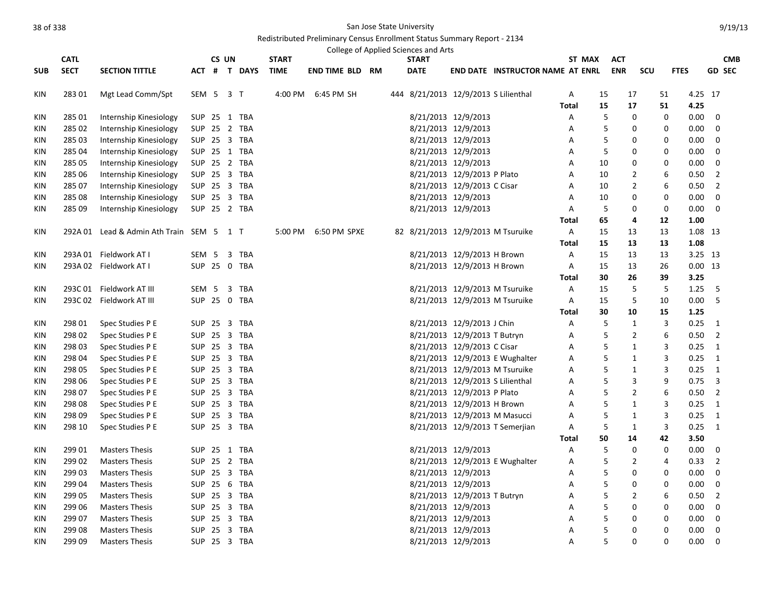|            |             |                                  |              |       |              |              |                        |  | College of Applied Sciences and Arts |                                  |                                         |              |               |                |             |             |                |               |
|------------|-------------|----------------------------------|--------------|-------|--------------|--------------|------------------------|--|--------------------------------------|----------------------------------|-----------------------------------------|--------------|---------------|----------------|-------------|-------------|----------------|---------------|
|            | <b>CATL</b> |                                  |              | CS UN |              | <b>START</b> |                        |  | <b>START</b>                         |                                  |                                         |              | <b>ST MAX</b> | <b>ACT</b>     |             |             |                | <b>CMB</b>    |
| <b>SUB</b> | <b>SECT</b> | <b>SECTION TITTLE</b>            |              |       | ACT # T DAYS | <b>TIME</b>  | <b>END TIME BLD RM</b> |  | <b>DATE</b>                          |                                  | <b>END DATE INSTRUCTOR NAME AT ENRL</b> |              |               | <b>ENR</b>     | scu         | <b>FTES</b> |                | <b>GD SEC</b> |
| KIN        | 28301       | Mgt Lead Comm/Spt                | SEM 5 3 T    |       |              |              | 4:00 PM 6:45 PM SH     |  | 444 8/21/2013 12/9/2013 S Lilienthal |                                  |                                         | A            | 15            | 17             | 51          | 4.25 17     |                |               |
|            |             |                                  |              |       |              |              |                        |  |                                      |                                  |                                         | Total        | 15            | 17             | 51          | 4.25        |                |               |
| KIN        | 285 01      | Internship Kinesiology           | SUP 25 1 TBA |       |              |              |                        |  |                                      | 8/21/2013 12/9/2013              |                                         | Α            | 5             | 0              | $\mathbf 0$ | 0.00        | 0              |               |
| KIN        | 285 02      | Internship Kinesiology           | SUP 25 2 TBA |       |              |              |                        |  |                                      | 8/21/2013 12/9/2013              |                                         | A            | 5             | 0              | 0           | 0.00        | 0              |               |
| KIN        | 285 03      | Internship Kinesiology           | SUP 25 3 TBA |       |              |              |                        |  |                                      | 8/21/2013 12/9/2013              |                                         | Α            | 5             | 0              | 0           | 0.00        | 0              |               |
| <b>KIN</b> | 285 04      | Internship Kinesiology           | SUP 25 1 TBA |       |              |              |                        |  |                                      | 8/21/2013 12/9/2013              |                                         | Α            | 5             |                | 0<br>0      | 0.00        | 0              |               |
| KIN        | 285 05      | Internship Kinesiology           | SUP 25 2 TBA |       |              |              |                        |  |                                      | 8/21/2013 12/9/2013              |                                         | Α            | 10            | 0              | 0           | 0.00        | 0              |               |
| KIN        | 285 06      | Internship Kinesiology           | SUP 25 3 TBA |       |              |              |                        |  |                                      | 8/21/2013 12/9/2013 P Plato      |                                         | A            | 10            | $\overline{2}$ | 6           | 0.50        | 2              |               |
| KIN        | 285 07      | Internship Kinesiology           | SUP 25 3 TBA |       |              |              |                        |  |                                      | 8/21/2013 12/9/2013 C Cisar      |                                         | Α            | 10            | $\overline{2}$ | 6           | 0.50        | $\overline{2}$ |               |
| KIN        | 285 08      | Internship Kinesiology           | SUP 25 3 TBA |       |              |              |                        |  |                                      | 8/21/2013 12/9/2013              |                                         | Α            | 10            | 0              | 0           | 0.00        | 0              |               |
| <b>KIN</b> | 285 09      | Internship Kinesiology           | SUP 25 2 TBA |       |              |              |                        |  |                                      | 8/21/2013 12/9/2013              |                                         | A            | 5             | 0              | 0           | 0.00        | $\mathbf 0$    |               |
|            |             |                                  |              |       |              |              |                        |  |                                      |                                  |                                         | <b>Total</b> | 65            | 4              | 12          | 1.00        |                |               |
| KIN        | 292A 01     | Lead & Admin Ath Train SEM 5 1 T |              |       |              | 5:00 PM      | 6:50 PM SPXE           |  | 82 8/21/2013 12/9/2013 M Tsuruike    |                                  |                                         | A            | 15            | 13             | 13          | 1.08 13     |                |               |
|            |             |                                  |              |       |              |              |                        |  |                                      |                                  |                                         | Total        | 15            | 13             | 13          | 1.08        |                |               |
| KIN        |             | 293A 01 Fieldwork AT I           | SEM 5 3 TBA  |       |              |              |                        |  |                                      | 8/21/2013 12/9/2013 H Brown      |                                         | A            | 15            | 13             | 13          | 3.25 13     |                |               |
| KIN        |             | 293A 02 Fieldwork AT I           | SUP 25 0 TBA |       |              |              |                        |  |                                      | 8/21/2013 12/9/2013 H Brown      |                                         | A            | 15            | 13             | 26          | $0.00$ 13   |                |               |
|            |             |                                  |              |       |              |              |                        |  |                                      |                                  |                                         | Total        | 30            | 26             | 39          | 3.25        |                |               |
| <b>KIN</b> |             | 293C 01 Fieldwork AT III         | SEM 5 3 TBA  |       |              |              |                        |  |                                      | 8/21/2013 12/9/2013 M Tsuruike   |                                         | Α            | 15            | 5              | 5           | 1.25        | 5              |               |
| KIN        |             | 293C 02 Fieldwork AT III         | SUP 25 0 TBA |       |              |              |                        |  |                                      | 8/21/2013 12/9/2013 M Tsuruike   |                                         | A            | 15            | 5              | 10          | 0.00        | 5              |               |
|            |             |                                  |              |       |              |              |                        |  |                                      |                                  |                                         | Total        | 30            | 10             | 15          | 1.25        |                |               |
| KIN        | 298 01      | Spec Studies P E                 | SUP 25 3 TBA |       |              |              |                        |  |                                      | 8/21/2013 12/9/2013 J Chin       |                                         | Α            | 5             | $\mathbf{1}$   | 3           | 0.25        | 1              |               |
| KIN        | 298 02      | Spec Studies P E                 | SUP 25 3 TBA |       |              |              |                        |  |                                      | 8/21/2013 12/9/2013 T Butryn     |                                         | Α            | 5             | $\overline{2}$ | 6           | 0.50        | $\overline{2}$ |               |
| KIN        | 298 03      | Spec Studies P E                 | SUP 25 3 TBA |       |              |              |                        |  |                                      | 8/21/2013 12/9/2013 C Cisar      |                                         | Α            | 5             | $\mathbf{1}$   | 3           | 0.25        | 1              |               |
| KIN        | 298 04      | Spec Studies P E                 | SUP 25 3 TBA |       |              |              |                        |  |                                      |                                  | 8/21/2013 12/9/2013 E Wughalter         | Α            | 5             | 1              | 3           | 0.25        | $\mathbf{1}$   |               |
| <b>KIN</b> | 298 05      | Spec Studies P E                 | SUP 25 3 TBA |       |              |              |                        |  |                                      | 8/21/2013 12/9/2013 M Tsuruike   |                                         | A            | 5             | $\mathbf{1}$   | 3           | 0.25        | $\mathbf{1}$   |               |
| KIN        | 298 06      | Spec Studies P E                 | SUP 25 3 TBA |       |              |              |                        |  |                                      | 8/21/2013 12/9/2013 S Lilienthal |                                         | Α            | 5             | 3              | 9           | 0.75        | 3              |               |
| KIN        | 298 07      | Spec Studies P E                 | SUP 25 3 TBA |       |              |              |                        |  |                                      | 8/21/2013 12/9/2013 P Plato      |                                         | Α            | 5             | $\overline{2}$ | $\,6\,$     | 0.50        | $\overline{2}$ |               |
| KIN        | 298 08      | Spec Studies P E                 | SUP 25 3 TBA |       |              |              |                        |  |                                      | 8/21/2013 12/9/2013 H Brown      |                                         | Α            | 5             | 1              | 3           | 0.25        | $\mathbf{1}$   |               |
| KIN        | 298 09      | Spec Studies P E                 | SUP 25 3 TBA |       |              |              |                        |  |                                      | 8/21/2013 12/9/2013 M Masucci    |                                         | Α            | 5             | 1              | 3           | 0.25        | $\mathbf{1}$   |               |
| <b>KIN</b> | 298 10      | Spec Studies P E                 | SUP 25 3 TBA |       |              |              |                        |  |                                      |                                  | 8/21/2013 12/9/2013 T Semerjian         | Α            | 5             | $\mathbf{1}$   | 3           | 0.25        | $\mathbf{1}$   |               |
|            |             |                                  |              |       |              |              |                        |  |                                      |                                  |                                         | Total        | 50            | 14             | 42          | 3.50        |                |               |
| KIN        | 299 01      | <b>Masters Thesis</b>            | SUP 25 1 TBA |       |              |              |                        |  |                                      | 8/21/2013 12/9/2013              |                                         | Α            | 5             | 0              | 0           | 0.00        | 0              |               |
| KIN        | 299 02      | <b>Masters Thesis</b>            | SUP 25 2 TBA |       |              |              |                        |  |                                      |                                  | 8/21/2013 12/9/2013 E Wughalter         | Α            | 5             | $\overline{2}$ | 4           | 0.33        | $\overline{2}$ |               |
| KIN        | 299 03      | <b>Masters Thesis</b>            | SUP 25 3 TBA |       |              |              |                        |  |                                      | 8/21/2013 12/9/2013              |                                         | Α            | 5             | 0              | 0           | 0.00        | 0              |               |
| KIN        | 299 04      | <b>Masters Thesis</b>            | SUP 25 6 TBA |       |              |              |                        |  |                                      | 8/21/2013 12/9/2013              |                                         | А            | 5             | 0              | $\mathbf 0$ | 0.00        | 0              |               |
| KIN        | 299 05      | <b>Masters Thesis</b>            | SUP 25 3 TBA |       |              |              |                        |  |                                      | 8/21/2013 12/9/2013 T Butryn     |                                         | Α            | 5             | $\overline{2}$ | 6           | 0.50        | $\overline{2}$ |               |
| KIN        | 299 06      | <b>Masters Thesis</b>            | SUP 25 3 TBA |       |              |              |                        |  |                                      | 8/21/2013 12/9/2013              |                                         | Α            | 5             | 0              | 0           | 0.00        | 0              |               |
| <b>KIN</b> | 299 07      | <b>Masters Thesis</b>            | SUP 25 3 TBA |       |              |              |                        |  |                                      | 8/21/2013 12/9/2013              |                                         | A            | 5             | 0              | 0           | 0.00        | $\mathbf 0$    |               |
| <b>KIN</b> | 299 08      | <b>Masters Thesis</b>            | SUP 25 3 TBA |       |              |              |                        |  |                                      | 8/21/2013 12/9/2013              |                                         | A            | 5             | 0              | $\mathbf 0$ | 0.00        | $\mathbf 0$    |               |
| <b>KIN</b> | 299 09      | <b>Masters Thesis</b>            | SUP 25 3 TBA |       |              |              |                        |  |                                      | 8/21/2013 12/9/2013              |                                         | А            | 5             | 0              | $\mathbf 0$ | 0.00        | $\mathbf 0$    |               |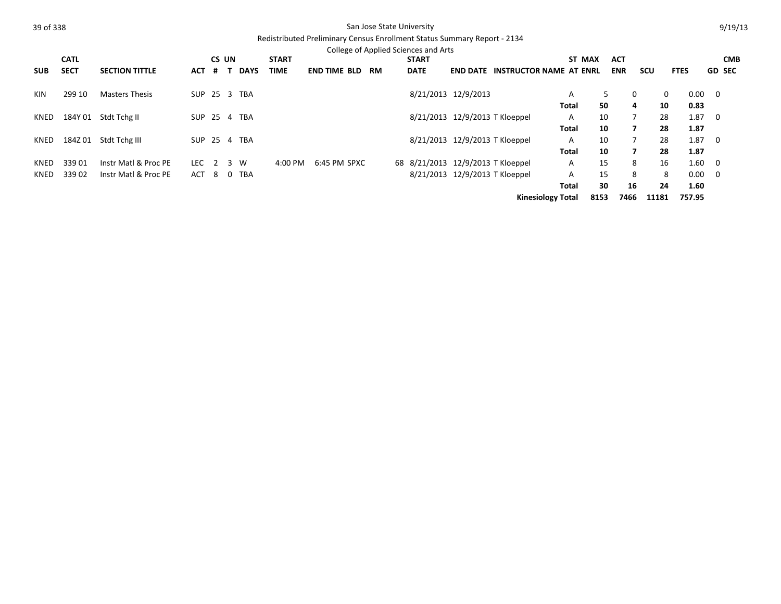|            | College of Applied Sciences and Arts |                       |              |                |  |             |              |                     |  |           |  |              |                                   |                                |       |        |            |            |              |             |                         |            |
|------------|--------------------------------------|-----------------------|--------------|----------------|--|-------------|--------------|---------------------|--|-----------|--|--------------|-----------------------------------|--------------------------------|-------|--------|------------|------------|--------------|-------------|-------------------------|------------|
|            | <b>CATL</b>                          |                       |              | CS UN          |  |             | <b>START</b> |                     |  |           |  | <b>START</b> |                                   |                                |       | ST MAX | <b>ACT</b> |            |              |             |                         | <b>CMB</b> |
| <b>SUB</b> | <b>SECT</b>                          | <b>SECTION TITTLE</b> | <b>ACT</b>   | #              |  | <b>DAYS</b> | <b>TIME</b>  | <b>END TIME BLD</b> |  | <b>RM</b> |  | <b>DATE</b>  | <b>END DATE</b>                   | <b>INSTRUCTOR NAME AT ENRL</b> |       |        | <b>ENR</b> | <b>SCU</b> | <b>FTES</b>  |             | <b>GD SEC</b>           |            |
| KIN        | 299 10                               | <b>Masters Thesis</b> | SUP 25 3 TBA |                |  |             |              |                     |  |           |  |              | 8/21/2013 12/9/2013               |                                | A     | 5      | 0          |            | $\mathbf{0}$ | $0.00\,$    | $\overline{\mathbf{0}}$ |            |
|            |                                      |                       |              |                |  |             |              |                     |  |           |  |              |                                   |                                | Total | 50     | 4          |            | 10           | 0.83        |                         |            |
| KNED       | 184Y 01                              | Stdt Tchg II          | SUP 25 4 TBA |                |  |             |              |                     |  |           |  |              | 8/21/2013 12/9/2013 T Kloeppel    |                                | A     | 10     |            |            | 28           | 1.87        | $\overline{\mathbf{0}}$ |            |
|            |                                      |                       |              |                |  |             |              |                     |  |           |  |              |                                   |                                | Total | 10     |            |            | 28           | 1.87        |                         |            |
| KNED       | 184Z 01                              | Stdt Tchg III         | <b>SUP</b>   |                |  | 25 4 TBA    |              |                     |  |           |  |              | 8/21/2013 12/9/2013 T Kloeppel    |                                | A     | 10     |            |            | 28           | 1.87        | $\overline{\mathbf{0}}$ |            |
|            |                                      |                       |              |                |  |             |              |                     |  |           |  |              |                                   |                                | Total | 10     |            |            | 28           | 1.87        |                         |            |
| KNED       | 33901                                | Instr Matl & Proc PE  | LEC 2 3 W    |                |  |             | 4:00 PM      | 6:45 PM SPXC        |  |           |  |              | 68 8/21/2013 12/9/2013 T Kloeppel |                                | A     | 15     | 8          |            | 16           | $1.60 \t 0$ |                         |            |
| KNED       | 33902                                | Instr Matl & Proc PE  | ACT          | 8 <sub>1</sub> |  | 0 TBA       |              |                     |  |           |  |              | 8/21/2013 12/9/2013 T Kloeppel    |                                | A     | 15     | 8          |            | 8            | $0.00\,$    | $\overline{\mathbf{0}}$ |            |
|            |                                      |                       |              |                |  |             |              |                     |  |           |  |              |                                   |                                | Total | 30     | 16         |            | 24           | 1.60        |                         |            |
|            |                                      |                       |              |                |  |             |              |                     |  |           |  |              |                                   | <b>Kinesiology Total</b>       |       | 8153   | 7466       | 11181      |              | 757.95      |                         |            |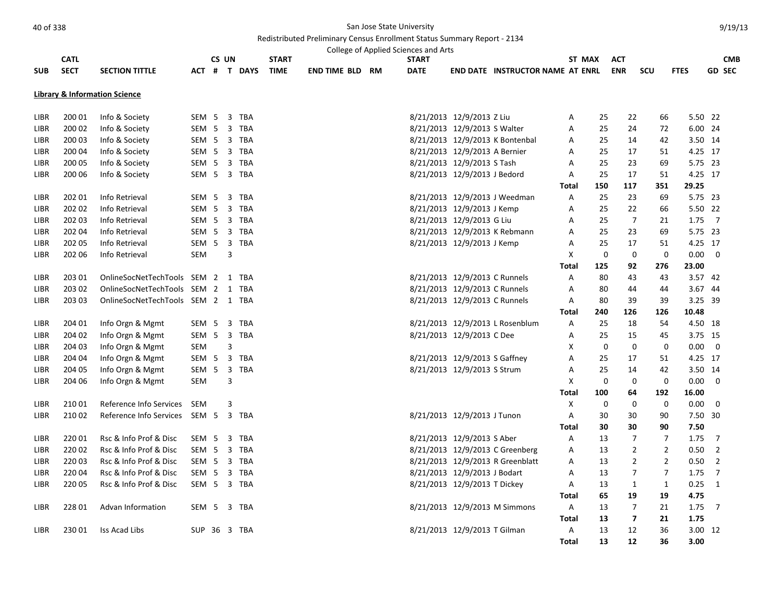|             |             |                                          |                  |       |              |              |                        |  | College of Applied Sciences and Arts |                               |                                         |              |               |                         |            |                |             |                |               |
|-------------|-------------|------------------------------------------|------------------|-------|--------------|--------------|------------------------|--|--------------------------------------|-------------------------------|-----------------------------------------|--------------|---------------|-------------------------|------------|----------------|-------------|----------------|---------------|
|             | <b>CATL</b> |                                          |                  | CS UN |              | <b>START</b> |                        |  | <b>START</b>                         |                               |                                         |              | <b>ST MAX</b> | <b>ACT</b>              |            |                |             |                | <b>CMB</b>    |
| <b>SUB</b>  | <b>SECT</b> | <b>SECTION TITTLE</b>                    |                  |       | ACT # T DAYS | <b>TIME</b>  | <b>END TIME BLD RM</b> |  | <b>DATE</b>                          |                               | <b>END DATE INSTRUCTOR NAME AT ENRL</b> |              |               | <b>ENR</b>              | <b>SCU</b> | <b>FTES</b>    |             |                | <b>GD SEC</b> |
|             |             | <b>Library &amp; Information Science</b> |                  |       |              |              |                        |  |                                      |                               |                                         |              |               |                         |            |                |             |                |               |
| LIBR        | 200 01      | Info & Society                           | SEM <sub>5</sub> |       | 3 TBA        |              |                        |  |                                      | 8/21/2013 12/9/2013 Z Liu     |                                         | Α            | 25            | 22                      | 66         |                | 5.50 22     |                |               |
| LIBR        | 200 02      | Info & Society                           |                  |       | SEM 5 3 TBA  |              |                        |  |                                      | 8/21/2013 12/9/2013 S Walter  |                                         | Α            | 25            | 24                      |            | 72             | 6.00 24     |                |               |
| LIBR        | 200 03      | Info & Society                           |                  |       | SEM 5 3 TBA  |              |                        |  |                                      |                               | 8/21/2013 12/9/2013 K Bontenbal         | Α            | 25            | 14                      |            | 42             | 3.50 14     |                |               |
| <b>LIBR</b> | 200 04      | Info & Society                           |                  |       | SEM 5 3 TBA  |              |                        |  |                                      | 8/21/2013 12/9/2013 A Bernier |                                         | A            | 25            | 17                      |            | 51             | 4.25 17     |                |               |
| LIBR        | 200 05      | Info & Society                           | SEM 5            |       | 3 TBA        |              |                        |  |                                      | 8/21/2013 12/9/2013 S Tash    |                                         | Α            | 25            | 23                      | 69         |                | 5.75 23     |                |               |
| <b>LIBR</b> | 200 06      | Info & Society                           |                  |       | SEM 5 3 TBA  |              |                        |  |                                      | 8/21/2013 12/9/2013 J Bedord  |                                         | A            | 25            | 17                      |            | 51             | 4.25 17     |                |               |
|             |             |                                          |                  |       |              |              |                        |  |                                      |                               |                                         | <b>Total</b> | 150           | 117                     | 351        | 29.25          |             |                |               |
| LIBR        | 202 01      | Info Retrieval                           | SEM 5            |       | 3 TBA        |              |                        |  |                                      |                               | 8/21/2013 12/9/2013 J Weedman           | Α            | 25            | 23                      |            | 69             | 5.75 23     |                |               |
| LIBR        | 202 02      | Info Retrieval                           | SEM <sub>5</sub> |       | 3 TBA        |              |                        |  |                                      | 8/21/2013 12/9/2013 J Kemp    |                                         | Α            | 25            | 22                      |            | 66             | 5.50 22     |                |               |
| LIBR        | 202 03      | Info Retrieval                           |                  |       | SEM 5 3 TBA  |              |                        |  |                                      | 8/21/2013 12/9/2013 G Liu     |                                         | Α            | 25            | $\overline{7}$          | 21         |                | $1.75$ 7    |                |               |
| <b>LIBR</b> | 202 04      | Info Retrieval                           |                  |       | SEM 5 3 TBA  |              |                        |  |                                      |                               | 8/21/2013 12/9/2013 K Rebmann           | A            | 25            | 23                      |            | 69             | 5.75 23     |                |               |
| LIBR        | 202 05      | Info Retrieval                           |                  |       | SEM 5 3 TBA  |              |                        |  |                                      | 8/21/2013 12/9/2013 J Kemp    |                                         | A            | 25            | 17                      | 51         |                | 4.25 17     |                |               |
| LIBR        | 202 06      | Info Retrieval                           | <b>SEM</b>       | 3     |              |              |                        |  |                                      |                               |                                         | X            | $\mathbf 0$   | $\mathbf 0$             |            | $\mathbf 0$    | $0.00 \t 0$ |                |               |
|             |             |                                          |                  |       |              |              |                        |  |                                      |                               |                                         | <b>Total</b> | 125           | 92                      | 276        | 23.00          |             |                |               |
| LIBR        | 203 01      | OnlineSocNetTechTools SEM 2 1 TBA        |                  |       |              |              |                        |  |                                      | 8/21/2013 12/9/2013 C Runnels |                                         | Α            | 80            | 43                      |            | 43             | 3.57 42     |                |               |
| LIBR        | 203 02      | OnlineSocNetTechTools SEM 2 1 TBA        |                  |       |              |              |                        |  |                                      | 8/21/2013 12/9/2013 C Runnels |                                         | Α            | 80            | 44                      | 44         |                | 3.67 44     |                |               |
| LIBR        | 203 03      | OnlineSocNetTechTools SEM 2 1 TBA        |                  |       |              |              |                        |  |                                      | 8/21/2013 12/9/2013 C Runnels |                                         | Α            | 80            | 39                      | 39         |                | 3.25 39     |                |               |
|             |             |                                          |                  |       |              |              |                        |  |                                      |                               |                                         | <b>Total</b> | 240           | 126                     | 126        | 10.48          |             |                |               |
| <b>LIBR</b> | 204 01      | Info Orgn & Mgmt                         | SEM 5            |       | 3 TBA        |              |                        |  |                                      |                               | 8/21/2013 12/9/2013 L Rosenblum         | Α            | 25            | 18                      | 54         |                | 4.50 18     |                |               |
| <b>LIBR</b> | 204 02      | Info Orgn & Mgmt                         |                  |       | SEM 5 3 TBA  |              |                        |  |                                      | 8/21/2013 12/9/2013 C Dee     |                                         | Α            | 25            | 15                      | 45         |                | 3.75 15     |                |               |
| LIBR        | 204 03      | Info Orgn & Mgmt                         | SEM              | 3     |              |              |                        |  |                                      |                               |                                         | х            | 0             | 0                       |            | 0              | $0.00\,$    | $\mathbf 0$    |               |
| LIBR        | 204 04      | Info Orgn & Mgmt                         |                  |       | SEM 5 3 TBA  |              |                        |  |                                      | 8/21/2013 12/9/2013 S Gaffney |                                         | A            | 25            | 17                      |            | 51             | 4.25 17     |                |               |
| LIBR        | 204 05      | Info Orgn & Mgmt                         |                  |       | SEM 5 3 TBA  |              |                        |  |                                      | 8/21/2013 12/9/2013 S Strum   |                                         | Α            | 25            | 14                      |            | 42             | 3.50 14     |                |               |
| <b>LIBR</b> | 204 06      | Info Orgn & Mgmt                         | <b>SEM</b>       | 3     |              |              |                        |  |                                      |                               |                                         | X            | $\mathbf 0$   | $\mathbf 0$             |            | $\mathbf 0$    | 0.00        | $\mathbf 0$    |               |
|             |             |                                          |                  |       |              |              |                        |  |                                      |                               |                                         | <b>Total</b> | 100           | 64                      | 192        | 16.00          |             |                |               |
| LIBR        | 210 01      | Reference Info Services                  | <b>SEM</b>       | 3     |              |              |                        |  |                                      |                               |                                         | X            | 0             | 0                       |            | 0              | 0.00        | 0              |               |
| LIBR        | 210 02      | Reference Info Services                  | SEM 5 3 TBA      |       |              |              |                        |  |                                      | 8/21/2013 12/9/2013 J Tunon   |                                         | Α            | 30            | 30                      |            | 90             | 7.50 30     |                |               |
|             |             |                                          |                  |       |              |              |                        |  |                                      |                               |                                         | <b>Total</b> | 30            | 30                      |            | 90             | 7.50        |                |               |
| <b>LIBR</b> | 220 01      | Rsc & Info Prof & Disc                   |                  |       | SEM 5 3 TBA  |              |                        |  |                                      | 8/21/2013 12/9/2013 S Aber    |                                         | A            | 13            | $\overline{7}$          |            | $\overline{7}$ | 1.75        | $\overline{7}$ |               |
| LIBR        | 220 02      | Rsc & Info Prof & Disc                   |                  |       | SEM 5 3 TBA  |              |                        |  |                                      |                               | 8/21/2013 12/9/2013 C Greenberg         | Α            | 13            | $\overline{2}$          |            | $\overline{2}$ | 0.50        | $\overline{2}$ |               |
| LIBR        | 220 03      | Rsc & Info Prof & Disc                   |                  |       | SEM 5 3 TBA  |              |                        |  |                                      |                               | 8/21/2013 12/9/2013 R Greenblatt        | Α            | 13            | $\overline{2}$          |            | $\overline{2}$ | 0.50        | $\overline{2}$ |               |
| <b>LIBR</b> | 220 04      | Rsc & Info Prof & Disc                   |                  |       | SEM 5 3 TBA  |              |                        |  |                                      | 8/21/2013 12/9/2013 J Bodart  |                                         | A            | 13            | $\overline{7}$          |            | 7              | 1.75        | $\overline{7}$ |               |
| LIBR        | 220 05      | Rsc & Info Prof & Disc                   |                  |       | SEM 5 3 TBA  |              |                        |  |                                      | 8/21/2013 12/9/2013 T Dickey  |                                         | Α            | 13            | 1                       |            | 1              | 0.25        | $\mathbf{1}$   |               |
|             |             |                                          |                  |       |              |              |                        |  |                                      |                               |                                         | Total        | 65            | 19                      |            | 19             | 4.75        |                |               |
| LIBR        | 228 01      | Advan Information                        |                  |       | SEM 5 3 TBA  |              |                        |  |                                      |                               | 8/21/2013 12/9/2013 M Simmons           | A            | 13            | $\overline{7}$          |            | 21             | 1.75        | 7              |               |
|             |             |                                          |                  |       |              |              |                        |  |                                      |                               |                                         | <b>Total</b> | 13            | $\overline{\mathbf{z}}$ |            | 21             | 1.75        |                |               |
| <b>LIBR</b> | 230 01      | Iss Acad Libs                            |                  |       | SUP 36 3 TBA |              |                        |  |                                      | 8/21/2013 12/9/2013 T Gilman  |                                         | A            | 13            | 12                      | 36         |                | 3.00 12     |                |               |
|             |             |                                          |                  |       |              |              |                        |  |                                      |                               |                                         | <b>Total</b> | 13            | 12                      |            | 36             | 3.00        |                |               |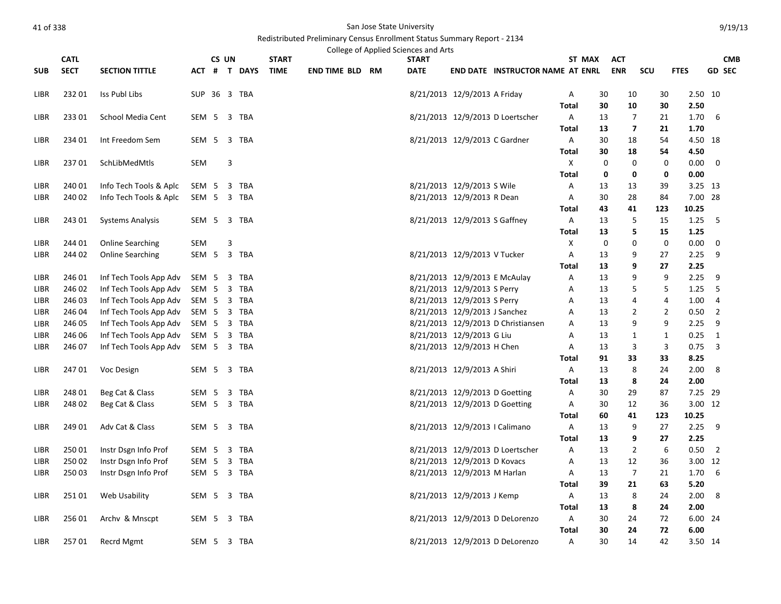## And the San Jose State University Canada San Jose State University

|            | <b>CATL</b> |                         |                  | CS UN |   |              | <b>START</b> |                        |  | College of Applied Sciences and Arts<br><b>START</b> |                             |                                         |              | ST MAX      | <b>ACT</b>     |                                |                        |                | <b>CMB</b>    |
|------------|-------------|-------------------------|------------------|-------|---|--------------|--------------|------------------------|--|------------------------------------------------------|-----------------------------|-----------------------------------------|--------------|-------------|----------------|--------------------------------|------------------------|----------------|---------------|
| <b>SUB</b> | <b>SECT</b> | <b>SECTION TITTLE</b>   |                  |       |   | ACT # T DAYS | <b>TIME</b>  | <b>END TIME BLD RM</b> |  | <b>DATE</b>                                          |                             | <b>END DATE INSTRUCTOR NAME AT ENRL</b> |              |             | <b>ENR</b>     | scu                            | <b>FTES</b>            |                | <b>GD SEC</b> |
| LIBR       | 23201       | Iss Publ Libs           | SUP 36 3 TBA     |       |   |              |              |                        |  | 8/21/2013 12/9/2013 A Friday                         |                             |                                         | A            | 30          | 10             | 30                             | 2.50 10                |                |               |
|            |             |                         |                  |       |   |              |              |                        |  |                                                      |                             |                                         | <b>Total</b> | 30          | 10             | 30                             | 2.50                   |                |               |
| LIBR       | 233 01      | School Media Cent       | SEM 5 3 TBA      |       |   |              |              |                        |  |                                                      |                             | 8/21/2013 12/9/2013 D Loertscher        | Α            | 13          | $\overline{7}$ | 21                             | 1.70                   | 6              |               |
|            |             |                         |                  |       |   |              |              |                        |  |                                                      |                             |                                         | Total        | 13          |                | $\overline{\phantom{a}}$<br>21 | 1.70                   |                |               |
| LIBR       | 234 01      | Int Freedom Sem         | SEM 5 3 TBA      |       |   |              |              |                        |  | 8/21/2013 12/9/2013 C Gardner                        |                             |                                         | $\mathsf{A}$ | 30          | 18             | 54                             | 4.50 18                |                |               |
|            |             |                         |                  |       |   |              |              |                        |  |                                                      |                             |                                         | Total        | 30          | 18             | 54                             | 4.50                   |                |               |
| LIBR       | 23701       | SchLibMedMtls           | <b>SEM</b>       |       | 3 |              |              |                        |  |                                                      |                             |                                         | X            | $\mathbf 0$ | $\mathbf 0$    |                                | 0.00<br>0              | 0              |               |
|            |             |                         |                  |       |   |              |              |                        |  |                                                      |                             |                                         | Total        | 0           |                | 0                              | 0.00<br>0              |                |               |
| LIBR       | 240 01      | Info Tech Tools & Aplc  | SEM <sub>5</sub> |       |   | 3 TBA        |              |                        |  | 8/21/2013 12/9/2013 S Wile                           |                             |                                         | Α            | 13          | 13             | 39                             | 3.25 13                |                |               |
| LIBR       | 240 02      | Info Tech Tools & Aplc  | SEM 5            |       |   | 3 TBA        |              |                        |  | 8/21/2013 12/9/2013 R Dean                           |                             |                                         | Α            | 30          | 28             | 84                             | 7.00 28                |                |               |
|            |             |                         |                  |       |   |              |              |                        |  |                                                      |                             |                                         | <b>Total</b> | 43          | 41             | 123                            | 10.25                  |                |               |
| LIBR       | 243 01      | <b>Systems Analysis</b> | SEM 5 3 TBA      |       |   |              |              |                        |  | 8/21/2013 12/9/2013 S Gaffney                        |                             |                                         | A            | 13          | 5              | 15                             | 1.25                   | 5              |               |
|            |             |                         |                  |       |   |              |              |                        |  |                                                      |                             |                                         | Total        | 13          |                | 5<br>15                        | 1.25                   |                |               |
| LIBR       | 244 01      | <b>Online Searching</b> | <b>SEM</b>       |       | 3 |              |              |                        |  |                                                      |                             |                                         | Χ            | 0           |                | 0<br>0                         | 0.00                   | 0              |               |
| LIBR       | 244 02      | <b>Online Searching</b> | SEM 5            |       |   | 3 TBA        |              |                        |  | 8/21/2013 12/9/2013 V Tucker                         |                             |                                         | A            | 13          |                | 9<br>27                        | 2.25                   | 9              |               |
|            |             |                         |                  |       |   |              |              |                        |  |                                                      |                             |                                         | Total        | 13          |                | 9<br>27                        | 2.25                   |                |               |
| LIBR       | 246 01      | Inf Tech Tools App Adv  | SEM 5            |       |   | 3 TBA        |              |                        |  | 8/21/2013 12/9/2013 E McAulay                        |                             |                                         | Α            | 13          |                | 9                              | 9<br>2.25              | 9              |               |
| LIBR       | 246 02      | Inf Tech Tools App Adv  | SEM 5 3 TBA      |       |   |              |              |                        |  |                                                      | 8/21/2013 12/9/2013 S Perry |                                         | Α            | 13          |                | 5                              | 1.25<br>5              | 5              |               |
| LIBR       | 246 03      | Inf Tech Tools App Adv  | SEM 5 3 TBA      |       |   |              |              |                        |  | 8/21/2013 12/9/2013 S Perry                          |                             |                                         | A            | 13          | 4              |                                | 1.00<br>4              | 4              |               |
| LIBR       | 246 04      | Inf Tech Tools App Adv  | SEM 5            |       |   | 3 TBA        |              |                        |  | 8/21/2013 12/9/2013 J Sanchez                        |                             |                                         | Α            | 13          |                | $\overline{2}$                 | $\overline{2}$<br>0.50 | $\overline{2}$ |               |
| LIBR       | 246 05      | Inf Tech Tools App Adv  | SEM 5 3 TBA      |       |   |              |              |                        |  |                                                      |                             | 8/21/2013 12/9/2013 D Christiansen      | A            | 13          |                | 9                              | 9<br>2.25              | 9              |               |
| LIBR       | 246 06      | Inf Tech Tools App Adv  | SEM 5 3 TBA      |       |   |              |              |                        |  | 8/21/2013 12/9/2013 G Liu                            |                             |                                         | Α            | 13          | $\mathbf{1}$   |                                | $\mathbf{1}$<br>0.25   | $\mathbf{1}$   |               |
| LIBR       | 246 07      | Inf Tech Tools App Adv  | SEM 5 3 TBA      |       |   |              |              |                        |  | 8/21/2013 12/9/2013 H Chen                           |                             |                                         | A            | 13          | 3              |                                | 3<br>0.75              | 3              |               |
|            |             |                         |                  |       |   |              |              |                        |  |                                                      |                             |                                         | Total        | 91          | 33             | 33                             | 8.25                   |                |               |
| LIBR       | 24701       | Voc Design              | SEM 5 3 TBA      |       |   |              |              |                        |  | 8/21/2013 12/9/2013 A Shiri                          |                             |                                         | A            | 13          |                | 8<br>24                        | 2.00                   | 8              |               |
|            |             |                         |                  |       |   |              |              |                        |  |                                                      |                             |                                         | Total        | 13          | 8              | 24                             | 2.00                   |                |               |
| LIBR       | 248 01      | Beg Cat & Class         | SEM 5            |       |   | 3 TBA        |              |                        |  |                                                      |                             | 8/21/2013 12/9/2013 D Goetting          | A            | 30          | 29             | 87                             | 7.25 29                |                |               |
| LIBR       | 248 02      | Beg Cat & Class         | SEM 5 3 TBA      |       |   |              |              |                        |  |                                                      |                             | 8/21/2013 12/9/2013 D Goetting          | Α            | 30          | 12             | 36                             | 3.00 12                |                |               |
|            |             |                         |                  |       |   |              |              |                        |  |                                                      |                             |                                         | Total        | 60          | 41             | 123                            | 10.25                  |                |               |
| LIBR       | 249 01      | Adv Cat & Class         | SEM 5 3 TBA      |       |   |              |              |                        |  | 8/21/2013 12/9/2013   Calimano                       |                             |                                         | A            | 13          | 9              | 27                             | 2.25                   | 9              |               |
|            |             |                         |                  |       |   |              |              |                        |  |                                                      |                             |                                         | Total        | 13          |                | 9<br>27                        | 2.25                   |                |               |
| LIBR       | 250 01      | Instr Dsgn Info Prof    | SEM 5 3 TBA      |       |   |              |              |                        |  |                                                      |                             | 8/21/2013 12/9/2013 D Loertscher        | Α            | 13          |                | $\overline{2}$<br>6            | 0.50                   | $\overline{2}$ |               |
| LIBR       | 250 02      | Instr Dsgn Info Prof    | SEM 5 3 TBA      |       |   |              |              |                        |  | 8/21/2013 12/9/2013 D Kovacs                         |                             |                                         | Α            | 13          | 12             | 36                             | 3.00 12                |                |               |
| LIBR       | 25003       | Instr Dsgn Info Prof    | SEM 5 3 TBA      |       |   |              |              |                        |  | 8/21/2013 12/9/2013 M Harlan                         |                             |                                         | Α            | 13          | $\overline{7}$ | 21                             | 1.70                   | 6              |               |
|            |             |                         |                  |       |   |              |              |                        |  |                                                      |                             |                                         | Total        | 39          | 21             | 63                             | 5.20                   |                |               |
| LIBR       | 25101       | Web Usability           | SEM 5 3 TBA      |       |   |              |              |                        |  | 8/21/2013 12/9/2013 J Kemp                           |                             |                                         | A            | 13          | 8              | 24                             | 2.00                   | 8              |               |
|            |             |                         |                  |       |   |              |              |                        |  |                                                      |                             |                                         | Total        | 13          | 8              | 24                             | 2.00                   |                |               |
| LIBR       | 256 01      | Archy & Mnscpt          | SEM 5 3 TBA      |       |   |              |              |                        |  |                                                      |                             | 8/21/2013 12/9/2013 D DeLorenzo         | A            | 30          | 24             | 72                             | 6.00 24                |                |               |
|            |             |                         |                  |       |   |              |              |                        |  |                                                      |                             |                                         | <b>Total</b> | 30          | 24             | 72                             | 6.00                   |                |               |
| LIBR       | 25701       | <b>Recrd Mgmt</b>       | SEM 5 3 TBA      |       |   |              |              |                        |  |                                                      |                             | 8/21/2013 12/9/2013 D DeLorenzo         | Α            | 30          | 14             | 42                             | 3.50 14                |                |               |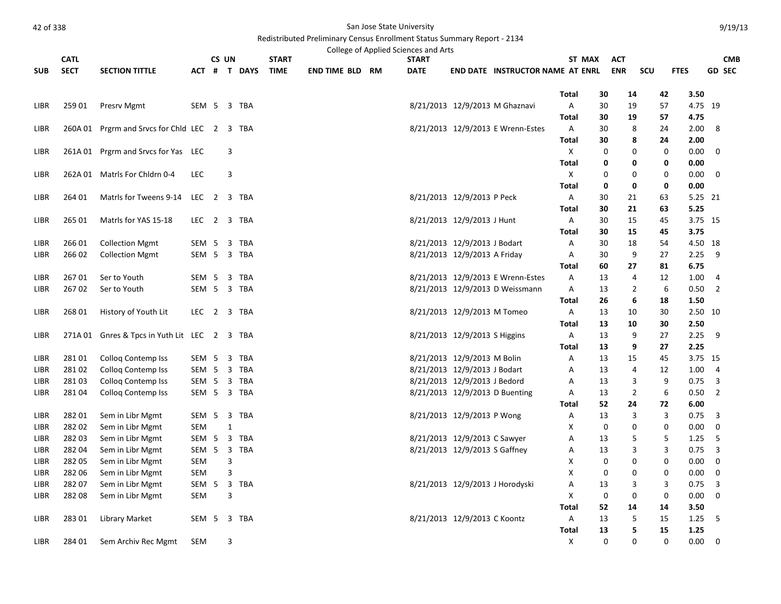Redistributed Preliminary Census Enrollment Status Summary Report - 2134

|             |             |                                              |                  |       |             |              |                             |                        |  | College of Applied Sciences and Arts |                               |                                         |                           |                |                          |                |                     |                |                             |
|-------------|-------------|----------------------------------------------|------------------|-------|-------------|--------------|-----------------------------|------------------------|--|--------------------------------------|-------------------------------|-----------------------------------------|---------------------------|----------------|--------------------------|----------------|---------------------|----------------|-----------------------------|
|             | <b>CATL</b> |                                              |                  | CS UN |             |              | <b>START</b><br><b>TIME</b> |                        |  | <b>START</b>                         |                               |                                         | ST MAX                    |                | <b>ACT</b><br><b>ENR</b> |                | <b>FTES</b>         |                | <b>CMB</b><br><b>GD SEC</b> |
| <b>SUB</b>  | <b>SECT</b> | <b>SECTION TITTLE</b>                        |                  |       |             | ACT # T DAYS |                             | <b>END TIME BLD RM</b> |  | <b>DATE</b>                          |                               | <b>END DATE INSTRUCTOR NAME AT ENRL</b> |                           |                |                          | scu            |                     |                |                             |
|             |             |                                              |                  |       |             |              |                             |                        |  |                                      |                               |                                         | Total                     | 30             | 14                       | 42             | 3.50                |                |                             |
| LIBR        | 259 01      | Presrv Mgmt                                  | SEM <sub>5</sub> |       |             | 3 TBA        |                             |                        |  |                                      |                               | 8/21/2013 12/9/2013 M Ghaznavi          | A                         | 30             | 19                       | 57             | 4.75 19             |                |                             |
|             |             |                                              |                  |       |             |              |                             |                        |  |                                      |                               |                                         | Total                     | 30             | 19                       | 57             | 4.75                |                |                             |
| <b>LIBR</b> |             | 260A 01 Prgrm and Srvcs for Chld LEC 2 3 TBA |                  |       |             |              |                             |                        |  |                                      |                               | 8/21/2013 12/9/2013 E Wrenn-Estes       | Α                         | 30             |                          | 8<br>24        | 2.00                | 8              |                             |
|             |             |                                              |                  |       |             |              |                             |                        |  |                                      |                               |                                         | <b>Total</b>              | 30             |                          | 8<br>24        | 2.00                |                |                             |
| LIBR        |             | 261A 01 Prgrm and Srvcs for Yas LEC          |                  |       | 3           |              |                             |                        |  |                                      |                               |                                         | $\boldsymbol{\mathsf{X}}$ | 0              |                          | 0              | $\mathbf 0$<br>0.00 | $\mathbf 0$    |                             |
|             |             |                                              |                  |       |             |              |                             |                        |  |                                      |                               |                                         | <b>Total</b>              | 0              |                          | 0              | 0<br>0.00           |                |                             |
| LIBR        |             | 262A 01 Matrls For Chidrn 0-4                | <b>LEC</b>       |       | 3           |              |                             |                        |  |                                      |                               |                                         | X                         | 0              |                          | 0              | $\mathbf 0$<br>0.00 | 0              |                             |
|             |             |                                              |                  |       |             |              |                             |                        |  |                                      |                               |                                         | Total                     | 0              |                          | $\mathbf 0$    | 0<br>0.00           |                |                             |
| LIBR        | 264 01      | Matrls for Tweens 9-14                       | LEC              |       |             | 2 3 TBA      |                             |                        |  |                                      | 8/21/2013 12/9/2013 P Peck    |                                         | A                         | 30             | 21                       | 63             | 5.25 21             |                |                             |
|             |             |                                              |                  |       |             |              |                             |                        |  |                                      |                               |                                         | Total                     | 30             | 21                       | 63             | 5.25                |                |                             |
| LIBR        | 265 01      | Matrls for YAS 15-18                         | LEC 2 3 TBA      |       |             |              |                             |                        |  |                                      | 8/21/2013 12/9/2013 J Hunt    |                                         | A                         | 30             | 15                       | 45             | 3.75 15             |                |                             |
|             |             |                                              |                  |       |             |              |                             |                        |  |                                      |                               |                                         | Total                     | 30             | 15                       | 45             | 3.75                |                |                             |
| LIBR        | 266 01      | <b>Collection Mgmt</b>                       | SEM 5 3 TBA      |       |             |              |                             |                        |  |                                      | 8/21/2013 12/9/2013 J Bodart  |                                         | Α                         | 30             | 18                       | 54             | 4.50 18             |                |                             |
| <b>LIBR</b> | 266 02      | <b>Collection Mgmt</b>                       | SEM 5 3 TBA      |       |             |              |                             |                        |  |                                      | 8/21/2013 12/9/2013 A Friday  |                                         | Α                         | 30             |                          | 9<br>27        | 2.25                | 9              |                             |
|             |             |                                              |                  |       |             |              |                             |                        |  |                                      |                               |                                         | <b>Total</b>              | 60             | 27                       | 81             | 6.75                |                |                             |
| LIBR        | 26701       | Ser to Youth                                 | SEM 5            |       |             | 3 TBA        |                             |                        |  |                                      |                               | 8/21/2013 12/9/2013 E Wrenn-Estes       | A                         | 13             |                          | 4<br>12        | 1.00                | 4              |                             |
| LIBR        | 26702       | Ser to Youth                                 | SEM 5 3 TBA      |       |             |              |                             |                        |  |                                      |                               | 8/21/2013 12/9/2013 D Weissmann         | Α                         | 13             |                          | $\overline{2}$ | 6<br>0.50           | $\overline{2}$ |                             |
|             |             |                                              |                  |       |             |              |                             |                        |  |                                      |                               |                                         | Total                     | 26             |                          | 6<br>18        | 1.50                |                |                             |
| <b>LIBR</b> | 268 01      | History of Youth Lit                         | <b>LEC</b>       |       |             | 2 3 TBA      |                             |                        |  |                                      | 8/21/2013 12/9/2013 M Tomeo   |                                         | Α                         | 13             | 10                       | 30             | 2.50 10             |                |                             |
|             |             |                                              |                  |       |             |              |                             |                        |  |                                      |                               |                                         | Total                     | 13             | 10                       | 30             | 2.50                |                |                             |
| <b>LIBR</b> |             | 271A 01 Gnres & Tpcs in Yuth Lit LEC 2 3 TBA |                  |       |             |              |                             |                        |  |                                      | 8/21/2013 12/9/2013 S Higgins |                                         | A                         | 13             |                          | 9<br>27        | 2.25                | 9              |                             |
|             |             |                                              |                  |       |             |              |                             |                        |  |                                      |                               |                                         | <b>Total</b>              | 13             |                          | 27<br>9        | 2.25                |                |                             |
| LIBR        | 28101       | <b>Collog Contemp Iss</b>                    | SEM 5            |       |             | 3 TBA        |                             |                        |  |                                      | 8/21/2013 12/9/2013 M Bolin   |                                         | Α                         | 13             | 15                       | 45             | 3.75 15             |                |                             |
| LIBR        | 28102       | <b>Collog Contemp Iss</b>                    | SEM 5 3 TBA      |       |             |              |                             |                        |  |                                      | 8/21/2013 12/9/2013 J Bodart  |                                         | Α                         | 13             |                          | 4<br>12        | 1.00                | 4              |                             |
| LIBR        | 28103       | Colloq Contemp Iss                           | SEM 5 3 TBA      |       |             |              |                             |                        |  |                                      | 8/21/2013 12/9/2013 J Bedord  |                                         | Α                         | 13             |                          | 3              | 9<br>0.75           | 3              |                             |
| <b>LIBR</b> | 28104       | <b>Collog Contemp Iss</b>                    | SEM 5 3 TBA      |       |             |              |                             |                        |  |                                      |                               | 8/21/2013 12/9/2013 D Buenting          | Α                         | 13             |                          | $\overline{2}$ | 6<br>0.50           | $\overline{2}$ |                             |
|             |             |                                              |                  |       |             |              |                             |                        |  |                                      |                               |                                         | Total                     | 52             | 24                       | 72             | 6.00                |                |                             |
| <b>LIBR</b> | 282 01      | Sem in Libr Mgmt                             | SEM 5 3 TBA      |       |             |              |                             |                        |  |                                      | 8/21/2013 12/9/2013 P Wong    |                                         | Α                         | 13             |                          | 3              | 3<br>0.75           | 3              |                             |
| LIBR        | 282 02      | Sem in Libr Mgmt                             | <b>SEM</b>       |       | $\mathbf 1$ |              |                             |                        |  |                                      |                               |                                         | х                         | 0              |                          | 0              | 0<br>0.00           | 0              |                             |
| LIBR        | 282 03      | Sem in Libr Mgmt                             | SEM 5            |       |             | 3 TBA        |                             |                        |  |                                      | 8/21/2013 12/9/2013 C Sawyer  |                                         | А                         | 13             |                          | 5              | 5<br>1.25           | 5              |                             |
| LIBR        | 282 04      | Sem in Libr Mgmt                             | SEM 5 3 TBA      |       |             |              |                             |                        |  |                                      | 8/21/2013 12/9/2013 S Gaffney |                                         | Α                         | 13             |                          | 3              | 3<br>0.75           | 3              |                             |
| LIBR        | 282 05      | Sem in Libr Mgmt                             | SEM              |       | 3           |              |                             |                        |  |                                      |                               |                                         | Х                         | 0              |                          | 0              | 0.00<br>0           | $\mathbf 0$    |                             |
| LIBR        | 282 06      | Sem in Libr Mgmt                             | <b>SEM</b>       |       | 3           |              |                             |                        |  |                                      |                               |                                         | X                         | 0              |                          | 0              | 0<br>0.00           | 0              |                             |
| <b>LIBR</b> | 282 07      | Sem in Libr Mgmt                             | SEM 5            |       |             | 3 TBA        |                             |                        |  |                                      |                               | 8/21/2013 12/9/2013 J Horodyski         | A                         | 13             |                          | 3              | 0.75<br>3           | 3              |                             |
| LIBR        | 282 08      | Sem in Libr Mgmt                             | <b>SEM</b>       |       | 3           |              |                             |                        |  |                                      |                               |                                         | Х                         | 0              |                          | 0              | 0<br>0.00           | 0              |                             |
|             |             |                                              |                  |       |             |              |                             |                        |  |                                      |                               |                                         | <b>Total</b>              | 52             | 14                       | 14             | 3.50                |                |                             |
| LIBR        | 283 01      | Library Market                               | SEM 5            |       |             | 3 TBA        |                             |                        |  |                                      | 8/21/2013 12/9/2013 C Koontz  |                                         | Α                         | 13             |                          | 5<br>15<br>5   | 1.25                | 5              |                             |
|             |             |                                              |                  |       |             |              |                             |                        |  |                                      |                               |                                         | Total                     | 13<br>$\Omega$ |                          | 15<br>0        | 1.25<br>$\Omega$    |                |                             |
| LIBR        | 284 01      | Sem Archiv Rec Mgmt                          | <b>SEM</b>       |       | 3           |              |                             |                        |  |                                      |                               |                                         | X                         |                |                          |                | 0.00                | $\mathbf 0$    |                             |

9/19/13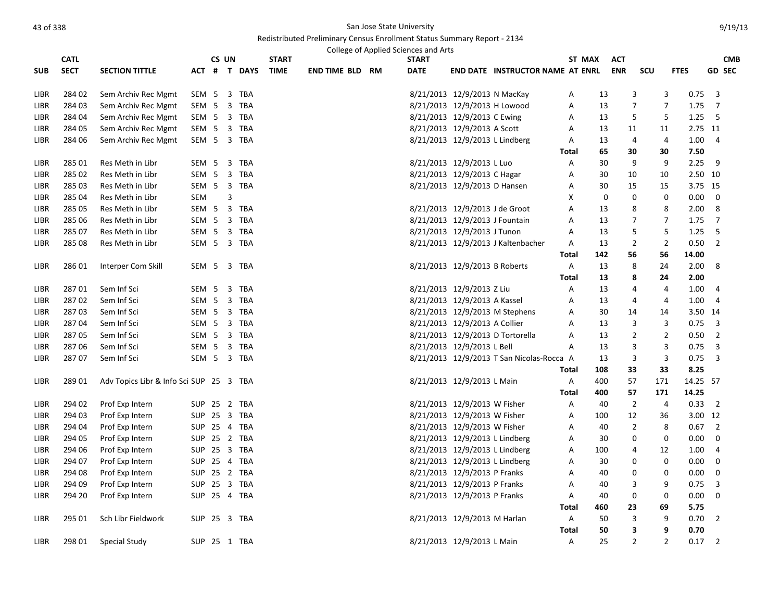## And the State University of 338

|            | <b>CATL</b> |                                         |              | CS UN |   |              | <b>START</b> |                        | College of Applied Sciences and Arts<br><b>START</b> |                                |                                           | ST MAX       |          | <b>ACT</b>     |                |                            |                          | <b>CMB</b>    |
|------------|-------------|-----------------------------------------|--------------|-------|---|--------------|--------------|------------------------|------------------------------------------------------|--------------------------------|-------------------------------------------|--------------|----------|----------------|----------------|----------------------------|--------------------------|---------------|
| <b>SUB</b> | <b>SECT</b> | <b>SECTION TITTLE</b>                   |              |       |   | ACT # T DAYS | <b>TIME</b>  | <b>END TIME BLD RM</b> | <b>DATE</b>                                          |                                | END DATE INSTRUCTOR NAME AT ENRL          |              |          | <b>ENR</b>     | scu            | <b>FTES</b>                |                          | <b>GD SEC</b> |
| LIBR       | 284 02      | Sem Archiv Rec Mgmt                     | SEM 5        |       |   | 3 TBA        |              |                        |                                                      | 8/21/2013 12/9/2013 N MacKay   |                                           | Α            | 13       |                | 3              | 0.75<br>3                  | $\overline{\mathbf{3}}$  |               |
| LIBR       | 284 03      | Sem Archiv Rec Mgmt                     | SEM 5        |       |   | 3 TBA        |              |                        |                                                      | 8/21/2013 12/9/2013 H Lowood   |                                           | Α            | 13       |                | 7              | $\overline{7}$<br>1.75     | $\overline{7}$           |               |
| LIBR       | 284 04      | Sem Archiv Rec Mgmt                     |              |       |   | SEM 5 3 TBA  |              |                        |                                                      | 8/21/2013 12/9/2013 C Ewing    |                                           | Α            | 13       |                | 5              | 5<br>1.25                  | 5                        |               |
| LIBR       | 284 05      | Sem Archiv Rec Mgmt                     |              |       |   | SEM 5 3 TBA  |              |                        |                                                      | 8/21/2013 12/9/2013 A Scott    |                                           | Α            | 13       | 11             | 11             | 2.75 11                    |                          |               |
| LIBR       | 284 06      | Sem Archiv Rec Mgmt                     |              |       |   | SEM 5 3 TBA  |              |                        |                                                      | 8/21/2013 12/9/2013 L Lindberg |                                           | Α            | 13       |                | 4              | 4<br>1.00                  | $\overline{4}$           |               |
|            |             |                                         |              |       |   |              |              |                        |                                                      |                                |                                           | Total        | 65       | 30             | 30             | 7.50                       |                          |               |
| LIBR       | 285 01      | Res Meth in Libr                        |              |       |   | SEM 5 3 TBA  |              |                        |                                                      | 8/21/2013 12/9/2013 L Luo      |                                           | Α            | 30       | 9              |                | 2.25<br>9                  | - 9                      |               |
| LIBR       | 285 02      | Res Meth in Libr                        |              |       |   | SEM 5 3 TBA  |              |                        |                                                      | 8/21/2013 12/9/2013 C Hagar    |                                           | Α            | 30       | 10             | 10             | 2.50 10                    |                          |               |
| LIBR       | 285 03      | Res Meth in Libr                        |              |       |   | SEM 5 3 TBA  |              |                        |                                                      | 8/21/2013 12/9/2013 D Hansen   |                                           | Α            | 30       | 15             | 15             | 3.75 15                    |                          |               |
| LIBR       | 285 04      |                                         | <b>SEM</b>   |       | 3 |              |              |                        |                                                      |                                |                                           | X            | 0        |                | 0              | 0<br>0.00                  | $\mathbf 0$              |               |
|            | 285 05      | Res Meth in Libr<br>Res Meth in Libr    |              |       |   |              |              |                        |                                                      | 8/21/2013 12/9/2013 J de Groot |                                           | Α            | 13       |                | 8              | 8<br>2.00                  | 8                        |               |
| LIBR       |             |                                         | SEM 5 3 TBA  |       |   |              |              |                        |                                                      |                                |                                           |              |          |                |                |                            |                          |               |
| LIBR       | 285 06      | Res Meth in Libr                        |              |       |   | SEM 5 3 TBA  |              |                        |                                                      | 8/21/2013 12/9/2013 J Fountain |                                           | Α            | 13<br>13 |                | 7<br>5         | 1.75<br>7<br>5             | 7<br>5                   |               |
| LIBR       | 285 07      | Res Meth in Libr                        | SEM 5        |       |   | 3 TBA        |              |                        |                                                      | 8/21/2013 12/9/2013 J Tunon    |                                           | Α            |          |                |                | 1.25                       |                          |               |
| LIBR       | 285 08      | Res Meth in Libr                        |              |       |   | SEM 5 3 TBA  |              |                        |                                                      |                                | 8/21/2013 12/9/2013 J Kaltenbacher        | Α            | 13       |                | $\overline{2}$ | $\overline{2}$<br>0.50     | $\overline{2}$           |               |
|            |             |                                         |              |       |   |              |              |                        |                                                      |                                |                                           | <b>Total</b> | 142      | 56             | 56             | 14.00                      |                          |               |
| LIBR       | 286 01      | Interper Com Skill                      |              |       |   | SEM 5 3 TBA  |              |                        |                                                      | 8/21/2013 12/9/2013 B Roberts  |                                           | A            | 13       |                | 8<br>24        | 2.00                       | 8                        |               |
|            |             |                                         |              |       |   |              |              |                        |                                                      |                                |                                           | <b>Total</b> | 13       |                | 8<br>24        | 2.00                       |                          |               |
| LIBR       | 28701       | Sem Inf Sci                             | SEM 5        |       |   | 3 TBA        |              |                        |                                                      | 8/21/2013 12/9/2013 Z Liu      |                                           | А            | 13       |                | 4              | 1.00<br>4                  | $\overline{4}$           |               |
| LIBR       | 28702       | Sem Inf Sci                             | SEM 5 3 TBA  |       |   |              |              |                        |                                                      | 8/21/2013 12/9/2013 A Kassel   |                                           | A            | 13       |                | 4              | 1.00<br>4                  | $\overline{4}$           |               |
| LIBR       | 28703       | Sem Inf Sci                             | SEM 5        |       |   | 3 TBA        |              |                        |                                                      |                                | 8/21/2013 12/9/2013 M Stephens            | Α            | 30       | 14             | 14             | 3.50 14                    |                          |               |
| LIBR       | 28704       | Sem Inf Sci                             |              |       |   | SEM 5 3 TBA  |              |                        |                                                      | 8/21/2013 12/9/2013 A Collier  |                                           | Α            | 13       |                | 3              | 3<br>0.75                  | $\overline{\mathbf{3}}$  |               |
| LIBR       | 28705       | Sem Inf Sci                             |              |       |   | SEM 5 3 TBA  |              |                        |                                                      |                                | 8/21/2013 12/9/2013 D Tortorella          | Α            | 13       |                | $\overline{2}$ | $\overline{2}$<br>0.50     | $\overline{2}$           |               |
| LIBR       | 28706       | Sem Inf Sci                             |              |       |   | SEM 5 3 TBA  |              |                        |                                                      | 8/21/2013 12/9/2013 L Bell     |                                           | A            | 13       |                | 3              | $\mathsf 3$<br>0.75        | $\overline{3}$           |               |
| LIBR       | 28707       | Sem Inf Sci                             |              |       |   | SEM 5 3 TBA  |              |                        |                                                      |                                | 8/21/2013 12/9/2013 T San Nicolas-Rocca A |              | 13       |                | 3              | 3<br>0.75                  | 3                        |               |
|            |             |                                         |              |       |   |              |              |                        |                                                      |                                |                                           | Total        | 108      | 33             | 33             | 8.25                       |                          |               |
| LIBR       | 289 01      | Adv Topics Libr & Info Sci SUP 25 3 TBA |              |       |   |              |              |                        |                                                      | 8/21/2013 12/9/2013 L Main     |                                           | Α            | 400      | 57             | 171            | 14.25 57                   |                          |               |
|            |             |                                         |              |       |   |              |              |                        |                                                      |                                |                                           | <b>Total</b> | 400      | 57             | 171            | 14.25                      |                          |               |
| LIBR       | 294 02      | Prof Exp Intern                         |              |       |   | SUP 25 2 TBA |              |                        |                                                      | 8/21/2013 12/9/2013 W Fisher   |                                           | Α            | 40       | $\overline{2}$ |                | 4<br>0.33 2                |                          |               |
| LIBR       | 294 03      | Prof Exp Intern                         |              |       |   | SUP 25 3 TBA |              |                        |                                                      | 8/21/2013 12/9/2013 W Fisher   |                                           | Α            | 100      | 12             | 36             | 3.00 12                    |                          |               |
| LIBR       | 294 04      | Prof Exp Intern                         |              |       |   | SUP 25 4 TBA |              |                        |                                                      | 8/21/2013 12/9/2013 W Fisher   |                                           | Α            | 40       |                | $\overline{2}$ | 8<br>0.67                  | $\overline{\phantom{0}}$ |               |
| LIBR       | 294 05      | Prof Exp Intern                         |              |       |   | SUP 25 2 TBA |              |                        |                                                      | 8/21/2013 12/9/2013 L Lindberg |                                           | Α            | 30       |                | $\mathbf 0$    | 0<br>0.00                  | $\mathbf 0$              |               |
| LIBR       | 294 06      | Prof Exp Intern                         |              |       |   | SUP 25 3 TBA |              |                        |                                                      | 8/21/2013 12/9/2013 L Lindberg |                                           | Α            | 100      |                | 12<br>4        | 1.00                       | $\overline{4}$           |               |
| LIBR       | 294 07      | Prof Exp Intern                         |              |       |   | SUP 25 4 TBA |              |                        |                                                      | 8/21/2013 12/9/2013 L Lindberg |                                           | Α            | 30       |                | 0              | 0.00<br>$\mathbf 0$        | $\mathbf 0$              |               |
| LIBR       | 294 08      | Prof Exp Intern                         |              |       |   | SUP 25 2 TBA |              |                        |                                                      | 8/21/2013 12/9/2013 P Franks   |                                           | Α            | 40       |                | 0              | 0.00<br>0                  | 0                        |               |
| LIBR       | 294 09      | Prof Exp Intern                         | SUP 25 3 TBA |       |   |              |              |                        |                                                      | 8/21/2013 12/9/2013 P Franks   |                                           | A            | 40       |                | 3              | 9<br>0.75                  | 3                        |               |
| LIBR       | 294 20      | Prof Exp Intern                         |              |       |   | SUP 25 4 TBA |              |                        |                                                      | 8/21/2013 12/9/2013 P Franks   |                                           | Α            | 40       |                | 0              | 0<br>0.00                  | 0                        |               |
|            |             |                                         |              |       |   |              |              |                        |                                                      |                                |                                           | Total        | 460      | 23             | 69             | 5.75                       |                          |               |
| LIBR       | 295 01      | Sch Libr Fieldwork                      | SUP 25 3 TBA |       |   |              |              |                        |                                                      | 8/21/2013 12/9/2013 M Harlan   |                                           | A            | 50       |                | 3              | 9<br>0.70                  | $\overline{2}$           |               |
|            |             |                                         |              |       |   |              |              |                        |                                                      |                                |                                           | <b>Total</b> | 50       |                | 3              | 0.70<br>9                  |                          |               |
| LIBR       | 298 01      | Special Study                           | SUP 25 1 TBA |       |   |              |              |                        |                                                      | 8/21/2013 12/9/2013 L Main     |                                           | A            | 25       |                | $\overline{2}$ | $\overline{2}$<br>$0.17$ 2 |                          |               |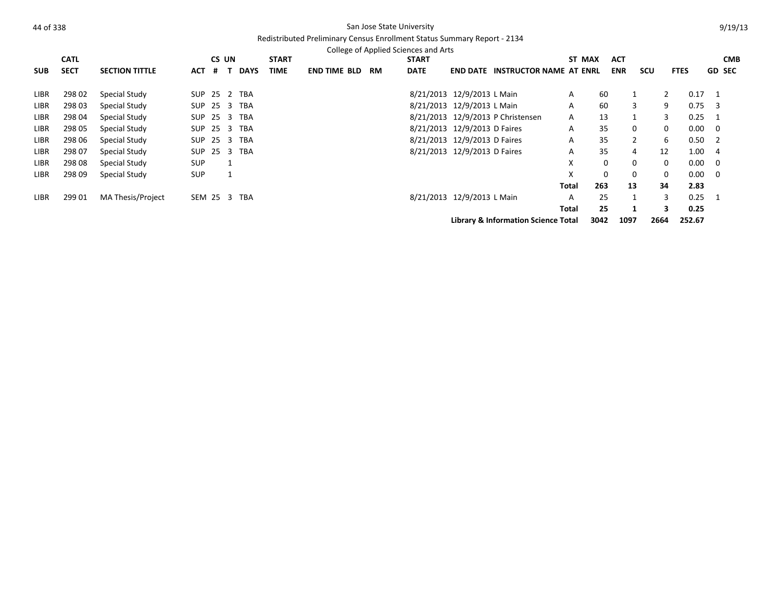|             | College of Applied Sciences and Arts |                       |              |       |          |                            |                     |           |              |                              |                                     |               |      |                |                |                |                         |               |
|-------------|--------------------------------------|-----------------------|--------------|-------|----------|----------------------------|---------------------|-----------|--------------|------------------------------|-------------------------------------|---------------|------|----------------|----------------|----------------|-------------------------|---------------|
|             | <b>CATL</b>                          |                       |              | CS UN |          | <b>START</b>               |                     |           | <b>START</b> |                              |                                     | <b>ST MAX</b> |      | <b>ACT</b>     |                |                |                         | <b>CMB</b>    |
| <b>SUB</b>  | <b>SECT</b>                          | <b>SECTION TITTLE</b> | ACT          | #     |          | <b>DAYS</b><br><b>TIME</b> | <b>END TIME BLD</b> | <b>RM</b> | <b>DATE</b>  | <b>END DATE</b>              | <b>INSTRUCTOR NAME AT ENRL</b>      |               |      | <b>ENR</b>     | <b>SCU</b>     | <b>FTES</b>    |                         | <b>GD SEC</b> |
| <b>LIBR</b> | 298 02                               | Special Study         | SUP          |       | 25 2 TBA |                            |                     |           |              | 8/21/2013 12/9/2013 L Main   |                                     | $\mathsf{A}$  | 60   |                | $\overline{2}$ | $0.17 \quad 1$ |                         |               |
| LIBR        | 298 03                               | Special Study         | SUP          |       | 25 3 TBA |                            |                     |           |              | 8/21/2013 12/9/2013 L Main   |                                     | A             | 60   | 3              | 9              | $0.75$ 3       |                         |               |
| LIBR        | 298 04                               | Special Study         | SUP          |       | 25 3 TBA |                            |                     |           |              |                              | 8/21/2013 12/9/2013 P Christensen   | A             | 13   |                | 3              | 0.25           | -1                      |               |
| <b>LIBR</b> | 298 05                               | Special Study         | SUP          |       | 25 3 TBA |                            |                     |           |              | 8/21/2013 12/9/2013 D Faires |                                     | A             | 35   | 0              | $\mathbf{0}$   | $0.00\,$       | $\overline{\mathbf{0}}$ |               |
| LIBR        | 298 06                               | Special Study         | SUP          |       | 25 3 TBA |                            |                     |           |              | 8/21/2013 12/9/2013 D Faires |                                     | A             | 35   | $\overline{2}$ | 6              | 0.50 2         |                         |               |
| LIBR        | 298 07                               | Special Study         | SUP          |       | 25 3 TBA |                            |                     |           |              | 8/21/2013 12/9/2013 D Faires |                                     | A             | 35   | 4              | 12             | 1.00           | -4                      |               |
| <b>LIBR</b> | 298 08                               | Special Study         | <b>SUP</b>   |       |          |                            |                     |           |              |                              |                                     | X             | 0    | 0              | $\mathbf{0}$   | $0.00\,$       | - 0                     |               |
| <b>LIBR</b> | 298 09                               | Special Study         | <b>SUP</b>   |       | 1        |                            |                     |           |              |                              |                                     | X             | 0    | 0              | $\mathbf{0}$   | $0.00\,$       | $\overline{0}$          |               |
|             |                                      |                       |              |       |          |                            |                     |           |              |                              |                                     | Total         | 263  | 13             | 34             | 2.83           |                         |               |
| <b>LIBR</b> | 299 01                               | MA Thesis/Project     | SEM 25 3 TBA |       |          |                            |                     |           |              | 8/21/2013 12/9/2013 L Main   |                                     | A             | 25   |                | 3              | 0.25           |                         |               |
|             |                                      |                       |              |       |          |                            |                     |           |              |                              |                                     | Total         | 25   |                | 3              | 0.25           |                         |               |
|             |                                      |                       |              |       |          |                            |                     |           |              |                              | Library & Information Science Total |               | 3042 | 1097           | 2664           | 252.67         |                         |               |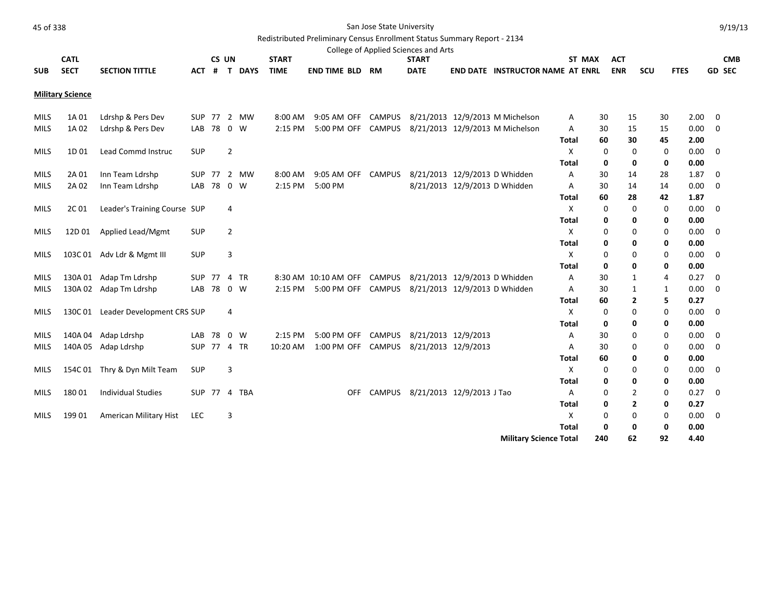|             |                         |                                    |              |        |                |        |              |                                                           |               | College of Applied Sciences and Arts |                               |                                         |               |            |               |        |              |              |               |
|-------------|-------------------------|------------------------------------|--------------|--------|----------------|--------|--------------|-----------------------------------------------------------|---------------|--------------------------------------|-------------------------------|-----------------------------------------|---------------|------------|---------------|--------|--------------|--------------|---------------|
|             | <b>CATL</b>             |                                    |              | CS UN  |                |        | <b>START</b> |                                                           |               | <b>START</b>                         |                               |                                         | <b>ST MAX</b> | <b>ACT</b> |               |        |              |              | <b>CMB</b>    |
| <b>SUB</b>  | <b>SECT</b>             | <b>SECTION TITTLE</b>              | АСТ          | #      |                | T DAYS | <b>TIME</b>  | <b>END TIME BLD</b>                                       | <b>RM</b>     | <b>DATE</b>                          |                               | <b>END DATE INSTRUCTOR NAME AT ENRL</b> |               |            | <b>ENR</b>    | SCU    | <b>FTES</b>  |              | <b>GD SEC</b> |
|             | <b>Military Science</b> |                                    |              |        |                |        |              |                                                           |               |                                      |                               |                                         |               |            |               |        |              |              |               |
| <b>MILS</b> | 1A 01                   | Ldrshp & Pers Dev                  | SUP 77 2 MW  |        |                |        | 8:00 AM      | 9:05 AM OFF CAMPUS                                        |               |                                      |                               | 8/21/2013 12/9/2013 M Michelson         | Α             | 30         | 15            | 30     | 2.00         | $\mathbf 0$  |               |
| <b>MILS</b> | 1A 02                   | Ldrshp & Pers Dev                  | LAB          |        | 78 0 W         |        | 2:15 PM      | 5:00 PM OFF CAMPUS 8/21/2013 12/9/2013 M Michelson        |               |                                      |                               |                                         | Α             | 30         | 15            | 15     | 0.00         | 0            |               |
|             |                         |                                    |              |        |                |        |              |                                                           |               |                                      |                               |                                         | Total         | 60         | 30            | 45     | 2.00         |              |               |
| <b>MILS</b> | 1D 01                   | Lead Commd Instruc                 | SUP          |        | $\overline{2}$ |        |              |                                                           |               |                                      |                               |                                         | Х             | 0          | 0             | 0      | 0.00         | 0            |               |
|             |                         |                                    |              |        |                |        |              |                                                           |               |                                      |                               |                                         | Total         | 0          | 0             | 0      | 0.00         |              |               |
| <b>MILS</b> | 2A 01                   | Inn Team Ldrshp                    | <b>SUP</b>   | 77     | 2 MW           |        | 8:00 AM      | 9:05 AM OFF                                               | <b>CAMPUS</b> |                                      | 8/21/2013 12/9/2013 D Whidden |                                         | Α             | 30         | 14            | 28     | 1.87         | 0            |               |
| <b>MILS</b> | 2A 02                   | Inn Team Ldrshp                    | LAB          | 78 0 W |                |        | 2:15 PM      | 5:00 PM                                                   |               |                                      | 8/21/2013 12/9/2013 D Whidden |                                         | Α             | 30         | 14            | 14     | 0.00         | $\Omega$     |               |
|             |                         |                                    |              |        |                |        |              |                                                           |               |                                      |                               |                                         | <b>Total</b>  | 60         | 28            | 42     | 1.87         |              |               |
| <b>MILS</b> | 2C 01                   | Leader's Training Course SUP       |              |        | 4              |        |              |                                                           |               |                                      |                               |                                         | X             | 0          | 0             | 0      | 0.00         | 0            |               |
|             |                         |                                    |              |        |                |        |              |                                                           |               |                                      |                               |                                         | Total         | 0          | 0             | 0      | 0.00         |              |               |
| <b>MILS</b> | 12D 01                  | <b>Applied Lead/Mgmt</b>           | SUP          |        | $\overline{2}$ |        |              |                                                           |               |                                      |                               |                                         | X             | 0          | 0             | 0      | 0.00         | $\mathbf 0$  |               |
|             |                         |                                    |              |        |                |        |              |                                                           |               |                                      |                               |                                         | Total         | 0          | 0             | 0      | 0.00         |              |               |
| <b>MILS</b> |                         | 103C 01 Adv Ldr & Mgmt III         | SUP          |        | 3              |        |              |                                                           |               |                                      |                               |                                         | X             | 0          | 0             | 0      | 0.00         | $\mathbf 0$  |               |
|             |                         |                                    |              |        |                |        |              |                                                           |               |                                      |                               |                                         | Total         | 0          | 0             | 0      | 0.00         |              |               |
| <b>MILS</b> |                         | 130A 01 Adap Tm Ldrshp             | SUP 77       |        | 4 TR           |        |              | 8:30 AM 10:10 AM OFF CAMPUS 8/21/2013 12/9/2013 D Whidden |               |                                      |                               |                                         | Α             | 30         | 1             | 4      | 0.27         | 0            |               |
| <b>MILS</b> |                         | 130A 02 Adap Tm Ldrshp             | LAB          |        | 78 0 W         |        | 2:15 PM      | 5:00 PM OFF CAMPUS 8/21/2013 12/9/2013 D Whidden          |               |                                      |                               |                                         | Α             | 30         | 1             | 1      | 0.00         | $\mathbf{0}$ |               |
|             |                         |                                    |              |        |                |        |              |                                                           |               |                                      |                               |                                         | <b>Total</b>  | 60         | 2             | 5      | 0.27         |              |               |
| <b>MILS</b> |                         | 130C 01 Leader Development CRS SUP |              |        | 4              |        |              |                                                           |               |                                      |                               |                                         | X             | 0          | $\Omega$      | 0      | 0.00         | $\mathbf 0$  |               |
|             |                         |                                    |              |        |                |        |              |                                                           |               |                                      |                               |                                         | <b>Total</b>  | 0          | 0             | 0      | 0.00         |              |               |
| <b>MILS</b> | 140A 04                 | Adap Ldrshp                        | LAB          | 78     | 0 W            |        | 2:15 PM      | 5:00 PM OFF CAMPUS                                        |               |                                      | 8/21/2013 12/9/2013           |                                         | Α             | 30         | 0             | 0      | 0.00         | 0            |               |
| <b>MILS</b> |                         | 140A 05 Adap Ldrshp                | SUP 77 4 TR  |        |                |        | 10:20 AM     | 1:00 PM OFF CAMPUS 8/21/2013 12/9/2013                    |               |                                      |                               |                                         | Α             | 30         | 0             | 0      | 0.00         | 0            |               |
|             |                         |                                    |              |        |                |        |              |                                                           |               |                                      |                               |                                         | Total         | 60         | 0             | 0      | 0.00         |              |               |
| <b>MILS</b> |                         | 154C 01 Thry & Dyn Milt Team       | <b>SUP</b>   |        | 3              |        |              |                                                           |               |                                      |                               |                                         | X             | 0          | 0             | 0      | 0.00         | $\mathbf 0$  |               |
|             |                         |                                    | SUP 77 4 TBA |        |                |        |              |                                                           |               |                                      |                               |                                         | Total         | 0          | 0             | 0      | 0.00         |              |               |
| <b>MILS</b> | 18001                   | <b>Individual Studies</b>          |              |        |                |        |              | OFF.                                                      | CAMPUS        |                                      | 8/21/2013 12/9/2013 J Tao     |                                         | A             | 0          | 2             | 0      | 0.27<br>0.27 | $\mathbf 0$  |               |
| <b>MILS</b> | 199 01                  | American Military Hist             | <b>LEC</b>   |        | 3              |        |              |                                                           |               |                                      |                               |                                         | Total<br>X    | 0<br>0     | 2<br>$\Omega$ | 0<br>0 | 0.00         | 0            |               |
|             |                         |                                    |              |        |                |        |              |                                                           |               |                                      |                               |                                         | Total         | 0          | 0             | 0      | 0.00         |              |               |
|             |                         |                                    |              |        |                |        |              |                                                           |               |                                      |                               | <b>Military Science Total</b>           |               | 240        | 62            | 92     | 4.40         |              |               |
|             |                         |                                    |              |        |                |        |              |                                                           |               |                                      |                               |                                         |               |            |               |        |              |              |               |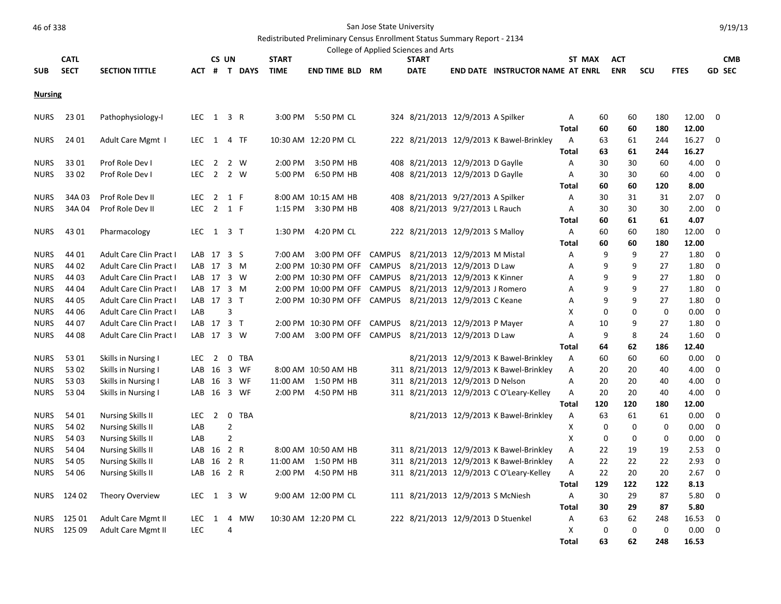## Redistributed Preliminary Census Enrollment Status Summary Report - 2134

|                | <b>CATL</b> |                                |                 | CS UN          |                |              | <b>START</b> |                             | College of Applied Sciences and Arts<br><b>START</b> |                              |                                          | ST MAX       |             | <b>ACT</b>  |             |               |             | <b>CMB</b>    |
|----------------|-------------|--------------------------------|-----------------|----------------|----------------|--------------|--------------|-----------------------------|------------------------------------------------------|------------------------------|------------------------------------------|--------------|-------------|-------------|-------------|---------------|-------------|---------------|
| <b>SUB</b>     | <b>SECT</b> | <b>SECTION TITTLE</b>          |                 |                |                | ACT # T DAYS | <b>TIME</b>  | <b>END TIME BLD RM</b>      | <b>DATE</b>                                          |                              | <b>END DATE INSTRUCTOR NAME AT ENRL</b>  |              |             | <b>ENR</b>  | SCU         | <b>FTES</b>   |             | <b>GD SEC</b> |
|                |             |                                |                 |                |                |              |              |                             |                                                      |                              |                                          |              |             |             |             |               |             |               |
| <b>Nursing</b> |             |                                |                 |                |                |              |              |                             |                                                      |                              |                                          |              |             |             |             |               |             |               |
| <b>NURS</b>    | 23 01       | Pathophysiology-I              | <b>LEC</b>      | $\overline{1}$ | 3 R            |              |              | 3:00 PM 5:50 PM CL          | 324 8/21/2013 12/9/2013 A Spilker                    |                              |                                          | A            | 60          | 60          | 180         | 12.00         | $\mathbf 0$ |               |
|                |             |                                |                 |                |                |              |              |                             |                                                      |                              |                                          | Total        | 60          | 60          | 180         | 12.00         |             |               |
| <b>NURS</b>    | 24 01       | Adult Care Mgmt I              | <b>LEC</b>      | 1              |                | 4 TF         |              | 10:30 AM 12:20 PM CL        |                                                      |                              | 222 8/21/2013 12/9/2013 K Bawel-Brinkley | Α            | 63          | 61          | 244         | 16.27         | $\mathbf 0$ |               |
|                |             |                                |                 |                |                |              |              |                             |                                                      |                              |                                          | Total        | 63          | 61          | 244         | 16.27         |             |               |
| <b>NURS</b>    | 33 01       | Prof Role Dev I                | <b>LEC</b>      | $\overline{2}$ |                | 2 W          | 2:00 PM      | 3:50 PM HB                  | 408 8/21/2013 12/9/2013 D Gaylle                     |                              |                                          | Α            | 30          | 30          | 60          | 4.00          | 0           |               |
| <b>NURS</b>    | 33 02       | Prof Role Dev I                | <b>LEC</b>      | 2 2 W          |                |              | 5:00 PM      | 6:50 PM HB                  | 408 8/21/2013 12/9/2013 D Gaylle                     |                              |                                          | Α            | 30          | 30          | 60          | 4.00          | 0           |               |
|                |             |                                |                 |                |                |              |              |                             |                                                      |                              |                                          | Total        | 60          | 60          | 120         | 8.00          |             |               |
| <b>NURS</b>    | 34A 03      | Prof Role Dev II               | <b>LEC</b>      | $\overline{2}$ | 1 F            |              |              | 8:00 AM 10:15 AM HB         | 408 8/21/2013 9/27/2013 A Spilker                    |                              |                                          | A            | 30          | 31          | 31          | 2.07          | $\mathbf 0$ |               |
| <b>NURS</b>    | 34A 04      | Prof Role Dev II               | LEC 2 1 F       |                |                |              | 1:15 PM      | 3:30 PM HB                  | 408 8/21/2013 9/27/2013 L Rauch                      |                              |                                          | Α            | 30          | 30          | 30          | 2.00          | $\mathbf 0$ |               |
|                |             |                                |                 |                |                |              |              |                             |                                                      |                              |                                          | Total        | 60          | 61          | 61          | 4.07          |             |               |
| <b>NURS</b>    | 43 01       | Pharmacology                   | <b>LEC</b>      | 1              | 3 <sub>T</sub> |              | 1:30 PM      | 4:20 PM CL                  | 222 8/21/2013 12/9/2013 S Malloy                     |                              |                                          | Α            | 60          | 60          | 180         | 12.00         | $\mathbf 0$ |               |
|                |             |                                |                 |                |                |              |              |                             |                                                      |                              |                                          | Total        | 60          | 60          | 180         | 12.00         |             |               |
| <b>NURS</b>    | 44 01       | <b>Adult Care Clin Pract I</b> | LAB 17 3 S      |                |                |              | 7:00 AM      | 3:00 PM OFF CAMPUS          | 8/21/2013 12/9/2013 M Mistal                         |                              |                                          | Α            | 9           | 9           | 27          | 1.80          | 0           |               |
| <b>NURS</b>    | 44 02       | Adult Care Clin Pract I        | LAB 17 3 M      |                |                |              |              | 2:00 PM 10:30 PM OFF CAMPUS |                                                      | 8/21/2013 12/9/2013 D Law    |                                          | Α            | 9           | 9           | 27          | 1.80          | 0           |               |
| <b>NURS</b>    | 44 03       | Adult Care Clin Pract I        | LAB 17 3 W      |                |                |              |              | 2:00 PM 10:30 PM OFF CAMPUS |                                                      | 8/21/2013 12/9/2013 K Kinner |                                          | Α            | 9           | 9           | 27          | 1.80          | 0           |               |
| <b>NURS</b>    | 44 04       | Adult Care Clin Pract I        | LAB 17 3 M      |                |                |              |              | 2:00 PM 10:00 PM OFF CAMPUS | 8/21/2013 12/9/2013 J Romero                         |                              |                                          | A            | 9           | 9           | 27          | 1.80          | 0           |               |
| <b>NURS</b>    | 44 05       | <b>Adult Care Clin Pract I</b> | LAB 17 3 T      |                |                |              |              | 2:00 PM 10:30 PM OFF CAMPUS | 8/21/2013 12/9/2013 C Keane                          |                              |                                          | Α            | 9           | 9           | 27          | 1.80          | 0           |               |
| <b>NURS</b>    | 44 06       | <b>Adult Care Clin Pract I</b> | LAB             |                | 3              |              |              |                             |                                                      |                              |                                          | x            | 0           | $\Omega$    | $\mathbf 0$ | 0.00          | $\mathbf 0$ |               |
| <b>NURS</b>    | 44 07       | <b>Adult Care Clin Pract I</b> | LAB 17 3 T      |                |                |              |              | 2:00 PM 10:30 PM OFF CAMPUS |                                                      | 8/21/2013 12/9/2013 P Mayer  |                                          | A            | 10          | 9           | 27          | 1.80          | $\mathbf 0$ |               |
| <b>NURS</b>    | 44 08       | Adult Care Clin Pract I        | LAB 17 3 W      |                |                |              | 7:00 AM      | 3:00 PM OFF CAMPUS          | 8/21/2013 12/9/2013 D Law                            |                              |                                          | A            | 9           | 8           | 24          | 1.60          | $\Omega$    |               |
|                |             |                                |                 |                |                |              |              |                             |                                                      |                              |                                          | Total        | 64          | 62          | 186         | 12.40         |             |               |
| <b>NURS</b>    | 53 01       | Skills in Nursing I            | LEC.            | $\overline{2}$ |                | 0 TBA        |              |                             |                                                      |                              | 8/21/2013 12/9/2013 K Bawel-Brinkley     | Α            | 60          | 60          | 60          | 0.00          | 0           |               |
| <b>NURS</b>    | 53 02       | Skills in Nursing I            | LAB 16 3 WF     |                |                |              |              | 8:00 AM 10:50 AM HB         |                                                      |                              | 311 8/21/2013 12/9/2013 K Bawel-Brinkley | Α            | 20          | 20          | 40          | 4.00          | 0           |               |
| <b>NURS</b>    | 53 03       | Skills in Nursing I            | LAB<br>$LAB$ 16 | 16             |                | 3 WF<br>3 WF | 11:00 AM     | 1:50 PM HB                  | 311 8/21/2013 12/9/2013 D Nelson                     |                              |                                          | Α            | 20          | 20<br>20    | 40<br>40    | 4.00          | 0<br>0      |               |
| <b>NURS</b>    | 53 04       | Skills in Nursing I            |                 |                |                |              | 2:00 PM      | 4:50 PM HB                  |                                                      |                              | 311 8/21/2013 12/9/2013 C O'Leary-Kelley | Α<br>Total   | 20<br>120   | 120         | 180         | 4.00<br>12.00 |             |               |
| <b>NURS</b>    | 54 01       | <b>Nursing Skills II</b>       | <b>LEC</b>      | $\overline{2}$ |                | 0 TBA        |              |                             |                                                      |                              | 8/21/2013 12/9/2013 K Bawel-Brinkley     | Α            | 63          | 61          | 61          | 0.00          | $\mathbf 0$ |               |
| <b>NURS</b>    | 54 02       | <b>Nursing Skills II</b>       | LAB             |                | $\overline{2}$ |              |              |                             |                                                      |                              |                                          | X            | $\mathbf 0$ | $\mathbf 0$ | $\mathbf 0$ | 0.00          | 0           |               |
| <b>NURS</b>    | 54 03       | <b>Nursing Skills II</b>       | LAB             |                | $\overline{2}$ |              |              |                             |                                                      |                              |                                          | X            | 0           | 0           | 0           | 0.00          | 0           |               |
| <b>NURS</b>    | 54 04       | <b>Nursing Skills II</b>       | $LAB$ 16        |                | 2 R            |              |              | 8:00 AM 10:50 AM HB         |                                                      |                              | 311 8/21/2013 12/9/2013 K Bawel-Brinkley | А            | 22          | 19          | 19          | 2.53          | 0           |               |
| <b>NURS</b>    | 54 05       | <b>Nursing Skills II</b>       | LAB             | 16             | 2 R            |              | 11:00 AM     | 1:50 PM HB                  |                                                      |                              | 311 8/21/2013 12/9/2013 K Bawel-Brinkley | Α            | 22          | 22          | 22          | 2.93          | 0           |               |
| <b>NURS</b>    | 54 06       | <b>Nursing Skills II</b>       | $LAB$ 16        |                | 2 R            |              | 2:00 PM      | 4:50 PM HB                  |                                                      |                              | 311 8/21/2013 12/9/2013 C O'Leary-Kelley | Α            | 22          | 20          | 20          | 2.67          | $\mathbf 0$ |               |
|                |             |                                |                 |                |                |              |              |                             |                                                      |                              |                                          | Total        | 129         | 122         | 122         | 8.13          |             |               |
| <b>NURS</b>    | 124 02      | Theory Overview                | <b>LEC</b>      | 1              |                | 3 W          |              | 9:00 AM 12:00 PM CL         | 111 8/21/2013 12/9/2013 S McNiesh                    |                              |                                          | A            | 30          | 29          | 87          | 5.80          | $\mathbf 0$ |               |
|                |             |                                |                 |                |                |              |              |                             |                                                      |                              |                                          | Total        | 30          | 29          | 87          | 5.80          |             |               |
| <b>NURS</b>    | 125 01      | Adult Care Mgmt II             | <b>LEC</b>      | 1              | $\overline{4}$ | <b>MW</b>    |              | 10:30 AM 12:20 PM CL        | 222 8/21/2013 12/9/2013 D Stuenkel                   |                              |                                          | A            | 63          | 62          | 248         | 16.53         | $\mathbf 0$ |               |
| <b>NURS</b>    | 125 09      | Adult Care Mgmt II             | <b>LEC</b>      |                | 4              |              |              |                             |                                                      |                              |                                          | X            | $\mathbf 0$ | $\mathbf 0$ | $\mathbf 0$ | 0.00          | $\mathbf 0$ |               |
|                |             |                                |                 |                |                |              |              |                             |                                                      |                              |                                          | <b>Total</b> | 63          | 62          | 248         | 16.53         |             |               |

9/19/13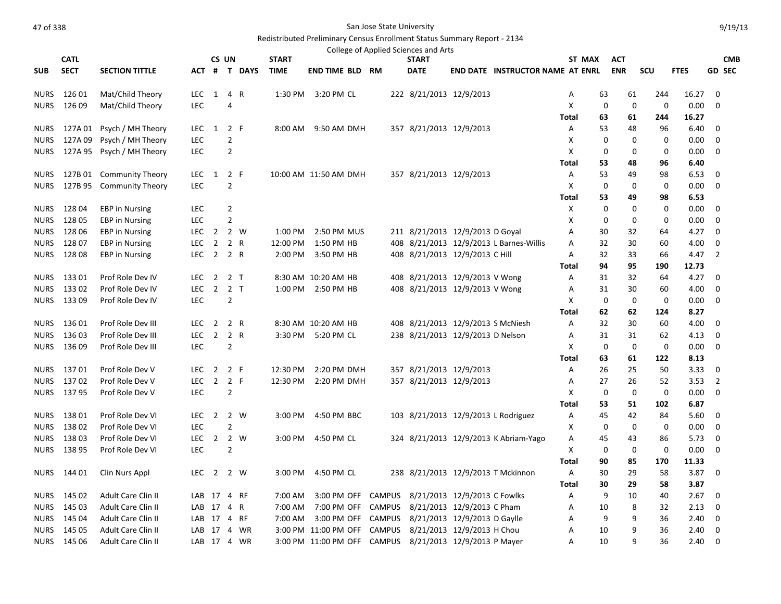## And the State University of 338

|             |             |                           |             |                |                |              |              |                             |        | College of Applied Sciences and Arts |                              |                                         |       |               |             |             |             |                |               |
|-------------|-------------|---------------------------|-------------|----------------|----------------|--------------|--------------|-----------------------------|--------|--------------------------------------|------------------------------|-----------------------------------------|-------|---------------|-------------|-------------|-------------|----------------|---------------|
|             | <b>CATL</b> |                           |             |                | CS UN          |              | <b>START</b> |                             |        | <b>START</b>                         |                              |                                         |       | <b>ST MAX</b> | <b>ACT</b>  |             |             |                | <b>CMB</b>    |
| <b>SUB</b>  | <b>SECT</b> | <b>SECTION TITTLE</b>     |             |                |                | ACT # T DAYS | <b>TIME</b>  | <b>END TIME BLD RM</b>      |        | <b>DATE</b>                          |                              | <b>END DATE INSTRUCTOR NAME AT ENRL</b> |       |               | <b>ENR</b>  | scu         | <b>FTES</b> |                | <b>GD SEC</b> |
| NURS        | 126 01      | Mat/Child Theory          | <b>LEC</b>  | $1 \quad 4$    |                | $\mathsf{R}$ |              | 1:30 PM 3:20 PM CL          |        | 222 8/21/2013 12/9/2013              |                              |                                         | Α     | 63            | 61          | 244         | 16.27       | $\mathbf 0$    |               |
| <b>NURS</b> | 126 09      | Mat/Child Theory          | <b>LEC</b>  |                | $\overline{4}$ |              |              |                             |        |                                      |                              |                                         | Х     | $\mathbf 0$   | 0           | 0           | 0.00        | $\mathbf 0$    |               |
|             |             |                           |             |                |                |              |              |                             |        |                                      |                              |                                         | Total | 63            | 61          | 244         | 16.27       |                |               |
| <b>NURS</b> | 127A 01     | Psych / MH Theory         | LEC 1 2 F   |                |                |              | 8:00 AM      | 9:50 AM DMH                 |        | 357 8/21/2013 12/9/2013              |                              |                                         | Α     | 53            | 48          | 96          | 6.40        | $\mathbf 0$    |               |
| <b>NURS</b> | 127A 09     | Psych / MH Theory         | <b>LEC</b>  |                | $\overline{2}$ |              |              |                             |        |                                      |                              |                                         | X     | 0             | 0           | $\mathbf 0$ | 0.00        | 0              |               |
| <b>NURS</b> | 127A 95     | Psych / MH Theory         | <b>LEC</b>  |                | $\overline{2}$ |              |              |                             |        |                                      |                              |                                         | Х     | 0             | 0           | 0           | 0.00        | 0              |               |
|             |             |                           |             |                |                |              |              |                             |        |                                      |                              |                                         | Total | 53            | 48          | 96          | 6.40        |                |               |
| NURS        |             | 127B 01 Community Theory  | LEC 1       |                | 2 F            |              |              | 10:00 AM 11:50 AM DMH       |        | 357 8/21/2013 12/9/2013              |                              |                                         | Α     | 53            | 49          | 98          | 6.53        | 0              |               |
| NURS        |             | 127B 95 Community Theory  | <b>LEC</b>  |                | $\overline{2}$ |              |              |                             |        |                                      |                              |                                         | х     | 0             | 0           | 0           | 0.00        | 0              |               |
|             |             |                           |             |                |                |              |              |                             |        |                                      |                              |                                         | Total | 53            | 49          | 98          | 6.53        |                |               |
| <b>NURS</b> | 128 04      | <b>EBP</b> in Nursing     | <b>LEC</b>  |                | $\overline{2}$ |              |              |                             |        |                                      |                              |                                         | Х     | 0             | 0           | 0           | 0.00        | 0              |               |
| <b>NURS</b> | 128 05      | <b>EBP</b> in Nursing     | <b>LEC</b>  |                | $\overline{2}$ |              |              |                             |        |                                      |                              |                                         | Х     | 0             | 0           | 0           | 0.00        | 0              |               |
| <b>NURS</b> | 128 06      | <b>EBP</b> in Nursing     | <b>LEC</b>  | $\overline{2}$ |                | 2 W          | 1:00 PM      | 2:50 PM MUS                 |        | 211 8/21/2013 12/9/2013 D Goyal      |                              |                                         | Α     | 30            | 32          | 64          | 4.27        | $\mathbf 0$    |               |
| <b>NURS</b> | 128 07      | <b>EBP</b> in Nursing     | <b>LEC</b>  |                | 2 2 R          |              | 12:00 PM     | 1:50 PM HB                  |        |                                      |                              | 408 8/21/2013 12/9/2013 L Barnes-Willis | Α     | 32            | 30          | 60          | 4.00        | 0              |               |
| <b>NURS</b> | 12808       | <b>EBP</b> in Nursing     | LEC 2 2 R   |                |                |              | 2:00 PM      | 3:50 PM HB                  |        | 408 8/21/2013 12/9/2013 C Hill       |                              |                                         | Α     | 32            | 33          | 66          | 4.47        | 2              |               |
|             |             |                           |             |                |                |              |              |                             |        |                                      |                              |                                         | Total | 94            | 95          | 190         | 12.73       |                |               |
| <b>NURS</b> | 133 01      | Prof Role Dev IV          | <b>LEC</b>  |                | 2 2 T          |              |              | 8:30 AM 10:20 AM HB         |        | 408 8/21/2013 12/9/2013 V Wong       |                              |                                         | Α     | 31            | 32          | 64          | 4.27        | 0              |               |
| <b>NURS</b> | 133 02      | Prof Role Dev IV          | <b>LEC</b>  |                | 2 2 T          |              |              | 1:00 PM 2:50 PM HB          |        | 408 8/21/2013 12/9/2013 V Wong       |                              |                                         | Α     | 31            | 30          | 60          | 4.00        | 0              |               |
| <b>NURS</b> | 133 09      | Prof Role Dev IV          | <b>LEC</b>  |                | $\overline{2}$ |              |              |                             |        |                                      |                              |                                         | X     | $\mathbf 0$   | $\mathbf 0$ | $\mathbf 0$ | 0.00        | $\mathbf 0$    |               |
|             |             |                           |             |                |                |              |              |                             |        |                                      |                              |                                         | Total | 62            | 62          | 124         | 8.27        |                |               |
| NURS        | 136 01      | Prof Role Dev III         | LEC 2 2 R   |                |                |              |              | 8:30 AM 10:20 AM HB         |        | 408 8/21/2013 12/9/2013 S McNiesh    |                              |                                         | Α     | 32            | 30          | 60          | 4.00        | 0              |               |
| NURS        | 13603       | Prof Role Dev III         | <b>LEC</b>  | $\overline{2}$ | 2 R            |              | 3:30 PM      | 5:20 PM CL                  |        | 238 8/21/2013 12/9/2013 D Nelson     |                              |                                         | Α     | 31            | 31          | 62          | 4.13        | 0              |               |
| <b>NURS</b> | 136 09      | Prof Role Dev III         | <b>LEC</b>  |                | $\overline{2}$ |              |              |                             |        |                                      |                              |                                         | х     | $\mathbf 0$   | $\mathbf 0$ | 0           | 0.00        | $\mathbf 0$    |               |
|             |             |                           |             |                |                |              |              |                             |        |                                      |                              |                                         | Total | 63            | 61          | 122         | 8.13        |                |               |
| <b>NURS</b> | 13701       | Prof Role Dev V           | LEC.        | $\overline{2}$ | 2 F            |              | 12:30 PM     | 2:20 PM DMH                 |        | 357 8/21/2013 12/9/2013              |                              |                                         | Α     | 26            | 25          | 50          | 3.33        | 0              |               |
| <b>NURS</b> | 13702       | Prof Role Dev V           | LEC         | 2 2 F          |                |              | 12:30 PM     | 2:20 PM DMH                 |        | 357 8/21/2013 12/9/2013              |                              |                                         | Α     | 27            | 26          | 52          | 3.53        | $\overline{2}$ |               |
| <b>NURS</b> | 13795       | Prof Role Dev V           | <b>LEC</b>  |                | $\overline{2}$ |              |              |                             |        |                                      |                              |                                         | Х     | 0             | 0           | 0           | 0.00        | 0              |               |
|             |             |                           |             |                |                |              |              |                             |        |                                      |                              |                                         | Total | 53            | 51          | 102         | 6.87        |                |               |
| NURS        | 13801       | Prof Role Dev VI          | <b>LEC</b>  | $\overline{2}$ |                | 2 W          | 3:00 PM      | 4:50 PM BBC                 |        |                                      |                              | 103 8/21/2013 12/9/2013 L Rodriguez     | Α     | 45            | 42          | 84          | 5.60        | 0              |               |
| <b>NURS</b> | 13802       | Prof Role Dev VI          | <b>LEC</b>  |                | $\overline{2}$ |              |              |                             |        |                                      |                              |                                         | X     | 0             | 0           | 0           | 0.00        | 0              |               |
| <b>NURS</b> | 13803       | Prof Role Dev VI          | LEC         | 2 2 W          |                |              | 3:00 PM      | 4:50 PM CL                  |        |                                      |                              | 324 8/21/2013 12/9/2013 K Abriam-Yago   | Α     | 45            | 43          | 86          | 5.73        | 0              |               |
| <b>NURS</b> | 138 95      | Prof Role Dev VI          | <b>LEC</b>  |                | $\overline{2}$ |              |              |                             |        |                                      |                              |                                         | Х     | 0             | 0           | 0           | 0.00        | $\mathbf 0$    |               |
|             |             |                           |             |                |                |              |              |                             |        |                                      |                              |                                         | Total | 90            | 85          | 170         | 11.33       |                |               |
| <b>NURS</b> | 144 01      | Clin Nurs Appl            | <b>LEC</b>  | $\overline{2}$ |                | 2 W          | 3:00 PM      | 4:50 PM CL                  |        |                                      |                              | 238 8/21/2013 12/9/2013 T Mckinnon      | Α     | 30            | 29          | 58          | 3.87        | 0              |               |
|             |             |                           |             |                |                |              |              |                             |        |                                      |                              |                                         | Total | 30            | 29          | 58          | 3.87        |                |               |
| NURS        | 145 02      | Adult Care Clin II        | LAB         | 17 4 RF        |                |              | 7:00 AM      | 3:00 PM OFF                 | CAMPUS |                                      | 8/21/2013 12/9/2013 C Fowlks |                                         | Α     | 9             | 10          | 40          | 2.67        | 0              |               |
| <b>NURS</b> | 145 03      | <b>Adult Care Clin II</b> | LAB         | 17 4 R         |                |              | 7:00 AM      | 7:00 PM OFF                 | CAMPUS |                                      | 8/21/2013 12/9/2013 C Pham   |                                         | A     | 10            | 8           | 32          | 2.13        | 0              |               |
| <b>NURS</b> | 145 04      | Adult Care Clin II        | LAB 17 4 RF |                |                |              | 7:00 AM      | 3:00 PM OFF CAMPUS          |        |                                      | 8/21/2013 12/9/2013 D Gaylle |                                         | Α     | 9             | 9           | 36          | 2.40        | 0              |               |
| <b>NURS</b> | 145 05      | Adult Care Clin II        | LAB 17 4 WR |                |                |              |              | 3:00 PM 11:00 PM OFF CAMPUS |        |                                      | 8/21/2013 12/9/2013 H Chou   |                                         | Α     | 10            | 9           | 36          | 2.40        | 0              |               |
| <b>NURS</b> | 145 06      | Adult Care Clin II        | LAB 17 4 WR |                |                |              |              | 3:00 PM 11:00 PM OFF CAMPUS |        |                                      | 8/21/2013 12/9/2013 P Mayer  |                                         | А     | 10            | ٩           | 36          | 2.40        | 0              |               |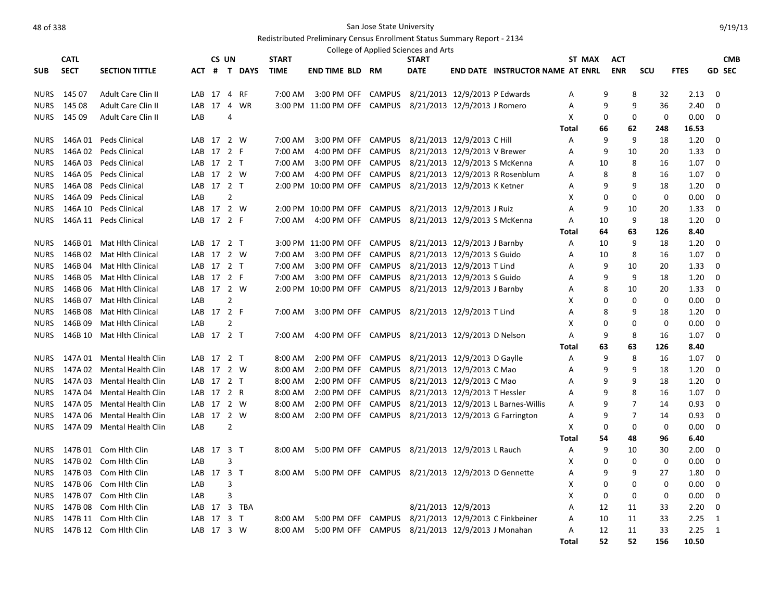|             | <b>CATL</b> |                            |              | CS UN  |                |              | <b>START</b>      |                                                          | College of Applied Sciences and Arts<br><b>START</b> |                     |                                                        | ST MAX            | <b>ACT</b> |                |             |               |                         | <b>CMB</b>    |
|-------------|-------------|----------------------------|--------------|--------|----------------|--------------|-------------------|----------------------------------------------------------|------------------------------------------------------|---------------------|--------------------------------------------------------|-------------------|------------|----------------|-------------|---------------|-------------------------|---------------|
| <b>SUB</b>  | <b>SECT</b> | <b>SECTION TITTLE</b>      |              |        |                | ACT # T DAYS | <b>TIME</b>       | <b>END TIME BLD RM</b>                                   | <b>DATE</b>                                          |                     | <b>END DATE INSTRUCTOR NAME AT ENRL</b>                |                   | <b>ENR</b> |                | scu         | <b>FTES</b>   |                         | <b>GD SEC</b> |
|             |             |                            |              |        |                |              |                   |                                                          |                                                      |                     |                                                        |                   |            |                |             |               |                         |               |
| NURS        | 145 07      | Adult Care Clin II         | LAB 17 4 RF  |        |                |              |                   | 7:00 AM 3:00 PM OFF CAMPUS 8/21/2013 12/9/2013 P Edwards |                                                      |                     |                                                        | A                 | 9          | 8              | 32          | 2.13          | $\mathbf 0$             |               |
| NURS        | 145 08      | Adult Care Clin II         | LAB 17 4 WR  |        |                |              |                   | 3:00 PM 11:00 PM OFF CAMPUS 8/21/2013 12/9/2013 J Romero |                                                      |                     |                                                        | Α                 | 9          | 9              | 36          | 2.40          | $\Omega$                |               |
| <b>NURS</b> | 145 09      | Adult Care Clin II         | LAB          |        | 4              |              |                   |                                                          |                                                      |                     |                                                        | х                 | 0          | $\mathbf 0$    | $\mathbf 0$ | 0.00          | $\mathbf 0$             |               |
|             |             |                            |              |        |                |              |                   |                                                          |                                                      |                     |                                                        | Total             | 66         | 62             | 248         | 16.53         |                         |               |
| <b>NURS</b> | 146A 01     | Peds Clinical              | LAB 17 2 W   |        |                |              | 7:00 AM           | 3:00 PM OFF CAMPUS 8/21/2013 12/9/2013 C Hill            |                                                      |                     |                                                        | Α                 | 9          | 9              | 18          | 1.20          | $\Omega$                |               |
| <b>NURS</b> | 146A 02     | Peds Clinical              | LAB          | 17 2 F |                |              | 7:00 AM           | 4:00 PM OFF CAMPUS 8/21/2013 12/9/2013 V Brewer          |                                                      |                     |                                                        | Α                 | 9          | 10             | 20          | 1.33          | 0                       |               |
| <b>NURS</b> |             | 146A 03 Peds Clinical      | LAB 17 2 T   |        |                |              | 7:00 AM           | 3:00 PM OFF CAMPUS 8/21/2013 12/9/2013 S McKenna         |                                                      |                     |                                                        | A                 | 10         | 8              | 16          | 1.07          | $\Omega$                |               |
| <b>NURS</b> |             | 146A 05 Peds Clinical      | LAB 17 2 W   |        |                |              | 7:00 AM           | 4:00 PM OFF CAMPUS 8/21/2013 12/9/2013 R Rosenblum       |                                                      |                     |                                                        | A                 | 8          | 8              | 16          | 1.07          | $\mathbf 0$             |               |
| <b>NURS</b> | 146A 08     | Peds Clinical              | LAB 17 2 T   |        |                |              |                   | 2:00 PM 10:00 PM OFF CAMPUS 8/21/2013 12/9/2013 K Ketner |                                                      |                     |                                                        | A                 | 9          | 9              | 18          | 1.20          | $\mathbf 0$             |               |
| <b>NURS</b> | 146A 09     | Peds Clinical              | LAB          |        | $\overline{2}$ |              |                   |                                                          |                                                      |                     |                                                        | х                 | 0          | 0              | 0           | 0.00          | $\mathbf 0$             |               |
| <b>NURS</b> | 146A 10     | Peds Clinical              | LAB 17 2 W   |        |                |              |                   | 2:00 PM 10:00 PM OFF CAMPUS 8/21/2013 12/9/2013 J Ruiz   |                                                      |                     |                                                        | A                 | 9          | 10             | 20          | 1.33          | 0                       |               |
| <b>NURS</b> |             | 146A 11 Peds Clinical      | LAB 17 2 F   |        |                |              |                   | 7:00 AM 4:00 PM OFF CAMPUS 8/21/2013 12/9/2013 S McKenna |                                                      |                     |                                                        | Α                 | 10         | 9              | 18          | 1.20          | $\mathbf 0$             |               |
|             |             |                            |              |        |                |              |                   |                                                          |                                                      |                     |                                                        | Total             | 64         | 63             | 126         | 8.40          |                         |               |
| <b>NURS</b> |             | 146B 01 Mat Hith Clinical  | LAB 17 2 T   |        |                |              |                   | 3:00 PM 11:00 PM OFF CAMPUS 8/21/2013 12/9/2013 J Barnby |                                                      |                     |                                                        | Α                 | 10         | 9              | 18          | 1.20          | 0                       |               |
| NURS        |             | 146B 02 Mat Hith Clinical  | LAB 17 2 W   |        |                |              | 7:00 AM           | 3:00 PM OFF CAMPUS 8/21/2013 12/9/2013 S Guido           |                                                      |                     |                                                        | A                 | 10         | 8              | 16          | 1.07          | $\mathbf 0$             |               |
| <b>NURS</b> |             | 146B 04 Mat Hith Clinical  | LAB 17 2 T   |        |                |              | 7:00 AM           | 3:00 PM OFF CAMPUS 8/21/2013 12/9/2013 T Lind            |                                                      |                     |                                                        | Α                 | 9          | 10             | 20          | 1.33          | $\mathbf 0$             |               |
| <b>NURS</b> |             | 146B 05 Mat Hith Clinical  | LAB 17 2 F   |        |                |              | 7:00 AM           | 3:00 PM OFF CAMPUS 8/21/2013 12/9/2013 S Guido           |                                                      |                     |                                                        | A                 | 9          | 9              | 18          | 1.20          | $\mathbf 0$             |               |
| <b>NURS</b> | 146B 06     | Mat Hlth Clinical          | LAB 17 2 W   |        |                |              |                   | 2:00 PM 10:00 PM OFF CAMPUS 8/21/2013 12/9/2013 J Barnby |                                                      |                     |                                                        | A                 | 8          | 10             | 20          | 1.33          | $\mathbf 0$             |               |
| <b>NURS</b> | 146B 07     | Mat Hlth Clinical          | LAB          |        | $\overline{2}$ |              |                   |                                                          |                                                      |                     |                                                        | x                 | 0          | 0              | 0           | 0.00          | $\Omega$                |               |
| <b>NURS</b> | 146B 08     | Mat Hlth Clinical          | LAB 17 2 F   |        |                |              | 7:00 AM           | 3:00 PM OFF CAMPUS 8/21/2013 12/9/2013 T Lind            |                                                      |                     |                                                        | Α                 | 8          | 9              | 18          | 1.20          | $\mathbf 0$             |               |
| <b>NURS</b> | 146B 09     | Mat Hlth Clinical          | LAB          |        | $\overline{2}$ |              |                   |                                                          |                                                      |                     |                                                        | х                 | 0          | 0              | 0           | 0.00          | $\Omega$                |               |
| <b>NURS</b> |             | 146B 10 Mat Hith Clinical  | LAB 17 2 T   |        |                |              | 7:00 AM           | 4:00 PM OFF CAMPUS 8/21/2013 12/9/2013 D Nelson          |                                                      |                     |                                                        | Α                 | 9          | 8              | 16          | 1.07          | $\mathbf 0$             |               |
|             |             |                            |              |        |                |              |                   |                                                          |                                                      |                     |                                                        | Total             | 63         | 63             | 126         | 8.40          |                         |               |
| NURS        |             | 147A 01 Mental Health Clin | LAB 17 2 T   |        |                |              | 8:00 AM           | 2:00 PM OFF CAMPUS 8/21/2013 12/9/2013 D Gaylle          |                                                      |                     |                                                        | Α                 | 9          | 8              | 16          | 1.07          | $\mathbf 0$             |               |
| <b>NURS</b> |             | 147A 02 Mental Health Clin | LAB 17 2 W   |        |                |              | $8:00 \text{ AM}$ | 2:00 PM OFF CAMPUS 8/21/2013 12/9/2013 C Mao             |                                                      |                     |                                                        | A                 | 9          | 9              | 18          | 1.20          | $\Omega$                |               |
| <b>NURS</b> |             | 147A 03 Mental Health Clin | LAB 17 2 T   |        |                |              | 8:00 AM           | 2:00 PM OFF CAMPUS 8/21/2013 12/9/2013 C Mao             |                                                      |                     |                                                        | A                 | 9          | 9              | 18          | 1.20          | $\mathbf 0$             |               |
| <b>NURS</b> |             | 147A 04 Mental Health Clin | LAB 17 2 R   |        |                |              | 8:00 AM           | 2:00 PM OFF CAMPUS 8/21/2013 12/9/2013 T Hessler         |                                                      |                     |                                                        | A                 | 9          | 8              | 16          | 1.07          | $\Omega$                |               |
| <b>NURS</b> |             | 147A 05 Mental Health Clin | LAB 17 2 W   |        |                |              | 8:00 AM           |                                                          |                                                      |                     | 2:00 PM OFF CAMPUS 8/21/2013 12/9/2013 L Barnes-Willis | Α                 | 9          | 7              | 14          | 0.93          | $\mathbf 0$             |               |
| <b>NURS</b> |             | 147A 06 Mental Health Clin | LAB 17 2 W   |        |                |              | 8:00 AM           | 2:00 PM OFF CAMPUS 8/21/2013 12/9/2013 G Farrington      |                                                      |                     |                                                        | A                 | 9          | $\overline{7}$ | 14          | 0.93          | 0                       |               |
| <b>NURS</b> | 147A 09     | Mental Health Clin         | LAB          |        | $\overline{2}$ |              |                   |                                                          |                                                      |                     |                                                        | х                 | 0          | 0              | 0           | 0.00          | $\mathbf 0$             |               |
|             |             |                            |              |        |                |              |                   |                                                          |                                                      |                     |                                                        | Total             | 54         | 48             | 96          | 6.40          |                         |               |
| <b>NURS</b> |             | 147B 01 Com Hith Clin      | LAB 17 3 T   |        |                |              | 8:00 AM           | 5:00 PM OFF CAMPUS 8/21/2013 12/9/2013 L Rauch           |                                                      |                     |                                                        | Α                 | 9          | 10             | 30          | 2.00          | $\Omega$                |               |
| <b>NURS</b> |             | 147B 02 Com Hith Clin      | LAB          |        | 3              |              |                   |                                                          |                                                      |                     |                                                        | X                 | 0          | $\Omega$       | 0           | 0.00          | $\Omega$                |               |
| NURS        |             | 147B 03 Com Hith Clin      | LAB 17 3 T   |        |                |              | 8:00 AM           | 5:00 PM OFF CAMPUS 8/21/2013 12/9/2013 D Gennette        |                                                      |                     |                                                        | A                 | 9          | 9              | 27          | 1.80          | $\mathbf 0$<br>$\Omega$ |               |
| <b>NURS</b> |             | 147B 06 Com Hith Clin      | LAB          |        | 3              |              |                   |                                                          |                                                      |                     |                                                        | x                 | 0          | 0              | 0           | 0.00          |                         |               |
| <b>NURS</b> |             | 147B 07 Com Hith Clin      | LAB          |        | 3              |              |                   |                                                          |                                                      |                     |                                                        | х                 | 0          | 0              | $\mathbf 0$ | 0.00          | $\mathbf 0$             |               |
| <b>NURS</b> |             | 147B 08 Com Hlth Clin      | LAB 17 3 TBA |        |                |              |                   |                                                          |                                                      | 8/21/2013 12/9/2013 |                                                        | A                 | 12         | 11             | 33          | 2.20          | $\mathbf 0$             |               |
| <b>NURS</b> |             | 147B 11 Com Hith Clin      | LAB 17 3 T   |        |                |              | 8:00 AM           | 5:00 PM OFF CAMPUS 8/21/2013 12/9/2013 C Finkbeiner      |                                                      |                     |                                                        | A                 | 10         | 11             | 33          | 2.25          | 1                       |               |
| NURS        |             | 147B 12 Com Hith Clin      | LAB 17 3 W   |        |                |              | 8:00 AM           | 5:00 PM OFF CAMPUS 8/21/2013 12/9/2013 J Monahan         |                                                      |                     |                                                        | Α<br><b>Total</b> | 12<br>52   | 11<br>52       | 33<br>156   | 2.25<br>10.50 | 1                       |               |
|             |             |                            |              |        |                |              |                   |                                                          |                                                      |                     |                                                        |                   |            |                |             |               |                         |               |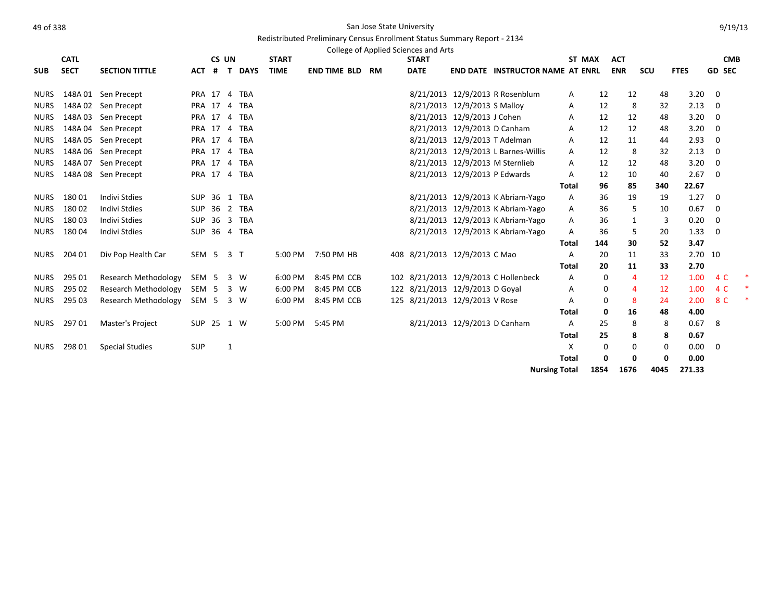|             | College of Applied Sciences and Arts |                             |                  |       |                     |              |                     |    |                                 |                               |                                         |              |            |            |      |             |               |  |
|-------------|--------------------------------------|-----------------------------|------------------|-------|---------------------|--------------|---------------------|----|---------------------------------|-------------------------------|-----------------------------------------|--------------|------------|------------|------|-------------|---------------|--|
|             | <b>CATL</b>                          |                             |                  | CS UN |                     | <b>START</b> |                     |    | <b>START</b>                    |                               |                                         | ST MAX       | <b>ACT</b> |            |      |             | <b>CMB</b>    |  |
| <b>SUB</b>  | <b>SECT</b>                          | <b>SECTION TITTLE</b>       | <b>ACT</b>       | #     | T DAYS              | <b>TIME</b>  | <b>END TIME BLD</b> | RM | <b>DATE</b>                     |                               | <b>END DATE INSTRUCTOR NAME AT ENRL</b> |              |            | <b>ENR</b> | scu  | <b>FTES</b> | <b>GD SEC</b> |  |
|             |                                      |                             |                  |       |                     |              |                     |    |                                 |                               |                                         |              |            |            |      |             |               |  |
| <b>NURS</b> |                                      | 148A 01 Sen Precept         | <b>PRA 17</b>    |       | 4 TBA               |              |                     |    |                                 |                               | 8/21/2013 12/9/2013 R Rosenblum         | Α            | 12         | 12         | 48   | 3.20        | - 0           |  |
| <b>NURS</b> |                                      | 148A 02 Sen Precept         |                  |       | PRA 17 4 TBA        |              |                     |    |                                 | 8/21/2013 12/9/2013 S Malloy  |                                         | Α            | 12         | 8          | 32   | 2.13        | 0             |  |
| <b>NURS</b> |                                      | 148A 03 Sen Precept         |                  |       | PRA 17 4 TBA        |              |                     |    |                                 | 8/21/2013 12/9/2013 J Cohen   |                                         | A            | 12         | 12         | 48   | 3.20        | 0             |  |
| <b>NURS</b> |                                      | 148A 04 Sen Precept         | <b>PRA 17</b>    |       | 4 TBA               |              |                     |    |                                 | 8/21/2013 12/9/2013 D Canham  |                                         | A            | 12         | 12         | 48   | 3.20        | 0             |  |
| <b>NURS</b> |                                      | 148A 05 Sen Precept         |                  |       | PRA 17 4 TBA        |              |                     |    |                                 | 8/21/2013 12/9/2013 T Adelman |                                         | A            | 12         | 11         | 44   | 2.93        | 0             |  |
| <b>NURS</b> |                                      | 148A 06 Sen Precept         |                  |       | PRA 17 4 TBA        |              |                     |    |                                 |                               | 8/21/2013 12/9/2013 L Barnes-Willis     | Α            | 12         | 8          | 32   | 2.13        | 0             |  |
| <b>NURS</b> |                                      | 148A 07 Sen Precept         |                  |       | PRA 17 4 TBA        |              |                     |    |                                 |                               | 8/21/2013 12/9/2013 M Sternlieb         | A            | 12         | 12         | 48   | 3.20        | 0             |  |
| <b>NURS</b> |                                      | 148A 08 Sen Precept         |                  |       | PRA 17 4 TBA        |              |                     |    |                                 | 8/21/2013 12/9/2013 P Edwards |                                         | А            | 12         | 10         | 40   | 2.67        | $\Omega$      |  |
|             |                                      |                             |                  |       |                     |              |                     |    |                                 |                               |                                         | Total        | 96         | 85         | 340  | 22.67       |               |  |
| <b>NURS</b> | 18001                                | <b>Indivi Stdies</b>        | <b>SUP</b>       |       | 36 1 TBA            |              |                     |    |                                 |                               | 8/21/2013 12/9/2013 K Abriam-Yago       | Α            | 36         | 19         | 19   | 1.27        | 0             |  |
| <b>NURS</b> | 18002                                | Indivi Stdies               |                  |       | SUP 36 2 TBA        |              |                     |    |                                 |                               | 8/21/2013 12/9/2013 K Abriam-Yago       | Α            | 36         | 5          | 10   | 0.67        | - 0           |  |
| <b>NURS</b> | 18003                                | <b>Indivi Stdies</b>        | <b>SUP</b>       |       | 36 3 TBA            |              |                     |    |                                 |                               | 8/21/2013 12/9/2013 K Abriam-Yago       | Α            | 36         | 1          | 3    | 0.20        | 0             |  |
| <b>NURS</b> | 18004                                | Indivi Stdies               | <b>SUP</b>       |       | 36 4 TBA            |              |                     |    |                                 |                               | 8/21/2013 12/9/2013 K Abriam-Yago       | Α            | 36         | 5          | 20   | 1.33        | 0             |  |
|             |                                      |                             |                  |       |                     |              |                     |    |                                 |                               |                                         | 144<br>Total |            | 30         | 52   | 3.47        |               |  |
| <b>NURS</b> | 204 01                               | Div Pop Health Car          | SEM <sub>5</sub> |       | 3 T                 | 5:00 PM      | 7:50 PM HB          |    | 408 8/21/2013 12/9/2013 C Mao   |                               |                                         | A            | 20         | 11         | 33   | 2.70 10     |               |  |
|             |                                      |                             |                  |       |                     |              |                     |    |                                 |                               |                                         | <b>Total</b> | 20         | 11         | 33   | 2.70        |               |  |
| <b>NURS</b> | 295 01                               | <b>Research Methodology</b> | SEM <sub>5</sub> |       | $\overline{3}$<br>W | 6:00 PM      | 8:45 PM CCB         |    |                                 |                               | 102 8/21/2013 12/9/2013 C Hollenbeck    | A            | 0          | 4          | 12   | 1.00        | 4 C           |  |
| <b>NURS</b> | 295 02                               | <b>Research Methodology</b> | SEM <sub>5</sub> |       | 3 W                 | 6:00 PM      | 8:45 PM CCB         |    | 122 8/21/2013 12/9/2013 D Goyal |                               |                                         | А            | 0          | 4          | 12   | 1.00        | 4 C           |  |
| <b>NURS</b> | 295 03                               | Research Methodology        | SEM 5            |       | 3 W                 | 6:00 PM      | 8:45 PM CCB         |    | 125 8/21/2013 12/9/2013 V Rose  |                               |                                         | А            | 0          | 8          | 24   | 2.00        | 8 C           |  |
|             |                                      |                             |                  |       |                     |              |                     |    |                                 |                               |                                         | <b>Total</b> | 0          | 16         | 48   | 4.00        |               |  |
| <b>NURS</b> | 29701                                | Master's Project            |                  |       | SUP 25 1 W          | 5:00 PM      | 5:45 PM             |    |                                 | 8/21/2013 12/9/2013 D Canham  |                                         | Α            | 25         | 8          | 8    | 0.67        | - 8           |  |
|             |                                      |                             |                  |       |                     |              |                     |    |                                 |                               |                                         | Total        | 25         | 8          | 8    | 0.67        |               |  |
| <b>NURS</b> | 298 01                               | <b>Special Studies</b>      | SUP              |       | 1                   |              |                     |    |                                 |                               |                                         | X            | 0          | $\Omega$   | 0    | 0.00        | 0             |  |
|             |                                      |                             |                  |       |                     |              |                     |    |                                 |                               |                                         | <b>Total</b> | 0          | 0          | 0    | 0.00        |               |  |
|             |                                      |                             |                  |       |                     |              |                     |    |                                 |                               | <b>Nursing Total</b>                    | 1854         |            | 1676       | 4045 | 271.33      |               |  |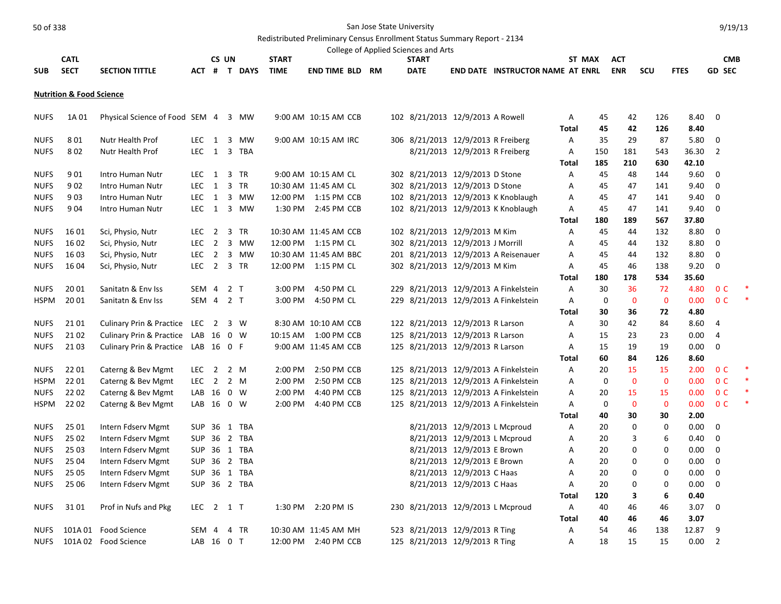|             |                                     |                                          |            |                |                |              |                        |  | College of Applied Sciences and Arts |                                |                                                                |                   |             |            |                   |             |              |                                  |            |
|-------------|-------------------------------------|------------------------------------------|------------|----------------|----------------|--------------|------------------------|--|--------------------------------------|--------------------------------|----------------------------------------------------------------|-------------------|-------------|------------|-------------------|-------------|--------------|----------------------------------|------------|
|             | <b>CATL</b>                         |                                          |            | CS UN          |                | <b>START</b> |                        |  | <b>START</b>                         |                                |                                                                |                   | ST MAX      | <b>ACT</b> |                   |             |              |                                  | <b>CMB</b> |
| <b>SUB</b>  | <b>SECT</b>                         | <b>SECTION TITTLE</b>                    |            |                | ACT # T DAYS   | <b>TIME</b>  | <b>END TIME BLD RM</b> |  | <b>DATE</b>                          |                                | <b>END DATE INSTRUCTOR NAME AT ENRL</b>                        |                   |             | <b>ENR</b> | <b>SCU</b>        |             | <b>FTES</b>  | <b>GD SEC</b>                    |            |
|             | <b>Nutrition &amp; Food Science</b> |                                          |            |                |                |              |                        |  |                                      |                                |                                                                |                   |             |            |                   |             |              |                                  |            |
| <b>NUFS</b> | 1A 01                               | Physical Science of Food SEM 4           |            |                | 3 MW           |              | 9:00 AM 10:15 AM CCB   |  | 102 8/21/2013 12/9/2013 A Rowell     |                                |                                                                | А                 | 45          |            | 42                | 126         | 8.40         | $\overline{0}$                   |            |
|             |                                     |                                          |            |                |                |              |                        |  |                                      |                                |                                                                | Total             | 45          |            | 42                | 126         | 8.40         |                                  |            |
| <b>NUFS</b> | 801                                 | Nutr Health Prof                         |            |                | LEC 1 3 MW     |              | 9:00 AM 10:15 AM IRC   |  | 306 8/21/2013 12/9/2013 R Freiberg   |                                |                                                                | Α                 | 35          |            | 29                | 87          | 5.80         | $\overline{0}$                   |            |
| <b>NUFS</b> | 802                                 | Nutr Health Prof                         |            |                | LEC 1 3 TBA    |              |                        |  |                                      | 8/21/2013 12/9/2013 R Freiberg |                                                                | Α                 | 150         | 181        |                   | 543         | 36.30        | $\overline{2}$                   |            |
|             |                                     |                                          |            |                |                |              |                        |  |                                      |                                |                                                                | Total             | 185         | 210        |                   | 630         | 42.10        |                                  |            |
| <b>NUFS</b> | 901                                 | Intro Human Nutr                         | <b>LEC</b> | 1              | 3 TR           |              | 9:00 AM 10:15 AM CL    |  | 302 8/21/2013 12/9/2013 D Stone      |                                |                                                                | Α                 | 45          | 48         |                   | 144         | 9.60         | $\mathbf 0$                      |            |
| <b>NUFS</b> | 902                                 | Intro Human Nutr                         | LEC 1 3 TR |                |                |              | 10:30 AM 11:45 AM CL   |  | 302 8/21/2013 12/9/2013 D Stone      |                                |                                                                | A                 | 45          | 47         |                   | 141         | 9.40         | $\mathbf 0$                      |            |
| <b>NUFS</b> | 903                                 | Intro Human Nutr                         |            |                | LEC 1 3 MW     |              | 12:00 PM 1:15 PM CCB   |  |                                      |                                | 102 8/21/2013 12/9/2013 K Knoblaugh                            | Α                 | 45          | 47         |                   | 141         | 9.40         | 0                                |            |
| <b>NUFS</b> | 904                                 | Intro Human Nutr                         |            |                | LEC 1 3 MW     |              | 1:30 PM 2:45 PM CCB    |  |                                      |                                | 102 8/21/2013 12/9/2013 K Knoblaugh                            | А                 | 45          | 47         |                   | 141         | 9.40         | $\overline{0}$                   |            |
|             |                                     |                                          |            |                |                |              |                        |  |                                      |                                |                                                                | <b>Total</b>      | 180         | 189        |                   | 567         | 37.80        |                                  |            |
| <b>NUFS</b> | 16 01                               | Sci, Physio, Nutr                        | <b>LEC</b> | $\overline{2}$ | 3 TR           |              | 10:30 AM 11:45 AM CCB  |  | 102 8/21/2013 12/9/2013 M Kim        |                                |                                                                | А                 | 45          | 44         |                   | 132         | 8.80         | $\mathbf 0$                      |            |
| <b>NUFS</b> | 16 02                               | Sci, Physio, Nutr                        |            |                | LEC 2 3 MW     |              | 12:00 PM 1:15 PM CL    |  | 302 8/21/2013 12/9/2013 J Morrill    |                                |                                                                | А                 | 45          |            | 44                | 132         | 8.80         | $\mathbf 0$                      |            |
| <b>NUFS</b> | 16 03                               | Sci, Physio, Nutr                        | <b>LEC</b> | $\overline{2}$ | 3 MW           |              | 10:30 AM 11:45 AM BBC  |  |                                      |                                | 201 8/21/2013 12/9/2013 A Reisenauer                           | Α                 | 45          |            | 44                | 132         | 8.80         | $\mathbf 0$                      |            |
| <b>NUFS</b> | 16 04                               | Sci, Physio, Nutr                        | LEC 2 3 TR |                |                |              | 12:00 PM 1:15 PM CL    |  | 302 8/21/2013 12/9/2013 M Kim        |                                |                                                                | Α                 | 45          |            | 46                | 138         | 9.20         | 0                                |            |
|             |                                     |                                          |            |                |                |              |                        |  |                                      |                                |                                                                | Total             | 180         | 178        |                   | 534         | 35.60        |                                  |            |
| <b>NUFS</b> | 2001                                | Sanitatn & Env Iss                       | SEM 4      |                | 2 <sub>T</sub> | 3:00 PM      | 4:50 PM CL             |  |                                      |                                | 229 8/21/2013 12/9/2013 A Finkelstein                          | А                 | 30          |            | 36                | 72          | 4.80         | 0 <sup>C</sup>                   |            |
| <b>HSPM</b> | 20 01                               | Sanitatn & Env Iss                       | SEM 4      |                | 2 <sub>T</sub> | 3:00 PM      | 4:50 PM CL             |  |                                      |                                | 229 8/21/2013 12/9/2013 A Finkelstein                          | Α                 | $\mathbf 0$ |            | $\mathbf{0}$      | $\mathbf 0$ | 0.00         | 0 <sup>C</sup>                   |            |
|             |                                     |                                          |            |                |                |              |                        |  |                                      |                                |                                                                | <b>Total</b>      | 30          |            | 36                | 72          | 4.80         |                                  |            |
| <b>NUFS</b> | 21 01                               | Culinary Prin & Practice                 | LEC 2 3 W  |                |                |              | 8:30 AM 10:10 AM CCB   |  | 122 8/21/2013 12/9/2013 R Larson     |                                |                                                                | А                 | 30          |            | 42                | 84          | 8.60         | $\overline{4}$                   |            |
| <b>NUFS</b> | 21 02                               | <b>Culinary Prin &amp; Practice</b>      | LAB        | 16 0 W         |                |              | 10:15 AM  1:00 PM CCB  |  | 125 8/21/2013 12/9/2013 R Larson     |                                |                                                                | А                 | 15          |            | 23                | 23          | 0.00         | $\overline{4}$                   |            |
| <b>NUFS</b> | 21 03                               | Culinary Prin & Practice LAB 16 0 F      |            |                |                |              | 9:00 AM 11:45 AM CCB   |  | 125 8/21/2013 12/9/2013 R Larson     |                                |                                                                | Α                 | 15          |            | 19                | 19          | 0.00         | $\mathbf 0$                      |            |
|             |                                     |                                          |            |                |                |              |                        |  |                                      |                                |                                                                | Total             | 60          | 84         |                   | 126         | 8.60         |                                  |            |
| <b>NUFS</b> | 22 01                               | Caterng & Bev Mgmt                       | LEC 2 2 M  |                |                | $2:00$ PM    | 2:50 PM CCB            |  |                                      |                                | 125 8/21/2013 12/9/2013 A Finkelstein                          | А                 | 20          | 15         |                   | 15          | 2.00         | 0 <sup>C</sup>                   |            |
| <b>HSPM</b> | 22 01                               | Caterng & Bev Mgmt                       | LEC        | $\overline{2}$ | 2 M            | 2:00 PM      | 2:50 PM CCB            |  |                                      |                                | 125 8/21/2013 12/9/2013 A Finkelstein                          | A                 | 0           |            | $\mathbf{0}$      | $\mathbf 0$ | 0.00         | 0 <sup>C</sup><br>0 <sup>C</sup> |            |
| <b>NUFS</b> | 22 02                               | Caterng & Bev Mgmt                       | LAB        | 16 0 W         |                | 2:00 PM      | 4:40 PM CCB            |  |                                      |                                | 125 8/21/2013 12/9/2013 A Finkelstein                          | A                 | 20          | 15         |                   | 15          | 0.00         |                                  |            |
| <b>HSPM</b> | 22 02                               | Caterng & Bev Mgmt                       | LAB 16 0 W |                |                | 2:00 PM      | 4:40 PM CCB            |  |                                      |                                | 125 8/21/2013 12/9/2013 A Finkelstein                          | Α                 | 0           |            | $\mathbf 0$<br>30 | $\mathbf 0$ | 0.00<br>2.00 | 0 <sup>C</sup>                   |            |
| <b>NUFS</b> |                                     |                                          |            |                | SUP 36 1 TBA   |              |                        |  |                                      |                                |                                                                | Total<br>Α        | 40<br>20    |            | $\mathbf 0$       | 30<br>0     | 0.00         | $\overline{0}$                   |            |
| <b>NUFS</b> | 25 01<br>25 02                      | Intern Fdserv Mgmt<br>Intern Fdserv Mgmt |            |                | SUP 36 2 TBA   |              |                        |  |                                      |                                | 8/21/2013 12/9/2013 L Mcproud<br>8/21/2013 12/9/2013 L Mcproud | Α                 | 20          |            | 3                 | 6           | 0.40         | $\mathbf 0$                      |            |
| <b>NUFS</b> | 25 03                               | Intern Fdserv Mgmt                       |            |                | SUP 36 1 TBA   |              |                        |  |                                      | 8/21/2013 12/9/2013 E Brown    |                                                                | А                 | 20          |            | $\mathbf 0$       | 0           | 0.00         | $\overline{0}$                   |            |
| <b>NUFS</b> | 25 04                               | Intern Fdserv Mgmt                       |            |                | SUP 36 2 TBA   |              |                        |  |                                      | 8/21/2013 12/9/2013 E Brown    |                                                                |                   | 20          |            | $\mathbf 0$       | $\mathbf 0$ | 0.00         | $\overline{0}$                   |            |
| <b>NUFS</b> | 25 05                               | Intern Fdserv Mgmt                       | <b>SUP</b> |                | 36 1 TBA       |              |                        |  |                                      | 8/21/2013 12/9/2013 C Haas     |                                                                | Α<br>A            | 20          |            | $\mathbf 0$       | 0           | 0.00         | $\mathbf 0$                      |            |
| <b>NUFS</b> | 25 06                               | Intern Fdserv Mgmt                       |            |                | SUP 36 2 TBA   |              |                        |  |                                      | 8/21/2013 12/9/2013 C Haas     |                                                                | A                 | 20          |            | $\mathbf 0$       | $\mathbf 0$ | 0.00         | $\overline{0}$                   |            |
|             |                                     |                                          |            |                |                |              |                        |  |                                      |                                |                                                                | <b>Total</b>      | 120         |            | 3                 | 6           | 0.40         |                                  |            |
|             |                                     |                                          |            |                |                |              |                        |  | 230 8/21/2013 12/9/2013 L Mcproud    |                                |                                                                |                   | 40          |            | 46                |             | 3.07         | $\overline{0}$                   |            |
| <b>NUFS</b> | 3101                                | Prof in Nufs and Pkg                     | LEC 2 1 T  |                |                |              | 1:30 PM 2:20 PM IS     |  |                                      |                                |                                                                | A<br><b>Total</b> | 40          |            | 46                | 46<br>46    | 3.07         |                                  |            |
| <b>NUFS</b> |                                     | 101A 01 Food Science                     | SEM 4      |                | 4 TR           |              | 10:30 AM 11:45 AM MH   |  | 523 8/21/2013 12/9/2013 R Ting       |                                |                                                                | Α                 | 54          |            | 46                | 138         | 12.87        | 9                                |            |
| <b>NUFS</b> |                                     | 101A 02 Food Science                     | LAB 16 0 T |                |                |              | 12:00 PM 2:40 PM CCB   |  | 125 8/21/2013 12/9/2013 R Ting       |                                |                                                                | A                 | 18          |            | 15                | 15          | 0.00         | $\overline{2}$                   |            |
|             |                                     |                                          |            |                |                |              |                        |  |                                      |                                |                                                                |                   |             |            |                   |             |              |                                  |            |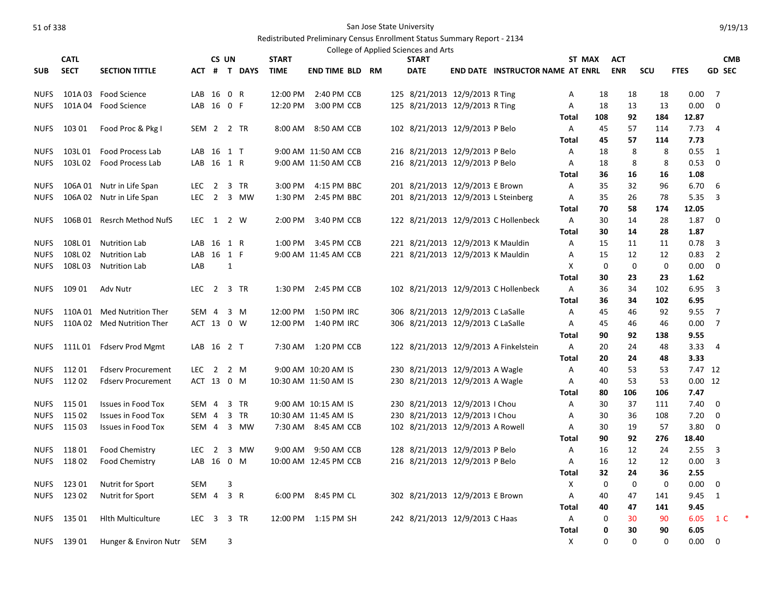|             |             |                            |            |                         |      |              |              |                        |  | College of Applied Sciences and Arts |                                         |                           |             |            |             |                     |                |  |
|-------------|-------------|----------------------------|------------|-------------------------|------|--------------|--------------|------------------------|--|--------------------------------------|-----------------------------------------|---------------------------|-------------|------------|-------------|---------------------|----------------|--|
|             | <b>CATL</b> |                            |            | CS UN                   |      |              | <b>START</b> |                        |  | <b>START</b>                         |                                         | ST MAX                    |             | <b>ACT</b> |             |                     | <b>CMB</b>     |  |
| <b>SUB</b>  | <b>SECT</b> | <b>SECTION TITTLE</b>      |            |                         |      | ACT # T DAYS | <b>TIME</b>  | <b>END TIME BLD RM</b> |  | <b>DATE</b>                          | <b>END DATE INSTRUCTOR NAME AT ENRL</b> |                           |             | <b>ENR</b> | SCU         | <b>FTES</b>         | <b>GD SEC</b>  |  |
| <b>NUFS</b> | 101A 03     | <b>Food Science</b>        | LAB 16 0 R |                         |      |              | 12:00 PM     | 2:40 PM CCB            |  | 125 8/21/2013 12/9/2013 R Ting       |                                         | A                         | 18          | 18         | 18          | 0.00                | $\overline{7}$ |  |
| <b>NUFS</b> | 101A 04     | Food Science               | LAB 16 0 F |                         |      |              | 12:20 PM     | 3:00 PM CCB            |  | 125 8/21/2013 12/9/2013 R Ting       |                                         | Α                         | 18          | 13         | 13          | 0.00                | $\mathbf 0$    |  |
|             |             |                            |            |                         |      |              |              |                        |  |                                      |                                         | <b>Total</b>              | 108         | 92         | 184         | 12.87               |                |  |
| <b>NUFS</b> | 103 01      | Food Proc & Pkg I          | SEM 2 2 TR |                         |      |              |              | 8:00 AM 8:50 AM CCB    |  | 102 8/21/2013 12/9/2013 P Belo       |                                         | Α                         | 45          | 57         | 114         | 7.73                | $\overline{4}$ |  |
|             |             |                            |            |                         |      |              |              |                        |  |                                      |                                         | <b>Total</b>              | 45          | 57         | 114         | 7.73                |                |  |
| <b>NUFS</b> | 103L 01     | Food Process Lab           | LAB 16 1 T |                         |      |              |              | 9:00 AM 11:50 AM CCB   |  | 216 8/21/2013 12/9/2013 P Belo       |                                         | Α                         | 18          |            | 8           | 8<br>0.55           | $\overline{1}$ |  |
| <b>NUFS</b> | 103L02      | <b>Food Process Lab</b>    | LAB 16 1 R |                         |      |              |              | 9:00 AM 11:50 AM CCB   |  | 216 8/21/2013 12/9/2013 P Belo       |                                         | Α                         | 18          |            | 8           | 8<br>0.53           | $\Omega$       |  |
|             |             |                            |            |                         |      |              |              |                        |  |                                      |                                         | Total                     | 36          | 16         | 16          | 1.08                |                |  |
| <b>NUFS</b> |             | 106A 01 Nutr in Life Span  | <b>LEC</b> | $\overline{2}$          | 3 TR |              | 3:00 PM      | 4:15 PM BBC            |  | 201 8/21/2013 12/9/2013 E Brown      |                                         | A                         | 35          | 32         | 96          | 6.70                | -6             |  |
| <b>NUFS</b> |             | 106A 02 Nutr in Life Span  | LEC 2 3 MW |                         |      |              | 1:30 PM      | 2:45 PM BBC            |  | 201 8/21/2013 12/9/2013 L Steinberg  |                                         | Α                         | 35          | 26         | 78          | 5.35                | 3              |  |
|             |             |                            |            |                         |      |              |              |                        |  |                                      |                                         | <b>Total</b>              | 70          | 58         | 174         | 12.05               |                |  |
| <b>NUFS</b> | 106B 01     | Resrch Method NufS         | LEC        | 1 2 W                   |      |              | 2:00 PM      | 3:40 PM CCB            |  |                                      | 122 8/21/2013 12/9/2013 C Hollenbeck    | Α                         | 30          | 14         | 28          | 1.87                | 0              |  |
|             |             |                            |            |                         |      |              |              |                        |  |                                      |                                         | <b>Total</b>              | 30          | 14         | 28          | 1.87                |                |  |
| <b>NUFS</b> | 108L 01     | <b>Nutrition Lab</b>       | LAB 16 1 R |                         |      |              |              | 1:00 PM 3:45 PM CCB    |  | 221 8/21/2013 12/9/2013 K Mauldin    |                                         | Α                         | 15          | 11         | 11          | 0.78                | $\overline{3}$ |  |
| <b>NUFS</b> | 108L02      | <b>Nutrition Lab</b>       | LAB 16 1 F |                         |      |              |              | 9:00 AM 11:45 AM CCB   |  | 221 8/21/2013 12/9/2013 K Mauldin    |                                         | Α                         | 15          | 12         | 12          | 0.83                | $\overline{2}$ |  |
| <b>NUFS</b> | 108L03      | <b>Nutrition Lab</b>       | LAB        |                         | 1    |              |              |                        |  |                                      |                                         | Χ                         | 0           |            | $\mathbf 0$ | 0<br>0.00           | $\mathbf 0$    |  |
|             |             |                            |            |                         |      |              |              |                        |  |                                      |                                         | Total                     | 30          | 23         | 23          | 1.62                |                |  |
| <b>NUFS</b> | 109 01      | Adv Nutr                   | LEC 2 3 TR |                         |      |              |              | 1:30 PM 2:45 PM CCB    |  |                                      | 102 8/21/2013 12/9/2013 C Hollenbeck    | Α                         | 36          | 34         | 102         | 6.95                | 3              |  |
|             |             |                            |            |                         |      |              |              |                        |  |                                      |                                         | Total                     | 36          | 34         | 102         | 6.95                |                |  |
| <b>NUFS</b> |             | 110A 01 Med Nutrition Ther | SEM 4      |                         | 3 M  |              | 12:00 PM     | 1:50 PM IRC            |  | 306 8/21/2013 12/9/2013 C LaSalle    |                                         | Α                         | 45          | 46         | 92          | 9.55                | $\overline{7}$ |  |
| <b>NUFS</b> | 110A 02     | Med Nutrition Ther         | ACT 13 0 W |                         |      |              |              | 12:00 PM 1:40 PM IRC   |  | 306 8/21/2013 12/9/2013 C LaSalle    |                                         | A                         | 45          | 46         | 46          | 0.00                | $\overline{7}$ |  |
|             |             |                            |            |                         |      |              |              |                        |  |                                      |                                         | Total                     | 90          | 92         | 138         | 9.55                |                |  |
| <b>NUFS</b> |             | 111L 01 Fdserv Prod Mgmt   | LAB 16 2 T |                         |      |              |              | 7:30 AM 1:20 PM CCB    |  |                                      | 122 8/21/2013 12/9/2013 A Finkelstein   | A                         | 20          | 24         | 48          | 3.33                | $\overline{4}$ |  |
|             |             |                            |            |                         |      |              |              |                        |  |                                      |                                         | Total                     | 20          | 24         | 48          | 3.33                |                |  |
| <b>NUFS</b> | 112 01      | <b>Fdsery Procurement</b>  | LEC 2 2 M  |                         |      |              |              | 9:00 AM 10:20 AM IS    |  | 230 8/21/2013 12/9/2013 A Wagle      |                                         | Α                         | 40          | 53         | 53          | 7.47 12             |                |  |
| <b>NUFS</b> | 11202       | <b>Fdserv Procurement</b>  | ACT 13 0 M |                         |      |              |              | 10:30 AM 11:50 AM IS   |  | 230 8/21/2013 12/9/2013 A Wagle      |                                         | Α                         | 40          | 53         | 53          |                     | $0.00$ 12      |  |
|             |             |                            |            |                         |      |              |              |                        |  |                                      |                                         | Total                     | 80          | 106        | 106         | 7.47                |                |  |
| <b>NUFS</b> | 115 01      | <b>Issues in Food Tox</b>  | SEM 4      |                         | 3 TR |              |              | 9:00 AM 10:15 AM IS    |  | 230 8/21/2013 12/9/2013 I Chou       |                                         | A                         | 30          | 37         | 111         | 7.40                | $\overline{0}$ |  |
| <b>NUFS</b> | 115 02      | <b>Issues in Food Tox</b>  | SEM 4      |                         | 3 TR |              |              | 10:30 AM 11:45 AM IS   |  | 230 8/21/2013 12/9/2013 I Chou       |                                         | Α                         | 30          | 36         | 108         | 7.20                | $\overline{0}$ |  |
| <b>NUFS</b> | 115 03      | <b>Issues in Food Tox</b>  | SEM 4 3 MW |                         |      |              |              | 7:30 AM 8:45 AM CCB    |  | 102 8/21/2013 12/9/2013 A Rowell     |                                         | Α                         | 30          | 19         | 57          | 3.80                | $\overline{0}$ |  |
|             |             |                            |            |                         |      |              |              |                        |  |                                      |                                         | Total                     | 90          | 92         | 276         | 18.40               |                |  |
| <b>NUFS</b> | 11801       | <b>Food Chemistry</b>      | <b>LEC</b> | $\overline{2}$          |      | 3 MW         |              | 9:00 AM 9:50 AM CCB    |  | 128 8/21/2013 12/9/2013 P Belo       |                                         | Α                         | 16          | 12         | 24          | 2.55                | $\overline{3}$ |  |
| <b>NUFS</b> | 11802       | <b>Food Chemistry</b>      | LAB 16 0 M |                         |      |              |              | 10:00 AM 12:45 PM CCB  |  | 216 8/21/2013 12/9/2013 P Belo       |                                         | Α                         | 16          | 12         | 12          | 0.00                | $\overline{3}$ |  |
|             |             |                            |            |                         |      |              |              |                        |  |                                      |                                         | Total                     | 32          | 24         | 36          | 2.55                |                |  |
| <b>NUFS</b> | 123 01      | Nutrit for Sport           | <b>SEM</b> |                         | 3    |              |              |                        |  |                                      |                                         | $\boldsymbol{\mathsf{X}}$ | $\mathbf 0$ |            | $\mathbf 0$ | $\mathbf 0$<br>0.00 | $\mathbf 0$    |  |
| <b>NUFS</b> | 123 02      | Nutrit for Sport           | SEM 4      |                         | 3 R  |              |              | 6:00 PM 8:45 PM CL     |  | 302 8/21/2013 12/9/2013 E Brown      |                                         | A                         | 40          | 47         | 141         | 9.45<br>9.45        | $\mathbf{1}$   |  |
| <b>NUFS</b> | 135 01      | <b>Hith Multiculture</b>   | LEC        | $\overline{\mathbf{3}}$ | 3 TR |              |              | 12:00 PM 1:15 PM SH    |  | 242 8/21/2013 12/9/2013 C Haas       |                                         | Total<br>A                | 40<br>0     | 47<br>30   | 141<br>90   | 6.05                | 1 C            |  |
|             |             |                            |            |                         |      |              |              |                        |  |                                      |                                         | Total                     | 0           | 30         | 90          | 6.05                |                |  |
| <b>NUFS</b> | 139 01      | Hunger & Environ Nutr      | <b>SEM</b> |                         | 3    |              |              |                        |  |                                      |                                         | $\times$                  | $\Omega$    |            | $\Omega$    | 0.00<br>$\Omega$    | $\Omega$       |  |
|             |             |                            |            |                         |      |              |              |                        |  |                                      |                                         |                           |             |            |             |                     |                |  |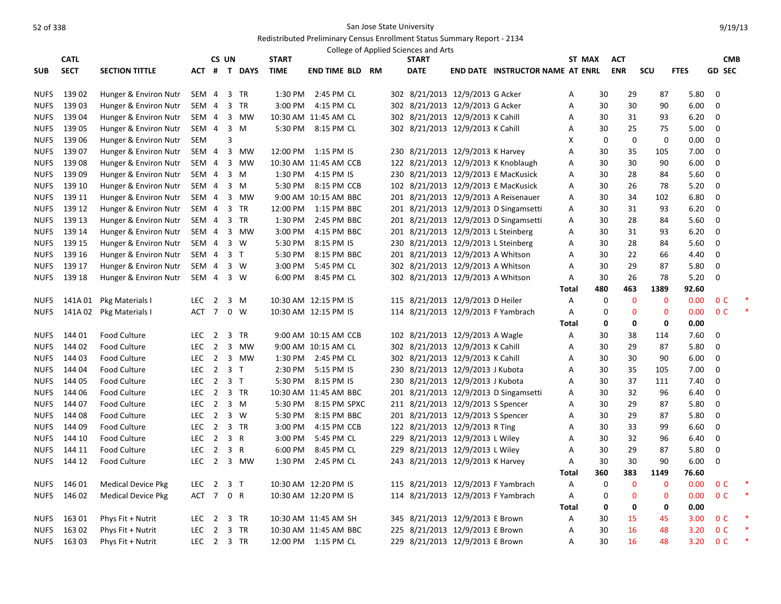|             |             |                           |                  |                |                     |                |              |                        |  | College of Applied Sciences and Arts |                                         |        |             |              |              |                        |             |                |  |
|-------------|-------------|---------------------------|------------------|----------------|---------------------|----------------|--------------|------------------------|--|--------------------------------------|-----------------------------------------|--------|-------------|--------------|--------------|------------------------|-------------|----------------|--|
|             | <b>CATL</b> |                           |                  |                | CS UN               |                | <b>START</b> |                        |  | <b>START</b>                         |                                         | ST MAX |             | <b>ACT</b>   |              |                        |             | <b>CMB</b>     |  |
| <b>SUB</b>  | <b>SECT</b> | <b>SECTION TITTLE</b>     |                  |                |                     | ACT # T DAYS   | <b>TIME</b>  | <b>END TIME BLD RM</b> |  | <b>DATE</b>                          | <b>END DATE INSTRUCTOR NAME AT ENRL</b> |        |             | <b>ENR</b>   | scu          | <b>FTES</b>            |             | <b>GD SEC</b>  |  |
| <b>NUFS</b> | 139 02      | Hunger & Environ Nutr     | SEM 4            |                |                     | 3 TR           | 1:30 PM      | 2:45 PM CL             |  | 302 8/21/2013 12/9/2013 G Acker      |                                         | Α      | 30          | 29           | 87           | 5.80                   | $\mathbf 0$ |                |  |
| <b>NUFS</b> | 139 03      | Hunger & Environ Nutr     | SEM 4            |                |                     | 3 TR           | 3:00 PM      | 4:15 PM CL             |  | 302 8/21/2013 12/9/2013 G Acker      |                                         | А      | 30          | 30           | 90           | 6.00                   | $\mathbf 0$ |                |  |
| <b>NUFS</b> | 139 04      | Hunger & Environ Nutr     | SEM 4            |                |                     | 3 MW           |              | 10:30 AM 11:45 AM CL   |  | 302 8/21/2013 12/9/2013 K Cahill     |                                         | Α      | 30          | 31           | 93           | 6.20                   | $\mathbf 0$ |                |  |
| <b>NUFS</b> | 139 05      | Hunger & Environ Nutr     | SEM 4            |                |                     | 3 M            | 5:30 PM      | 8:15 PM CL             |  | 302 8/21/2013 12/9/2013 K Cahill     |                                         | Α      | 30          | 25           | 75           | 5.00                   | $\mathbf 0$ |                |  |
| <b>NUFS</b> | 139 06      | Hunger & Environ Nutr     | <b>SEM</b>       |                | 3                   |                |              |                        |  |                                      |                                         | X      | $\mathbf 0$ | $\mathbf 0$  |              | $\mathbf 0$<br>0.00    | $\mathbf 0$ |                |  |
| <b>NUFS</b> | 139 07      | Hunger & Environ Nutr     | SEM 4            |                |                     | 3 MW           | 12:00 PM     | 1:15 PM IS             |  | 230 8/21/2013 12/9/2013 K Harvey     |                                         | Α      | 30          | 35           | 105          | 7.00                   | $\mathbf 0$ |                |  |
| <b>NUFS</b> | 13908       | Hunger & Environ Nutr     | SEM 4            |                |                     | 3 MW           |              | 10:30 AM 11:45 AM CCB  |  |                                      | 122 8/21/2013 12/9/2013 K Knoblaugh     | А      | 30          | 30           | 90           | 6.00                   | $\mathbf 0$ |                |  |
| <b>NUFS</b> | 13909       | Hunger & Environ Nutr     | SEM 4            |                |                     | 3 M            | 1:30 PM      | 4:15 PM IS             |  |                                      | 230 8/21/2013 12/9/2013 E MacKusick     | Α      | 30          | 28           | 84           | 5.60                   | $\mathbf 0$ |                |  |
| <b>NUFS</b> | 139 10      | Hunger & Environ Nutr     | SEM 4            |                |                     | 3 M            | 5:30 PM      | 8:15 PM CCB            |  |                                      | 102 8/21/2013 12/9/2013 E MacKusick     | A      | 30          | 26           | 78           | 5.20                   | $\mathbf 0$ |                |  |
| <b>NUFS</b> | 139 11      | Hunger & Environ Nutr     | SEM 4            |                |                     | 3 MW           |              | 9:00 AM 10:15 AM BBC   |  |                                      | 201 8/21/2013 12/9/2013 A Reisenauer    | Α      | 30          | 34           | 102          | 6.80                   | $\mathbf 0$ |                |  |
| <b>NUFS</b> | 139 12      | Hunger & Environ Nutr     | SEM 4            |                |                     | 3 TR           | 12:00 PM     | 1:15 PM BBC            |  |                                      | 201 8/21/2013 12/9/2013 D Singamsetti   | Α      | 30          | 31           | 93           | 6.20                   | $\mathbf 0$ |                |  |
| <b>NUFS</b> | 139 13      | Hunger & Environ Nutr     | SEM 4            |                |                     | 3 TR           | 1:30 PM      | 2:45 PM BBC            |  |                                      | 201 8/21/2013 12/9/2013 D Singamsetti   | Α      | 30          | 28           | 84           | 5.60                   | $\mathbf 0$ |                |  |
| <b>NUFS</b> | 139 14      | Hunger & Environ Nutr     | SEM 4            |                |                     | 3 MW           | 3:00 PM      | 4:15 PM BBC            |  |                                      | 201 8/21/2013 12/9/2013 L Steinberg     | Α      | 30          | 31           | 93           | 6.20                   | $\mathbf 0$ |                |  |
| <b>NUFS</b> | 139 15      | Hunger & Environ Nutr     | SEM 4            |                |                     | 3 W            | 5:30 PM      | 8:15 PM IS             |  |                                      | 230 8/21/2013 12/9/2013 L Steinberg     | Α      | 30          | 28           | 84           | 5.60                   | $\mathbf 0$ |                |  |
| <b>NUFS</b> | 139 16      | Hunger & Environ Nutr     | SEM 4            |                |                     | 3 <sub>1</sub> | 5:30 PM      | 8:15 PM BBC            |  | 201 8/21/2013 12/9/2013 A Whitson    |                                         | Α      | 30          | 22           | 66           | 4.40                   | $\mathbf 0$ |                |  |
| <b>NUFS</b> | 139 17      | Hunger & Environ Nutr     | SEM 4            |                |                     | 3 W            | 3:00 PM      | 5:45 PM CL             |  | 302 8/21/2013 12/9/2013 A Whitson    |                                         | Α      | 30          | 29           | 87           | 5.80                   | $\mathbf 0$ |                |  |
| <b>NUFS</b> | 139 18      | Hunger & Environ Nutr     | SEM 4            |                |                     | 3 W            | 6:00 PM      | 8:45 PM CL             |  | 302 8/21/2013 12/9/2013 A Whitson    |                                         | A      | 30          | 26           | 78           | 5.20                   | $\mathbf 0$ |                |  |
|             |             |                           |                  |                |                     |                |              |                        |  |                                      |                                         | Total  | 480         | 463          | 1389         | 92.60                  |             |                |  |
| <b>NUFS</b> |             | 141A 01 Pkg Materials I   | LEC.             | $\overline{2}$ |                     | 3 M            |              | 10:30 AM 12:15 PM IS   |  | 115 8/21/2013 12/9/2013 D Heiler     |                                         | Α      | $\mathbf 0$ | $\mathbf{0}$ |              | 0.00<br>$\mathbf{0}$   |             | 0 <sup>C</sup> |  |
| <b>NUFS</b> |             | 141A 02 Pkg Materials I   | ACT 7            |                |                     | $0 \quad W$    |              | 10:30 AM 12:15 PM IS   |  |                                      | 114 8/21/2013 12/9/2013 F Yambrach      | Α      | 0           |              | $\mathbf{0}$ | $\mathbf 0$<br>0.00    |             | 0 <sup>C</sup> |  |
|             |             |                           |                  |                |                     |                |              |                        |  |                                      |                                         | Total  | 0           | 0            |              | $\mathbf 0$<br>0.00    |             |                |  |
| <b>NUFS</b> | 144 01      | <b>Food Culture</b>       | <b>LEC</b>       | $\overline{2}$ |                     | 3 TR           |              | 9:00 AM 10:15 AM CCB   |  | 102 8/21/2013 12/9/2013 A Wagle      |                                         | Α      | 30          | 38           | 114          | 7.60                   | $\mathbf 0$ |                |  |
| <b>NUFS</b> | 144 02      | Food Culture              | LEC              | $\overline{2}$ |                     | 3 MW           |              | 9:00 AM 10:15 AM CL    |  | 302 8/21/2013 12/9/2013 K Cahill     |                                         | Α      | 30          | 29           | 87           | 5.80                   | $\mathbf 0$ |                |  |
| <b>NUFS</b> | 144 03      | <b>Food Culture</b>       | LEC              | $\overline{2}$ |                     | 3 MW           | 1:30 PM      | 2:45 PM CL             |  | 302 8/21/2013 12/9/2013 K Cahill     |                                         | Α      | 30          | 30           | 90           | 6.00                   | $\mathbf 0$ |                |  |
| <b>NUFS</b> | 144 04      | Food Culture              | LEC 2 3 T        |                |                     |                | 2:30 PM      | 5:15 PM IS             |  | 230 8/21/2013 12/9/2013 J Kubota     |                                         | A      | 30          | 35           | 105          | 7.00                   | $\mathbf 0$ |                |  |
| <b>NUFS</b> | 144 05      | <b>Food Culture</b>       | <b>LEC</b>       | $\overline{2}$ |                     | 3 <sub>1</sub> | 5:30 PM      | 8:15 PM IS             |  | 230 8/21/2013 12/9/2013 J Kubota     |                                         | Α      | 30          | 37           | 111          | 7.40                   | $\mathbf 0$ |                |  |
| <b>NUFS</b> | 144 06      | Food Culture              | <b>LEC</b>       | $\overline{2}$ |                     | 3 TR           |              | 10:30 AM 11:45 AM BBC  |  |                                      | 201 8/21/2013 12/9/2013 D Singamsetti   | A      | 30          | 32           | 96           | 6.40                   | $\mathbf 0$ |                |  |
| <b>NUFS</b> | 144 07      | Food Culture              | LEC 2 3 M        |                |                     |                | 5:30 PM      | 8:15 PM SPXC           |  | 211 8/21/2013 12/9/2013 S Spencer    |                                         | Α      | 30          | 29           | 87           | 5.80                   | $\mathbf 0$ |                |  |
| <b>NUFS</b> | 144 08      | Food Culture              | LEC.             | $\overline{2}$ |                     | 3 W            | 5:30 PM      | 8:15 PM BBC            |  | 201 8/21/2013 12/9/2013 S Spencer    |                                         | А      | 30          | 29           | 87           | 5.80                   | $\mathbf 0$ |                |  |
| <b>NUFS</b> | 144 09      | <b>Food Culture</b>       | LEC <sub>2</sub> |                |                     | 3 TR           | 3:00 PM      | 4:15 PM CCB            |  | 122 8/21/2013 12/9/2013 R Ting       |                                         | А      | 30          | 33           | 99           | 6.60                   | $\mathbf 0$ |                |  |
| <b>NUFS</b> | 144 10      | Food Culture              | LEC.             | $\overline{2}$ |                     | 3 R            | 3:00 PM      | 5:45 PM CL             |  | 229 8/21/2013 12/9/2013 L Wiley      |                                         | Α      | 30          | 32           | 96           | 6.40                   | $\mathbf 0$ |                |  |
| <b>NUFS</b> | 144 11      | <b>Food Culture</b>       | <b>LEC</b>       |                | $2 \quad 3 \quad R$ |                | 6:00 PM      | 8:45 PM CL             |  | 229 8/21/2013 12/9/2013 L Wiley      |                                         | Α      | 30          | 29           | 87           | 5.80                   | $\mathbf 0$ |                |  |
| <b>NUFS</b> | 144 12      | Food Culture              | <b>LEC</b>       | $\overline{2}$ |                     | 3 MW           | 1:30 PM      | 2:45 PM CL             |  | 243 8/21/2013 12/9/2013 K Harvey     |                                         | Α      | 30          | 30           |              | 6.00<br>90             | $\mathbf 0$ |                |  |
|             |             |                           |                  |                |                     |                |              |                        |  |                                      |                                         | Total  | 360         | 383          | 1149         | 76.60                  |             |                |  |
| <b>NUFS</b> | 146 01      | <b>Medical Device Pkg</b> | <b>LEC</b>       | $\overline{2}$ |                     | 3 <sub>1</sub> |              | 10:30 AM 12:20 PM IS   |  |                                      | 115 8/21/2013 12/9/2013 F Yambrach      | Α      | $\mathbf 0$ | $\mathbf{0}$ |              | $\overline{0}$<br>0.00 |             | 0 <sup>C</sup> |  |
| <b>NUFS</b> | 146 02      | <b>Medical Device Pkg</b> | ACT 7 0 R        |                |                     |                |              | 10:30 AM 12:20 PM IS   |  |                                      | 114 8/21/2013 12/9/2013 F Yambrach      | Α      | 0           |              | $\mathbf{0}$ | $\mathbf 0$<br>0.00    |             | 0 <sup>C</sup> |  |
|             |             |                           |                  |                |                     |                |              |                        |  |                                      |                                         | Total  | $\mathbf 0$ | $\mathbf 0$  |              | $\mathbf 0$<br>0.00    |             |                |  |
| <b>NUFS</b> | 163 01      | Phys Fit + Nutrit         | <b>LEC</b>       | $\overline{2}$ |                     | 3 TR           |              | 10:30 AM 11:45 AM SH   |  | 345 8/21/2013 12/9/2013 E Brown      |                                         | Α      | 30          | 15           | 45           | 3.00                   |             | 0 <sup>C</sup> |  |
| <b>NUFS</b> | 163 02      | Phys Fit + Nutrit         | LEC 2 3 TR       |                |                     |                |              | 10:30 AM 11:45 AM BBC  |  | 225 8/21/2013 12/9/2013 E Brown      |                                         | Α      | 30          | 16           | 48           | 3.20                   |             | 0 <sup>C</sup> |  |
| <b>NUFS</b> | 163 03      | Phys Fit + Nutrit         | LEC 2 3 TR       |                |                     |                |              | 12:00 PM 1:15 PM CL    |  | 229 8/21/2013 12/9/2013 E Brown      |                                         | A      | 30          | 16           | 48           | 3.20                   |             | 0 <sup>C</sup> |  |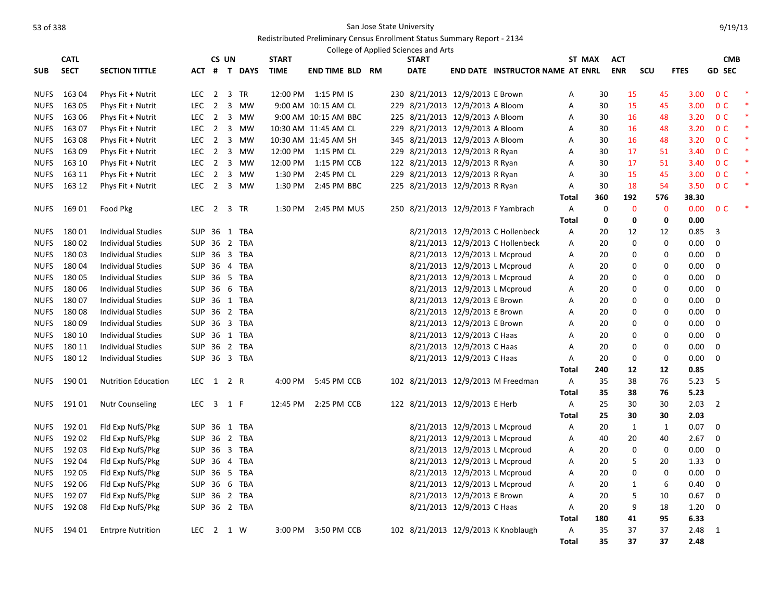|             |             |                            |            |                |              |              | College of Applied Sciences and Arts |              |                                 |                                         |              |     |              |              |             |                |            |
|-------------|-------------|----------------------------|------------|----------------|--------------|--------------|--------------------------------------|--------------|---------------------------------|-----------------------------------------|--------------|-----|--------------|--------------|-------------|----------------|------------|
|             | <b>CATL</b> |                            |            | CS UN          |              | <b>START</b> |                                      | <b>START</b> |                                 |                                         | ST MAX       |     | <b>ACT</b>   |              |             |                | <b>CMB</b> |
| <b>SUB</b>  | <b>SECT</b> | <b>SECTION TITTLE</b>      |            |                | ACT # T DAYS | <b>TIME</b>  | <b>END TIME BLD RM</b>               | <b>DATE</b>  |                                 | <b>END DATE INSTRUCTOR NAME AT ENRL</b> |              |     | <b>ENR</b>   | SCU          | <b>FTES</b> | <b>GD SEC</b>  |            |
| NUFS        | 163 04      | Phys Fit + Nutrit          | LEC.       | $\overline{2}$ | 3 TR         |              | 12:00 PM 1:15 PM IS                  |              | 230 8/21/2013 12/9/2013 E Brown |                                         | A            | 30  | 15           | 45           | 3.00        | 0 <sup>C</sup> |            |
| <b>NUFS</b> | 163 05      | Phys Fit + Nutrit          | LEC.       | $\overline{2}$ | 3 MW         |              | 9:00 AM 10:15 AM CL                  |              | 229 8/21/2013 12/9/2013 A Bloom |                                         | Α            | 30  | 15           | 45           | 3.00        | 0 <sup>C</sup> |            |
| <b>NUFS</b> | 163 06      | Phys Fit + Nutrit          | LEC        |                | 2 3 MW       |              | 9:00 AM 10:15 AM BBC                 |              | 225 8/21/2013 12/9/2013 A Bloom |                                         | Α            | 30  | 16           | 48           | 3.20        | 0 <sup>C</sup> |            |
| <b>NUFS</b> | 163 07      | Phys Fit + Nutrit          | <b>LEC</b> | $\overline{2}$ | 3 MW         |              | 10:30 AM 11:45 AM CL                 |              | 229 8/21/2013 12/9/2013 A Bloom |                                         | Α            | 30  | 16           | 48           | 3.20        | 0 <sup>C</sup> |            |
| <b>NUFS</b> | 163 08      | Phys Fit + Nutrit          | <b>LEC</b> | $\overline{2}$ | 3 MW         |              | 10:30 AM 11:45 AM SH                 |              | 345 8/21/2013 12/9/2013 A Bloom |                                         | A            | 30  | 16           | 48           | 3.20        | 0 <sup>C</sup> |            |
| <b>NUFS</b> | 16309       | Phys Fit + Nutrit          | LEC.       | $\overline{2}$ | 3 MW         |              | 12:00 PM 1:15 PM CL                  |              | 229 8/21/2013 12/9/2013 R Ryan  |                                         | A            | 30  | 17           | 51           | 3.40        | 0 <sup>C</sup> |            |
| <b>NUFS</b> | 163 10      | Phys Fit + Nutrit          | <b>LEC</b> | 2              | 3 MW         |              | 12:00 PM 1:15 PM CCB                 |              | 122 8/21/2013 12/9/2013 R Ryan  |                                         | A            | 30  | 17           | 51           | 3.40        | 0 <sup>C</sup> |            |
| <b>NUFS</b> | 163 11      | Phys Fit + Nutrit          | <b>LEC</b> | $\overline{2}$ | 3 MW         | 1:30 PM      | 2:45 PM CL                           |              | 229 8/21/2013 12/9/2013 R Ryan  |                                         | Α            | 30  | 15           | 45           | 3.00        | 0 <sup>C</sup> |            |
| <b>NUFS</b> | 163 12      | Phys Fit + Nutrit          | LEC.       | $\overline{2}$ | 3 MW         | 1:30 PM      | 2:45 PM BBC                          |              | 225 8/21/2013 12/9/2013 R Ryan  |                                         | Α            | 30  | 18           | 54           | 3.50        | 0 <sup>C</sup> |            |
|             |             |                            |            |                |              |              |                                      |              |                                 |                                         | Total        | 360 | 192          | 576          | 38.30       |                |            |
| <b>NUFS</b> | 169 01      | Food Pkg                   | <b>LEC</b> | $\overline{2}$ | 3 TR         | 1:30 PM      | 2:45 PM MUS                          |              |                                 | 250 8/21/2013 12/9/2013 F Yambrach      | Α            | 0   | $\mathbf{0}$ | $\mathbf 0$  | 0.00        | 0 <sup>C</sup> |            |
|             |             |                            |            |                |              |              |                                      |              |                                 |                                         | <b>Total</b> | 0   | 0            | 0            | 0.00        |                |            |
| <b>NUFS</b> | 18001       | <b>Individual Studies</b>  | SUP        |                | 36 1 TBA     |              |                                      |              |                                 | 8/21/2013 12/9/2013 C Hollenbeck        | Α            | 20  | 12           | 12           | 0.85        | 3              |            |
| <b>NUFS</b> | 180 02      | <b>Individual Studies</b>  |            |                | SUP 36 2 TBA |              |                                      |              |                                 | 8/21/2013 12/9/2013 C Hollenbeck        | Α            | 20  | $\mathbf 0$  | $\mathbf 0$  | 0.00        | $\Omega$       |            |
| <b>NUFS</b> | 18003       | <b>Individual Studies</b>  |            |                | SUP 36 3 TBA |              |                                      |              |                                 | 8/21/2013 12/9/2013 L Mcproud           | A            | 20  | 0            | 0            | 0.00        | $\mathbf 0$    |            |
| <b>NUFS</b> | 18004       | <b>Individual Studies</b>  |            |                | SUP 36 4 TBA |              |                                      |              |                                 | 8/21/2013 12/9/2013 L Mcproud           | A            | 20  | 0            | $\mathbf 0$  | 0.00        | $\mathbf 0$    |            |
| <b>NUFS</b> | 180 05      | <b>Individual Studies</b>  |            |                | SUP 36 5 TBA |              |                                      |              |                                 | 8/21/2013 12/9/2013 L Mcproud           | Α            | 20  | 0            | 0            | 0.00        | $\mathbf 0$    |            |
| <b>NUFS</b> | 18006       | <b>Individual Studies</b>  | SUP        |                | 36 6 TBA     |              |                                      |              |                                 | 8/21/2013 12/9/2013 L Mcproud           | А            | 20  | 0            | 0            | 0.00        | $\mathbf 0$    |            |
| <b>NUFS</b> | 18007       | <b>Individual Studies</b>  |            |                | SUP 36 1 TBA |              |                                      |              | 8/21/2013 12/9/2013 E Brown     |                                         | Α            | 20  | 0            | 0            | 0.00        | $\mathbf 0$    |            |
| <b>NUFS</b> | 18008       | <b>Individual Studies</b>  |            |                | SUP 36 2 TBA |              |                                      |              | 8/21/2013 12/9/2013 E Brown     |                                         | Α            | 20  | 0            | 0            | 0.00        | $\mathbf 0$    |            |
| <b>NUFS</b> | 18009       | <b>Individual Studies</b>  |            |                | SUP 36 3 TBA |              |                                      |              | 8/21/2013 12/9/2013 E Brown     |                                         | A            | 20  | $\Omega$     | $\mathbf 0$  | 0.00        | $\mathbf 0$    |            |
| <b>NUFS</b> | 180 10      | <b>Individual Studies</b>  |            |                | SUP 36 1 TBA |              |                                      |              | 8/21/2013 12/9/2013 C Haas      |                                         | A            | 20  | 0            | 0            | 0.00        | $\mathbf 0$    |            |
| <b>NUFS</b> | 180 11      | <b>Individual Studies</b>  |            |                | SUP 36 2 TBA |              |                                      |              | 8/21/2013 12/9/2013 C Haas      |                                         | A            | 20  | 0            | 0            | 0.00        | $\mathbf{0}$   |            |
| <b>NUFS</b> | 180 12      | <b>Individual Studies</b>  |            |                | SUP 36 3 TBA |              |                                      |              | 8/21/2013 12/9/2013 C Haas      |                                         | Α            | 20  | 0            | 0            | 0.00        | $\mathbf 0$    |            |
|             |             |                            |            |                |              |              |                                      |              |                                 |                                         | <b>Total</b> | 240 | 12           | 12           | 0.85        |                |            |
| <b>NUFS</b> | 19001       | <b>Nutrition Education</b> | <b>LEC</b> | 1              | 2 R          | 4:00 PM      | 5:45 PM CCB                          |              |                                 | 102 8/21/2013 12/9/2013 M Freedman      | Α            | 35  | 38           | 76           | 5.23        | -5             |            |
|             |             |                            |            |                |              |              |                                      |              |                                 |                                         | Total        | 35  | 38           | 76           | 5.23        |                |            |
| <b>NUFS</b> | 19101       | <b>Nutr Counseling</b>     | LEC 3 1 F  |                |              |              | 12:45 PM 2:25 PM CCB                 |              | 122 8/21/2013 12/9/2013 E Herb  |                                         | A            | 25  | 30           | 30           | 2.03        | $\overline{2}$ |            |
|             |             |                            |            |                |              |              |                                      |              |                                 |                                         | <b>Total</b> | 25  | 30           | 30           | 2.03        |                |            |
| NUFS        | 192 01      | Fld Exp NufS/Pkg           | SUP        |                | 36 1 TBA     |              |                                      |              |                                 | 8/21/2013 12/9/2013 L Mcproud           | Α            | 20  | $\mathbf{1}$ | $\mathbf{1}$ | 0.07        | $\Omega$       |            |
| <b>NUFS</b> | 192 02      | Fld Exp NufS/Pkg           |            |                | SUP 36 2 TBA |              |                                      |              |                                 | 8/21/2013 12/9/2013 L Mcproud           | Α            | 40  | 20           | 40           | 2.67        | $\mathbf 0$    |            |
| <b>NUFS</b> | 192 03      | Fld Exp NufS/Pkg           |            |                | SUP 36 3 TBA |              |                                      |              |                                 | 8/21/2013 12/9/2013 L Mcproud           | Α            | 20  | 0            | 0            | 0.00        | $\mathbf 0$    |            |
| <b>NUFS</b> | 19204       | Fld Exp NufS/Pkg           | <b>SUP</b> |                | 36 4 TBA     |              |                                      |              |                                 | 8/21/2013 12/9/2013 L Mcproud           | A            | 20  | 5            | 20           | 1.33        | $\mathbf 0$    |            |
| <b>NUFS</b> | 192 05      | Fld Exp NufS/Pkg           |            |                | SUP 36 5 TBA |              |                                      |              |                                 | 8/21/2013 12/9/2013 L Mcproud           | Α            | 20  | 0            | 0            | 0.00        | $\mathbf 0$    |            |
| <b>NUFS</b> | 192 06      | Fld Exp NufS/Pkg           |            |                | SUP 36 6 TBA |              |                                      |              |                                 | 8/21/2013 12/9/2013 L Mcproud           | A            | 20  | 1            | 6            | 0.40        | $\mathbf 0$    |            |
| <b>NUFS</b> | 192 07      | Fld Exp NufS/Pkg           | SUP 36     |                | 2 TBA        |              |                                      |              | 8/21/2013 12/9/2013 E Brown     |                                         | A            | 20  | 5            | 10           | 0.67        | $\mathbf 0$    |            |
| <b>NUFS</b> | 192 08      | Fld Exp NufS/Pkg           |            |                | SUP 36 2 TBA |              |                                      |              | 8/21/2013 12/9/2013 C Haas      |                                         | Α            | 20  | 9            | 18           | 1.20        | $\mathbf 0$    |            |
|             |             |                            |            |                |              |              |                                      |              |                                 |                                         | <b>Total</b> | 180 | 41           | 95           | 6.33        |                |            |
| <b>NUFS</b> | 194 01      | <b>Entrpre Nutrition</b>   |            |                | LEC 2 1 W    | 3:00 PM      | 3:50 PM CCB                          |              |                                 | 102 8/21/2013 12/9/2013 K Knoblaugh     | Α            | 35  | 37           | 37           | 2.48        | $\mathbf{1}$   |            |
|             |             |                            |            |                |              |              |                                      |              |                                 |                                         | Total        | 35  | 37           | 37           | 2.48        |                |            |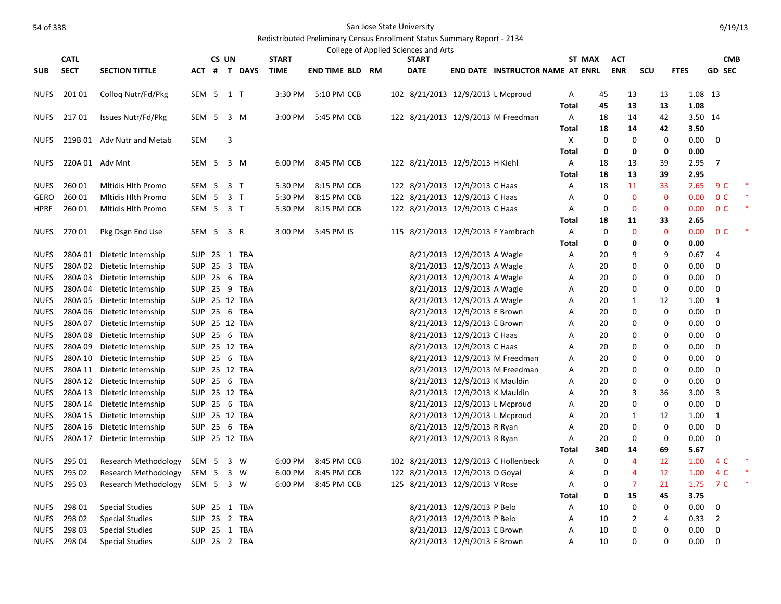|                            |                            |                                            |                               | CS UN |                |               | <b>START</b> |                        |  | College of Applied Sciences and Arts |                               |                                         | ST MAX       |             |                          |                |             |              |                               |  |
|----------------------------|----------------------------|--------------------------------------------|-------------------------------|-------|----------------|---------------|--------------|------------------------|--|--------------------------------------|-------------------------------|-----------------------------------------|--------------|-------------|--------------------------|----------------|-------------|--------------|-------------------------------|--|
| <b>SUB</b>                 | <b>CATL</b><br><b>SECT</b> | <b>SECTION TITTLE</b>                      | ACT #                         |       |                | <b>T DAYS</b> | <b>TIME</b>  | <b>END TIME BLD RM</b> |  | <b>START</b><br><b>DATE</b>          |                               | <b>END DATE INSTRUCTOR NAME AT ENRL</b> |              |             | <b>ACT</b><br><b>ENR</b> | SCU            | <b>FTES</b> |              | <b>CMB</b><br><b>GD SEC</b>   |  |
|                            |                            |                                            |                               |       |                |               |              |                        |  |                                      |                               |                                         |              |             |                          |                |             |              |                               |  |
| <b>NUFS</b>                | 201 01                     | Collog Nutr/Fd/Pkg                         | SEM 5                         |       | $1$ T          |               | 3:30 PM      | 5:10 PM CCB            |  | 102 8/21/2013 12/9/2013 L Mcproud    |                               |                                         | Α            | 45          | 13                       |                | 13          | 1.08 13      |                               |  |
|                            |                            |                                            |                               |       |                |               |              |                        |  |                                      |                               |                                         | <b>Total</b> | 45          | 13                       |                | 13          | 1.08         |                               |  |
| <b>NUFS</b>                | 21701                      | Issues Nutr/Fd/Pkg                         | SEM 5                         |       | 3 M            |               | 3:00 PM      | 5:45 PM CCB            |  |                                      |                               | 122 8/21/2013 12/9/2013 M Freedman      | Α            | 18          | 14                       |                | 42          | 3.50 14      |                               |  |
|                            |                            |                                            |                               |       |                |               |              |                        |  |                                      |                               |                                         | <b>Total</b> | 18          | 14                       |                | 42          | 3.50         |                               |  |
| <b>NUFS</b>                |                            | 219B 01 Adv Nutr and Metab                 | <b>SEM</b>                    |       | 3              |               |              |                        |  |                                      |                               |                                         | X            | $\mathbf 0$ |                          | $\mathbf 0$    | 0           | 0.00         | 0                             |  |
|                            |                            |                                            |                               |       |                |               |              |                        |  |                                      |                               |                                         | Total        | 0           | 0                        |                | 0           | 0.00         |                               |  |
| <b>NUFS</b>                |                            | 220A 01 Adv Mnt                            | SEM <sub>5</sub>              |       | 3 M            |               | 6:00 PM      | 8:45 PM CCB            |  | 122 8/21/2013 12/9/2013 H Kiehl      |                               |                                         | Α            | 18          | 13                       |                | 39          | 2.95         | - 7                           |  |
|                            |                            |                                            |                               |       |                |               |              |                        |  |                                      |                               |                                         | Total        | 18          | 13                       |                | 39          | 2.95         |                               |  |
| <b>NUFS</b>                | 260 01                     | <b>Mitidis Hith Promo</b>                  | SEM <sub>5</sub>              |       | 3 <sub>T</sub> |               | 5:30 PM      | 8:15 PM CCB            |  | 122 8/21/2013 12/9/2013 C Haas       |                               |                                         | Α            | 18          | 11                       |                | 33          | 2.65         | 9 <sup>C</sup>                |  |
| <b>GERO</b>                | 260 01                     | <b>Mitidis Hith Promo</b>                  | SEM 5 3 T                     |       |                |               | 5:30 PM      | 8:15 PM CCB            |  | 122 8/21/2013 12/9/2013 C Haas       |                               |                                         | Α            | 0           | $\mathbf{0}$             |                | $\mathbf 0$ | 0.00         | 0 <sup>C</sup>                |  |
| <b>HPRF</b>                | 260 01                     | <b>Mitidis Hith Promo</b>                  | SEM 5 3 T                     |       |                |               | 5:30 PM      | 8:15 PM CCB            |  | 122 8/21/2013 12/9/2013 C Haas       |                               |                                         | A            | 0           |                          | $\mathbf{0}$   | $\mathbf 0$ | 0.00         | 0 <sup>C</sup>                |  |
|                            |                            |                                            |                               |       |                |               |              |                        |  |                                      |                               |                                         | Total        | 18          | 11                       |                | 33          | 2.65         |                               |  |
| <b>NUFS</b>                | 270 01                     | Pkg Dsgn End Use                           | SEM 5                         |       | 3 R            |               | 3:00 PM      | 5:45 PM IS             |  |                                      |                               | 115 8/21/2013 12/9/2013 F Yambrach      | Α            | 0           |                          | $\Omega$       | $\mathbf 0$ | 0.00         | 0 <sup>C</sup>                |  |
|                            |                            |                                            |                               |       |                |               |              |                        |  |                                      |                               |                                         | <b>Total</b> | 0           |                          | 0              | 0           | 0.00         |                               |  |
| <b>NUFS</b>                | 280A01                     | Dietetic Internship                        | SUP 25 1 TBA                  |       |                |               |              |                        |  |                                      | 8/21/2013 12/9/2013 A Wagle   |                                         | Α            | 20          |                          | 9              | 9           | 0.67         | $\overline{4}$                |  |
| <b>NUFS</b>                | 280A02                     | Dietetic Internship                        | <b>SUP</b>                    |       |                | 25 3 TBA      |              |                        |  |                                      | 8/21/2013 12/9/2013 A Wagle   |                                         | A            | 20          |                          | $\mathbf 0$    | $\mathbf 0$ | 0.00         | $\overline{0}$                |  |
| <b>NUFS</b>                | 280A03                     | Dietetic Internship                        | SUP 25 6 TBA                  |       |                |               |              |                        |  |                                      | 8/21/2013 12/9/2013 A Wagle   |                                         | Α            | 20          |                          | 0              | 0           | 0.00         | $\mathbf 0$                   |  |
| <b>NUFS</b>                | 280A04                     | Dietetic Internship                        | SUP 25 9 TBA                  |       |                |               |              |                        |  |                                      | 8/21/2013 12/9/2013 A Wagle   |                                         | Α            | 20          |                          | 0              | 0           | 0.00         | $\mathbf 0$                   |  |
| <b>NUFS</b>                | 280A05                     | Dietetic Internship                        | SUP 25 12 TBA                 |       |                |               |              |                        |  |                                      | 8/21/2013 12/9/2013 A Wagle   |                                         | Α            | 20          |                          | 1              | 12          | 1.00         | $\mathbf{1}$                  |  |
| <b>NUFS</b>                | 280A06                     | Dietetic Internship                        | SUP 25 6 TBA                  |       |                |               |              |                        |  |                                      | 8/21/2013 12/9/2013 E Brown   |                                         | Α            | 20          |                          | 0              | 0           | 0.00         | $\mathbf 0$                   |  |
| <b>NUFS</b>                | 280A 07                    | Dietetic Internship                        | SUP 25 12 TBA                 |       |                |               |              |                        |  |                                      | 8/21/2013 12/9/2013 E Brown   |                                         | A            | 20          |                          | 0              | $\mathbf 0$ | 0.00         | $\overline{0}$                |  |
| <b>NUFS</b>                | 280A08                     | Dietetic Internship                        | SUP 25 6 TBA                  |       |                |               |              |                        |  |                                      | 8/21/2013 12/9/2013 C Haas    |                                         | Α            | 20          |                          | 0              | 0           | 0.00         | $\overline{0}$                |  |
| <b>NUFS</b><br><b>NUFS</b> | 280A09<br>280A 10          | Dietetic Internship                        | SUP 25 12 TBA<br>SUP 25 6 TBA |       |                |               |              |                        |  |                                      | 8/21/2013 12/9/2013 C Haas    | 8/21/2013 12/9/2013 M Freedman          | A            | 20<br>20    |                          | 0<br>0         | 0<br>0      | 0.00<br>0.00 | $\overline{0}$<br>$\mathbf 0$ |  |
| <b>NUFS</b>                | 280A 11                    | Dietetic Internship<br>Dietetic Internship | SUP 25 12 TBA                 |       |                |               |              |                        |  |                                      |                               | 8/21/2013 12/9/2013 M Freedman          | Α<br>Α       | 20          |                          | 0              | 0           | 0.00         | $\mathbf 0$                   |  |
| <b>NUFS</b>                | 280A 12                    | Dietetic Internship                        | SUP 25 6 TBA                  |       |                |               |              |                        |  |                                      | 8/21/2013 12/9/2013 K Mauldin |                                         | Α            | 20          |                          | 0              | 0           | 0.00         | $\overline{0}$                |  |
| <b>NUFS</b>                | 280A 13                    | Dietetic Internship                        | SUP 25 12 TBA                 |       |                |               |              |                        |  |                                      | 8/21/2013 12/9/2013 K Mauldin |                                         | Α            | 20          |                          | 3              | 36          | 3.00         | $\overline{3}$                |  |
| <b>NUFS</b>                | 280A 14                    | Dietetic Internship                        | SUP 25 6 TBA                  |       |                |               |              |                        |  |                                      |                               | 8/21/2013 12/9/2013 L Mcproud           | A            | 20          |                          | $\mathbf 0$    | $\mathbf 0$ | 0.00         | $\overline{0}$                |  |
| <b>NUFS</b>                | 280A 15                    | Dietetic Internship                        | SUP 25 12 TBA                 |       |                |               |              |                        |  |                                      |                               | 8/21/2013 12/9/2013 L Mcproud           | Α            | 20          |                          | $\mathbf{1}$   | 12          | 1.00         | $\mathbf{1}$                  |  |
| <b>NUFS</b>                | 280A 16                    | Dietetic Internship                        | SUP 25 6 TBA                  |       |                |               |              |                        |  |                                      | 8/21/2013 12/9/2013 R Ryan    |                                         | Α            | 20          |                          | 0              | 0           | 0.00         | $\mathbf 0$                   |  |
| <b>NUFS</b>                | 280A 17                    | Dietetic Internship                        | SUP 25 12 TBA                 |       |                |               |              |                        |  |                                      | 8/21/2013 12/9/2013 R Ryan    |                                         | Α            | 20          |                          | 0              | 0           | 0.00         | $\overline{0}$                |  |
|                            |                            |                                            |                               |       |                |               |              |                        |  |                                      |                               |                                         | <b>Total</b> | 340         | 14                       |                | 69          | 5.67         |                               |  |
| <b>NUFS</b>                | 295 01                     | <b>Research Methodology</b>                | SEM 5                         |       | 3 W            |               | 6:00 PM      | 8:45 PM CCB            |  |                                      |                               | 102 8/21/2013 12/9/2013 C Hollenbeck    | Α            | 0           |                          | 4              | 12          | 1.00         | 4 C                           |  |
| <b>NUFS</b>                | 295 02                     | <b>Research Methodology</b>                | SEM 5                         |       | 3 W            |               | 6:00 PM      | 8:45 PM CCB            |  | 122 8/21/2013 12/9/2013 D Goyal      |                               |                                         | Α            | 0           |                          | 4              | 12          | 1.00         | 4 C                           |  |
| <b>NUFS</b>                | 295 03                     | Research Methodology                       | SEM 5 3 W                     |       |                |               | 6:00 PM      | 8:45 PM CCB            |  | 125 8/21/2013 12/9/2013 V Rose       |                               |                                         | Α            | 0           |                          | 7              | 21          | 1.75         | 7 C                           |  |
|                            |                            |                                            |                               |       |                |               |              |                        |  |                                      |                               |                                         | Total        | 0           | 15                       |                | 45          | 3.75         |                               |  |
| <b>NUFS</b>                | 298 01                     | <b>Special Studies</b>                     | <b>SUP</b>                    |       |                | 25 1 TBA      |              |                        |  |                                      | 8/21/2013 12/9/2013 P Belo    |                                         | Α            | 10          |                          | 0              | 0           | 0.00         | $\mathbf 0$                   |  |
| <b>NUFS</b>                | 298 02                     | <b>Special Studies</b>                     | SUP 25 2 TBA                  |       |                |               |              |                        |  |                                      | 8/21/2013 12/9/2013 P Belo    |                                         | Α            | 10          |                          | $\overline{2}$ | 4           | 0.33         | $\overline{2}$                |  |
| <b>NUFS</b>                | 298 03                     | <b>Special Studies</b>                     | SUP 25 1 TBA                  |       |                |               |              |                        |  |                                      | 8/21/2013 12/9/2013 E Brown   |                                         | Α            | 10          |                          | 0              | 0           | 0.00         | 0                             |  |
| <b>NUFS</b>                | 298 04                     | <b>Special Studies</b>                     | SUP 25 2 TBA                  |       |                |               |              |                        |  |                                      | 8/21/2013 12/9/2013 E Brown   |                                         | Α            | 10          |                          | $\Omega$       | $\Omega$    | 0.00         | 0                             |  |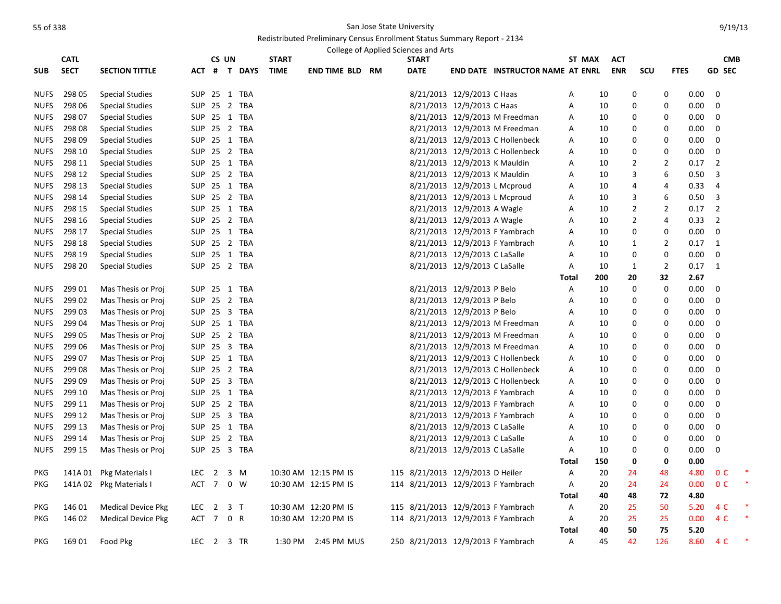|             | <b>CATL</b> |                           |               | CS UN          |                | <b>START</b> |                        | College of Applied Sciences and Arts<br><b>START</b> |                               |                                         |              | ST MAX | <b>ACT</b>  |                |                |      | <b>CMB</b>     |  |
|-------------|-------------|---------------------------|---------------|----------------|----------------|--------------|------------------------|------------------------------------------------------|-------------------------------|-----------------------------------------|--------------|--------|-------------|----------------|----------------|------|----------------|--|
| <b>SUB</b>  | <b>SECT</b> | <b>SECTION TITTLE</b>     |               |                | ACT # T DAYS   | <b>TIME</b>  | <b>END TIME BLD RM</b> | <b>DATE</b>                                          |                               | <b>END DATE INSTRUCTOR NAME AT ENRL</b> |              |        | <b>ENR</b>  | scu            | <b>FTES</b>    |      | <b>GD SEC</b>  |  |
| <b>NUFS</b> | 298 05      | <b>Special Studies</b>    |               | SUP 25 1 TBA   |                |              |                        |                                                      | 8/21/2013 12/9/2013 C Haas    |                                         | Α            | 10     |             | 0              | 0              | 0.00 | $\mathbf 0$    |  |
| <b>NUFS</b> | 298 06      | <b>Special Studies</b>    |               | SUP 25 2 TBA   |                |              |                        |                                                      | 8/21/2013 12/9/2013 C Haas    |                                         | A            | 10     | $\mathbf 0$ |                | $\mathbf 0$    | 0.00 | $\mathbf 0$    |  |
| <b>NUFS</b> | 298 07      | <b>Special Studies</b>    |               | SUP 25 1 TBA   |                |              |                        |                                                      |                               | 8/21/2013 12/9/2013 M Freedman          | A            | 10     | 0           |                | 0              | 0.00 | 0              |  |
| <b>NUFS</b> | 298 08      | <b>Special Studies</b>    | SUP 25        |                | 2 TBA          |              |                        |                                                      |                               | 8/21/2013 12/9/2013 M Freedman          | Α            | 10     | 0           |                | 0              | 0.00 | 0              |  |
| <b>NUFS</b> | 298 09      | <b>Special Studies</b>    |               | SUP 25 1 TBA   |                |              |                        |                                                      |                               | 8/21/2013 12/9/2013 C Hollenbeck        | Α            | 10     | $\mathbf 0$ |                | $\mathbf 0$    | 0.00 | $\mathbf 0$    |  |
| <b>NUFS</b> | 298 10      | <b>Special Studies</b>    |               | SUP 25 2 TBA   |                |              |                        |                                                      |                               | 8/21/2013 12/9/2013 C Hollenbeck        | Α            | 10     | $\mathbf 0$ |                | 0              | 0.00 | $\mathbf 0$    |  |
| <b>NUFS</b> | 298 11      | <b>Special Studies</b>    |               | SUP 25 1 TBA   |                |              |                        |                                                      | 8/21/2013 12/9/2013 K Mauldin |                                         | A            | 10     |             | 2              | $\overline{2}$ | 0.17 | $\overline{2}$ |  |
| <b>NUFS</b> | 298 12      | <b>Special Studies</b>    |               | SUP 25 2 TBA   |                |              |                        |                                                      | 8/21/2013 12/9/2013 K Mauldin |                                         | A            | 10     |             | 3              | 6              | 0.50 | $\overline{3}$ |  |
| <b>NUFS</b> | 298 13      | <b>Special Studies</b>    |               | SUP 25 1 TBA   |                |              |                        |                                                      | 8/21/2013 12/9/2013 L Mcproud |                                         | A            | 10     | 4           |                | 4              | 0.33 | $\overline{4}$ |  |
| <b>NUFS</b> | 298 14      | <b>Special Studies</b>    |               | SUP 25 2 TBA   |                |              |                        |                                                      | 8/21/2013 12/9/2013 L Mcproud |                                         | Α            | 10     |             | 3              | 6              | 0.50 | 3              |  |
| <b>NUFS</b> | 298 15      | <b>Special Studies</b>    |               | SUP 25 1 TBA   |                |              |                        |                                                      | 8/21/2013 12/9/2013 A Wagle   |                                         | Α            | 10     |             | 2              | $\overline{2}$ | 0.17 | $\overline{2}$ |  |
| <b>NUFS</b> | 298 16      | <b>Special Studies</b>    |               | SUP 25 2 TBA   |                |              |                        |                                                      | 8/21/2013 12/9/2013 A Wagle   |                                         | A            | 10     |             | $\overline{2}$ | $\overline{4}$ | 0.33 | $\overline{2}$ |  |
| <b>NUFS</b> | 298 17      | <b>Special Studies</b>    |               | SUP 25 1 TBA   |                |              |                        |                                                      |                               | 8/21/2013 12/9/2013 F Yambrach          | A            | 10     |             | 0              | 0              | 0.00 | $\mathbf 0$    |  |
| <b>NUFS</b> | 298 18      | <b>Special Studies</b>    |               | SUP 25 2 TBA   |                |              |                        |                                                      |                               | 8/21/2013 12/9/2013 F Yambrach          | A            | 10     |             | 1              | $\overline{2}$ | 0.17 | 1              |  |
| <b>NUFS</b> | 298 19      | <b>Special Studies</b>    |               | SUP 25 1 TBA   |                |              |                        |                                                      | 8/21/2013 12/9/2013 C LaSalle |                                         | Α            | 10     |             | 0              | 0              | 0.00 | 0              |  |
| <b>NUFS</b> | 298 20      | <b>Special Studies</b>    |               | SUP 25 2 TBA   |                |              |                        |                                                      | 8/21/2013 12/9/2013 C LaSalle |                                         | Α            | 10     | 1           |                | $\overline{2}$ | 0.17 | 1              |  |
|             |             |                           |               |                |                |              |                        |                                                      |                               |                                         | <b>Total</b> | 200    | 20          |                | 32             | 2.67 |                |  |
| <b>NUFS</b> | 299 01      | Mas Thesis or Proj        |               | SUP 25 1 TBA   |                |              |                        |                                                      | 8/21/2013 12/9/2013 P Belo    |                                         | Α            | 10     | $\mathbf 0$ |                | 0              | 0.00 | 0              |  |
| <b>NUFS</b> | 299 02      | Mas Thesis or Proj        |               | SUP 25 2 TBA   |                |              |                        |                                                      | 8/21/2013 12/9/2013 P Belo    |                                         | Α            | 10     | 0           |                | 0              | 0.00 | $\mathbf 0$    |  |
| <b>NUFS</b> | 299 03      | Mas Thesis or Proj        |               | SUP 25 3 TBA   |                |              |                        |                                                      | 8/21/2013 12/9/2013 P Belo    |                                         | A            | 10     | $\mathbf 0$ |                | 0              | 0.00 | $\mathbf 0$    |  |
| <b>NUFS</b> | 299 04      | Mas Thesis or Proj        | SUP 25        |                | 1 TBA          |              |                        |                                                      |                               | 8/21/2013 12/9/2013 M Freedman          | Α            | 10     | $\mathbf 0$ |                | 0              | 0.00 | 0              |  |
| <b>NUFS</b> | 299 05      | Mas Thesis or Proj        |               | SUP 25 2 TBA   |                |              |                        |                                                      |                               | 8/21/2013 12/9/2013 M Freedman          | Α            | 10     | 0           |                | 0              | 0.00 | 0              |  |
| <b>NUFS</b> | 299 06      | Mas Thesis or Proj        |               | SUP 25 3 TBA   |                |              |                        |                                                      |                               | 8/21/2013 12/9/2013 M Freedman          | A            | 10     | 0           |                | $\mathbf 0$    | 0.00 | $\mathbf 0$    |  |
| <b>NUFS</b> | 299 07      | Mas Thesis or Proj        |               | SUP 25 1 TBA   |                |              |                        |                                                      |                               | 8/21/2013 12/9/2013 C Hollenbeck        | A            | 10     | $\Omega$    |                | 0              | 0.00 | $\mathbf 0$    |  |
| <b>NUFS</b> | 299 08      | Mas Thesis or Proj        |               | SUP 25 2 TBA   |                |              |                        |                                                      |                               | 8/21/2013 12/9/2013 C Hollenbeck        | Α            | 10     | 0           |                | 0              | 0.00 | 0              |  |
| <b>NUFS</b> | 299 09      | Mas Thesis or Proj        |               | SUP 25 3 TBA   |                |              |                        |                                                      |                               | 8/21/2013 12/9/2013 C Hollenbeck        | Α            | 10     | 0           |                | 0              | 0.00 | 0              |  |
| <b>NUFS</b> | 299 10      | Mas Thesis or Proj        |               | SUP 25 1 TBA   |                |              |                        |                                                      |                               | 8/21/2013 12/9/2013 F Yambrach          | A            | 10     | 0           |                | $\mathbf 0$    | 0.00 | $\mathbf 0$    |  |
| <b>NUFS</b> | 299 11      | Mas Thesis or Proj        | SUP 25        |                | 2 TBA          |              |                        |                                                      |                               | 8/21/2013 12/9/2013 F Yambrach          | Α            | 10     |             | 0              | 0              | 0.00 | 0              |  |
| <b>NUFS</b> | 299 12      | Mas Thesis or Proj        |               | SUP 25 3 TBA   |                |              |                        |                                                      |                               | 8/21/2013 12/9/2013 F Yambrach          | A            | 10     | 0           |                | 0              | 0.00 | $\mathbf 0$    |  |
| <b>NUFS</b> | 299 13      | Mas Thesis or Proj        |               | SUP 25 1 TBA   |                |              |                        |                                                      | 8/21/2013 12/9/2013 C LaSalle |                                         | Α            | 10     | 0           |                | 0              | 0.00 | 0              |  |
| <b>NUFS</b> | 299 14      | Mas Thesis or Proj        | <b>SUP 25</b> |                | 2 TBA          |              |                        |                                                      | 8/21/2013 12/9/2013 C LaSalle |                                         | A            | 10     | $\Omega$    |                | $\mathbf 0$    | 0.00 | 0              |  |
| <b>NUFS</b> | 299 15      | Mas Thesis or Proj        |               | SUP 25 3 TBA   |                |              |                        |                                                      | 8/21/2013 12/9/2013 C LaSalle |                                         | Α            | 10     | $\mathbf 0$ |                | $\mathbf 0$    | 0.00 | 0              |  |
|             |             |                           |               |                |                |              |                        |                                                      |                               |                                         | Total        | 150    |             | 0              | 0              | 0.00 |                |  |
| PKG         | 141A 01     | Pkg Materials I           | LEC.          | $\overline{2}$ | 3 M            |              | 10:30 AM 12:15 PM IS   | 115 8/21/2013 12/9/2013 D Heiler                     |                               |                                         | Α            | 20     | 24          |                | 48             | 4.80 | 0 <sup>C</sup> |  |
| PKG         |             | 141A 02 Pkg Materials I   | ACT 7         |                | $0 \quad W$    |              | 10:30 AM 12:15 PM IS   |                                                      |                               | 114 8/21/2013 12/9/2013 F Yambrach      | Α            | 20     | 24          |                | 24             | 0.00 | 0 <sup>C</sup> |  |
|             |             |                           |               |                |                |              |                        |                                                      |                               |                                         | Total        | 40     | 48          |                | 72             | 4.80 |                |  |
| PKG         | 146 01      | <b>Medical Device Pkg</b> | LEC           | $\overline{2}$ | 3 <sub>1</sub> |              | 10:30 AM 12:20 PM IS   |                                                      |                               | 115 8/21/2013 12/9/2013 F Yambrach      | Α            | 20     | 25          |                | 50             | 5.20 | 4 C            |  |
| PKG         | 146 02      | <b>Medical Device Pkg</b> | ACT 7         |                | 0 R            |              | 10:30 AM 12:20 PM IS   |                                                      |                               | 114 8/21/2013 12/9/2013 F Yambrach      | Α            | 20     | 25          |                | 25             | 0.00 | 4 C            |  |
|             |             |                           |               |                |                |              |                        |                                                      |                               |                                         | Total        | 40     | 50          |                | 75             | 5.20 |                |  |
| PKG         | 169 01      | Food Pkg                  |               | LEC 2 3 TR     |                | 1:30 PM      | 2:45 PM MUS            |                                                      |                               | 250 8/21/2013 12/9/2013 F Yambrach      | A            | 45     | 42          |                | 126            | 8.60 | 4 C            |  |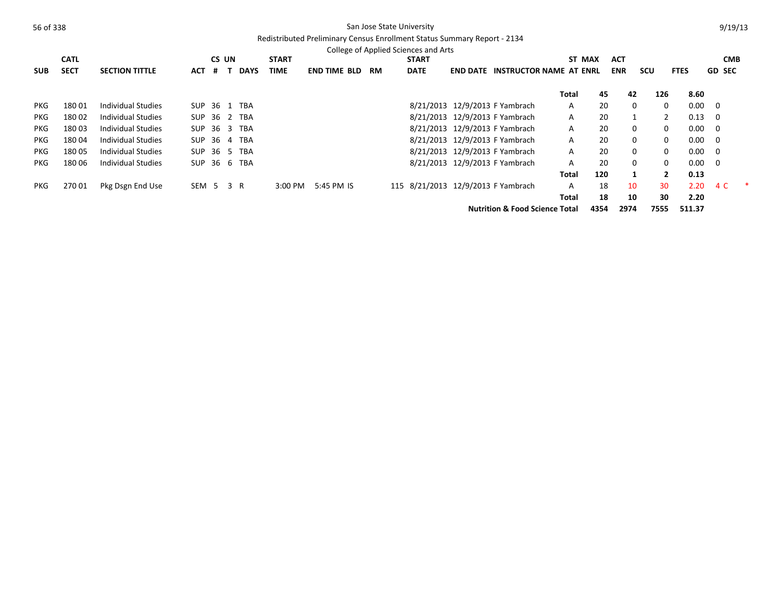|            |             |                       |            |       |              |              |                     |           | College of Applied Sciences and Arts |                 |                                           |              |              |            |              |                |             |                         |  |
|------------|-------------|-----------------------|------------|-------|--------------|--------------|---------------------|-----------|--------------------------------------|-----------------|-------------------------------------------|--------------|--------------|------------|--------------|----------------|-------------|-------------------------|--|
|            | <b>CATL</b> |                       |            | CS UN |              | <b>START</b> |                     |           | <b>START</b>                         |                 |                                           |              | ST MAX       | <b>ACT</b> |              |                |             | <b>CMB</b>              |  |
| <b>SUB</b> | <b>SECT</b> | <b>SECTION TITTLE</b> | <b>ACT</b> | #     | <b>DAYS</b>  | <b>TIME</b>  | <b>END TIME BLD</b> | <b>RM</b> | <b>DATE</b>                          | <b>END DATE</b> | <b>INSTRUCTOR NAME AT ENRL</b>            |              |              | <b>ENR</b> |              | scu            | <b>FTES</b> | <b>GD SEC</b>           |  |
|            |             |                       |            |       |              |              |                     |           |                                      |                 |                                           | Total        |              | 45         | 42           | 126            | 8.60        |                         |  |
| <b>PKG</b> | 18001       | Individual Studies    | SUP        | 36 1  | <b>TBA</b>   |              |                     |           |                                      |                 | 8/21/2013 12/9/2013 F Yambrach            |              | A            | 20         | $\Omega$     | 0              | 0.00        | $\overline{\mathbf{0}}$ |  |
| <b>PKG</b> | 18002       | Individual Studies    |            |       | SUP 36 2 TBA |              |                     |           |                                      |                 | 8/21/2013 12/9/2013 F Yambrach            |              | A            | 20         |              | $\overline{2}$ | 0.13        | $\overline{\mathbf{0}}$ |  |
| <b>PKG</b> | 18003       | Individual Studies    | SUP        | 36 3  | TBA          |              |                     |           |                                      |                 | 8/21/2013 12/9/2013 F Yambrach            |              | $\mathsf{A}$ | 20         | $\Omega$     | $\mathbf{0}$   | 0.00        | - 0                     |  |
| <b>PKG</b> | 18004       | Individual Studies    |            |       | SUP 36 4 TBA |              |                     |           |                                      |                 | 8/21/2013 12/9/2013 F Yambrach            |              | $\mathsf{A}$ | 20         | $\Omega$     | 0              | 0.00        | - 0                     |  |
| <b>PKG</b> | 18005       | Individual Studies    | SUP        | 36 5  | TBA          |              |                     |           |                                      |                 | 8/21/2013 12/9/2013 F Yambrach            |              | A            | 20         | $\Omega$     | 0              | 0.00        | - 0                     |  |
| <b>PKG</b> | 18006       | Individual Studies    | SUP 36     | - 6   | <b>TBA</b>   |              |                     |           |                                      |                 | 8/21/2013 12/9/2013 F Yambrach            |              | A            | 20         | $\Omega$     | $\Omega$       | 0.00        | - 0                     |  |
|            |             |                       |            |       |              |              |                     |           |                                      |                 |                                           | Total        | 120          |            | $\mathbf{1}$ | $\mathbf{2}$   | 0.13        |                         |  |
| <b>PKG</b> | 270 01      | Pkg Dsgn End Use      | SEM 5      |       | 3 R          | 3:00 PM      | 5:45 PM IS          |           |                                      |                 | 115 8/21/2013 12/9/2013 F Yambrach        |              | A            | 18         | 10           | 30             | 2.20        | 4 C                     |  |
|            |             |                       |            |       |              |              |                     |           |                                      |                 |                                           | <b>Total</b> |              | 18         | 10           | 30             | 2.20        |                         |  |
|            |             |                       |            |       |              |              |                     |           |                                      |                 | <b>Nutrition &amp; Food Science Total</b> |              | 4354         |            | 2974         | 7555           | 511.37      |                         |  |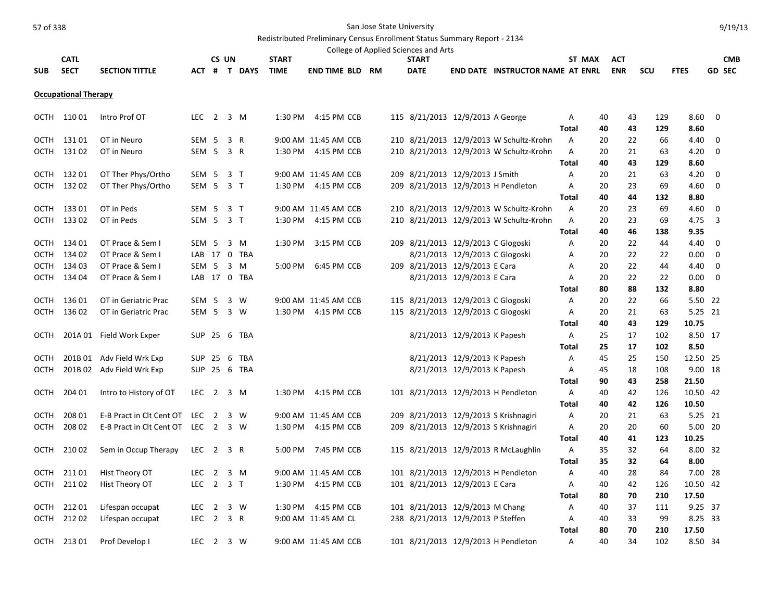## Redistributed Preliminary Census Enrollment Status Summary Report - 2134

|             | <b>CATL</b>                 |                                    |                  | CS UN          |     |              | <b>START</b> |                        | College of Applied Sciences and Arts<br><b>START</b> |                                |                                         | ST MAX       |    | <b>ACT</b> |            |             |             | <b>CMB</b>    |
|-------------|-----------------------------|------------------------------------|------------------|----------------|-----|--------------|--------------|------------------------|------------------------------------------------------|--------------------------------|-----------------------------------------|--------------|----|------------|------------|-------------|-------------|---------------|
| <b>SUB</b>  | <b>SECT</b>                 | <b>SECTION TITTLE</b>              |                  |                |     | ACT # T DAYS | <b>TIME</b>  | <b>END TIME BLD RM</b> | <b>DATE</b>                                          |                                | <b>END DATE INSTRUCTOR NAME AT ENRL</b> |              |    | <b>ENR</b> | <b>SCU</b> | <b>FTES</b> |             | <b>GD SEC</b> |
|             |                             |                                    |                  |                |     |              |              |                        |                                                      |                                |                                         |              |    |            |            |             |             |               |
|             | <b>Occupational Therapy</b> |                                    |                  |                |     |              |              |                        |                                                      |                                |                                         |              |    |            |            |             |             |               |
|             | OCTH 110 01                 | Intro Prof OT                      | LEC 2 3 M        |                |     |              | 1:30 PM      | 4:15 PM CCB            | 115 8/21/2013 12/9/2013 A George                     |                                |                                         | A            | 40 | 43         | 129        | 8.60        | $\mathbf 0$ |               |
|             |                             |                                    |                  |                |     |              |              |                        |                                                      |                                |                                         | Total        | 40 | 43         | 129        | 8.60        |             |               |
|             | OCTH 13101                  | OT in Neuro                        | SEM 5 3 R        |                |     |              |              | 9:00 AM 11:45 AM CCB   |                                                      |                                | 210 8/21/2013 12/9/2013 W Schultz-Krohn | Α            | 20 | 22         | 66         | 4.40        | 0           |               |
| OCTH        | 13102                       | OT in Neuro                        | SEM 5 3 R        |                |     |              |              | 1:30 PM 4:15 PM CCB    |                                                      |                                | 210 8/21/2013 12/9/2013 W Schultz-Krohn | A            | 20 | 21         | 63         | 4.20        | 0           |               |
|             |                             |                                    |                  |                |     |              |              |                        |                                                      |                                |                                         | Total        | 40 | 43         | 129        | 8.60        |             |               |
| OCTH        | 132 01                      | OT Ther Phys/Ortho                 | SEM 5            |                | 3 T |              |              | 9:00 AM 11:45 AM CCB   | 209 8/21/2013 12/9/2013 J Smith                      |                                |                                         | A            | 20 | 21         | 63         | 4.20        | 0           |               |
| OCTH        | 132 02                      | OT Ther Phys/Ortho                 | SEM <sub>5</sub> |                | 3T  |              |              | 1:30 PM 4:15 PM CCB    |                                                      |                                | 209 8/21/2013 12/9/2013 H Pendleton     | A            | 20 | 23         | 69         | 4.60        | 0           |               |
|             |                             |                                    |                  |                |     |              |              |                        |                                                      |                                |                                         | Total        | 40 | 44         | 132        | 8.80        |             |               |
| OCTH        | 133 01                      | OT in Peds                         | SEM 5            |                | 3 T |              |              | 9:00 AM 11:45 AM CCB   |                                                      |                                | 210 8/21/2013 12/9/2013 W Schultz-Krohn | Α            | 20 | 23         | 69         | 4.60        | 0           |               |
| OCTH        | 133 02                      | OT in Peds                         | SEM 5 3 T        |                |     |              | 1:30 PM      | 4:15 PM CCB            |                                                      |                                | 210 8/21/2013 12/9/2013 W Schultz-Krohn | Α            | 20 | 23         | 69         | 4.75        | 3           |               |
|             |                             |                                    |                  |                |     |              |              |                        |                                                      |                                |                                         | Total        | 40 | 46         | 138        | 9.35        |             |               |
|             | OCTH 134 01                 | OT Prace & Sem I                   | SEM 5 3 M        |                |     |              |              | 1:30 PM 3:15 PM CCB    | 209 8/21/2013 12/9/2013 C Glogoski                   |                                |                                         | A            | 20 | 22         | 44         | 4.40        | 0           |               |
| OCTH        | 134 02                      | OT Prace & Sem I                   |                  |                |     | LAB 17 0 TBA |              |                        |                                                      | 8/21/2013 12/9/2013 C Glogoski |                                         | Α            | 20 | 22         | 22         | 0.00        | 0           |               |
|             | OCTH 134 03                 | OT Prace & Sem I                   | SEM 5 3 M        |                |     |              | 5:00 PM      | 6:45 PM CCB            | 209 8/21/2013 12/9/2013 E Cara                       |                                |                                         | Α            | 20 | 22         | 44         | 4.40        | $\mathbf 0$ |               |
| OCTH        | 134 04                      | OT Prace & Sem I                   |                  |                |     | LAB 17 0 TBA |              |                        |                                                      | 8/21/2013 12/9/2013 E Cara     |                                         | A            | 20 | 22         | 22         | 0.00        | 0           |               |
|             |                             |                                    |                  |                |     |              |              |                        |                                                      |                                |                                         | Total        | 80 | 88         | 132        | 8.80        |             |               |
| OCTH        | 136 01                      | OT in Geriatric Prac               | SEM 5            |                |     | 3 W          |              | 9:00 AM 11:45 AM CCB   | 115 8/21/2013 12/9/2013 C Glogoski                   |                                |                                         | A            | 20 | 22         | 66         | 5.50 22     |             |               |
| OCTH        | 136 02                      | OT in Geriatric Prac               | SEM 5 3 W        |                |     |              |              | 1:30 PM 4:15 PM CCB    | 115 8/21/2013 12/9/2013 C Glogoski                   |                                |                                         | $\mathsf{A}$ | 20 | 21         | 63         | 5.25 21     |             |               |
|             |                             |                                    |                  |                |     |              |              |                        |                                                      |                                |                                         | Total        | 40 | 43         | 129        | 10.75       |             |               |
| ОСТН        |                             | 201A 01 Field Work Exper           |                  |                |     | SUP 25 6 TBA |              |                        |                                                      | 8/21/2013 12/9/2013 K Papesh   |                                         | A            | 25 | 17         | 102        | 8.50 17     |             |               |
|             |                             |                                    |                  |                |     |              |              |                        |                                                      |                                |                                         | Total        | 25 | 17         | 102        | 8.50        |             |               |
| OCTH        |                             | 201B 01 Adv Field Wrk Exp          |                  |                |     | SUP 25 6 TBA |              |                        |                                                      | 8/21/2013 12/9/2013 K Papesh   |                                         | Α            | 45 | 25         | 150        | 12.50 25    |             |               |
| <b>OCTH</b> |                             | 201B 02 Adv Field Wrk Exp          |                  |                |     | SUP 25 6 TBA |              |                        |                                                      | 8/21/2013 12/9/2013 K Papesh   |                                         | A            | 45 | 18         | 108        | 9.00 18     |             |               |
|             |                             |                                    |                  |                |     |              |              |                        |                                                      |                                |                                         | Total        | 90 | 43         | 258        | 21.50       |             |               |
| <b>OCTH</b> | 204 01                      | Intro to History of OT             | <b>LEC</b>       | $\overline{2}$ |     | 3 M          |              | 1:30 PM 4:15 PM CCB    |                                                      |                                | 101 8/21/2013 12/9/2013 H Pendleton     | A            | 40 | 42         | 126        | 10.50 42    |             |               |
|             |                             |                                    |                  |                |     |              |              |                        |                                                      |                                |                                         | Total        | 40 | 42         | 126        | 10.50       |             |               |
| OCTH        | 208 01                      | E-B Pract in Clt Cent OT LEC 2 3 W |                  |                |     |              |              | 9:00 AM 11:45 AM CCB   |                                                      |                                | 209 8/21/2013 12/9/2013 S Krishnagiri   | Α            | 20 | 21         | 63         | 5.25 21     |             |               |
| OCTH        | 208 02                      | E-B Pract in Clt Cent OT LEC 2 3 W |                  |                |     |              |              | 1:30 PM 4:15 PM CCB    |                                                      |                                | 209 8/21/2013 12/9/2013 S Krishnagiri   | Α            | 20 | 20         | 60         | 5.00 20     |             |               |
|             |                             |                                    |                  |                |     |              |              |                        |                                                      |                                |                                         | Total        | 40 | 41         | 123        | 10.25       |             |               |
| OCTH        | 21002                       | Sem in Occup Therapy               | LEC 2 3 R        |                |     |              |              | 5:00 PM 7:45 PM CCB    |                                                      |                                | 115 8/21/2013 12/9/2013 R McLaughlin    | Α            | 35 | 32         | 64         | 8.00 32     |             |               |
|             |                             |                                    |                  |                |     |              |              |                        |                                                      |                                |                                         | Total        | 35 | 32         | 64         | 8.00        |             |               |
| OCTH        | 21101                       | Hist Theory OT                     | <b>LEC</b>       | $\overline{2}$ |     | 3 M          |              | 9:00 AM 11:45 AM CCB   |                                                      |                                | 101 8/21/2013 12/9/2013 H Pendleton     | A            | 40 | 28         | 84         | 7.00 28     |             |               |
| OCTH        | 21102                       | Hist Theory OT                     | LEC 2 3 T        |                |     |              |              | 1:30 PM 4:15 PM CCB    | 101 8/21/2013 12/9/2013 E Cara                       |                                |                                         | A            | 40 | 42         | 126        | 10.50 42    |             |               |
|             |                             |                                    |                  |                |     |              |              |                        |                                                      |                                |                                         | Total        | 80 | 70         | 210        | 17.50       |             |               |
| <b>OCTH</b> | 21201                       | Lifespan occupat                   | <b>LEC</b>       | 2 3 W          |     |              | 1:30 PM      | 4:15 PM CCB            | 101 8/21/2013 12/9/2013 M Chang                      |                                |                                         | A            | 40 | 37         | 111        | 9.25 37     |             |               |
| OCTH        | 21202                       | Lifespan occupat                   | LEC 2 3 R        |                |     |              |              | 9:00 AM 11:45 AM CL    | 238 8/21/2013 12/9/2013 P Steffen                    |                                |                                         | Α            | 40 | 33         | 99         | 8.25 33     |             |               |
|             |                             |                                    |                  |                |     |              |              |                        |                                                      |                                |                                         | Total        | 80 | 70         | 210        | 17.50       |             |               |
| OCTH        | 213 01                      | Prof Develop I                     | LEC 2 3 W        |                |     |              |              | 9:00 AM 11:45 AM CCB   |                                                      |                                | 101 8/21/2013 12/9/2013 H Pendleton     | A            | 40 | 34         | 102        | 8.50 34     |             |               |

9/19/13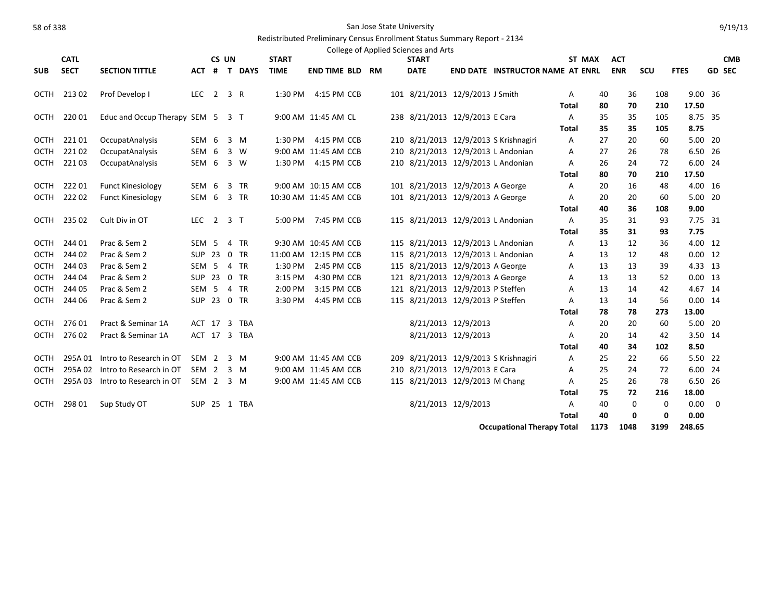#### Redistributed Preliminary Census Enrollment Status Summary Report - 2134

|             | <b>CATL</b> |                                  |                  | CS UN          |                |          | <b>START</b> |                       |           | <b>START</b>                      |                     |                                         |              | <b>ST MAX</b> | <b>ACT</b>   |             |             |   | <b>CMB</b>    |
|-------------|-------------|----------------------------------|------------------|----------------|----------------|----------|--------------|-----------------------|-----------|-----------------------------------|---------------------|-----------------------------------------|--------------|---------------|--------------|-------------|-------------|---|---------------|
| <b>SUB</b>  | <b>SECT</b> | <b>SECTION TITTLE</b>            | <b>ACT</b>       | #              |                | T DAYS   | <b>TIME</b>  | <b>END TIME BLD</b>   | <b>RM</b> | <b>DATE</b>                       |                     | <b>END DATE INSTRUCTOR NAME AT ENRL</b> |              |               | <b>ENR</b>   | SCU         | <b>FTES</b> |   | <b>GD SEC</b> |
| OCTH        | 21302       | Prof Develop I                   | LEC              | $\overline{2}$ | 3 R            |          | 1:30 PM      | 4:15 PM CCB           |           | 101 8/21/2013 12/9/2013 J Smith   |                     |                                         | A            | 40            | 36           | 108         | 9.00 36     |   |               |
|             |             |                                  |                  |                |                |          |              |                       |           |                                   |                     |                                         | Total        | 80            | 70           | 210         | 17.50       |   |               |
| OCTH        | 22001       | Educ and Occup Therapy SEM 5 3 T |                  |                |                |          |              | 9:00 AM 11:45 AM CL   |           | 238 8/21/2013 12/9/2013 E Cara    |                     |                                         | A            | 35            | 35           | 105         | 8.75 35     |   |               |
|             |             |                                  |                  |                |                |          |              |                       |           |                                   |                     |                                         | <b>Total</b> | 35            | 35           | 105         | 8.75        |   |               |
| <b>OCTH</b> | 22101       | OccupatAnalysis                  | SEM 6            |                |                | 3 M      | 1:30 PM      | 4:15 PM CCB           |           |                                   |                     | 210 8/21/2013 12/9/2013 S Krishnagiri   | Α            | 27            | 20           | 60          | 5.00 20     |   |               |
| <b>OCTH</b> | 221 02      | OccupatAnalysis                  | SEM 6            |                |                | 3 W      |              | 9:00 AM 11:45 AM CCB  |           |                                   |                     | 210 8/21/2013 12/9/2013 L Andonian      | Α            | 27            | 26           | 78          | 6.50 26     |   |               |
| OCTH        | 22103       | OccupatAnalysis                  | SEM 6            |                |                | 3 W      | 1:30 PM      | 4:15 PM CCB           |           |                                   |                     | 210 8/21/2013 12/9/2013 L Andonian      | Α            | 26            | 24           | 72          | 6.00 24     |   |               |
|             |             |                                  |                  |                |                |          |              |                       |           |                                   |                     |                                         | <b>Total</b> | 80            | 70           | 210         | 17.50       |   |               |
| <b>OCTH</b> | 22201       | <b>Funct Kinesiology</b>         | SEM 6            |                | 3              | - TR     |              | 9:00 AM 10:15 AM CCB  |           | 101 8/21/2013 12/9/2013 A George  |                     |                                         | Α            | 20            | 16           | 48          | 4.00 16     |   |               |
| OCTH        | 22202       | <b>Funct Kinesiology</b>         | SEM 6            |                |                | 3 TR     |              | 10:30 AM 11:45 AM CCB |           | 101 8/21/2013 12/9/2013 A George  |                     |                                         | Α            | 20            | 20           | 60          | 5.00 20     |   |               |
|             |             |                                  |                  |                |                |          |              |                       |           |                                   |                     |                                         | Total        | 40            | 36           | 108         | 9.00        |   |               |
| OCTH        | 235 02      | Cult Div in OT                   | <b>LEC</b>       | $\overline{2}$ | 3 <sub>1</sub> |          | 5:00 PM      | 7:45 PM CCB           |           |                                   |                     | 115 8/21/2013 12/9/2013 L Andonian      | A            | 35            | 31           | 93          | 7.75 31     |   |               |
|             |             |                                  |                  |                |                |          |              |                       |           |                                   |                     |                                         | Total        | 35            | 31           | 93          | 7.75        |   |               |
| <b>OCTH</b> | 244 01      | Prac & Sem 2                     | SEM <sub>5</sub> |                |                | 4 TR     |              | 9:30 AM 10:45 AM CCB  |           |                                   |                     | 115 8/21/2013 12/9/2013 L Andonian      | Α            | 13            | 12           | 36          | 4.00 12     |   |               |
| <b>OCTH</b> | 244 02      | Prac & Sem 2                     | SUP 23 0 TR      |                |                |          |              | 11:00 AM 12:15 PM CCB |           |                                   |                     | 115 8/21/2013 12/9/2013 L Andonian      | A            | 13            | 12           | 48          | $0.00$ 12   |   |               |
| <b>OCTH</b> | 244 03      | Prac & Sem 2                     | SEM <sub>5</sub> |                |                | 4 TR     | 1:30 PM      | 2:45 PM CCB           |           | 115 8/21/2013 12/9/2013 A George  |                     |                                         | Α            | 13            | 13           | 39          | 4.33 13     |   |               |
| <b>OCTH</b> | 244 04      | Prac & Sem 2                     | SUP              | 23             |                | 0 TR     | 3:15 PM      | 4:30 PM CCB           |           | 121 8/21/2013 12/9/2013 A George  |                     |                                         | Α            | 13            | 13           | 52          | $0.00$ 13   |   |               |
| <b>OCTH</b> | 244 05      | Prac & Sem 2                     | SEM <sub>5</sub> |                |                | 4 TR     | 2:00 PM      | 3:15 PM CCB           |           | 121 8/21/2013 12/9/2013 P Steffen |                     |                                         | A            | 13            | 14           | 42          | 4.67 14     |   |               |
| OCTH        | 244 06      | Prac & Sem 2                     | SUP 23 0 TR      |                |                |          | 3:30 PM      | 4:45 PM CCB           |           | 115 8/21/2013 12/9/2013 P Steffen |                     |                                         | Α            | 13            | 14           | 56          | $0.00$ 14   |   |               |
|             |             |                                  |                  |                |                |          |              |                       |           |                                   |                     |                                         | <b>Total</b> | 78            | 78           | 273         | 13.00       |   |               |
| OCTH        | 276 01      | Pract & Seminar 1A               | ACT              | 17             |                | 3 TBA    |              |                       |           |                                   | 8/21/2013 12/9/2013 |                                         | Α            | 20            | 20           | 60          | 5.00 20     |   |               |
| OCTH        | 276 02      | Pract & Seminar 1A               | ACT 17 3 TBA     |                |                |          |              |                       |           |                                   | 8/21/2013 12/9/2013 |                                         | Α            | 20            | 14           | 42          | 3.50 14     |   |               |
|             |             |                                  |                  |                |                |          |              |                       |           |                                   |                     |                                         | <b>Total</b> | 40            | 34           | 102         | 8.50        |   |               |
| <b>OCTH</b> | 295A01      | Intro to Research in OT          | SEM <sub>2</sub> |                |                | $3 \, M$ |              | 9:00 AM 11:45 AM CCB  |           |                                   |                     | 209 8/21/2013 12/9/2013 S Krishnagiri   | Α            | 25            | 22           | 66          | 5.50 22     |   |               |
| <b>OCTH</b> | 295A02      | Intro to Research in OT          | SEM <sub>2</sub> |                |                | $3 \, M$ |              | 9:00 AM 11:45 AM CCB  |           | 210 8/21/2013 12/9/2013 E Cara    |                     |                                         | Α            | 25            | 24           | 72          | 6.00 24     |   |               |
| <b>OCTH</b> | 295A 03     | Intro to Research in OT          | SEM 2 3 M        |                |                |          |              | 9:00 AM 11:45 AM CCB  |           | 115 8/21/2013 12/9/2013 M Chang   |                     |                                         | A            | 25            | 26           | 78          | 6.50 26     |   |               |
|             |             |                                  |                  |                |                |          |              |                       |           |                                   |                     |                                         | Total        | 75            | 72           | 216         | 18.00       |   |               |
| OCTH        | 298 01      | Sup Study OT                     | SUP 25 1 TBA     |                |                |          |              |                       |           |                                   | 8/21/2013 12/9/2013 |                                         | Α            | 40            | 0            | 0           | 0.00        | 0 |               |
|             |             |                                  |                  |                |                |          |              |                       |           |                                   |                     |                                         | <b>Total</b> | 40            | $\mathbf{0}$ | $\mathbf 0$ | 0.00        |   |               |
|             |             |                                  |                  |                |                |          |              |                       |           |                                   |                     | <b>Occupational Therapy Total</b>       |              | 1173          | 1048         | 3199        | 248.65      |   |               |

9/19/13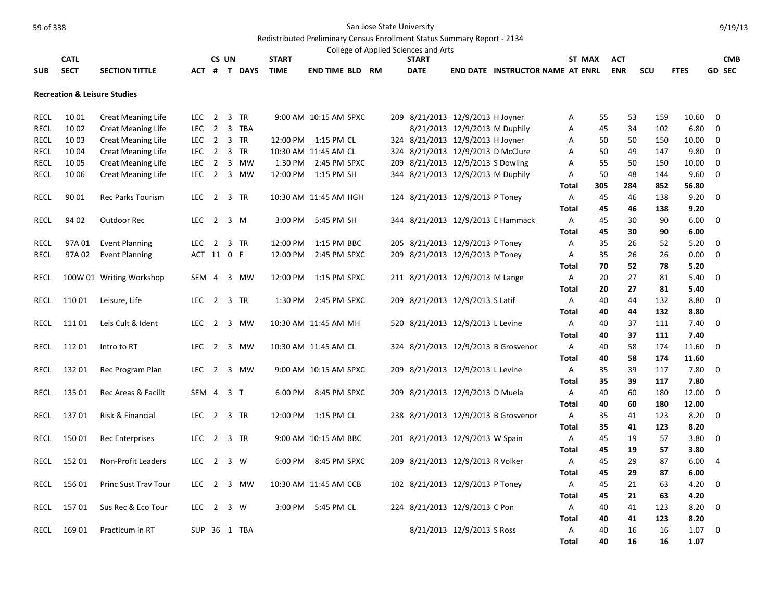|             | College of Applied Sciences and Arts<br><b>CATL</b><br>CS UN<br><b>START</b><br><b>START</b><br><b>ST MAX</b><br><b>ACT</b><br><b>CMB</b> |                                         |                  |                |                |              |             |                        |  |  |                                   |                               |                                         |              |     |            |            |             |                |               |
|-------------|-------------------------------------------------------------------------------------------------------------------------------------------|-----------------------------------------|------------------|----------------|----------------|--------------|-------------|------------------------|--|--|-----------------------------------|-------------------------------|-----------------------------------------|--------------|-----|------------|------------|-------------|----------------|---------------|
|             |                                                                                                                                           |                                         |                  |                |                |              |             |                        |  |  |                                   |                               |                                         |              |     |            |            |             |                |               |
| <b>SUB</b>  | <b>SECT</b>                                                                                                                               | <b>SECTION TITTLE</b>                   |                  |                |                | ACT # T DAYS | <b>TIME</b> | <b>END TIME BLD RM</b> |  |  | <b>DATE</b>                       |                               | <b>END DATE INSTRUCTOR NAME AT ENRL</b> |              |     | <b>ENR</b> | <b>SCU</b> | <b>FTES</b> |                | <b>GD SEC</b> |
|             |                                                                                                                                           | <b>Recreation &amp; Leisure Studies</b> |                  |                |                |              |             |                        |  |  |                                   |                               |                                         |              |     |            |            |             |                |               |
| <b>RECL</b> | 10 01                                                                                                                                     | <b>Creat Meaning Life</b>               | <b>LEC</b>       | $\overline{2}$ |                | 3 TR         |             | 9:00 AM 10:15 AM SPXC  |  |  | 209 8/21/2013 12/9/2013 H Joyner  |                               |                                         | Α            | 55  | 53         | 159        | 10.60       | $\mathbf 0$    |               |
| <b>RECL</b> | 10 02                                                                                                                                     | <b>Creat Meaning Life</b>               | LEC.             |                |                | 2 3 TBA      |             |                        |  |  |                                   | 8/21/2013 12/9/2013 M Duphily |                                         | Α            | 45  | 34         | 102        | 6.80        | $\mathbf 0$    |               |
| RECL        | 10 03                                                                                                                                     | <b>Creat Meaning Life</b>               | LEC <sub>2</sub> |                |                | 3 TR         |             | 12:00 PM 1:15 PM CL    |  |  | 324 8/21/2013 12/9/2013 H Joyner  |                               |                                         | Α            | 50  | 50         | 150        | 10.00       | 0              |               |
| <b>RECL</b> | 1004                                                                                                                                      | <b>Creat Meaning Life</b>               | <b>LEC</b>       | $\overline{2}$ |                | 3 TR         |             | 10:30 AM 11:45 AM CL   |  |  | 324 8/21/2013 12/9/2013 D McClure |                               |                                         | A            | 50  | 49         | 147        | 9.80        | $\mathbf 0$    |               |
| <b>RECL</b> | 1005                                                                                                                                      | <b>Creat Meaning Life</b>               | <b>LEC</b>       |                |                | 2 3 MW       |             | 1:30 PM 2:45 PM SPXC   |  |  | 209 8/21/2013 12/9/2013 S Dowling |                               |                                         | A            | 55  | 50         | 150        | 10.00       | 0              |               |
| <b>RECL</b> | 1006                                                                                                                                      | <b>Creat Meaning Life</b>               |                  |                |                | LEC 2 3 MW   |             | 12:00 PM 1:15 PM SH    |  |  | 344 8/21/2013 12/9/2013 M Duphily |                               |                                         | A            | 50  | 48         | 144        | 9.60        | $\Omega$       |               |
|             |                                                                                                                                           |                                         |                  |                |                |              |             |                        |  |  |                                   |                               |                                         | <b>Total</b> | 305 | 284        | 852        | 56.80       |                |               |
| <b>RECL</b> | 90 01                                                                                                                                     | Rec Parks Tourism                       | <b>LEC</b>       | $\overline{2}$ |                | 3 TR         |             | 10:30 AM 11:45 AM HGH  |  |  | 124 8/21/2013 12/9/2013 P Toney   |                               |                                         | Α            | 45  | 46         | 138        | 9.20        | 0              |               |
|             |                                                                                                                                           |                                         |                  |                |                |              |             |                        |  |  |                                   |                               |                                         | <b>Total</b> | 45  | 46         | 138        | 9.20        |                |               |
| <b>RECL</b> | 94 02                                                                                                                                     | Outdoor Rec                             | LEC.             | $\overline{2}$ |                | 3 M          |             | 3:00 PM 5:45 PM SH     |  |  |                                   |                               | 344 8/21/2013 12/9/2013 E Hammack       | A            | 45  | 30         |            | 90<br>6.00  | 0              |               |
|             |                                                                                                                                           |                                         |                  |                |                |              |             |                        |  |  |                                   |                               |                                         | Total        | 45  | 30         |            | 6.00<br>90  |                |               |
| <b>RECL</b> | 97A 01                                                                                                                                    | <b>Event Planning</b>                   | <b>LEC</b>       | $\overline{2}$ |                | 3 TR         | 12:00 PM    | 1:15 PM BBC            |  |  | 205 8/21/2013 12/9/2013 P Toney   |                               |                                         | A            | 35  | 26         |            | 52<br>5.20  | $\mathbf 0$    |               |
| <b>RECL</b> | 97A 02                                                                                                                                    | <b>Event Planning</b>                   | ACT 11 0 F       |                |                |              | 12:00 PM    | 2:45 PM SPXC           |  |  | 209 8/21/2013 12/9/2013 P Toney   |                               |                                         | Α            | 35  | 26         |            | 0.00<br>26  | $\mathbf 0$    |               |
|             |                                                                                                                                           |                                         |                  |                |                |              |             |                        |  |  |                                   |                               |                                         | Total        | 70  | 52         | 78         | 5.20        |                |               |
| <b>RECL</b> |                                                                                                                                           | 100W 01 Writing Workshop                | SEM              | $\overline{4}$ |                | 3 MW         | 12:00 PM    | 1:15 PM SPXC           |  |  | 211 8/21/2013 12/9/2013 M Lange   |                               |                                         | A            | 20  | 27         |            | 5.40<br>81  | 0              |               |
|             |                                                                                                                                           |                                         |                  |                |                |              |             |                        |  |  |                                   |                               |                                         | Total        | 20  | 27         | 81         | 5.40        |                |               |
| <b>RECL</b> | 110 01                                                                                                                                    | Leisure, Life                           | <b>LEC</b>       | $\overline{2}$ |                | 3 TR         | 1:30 PM     | 2:45 PM SPXC           |  |  | 209 8/21/2013 12/9/2013 S Latif   |                               |                                         | A            | 40  | 44         | 132        | 8.80        | 0              |               |
|             |                                                                                                                                           |                                         |                  |                |                |              |             |                        |  |  |                                   |                               |                                         | Total        | 40  | 44         | 132        | 8.80        |                |               |
| <b>RECL</b> | 11101                                                                                                                                     | Leis Cult & Ident                       | LEC.             | $\overline{2}$ |                | 3 MW         |             | 10:30 AM 11:45 AM MH   |  |  | 520 8/21/2013 12/9/2013 L Levine  |                               |                                         | Α            | 40  | 37         | 111        | 7.40        | $\mathbf 0$    |               |
|             |                                                                                                                                           |                                         |                  |                |                |              |             |                        |  |  |                                   |                               |                                         | Total        | 40  | 37         | 111        | 7.40        |                |               |
| RECL        | 112 01                                                                                                                                    | Intro to RT                             | LEC.             |                |                | 2 3 MW       |             | 10:30 AM 11:45 AM CL   |  |  |                                   |                               | 324 8/21/2013 12/9/2013 B Grosvenor     | A            | 40  | 58         | 174        | 11.60       | $\Omega$       |               |
|             |                                                                                                                                           |                                         |                  |                |                |              |             |                        |  |  |                                   |                               |                                         | <b>Total</b> | 40  | 58         | 174        | 11.60       |                |               |
| <b>RECL</b> | 132 01                                                                                                                                    | Rec Program Plan                        |                  |                |                | LEC 2 3 MW   |             | 9:00 AM 10:15 AM SPXC  |  |  | 209 8/21/2013 12/9/2013 L Levine  |                               |                                         | A            | 35  | 39         | 117        | 7.80        | 0              |               |
|             |                                                                                                                                           |                                         |                  |                |                |              |             |                        |  |  |                                   |                               |                                         | Total        | 35  | 39         | 117        | 7.80        |                |               |
| <b>RECL</b> | 135 01                                                                                                                                    | Rec Areas & Facilit                     | SEM              | $\overline{4}$ | 3 <sub>1</sub> |              | 6:00 PM     | 8:45 PM SPXC           |  |  | 209 8/21/2013 12/9/2013 D Muela   |                               |                                         | A            | 40  | 60         | 180        | 12.00       | 0              |               |
|             |                                                                                                                                           |                                         |                  |                |                |              |             |                        |  |  |                                   |                               |                                         | Total        | 40  | 60         | 180        | 12.00       |                |               |
| <b>RECL</b> | 13701                                                                                                                                     | Risk & Financial                        | LEC 2 3 TR       |                |                |              |             | 12:00 PM 1:15 PM CL    |  |  |                                   |                               | 238 8/21/2013 12/9/2013 B Grosvenor     | A            | 35  | 41         | 123        | 8.20        | 0              |               |
|             |                                                                                                                                           |                                         |                  |                |                |              |             |                        |  |  |                                   |                               |                                         | <b>Total</b> | 35  | 41         | 123        | 8.20        |                |               |
| RECL        | 15001                                                                                                                                     | Rec Enterprises                         | LEC.             | $\overline{2}$ |                | 3 TR         |             | 9:00 AM 10:15 AM BBC   |  |  | 201 8/21/2013 12/9/2013 W Spain   |                               |                                         | A            | 45  | 19         |            | 57<br>3.80  | $\mathbf 0$    |               |
|             |                                                                                                                                           |                                         |                  |                |                |              |             |                        |  |  |                                   |                               |                                         | <b>Total</b> | 45  | 19         |            | 57<br>3.80  |                |               |
| RECL        | 152 01                                                                                                                                    | Non-Profit Leaders                      | LEC.             | $\overline{2}$ |                | 3 W          | 6:00 PM     | 8:45 PM SPXC           |  |  | 209 8/21/2013 12/9/2013 R Volker  |                               |                                         | Α            | 45  | 29         |            | 87<br>6.00  | $\overline{a}$ |               |
|             |                                                                                                                                           |                                         |                  |                |                |              |             |                        |  |  |                                   |                               |                                         | <b>Total</b> | 45  | 29         |            | 6.00<br>87  |                |               |
| <b>RECL</b> | 156 01                                                                                                                                    | <b>Princ Sust Trav Tour</b>             | <b>LEC</b>       |                |                | 2 3 MW       |             | 10:30 AM 11:45 AM CCB  |  |  | 102 8/21/2013 12/9/2013 P Toney   |                               |                                         | A            | 45  | 21         |            | 4.20<br>63  | 0              |               |
|             |                                                                                                                                           |                                         |                  |                |                |              |             |                        |  |  |                                   |                               |                                         | Total        | 45  | 21         |            | 4.20<br>63  |                |               |
| <b>RECL</b> | 15701                                                                                                                                     | Sus Rec & Eco Tour                      | <b>LEC</b>       | $\overline{2}$ |                | 3 W          |             | 3:00 PM 5:45 PM CL     |  |  | 224 8/21/2013 12/9/2013 C Pon     |                               |                                         | A            | 40  | 41         | 123        | 8.20        | 0              |               |
|             |                                                                                                                                           |                                         |                  |                |                |              |             |                        |  |  |                                   |                               |                                         | <b>Total</b> | 40  | 41         | 123        | 8.20        |                |               |
| <b>RECL</b> | 169 01                                                                                                                                    | Practicum in RT                         |                  |                |                | SUP 36 1 TBA |             |                        |  |  |                                   | 8/21/2013 12/9/2013 S Ross    |                                         | A            | 40  | 16         | 16         | 1.07        | $\mathbf 0$    |               |
|             |                                                                                                                                           |                                         |                  |                |                |              |             |                        |  |  |                                   |                               |                                         | <b>Total</b> | 40  | 16         | 16         | 1.07        |                |               |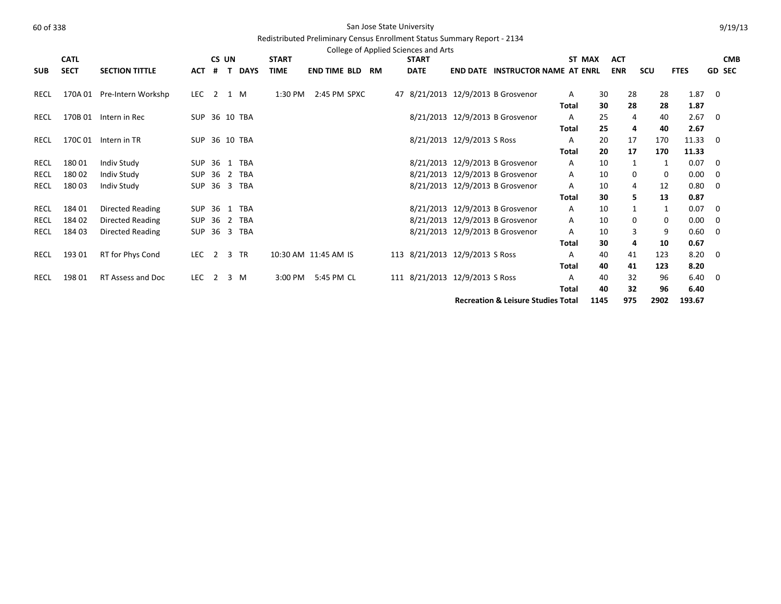|             | <b>CATL</b> |                       |            | CS UN          |              |             | <b>START</b> |                      |           | College of Applied Sciences and Arts<br><b>START</b> |                            |                                               |              | ST MAX | <b>ACT</b> |            |             |             | <b>CMB</b>    |
|-------------|-------------|-----------------------|------------|----------------|--------------|-------------|--------------|----------------------|-----------|------------------------------------------------------|----------------------------|-----------------------------------------------|--------------|--------|------------|------------|-------------|-------------|---------------|
| <b>SUB</b>  | <b>SECT</b> | <b>SECTION TITTLE</b> | <b>ACT</b> | #              | $\mathbf{T}$ | <b>DAYS</b> | <b>TIME</b>  | <b>END TIME BLD</b>  | <b>RM</b> | <b>DATE</b>                                          |                            | <b>END DATE INSTRUCTOR NAME AT ENRL</b>       |              |        | <b>ENR</b> | <b>SCU</b> | <b>FTES</b> |             | <b>GD SEC</b> |
| RECL        | 170A 01     | Pre-Intern Workshp    | <b>LEC</b> | $\overline{2}$ | 1 M          |             | 1:30 PM      | 2:45 PM SPXC         |           |                                                      |                            | 47 8/21/2013 12/9/2013 B Grosvenor            | A            | 30     | 28         | 28         | 1.87        | $\mathbf 0$ |               |
|             |             |                       |            |                |              |             |              |                      |           |                                                      |                            |                                               | Total        | 30     | 28         | 28         | 1.87        |             |               |
| RECL        | 170B 01     | Intern in Rec         | <b>SUP</b> |                |              | 36 10 TBA   |              |                      |           |                                                      |                            | 8/21/2013 12/9/2013 B Grosvenor               | A            | 25     | 4          | 40         | 2.67        | 0           |               |
|             |             |                       |            |                |              |             |              |                      |           |                                                      |                            |                                               | Total        | 25     | 4          | 40         | 2.67        |             |               |
| RECL        | 170C 01     | Intern in TR          | SUP        |                |              | 36 10 TBA   |              |                      |           |                                                      | 8/21/2013 12/9/2013 S Ross |                                               | A            | 20     | 17         | 170        | 11.33       | 0           |               |
|             |             |                       |            |                |              |             |              |                      |           |                                                      |                            |                                               | Total        | 20     | 17         | 170        | 11.33       |             |               |
| RECL        | 18001       | Indiv Study           | <b>SUP</b> |                |              | 36 1 TBA    |              |                      |           |                                                      |                            | 8/21/2013 12/9/2013 B Grosvenor               | A            | 10     | 1          | 1          | 0.07        | 0           |               |
| RECL        | 18002       | Indiv Study           | SUP        |                |              | 36 2 TBA    |              |                      |           |                                                      |                            | 8/21/2013 12/9/2013 B Grosvenor               | A            | 10     | 0          | 0          | 0.00        | 0           |               |
| RECL        | 18003       | <b>Indiv Study</b>    | <b>SUP</b> |                |              | 36 3 TBA    |              |                      |           |                                                      |                            | 8/21/2013 12/9/2013 B Grosvenor               | A            | 10     | 4          | 12         | 0.80        | 0           |               |
|             |             |                       |            |                |              |             |              |                      |           |                                                      |                            |                                               | <b>Total</b> | 30     | 5          | 13         | 0.87        |             |               |
| RECL        | 184 01      | Directed Reading      | SUP        |                |              | 36 1 TBA    |              |                      |           |                                                      |                            | 8/21/2013 12/9/2013 B Grosvenor               | A            | 10     |            | 1          | 0.07        | 0           |               |
| RECL        | 184 02      | Directed Reading      | SUP        |                |              | 36 2 TBA    |              |                      |           |                                                      |                            | 8/21/2013 12/9/2013 B Grosvenor               | A            | 10     | 0          | 0          | $0.00\,$    | 0           |               |
| RECL        | 184 03      | Directed Reading      | <b>SUP</b> |                |              | 36 3 TBA    |              |                      |           |                                                      |                            | 8/21/2013 12/9/2013 B Grosvenor               | A            | 10     | 3          | 9          | 0.60        | 0           |               |
|             |             |                       |            |                |              |             |              |                      |           |                                                      |                            |                                               | Total        | 30     | 4          | 10         | 0.67        |             |               |
| <b>RECL</b> | 193 01      | RT for Phys Cond      | <b>LEC</b> | $\overline{2}$ |              | 3 TR        |              | 10:30 AM 11:45 AM IS |           | 113 8/21/2013 12/9/2013 S Ross                       |                            |                                               | A            | 40     | 41         | 123        | 8.20        | 0           |               |
|             |             |                       |            |                |              |             |              |                      |           |                                                      |                            |                                               | Total        | 40     | 41         | 123        | 8.20        |             |               |
| RECL        | 198 01      | RT Assess and Doc     | <b>LEC</b> | 2              | 3 M          |             | 3:00 PM      | 5:45 PM CL           |           | 111 8/21/2013 12/9/2013 S Ross                       |                            |                                               | Α            | 40     | 32         | 96         | 6.40        | 0           |               |
|             |             |                       |            |                |              |             |              |                      |           |                                                      |                            |                                               | Total        | 40     | 32         | 96         | 6.40        |             |               |
|             |             |                       |            |                |              |             |              |                      |           |                                                      |                            | <b>Recreation &amp; Leisure Studies Total</b> |              | 1145   | 975        | 2902       | 193.67      |             |               |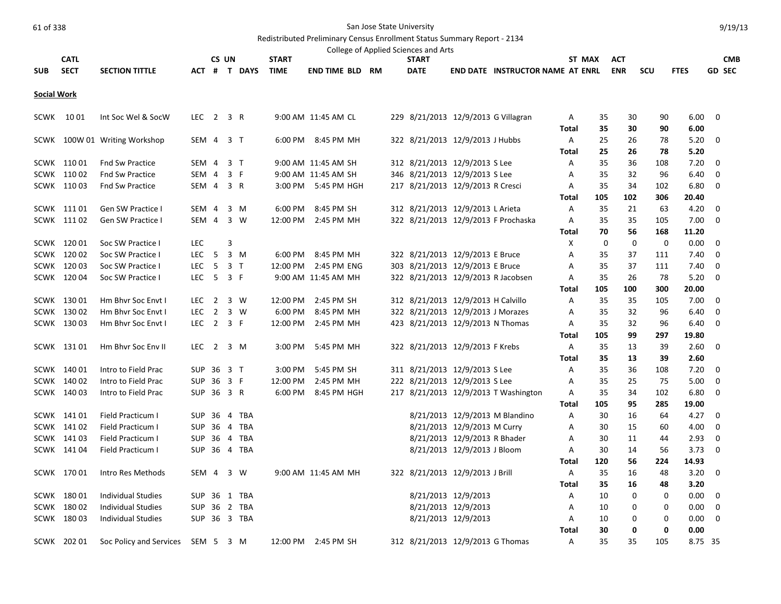|                    |             |                               |              |                 |       |              |              |                        |  | College of Applied Sciences and Arts |                              |                                         |              |             |            |                            |              |             |               |
|--------------------|-------------|-------------------------------|--------------|-----------------|-------|--------------|--------------|------------------------|--|--------------------------------------|------------------------------|-----------------------------------------|--------------|-------------|------------|----------------------------|--------------|-------------|---------------|
|                    | <b>CATL</b> |                               |              |                 | CS UN |              | <b>START</b> |                        |  | <b>START</b>                         |                              |                                         |              | ST MAX      | <b>ACT</b> |                            |              |             | <b>CMB</b>    |
| <b>SUB</b>         | <b>SECT</b> | <b>SECTION TITTLE</b>         |              |                 |       | ACT # T DAYS | <b>TIME</b>  | <b>END TIME BLD RM</b> |  | <b>DATE</b>                          |                              | <b>END DATE INSTRUCTOR NAME AT ENRL</b> |              |             | <b>ENR</b> | <b>SCU</b>                 | <b>FTES</b>  |             | <b>GD SEC</b> |
| <b>Social Work</b> |             |                               |              |                 |       |              |              |                        |  |                                      |                              |                                         |              |             |            |                            |              |             |               |
|                    | SCWK 1001   | Int Soc Wel & SocW            | LEC 2 3 R    |                 |       |              |              | 9:00 AM 11:45 AM CL    |  | 229 8/21/2013 12/9/2013 G Villagran  |                              |                                         | Α            | 35          | 30         | 90                         | 6.00         | 0           |               |
|                    |             |                               |              |                 |       |              |              |                        |  |                                      |                              |                                         | Total        | 35          | 30         | 90                         | 6.00         |             |               |
|                    |             | SCWK 100W 01 Writing Workshop | SEM 4 3 T    |                 |       |              |              | 6:00 PM 8:45 PM MH     |  | 322 8/21/2013 12/9/2013 J Hubbs      |                              |                                         | A            | 25          | 26         | 78                         | 5.20         | 0           |               |
|                    |             |                               |              |                 |       |              |              |                        |  |                                      |                              |                                         | Total        | 25          | 26         | 78                         | 5.20         |             |               |
|                    | SCWK 110 01 | <b>Fnd Sw Practice</b>        | SEM 4 3 T    |                 |       |              |              | 9:00 AM 11:45 AM SH    |  | 312 8/21/2013 12/9/2013 S Lee        |                              |                                         | Α            | 35          | 36         | 108                        | 7.20         | 0           |               |
|                    | SCWK 110 02 | <b>Fnd Sw Practice</b>        | SEM 4        |                 | 3 F   |              |              | 9:00 AM 11:45 AM SH    |  | 346 8/21/2013 12/9/2013 S Lee        |                              |                                         | A            | 35          | 32         | 96                         | 6.40         | 0           |               |
|                    | SCWK 11003  | <b>Fnd Sw Practice</b>        | SEM 4 3 R    |                 |       |              |              | 3:00 PM 5:45 PM HGH    |  | 217 8/21/2013 12/9/2013 R Cresci     |                              |                                         | Α            | 35          | 34         | 102                        | 6.80         | 0           |               |
|                    |             |                               |              |                 |       |              |              |                        |  |                                      |                              |                                         | Total        | 105         | 102        | 306                        | 20.40        |             |               |
|                    | SCWK 11101  | Gen SW Practice I             | SEM 4        |                 |       | 3 M          | 6:00 PM      | 8:45 PM SH             |  | 312 8/21/2013 12/9/2013 L Arieta     |                              |                                         | Α            | 35          | 21         | 63                         | 4.20         | 0           |               |
|                    | SCWK 11102  | Gen SW Practice I             | SEM 4        |                 | 3 W   |              | 12:00 PM     | 2:45 PM MH             |  |                                      |                              | 322 8/21/2013 12/9/2013 F Prochaska     | Α            | 35          | 35         | 105                        | 7.00         | 0           |               |
|                    |             |                               |              |                 |       |              |              |                        |  |                                      |                              |                                         | Total        | 70          | 56         | 168                        | 11.20        |             |               |
|                    | SCWK 120 01 | Soc SW Practice I             | <b>LEC</b>   |                 | 3     |              |              |                        |  |                                      |                              |                                         | X            | $\mathbf 0$ |            | $\mathbf 0$<br>$\mathbf 0$ | 0.00         | 0           |               |
|                    | SCWK 120 02 | Soc SW Practice I             | <b>LEC</b>   | $5\overline{5}$ |       | 3 M          | 6:00 PM      | 8:45 PM MH             |  | 322 8/21/2013 12/9/2013 E Bruce      |                              |                                         | A            | 35          | 37         | 111                        | 7.40         | $\mathbf 0$ |               |
|                    | SCWK 12003  | Soc SW Practice I             | LEC 5 3 T    |                 |       |              | 12:00 PM     | 2:45 PM ENG            |  | 303 8/21/2013 12/9/2013 E Bruce      |                              |                                         | A            | 35          | 37         | 111                        | 7.40         | 0           |               |
|                    | SCWK 120 04 | Soc SW Practice I             | LEC 5 3 F    |                 |       |              |              | 9:00 AM 11:45 AM MH    |  | 322 8/21/2013 12/9/2013 R Jacobsen   |                              |                                         | Α            | 35          | 26         | 78                         | 5.20         | 0           |               |
|                    |             |                               |              |                 |       |              |              |                        |  |                                      |                              |                                         | Total        | 105         | 100        | 300                        | 20.00        |             |               |
|                    | SCWK 130 01 | Hm Bhvr Soc Envt I            | LEC          | 2 3 W           |       |              | 12:00 PM     | 2:45 PM SH             |  | 312 8/21/2013 12/9/2013 H Calvillo   |                              |                                         | Α            | 35          | 35         | 105                        | 7.00         | 0           |               |
|                    | SCWK 130 02 | Hm Bhvr Soc Envt I            | LEC          | $\overline{2}$  | 3 W   |              | 6:00 PM      | 8:45 PM MH             |  | 322 8/21/2013 12/9/2013 J Morazes    |                              |                                         | Α            | 35          | 32         | 96                         | 6.40         | 0           |               |
|                    | SCWK 130 03 | Hm Bhvr Soc Envt I            | LEC 2 3 F    |                 |       |              | 12:00 PM     | 2:45 PM MH             |  | 423 8/21/2013 12/9/2013 N Thomas     |                              |                                         | A            | 35          | 32         | 96                         | 6.40         | 0           |               |
|                    |             |                               |              |                 |       |              |              |                        |  |                                      |                              |                                         | Total        | 105         | 99         | 297                        | 19.80        |             |               |
|                    | SCWK 13101  | Hm Bhyr Soc Env II            | LEC.         | 2 3 M           |       |              | 3:00 PM      | 5:45 PM MH             |  | 322 8/21/2013 12/9/2013 F Krebs      |                              |                                         | Α            | 35<br>35    | 13<br>13   | 39<br>39                   | 2.60         | $\mathbf 0$ |               |
|                    | SCWK 140 01 | Intro to Field Prac           | SUP 36 3 T   |                 |       |              | 3:00 PM      | 5:45 PM SH             |  | 311 8/21/2013 12/9/2013 S Lee        |                              |                                         | Total<br>Α   | 35          | 36         | 108                        | 2.60<br>7.20 | $\mathbf 0$ |               |
|                    | SCWK 140 02 | Intro to Field Prac           | SUP 36 3 F   |                 |       |              | 12:00 PM     | 2:45 PM MH             |  | 222 8/21/2013 12/9/2013 S Lee        |                              |                                         | Α            | 35          | 25         | 75                         | 5.00         | 0           |               |
|                    | SCWK 140 03 | Intro to Field Prac           | SUP 36 3 R   |                 |       |              | 6:00 PM      | 8:45 PM HGH            |  |                                      |                              | 217 8/21/2013 12/9/2013 T Washington    | Α            | 35          | 34         | 102                        | 6.80         | 0           |               |
|                    |             |                               |              |                 |       |              |              |                        |  |                                      |                              |                                         | Total        | 105         | 95         | 285                        | 19.00        |             |               |
|                    | SCWK 14101  | Field Practicum I             |              |                 |       | SUP 36 4 TBA |              |                        |  |                                      |                              | 8/21/2013 12/9/2013 M Blandino          | A            | 30          | 16         | 64                         | 4.27         | 0           |               |
|                    | SCWK 14102  | Field Practicum I             | <b>SUP</b>   |                 |       | 36 4 TBA     |              |                        |  |                                      | 8/21/2013 12/9/2013 M Curry  |                                         | A            | 30          | 15         | 60                         | 4.00         | 0           |               |
|                    | SCWK 14103  | Field Practicum I             |              |                 |       | SUP 36 4 TBA |              |                        |  |                                      | 8/21/2013 12/9/2013 R Bhader |                                         | A            | 30          | 11         | 44                         | 2.93         | 0           |               |
|                    | SCWK 14104  | Field Practicum I             |              |                 |       | SUP 36 4 TBA |              |                        |  |                                      | 8/21/2013 12/9/2013 J Bloom  |                                         | Α            | 30          | 14         | 56                         | 3.73         | $\mathbf 0$ |               |
|                    |             |                               |              |                 |       |              |              |                        |  |                                      |                              |                                         | Total        | 120         | 56         | 224                        | 14.93        |             |               |
|                    | SCWK 170 01 | Intro Res Methods             | SEM 4        |                 |       | 3 W          |              | 9:00 AM 11:45 AM MH    |  | 322 8/21/2013 12/9/2013 J Brill      |                              |                                         | A            | 35          | 16         | 48                         | 3.20         | 0           |               |
|                    |             |                               |              |                 |       |              |              |                        |  |                                      |                              |                                         | Total        | 35          | 16         | 48                         | 3.20         |             |               |
|                    | SCWK 180 01 | <b>Individual Studies</b>     |              |                 |       | SUP 36 1 TBA |              |                        |  |                                      | 8/21/2013 12/9/2013          |                                         | Α            | 10          |            | 0                          | 0<br>0.00    | 0           |               |
|                    | SCWK 180 02 | <b>Individual Studies</b>     |              |                 |       | SUP 36 2 TBA |              |                        |  |                                      | 8/21/2013 12/9/2013          |                                         | Α            | 10          |            | 0                          | 0<br>0.00    | 0           |               |
|                    | SCWK 180 03 | Individual Studies            | SUP 36 3 TBA |                 |       |              |              |                        |  |                                      | 8/21/2013 12/9/2013          |                                         | A            | 10          |            | 0                          | 0.00<br>0    | 0           |               |
|                    |             |                               |              |                 |       |              |              |                        |  |                                      |                              |                                         | <b>Total</b> | 30          |            | 0                          | 0<br>0.00    |             |               |
|                    | SCWK 202 01 | Soc Policy and Services       | SEM 5 3 M    |                 |       |              |              | 12:00 PM 2:45 PM SH    |  | 312 8/21/2013 12/9/2013 G Thomas     |                              |                                         | A            | 35          | 35         | 105                        | 8.75 35      |             |               |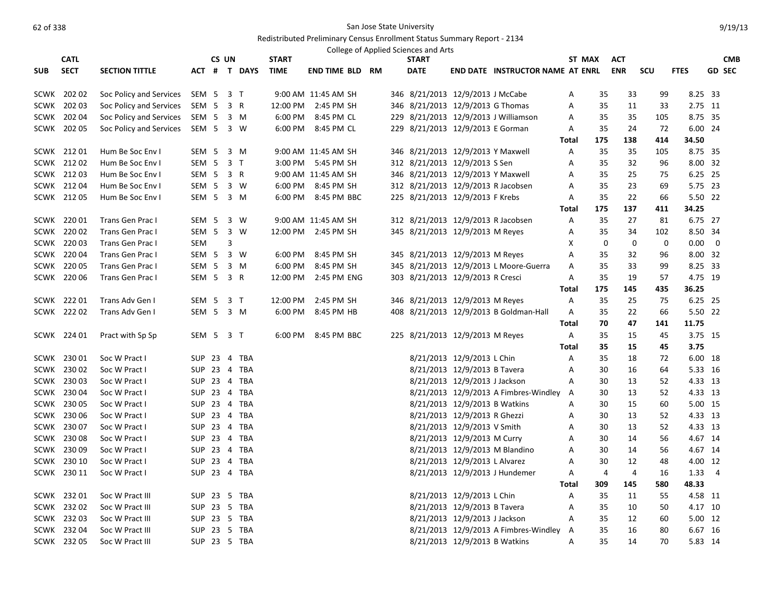|            | <b>CATL</b> |                         |              | CS UN |              | <b>START</b> |                        |  | College of Applied Sciences and Arts<br><b>START</b> |                               |                                         |              | ST MAX         | <b>ACT</b>  |            |             |                | <b>CMB</b>    |
|------------|-------------|-------------------------|--------------|-------|--------------|--------------|------------------------|--|------------------------------------------------------|-------------------------------|-----------------------------------------|--------------|----------------|-------------|------------|-------------|----------------|---------------|
| <b>SUB</b> | <b>SECT</b> | <b>SECTION TITTLE</b>   |              |       | ACT # T DAYS | <b>TIME</b>  | <b>END TIME BLD RM</b> |  | <b>DATE</b>                                          |                               | <b>END DATE INSTRUCTOR NAME AT ENRL</b> |              |                | <b>ENR</b>  | <b>SCU</b> | <b>FTES</b> |                | <b>GD SEC</b> |
|            | SCWK 202 02 | Soc Policy and Services | SEM 5 3 T    |       |              |              | 9:00 AM 11:45 AM SH    |  | 346 8/21/2013 12/9/2013 J McCabe                     |                               |                                         | A            | 35             | 33          | 99         | 8.25 33     |                |               |
|            | SCWK 202 03 | Soc Policy and Services | SEM 5 3 R    |       |              | 12:00 PM     | 2:45 PM SH             |  | 346 8/21/2013 12/9/2013 G Thomas                     |                               |                                         | Α            | 35             | 11          | 33         | 2.75 11     |                |               |
|            | SCWK 202 04 | Soc Policy and Services | SEM 5 3 M    |       |              | 6:00 PM      | 8:45 PM CL             |  |                                                      |                               | 229 8/21/2013 12/9/2013 J Williamson    | Α            | 35             | 35          | 105        | 8.75 35     |                |               |
|            | SCWK 202 05 | Soc Policy and Services | SEM 5 3 W    |       |              |              | 6:00 PM 8:45 PM CL     |  | 229 8/21/2013 12/9/2013 E Gorman                     |                               |                                         | A            | 35             | 24          | 72         | 6.00 24     |                |               |
|            |             |                         |              |       |              |              |                        |  |                                                      |                               |                                         | Total        | 175            | 138         | 414        | 34.50       |                |               |
|            | SCWK 21201  | Hum Be Soc Env I        | SEM 5 3 M    |       |              |              | 9:00 AM 11:45 AM SH    |  | 346 8/21/2013 12/9/2013 Y Maxwell                    |                               |                                         | Α            | 35             | 35          | 105        | 8.75 35     |                |               |
|            | SCWK 212 02 | Hum Be Soc Env I        | SEM 5 3 T    |       |              |              | 3:00 PM 5:45 PM SH     |  | 312 8/21/2013 12/9/2013 S Sen                        |                               |                                         | Α            | 35             | 32          | 96         | 8.00 32     |                |               |
|            | SCWK 212 03 | Hum Be Soc Env I        | SEM 5 3 R    |       |              |              | 9:00 AM 11:45 AM SH    |  | 346 8/21/2013 12/9/2013 Y Maxwell                    |                               |                                         | A            | 35             | 25          | 75         | 6.25 25     |                |               |
|            | SCWK 212 04 | Hum Be Soc Env I        | SEM 5 3 W    |       |              |              | 6:00 PM 8:45 PM SH     |  | 312 8/21/2013 12/9/2013 R Jacobsen                   |                               |                                         | Α            | 35             | 23          | 69         | 5.75 23     |                |               |
|            | SCWK 212 05 | Hum Be Soc Env I        | SEM 5 3 M    |       |              |              | 6:00 PM 8:45 PM BBC    |  | 225 8/21/2013 12/9/2013 F Krebs                      |                               |                                         | Α            | 35             | 22          | 66         | 5.50 22     |                |               |
|            |             |                         |              |       |              |              |                        |  |                                                      |                               |                                         | <b>Total</b> | 175            | 137         | 411        | 34.25       |                |               |
|            | SCWK 220 01 | Trans Gen Prac I        | SEM 5 3 W    |       |              |              | 9:00 AM 11:45 AM SH    |  | 312 8/21/2013 12/9/2013 R Jacobsen                   |                               |                                         | Α            | 35             | 27          | 81         | 6.75 27     |                |               |
|            | SCWK 220 02 | Trans Gen Prac I        | SEM 5 3 W    |       |              |              | 12:00 PM 2:45 PM SH    |  | 345 8/21/2013 12/9/2013 M Reyes                      |                               |                                         | Α            | 35             | 34          | 102        | 8.50 34     |                |               |
|            | SCWK 22003  | Trans Gen Prac I        | <b>SEM</b>   | 3     |              |              |                        |  |                                                      |                               |                                         | Χ            | $\mathbf 0$    | $\mathbf 0$ | 0          | $0.00 \t 0$ |                |               |
|            | SCWK 220 04 | Trans Gen Prac I        | SEM 5 3 W    |       |              | 6:00 PM      | 8:45 PM SH             |  | 345 8/21/2013 12/9/2013 M Reyes                      |                               |                                         | A            | 35             | 32          | 96         | 8.00 32     |                |               |
|            | SCWK 220 05 | Trans Gen Prac I        | SEM 5 3 M    |       |              | 6:00 PM      | 8:45 PM SH             |  |                                                      |                               | 345 8/21/2013 12/9/2013 L Moore-Guerra  | A            | 35             | 33          | 99         | 8.25 33     |                |               |
|            | SCWK 220 06 | Trans Gen Prac I        | SEM 5 3 R    |       |              | 12:00 PM     | 2:45 PM ENG            |  | 303 8/21/2013 12/9/2013 R Cresci                     |                               |                                         | Α            | 35             | 19          | 57         | 4.75 19     |                |               |
|            |             |                         |              |       |              |              |                        |  |                                                      |                               |                                         | Total        | 175            | 145         | 435        | 36.25       |                |               |
|            | SCWK 222 01 | Trans Adv Gen I         | SEM 5        | 3 T   |              | 12:00 PM     | 2:45 PM SH             |  | 346 8/21/2013 12/9/2013 M Reyes                      |                               |                                         | Α            | 35             | 25          | 75         | 6.25 25     |                |               |
|            | SCWK 222 02 | Trans Adv Gen I         | SEM 5 3 M    |       |              | 6:00 PM      | 8:45 PM HB             |  |                                                      |                               | 408 8/21/2013 12/9/2013 B Goldman-Hall  | Α            | 35             | 22          | 66         | 5.50 22     |                |               |
|            |             |                         |              |       |              |              |                        |  |                                                      |                               |                                         | Total        | 70             | 47          | 141        | 11.75       |                |               |
|            | SCWK 224 01 | Pract with Sp Sp        | SEM 5 3 T    |       |              | 6:00 PM      | 8:45 PM BBC            |  | 225 8/21/2013 12/9/2013 M Reyes                      |                               |                                         | A            | 35             | 15          | 45         | 3.75 15     |                |               |
|            |             |                         |              |       |              |              |                        |  |                                                      |                               |                                         | <b>Total</b> | 35             | 15          | 45         | 3.75        |                |               |
|            | SCWK 230 01 | Soc W Pract I           | SUP 23 4 TBA |       |              |              |                        |  |                                                      | 8/21/2013 12/9/2013 L Chin    |                                         | Α            | 35             | 18          | 72         | 6.00 18     |                |               |
|            | SCWK 230 02 | Soc W Pract I           | SUP 23 4 TBA |       |              |              |                        |  |                                                      | 8/21/2013 12/9/2013 B Tavera  |                                         | Α            | 30             | 16          | 64         | 5.33 16     |                |               |
|            | SCWK 230 03 | Soc W Pract I           | SUP 23 4 TBA |       |              |              |                        |  |                                                      | 8/21/2013 12/9/2013 J Jackson |                                         | Α            | 30             | 13          | 52         | 4.33 13     |                |               |
|            | SCWK 230 04 | Soc W Pract I           | SUP 23 4 TBA |       |              |              |                        |  |                                                      |                               | 8/21/2013 12/9/2013 A Fimbres-Windley   | A            | 30             | 13          | 52         | 4.33 13     |                |               |
|            | SCWK 230 05 | Soc W Pract I           | SUP 23 4 TBA |       |              |              |                        |  |                                                      | 8/21/2013 12/9/2013 B Watkins |                                         | Α            | 30             | 15          | 60         | 5.00 15     |                |               |
|            | SCWK 230 06 | Soc W Pract I           | SUP 23 4 TBA |       |              |              |                        |  |                                                      | 8/21/2013 12/9/2013 R Ghezzi  |                                         | A            | 30             | 13          | 52         | 4.33 13     |                |               |
|            | SCWK 230 07 | Soc W Pract I           | SUP 23 4 TBA |       |              |              |                        |  |                                                      | 8/21/2013 12/9/2013 V Smith   |                                         | A            | 30             | 13          | 52         | 4.33 13     |                |               |
|            | SCWK 230 08 | Soc W Pract I           | SUP 23 4 TBA |       |              |              |                        |  |                                                      | 8/21/2013 12/9/2013 M Curry   |                                         | A            | 30             | 14          | 56         | 4.67 14     |                |               |
|            | SCWK 230 09 | Soc W Pract I           | SUP 23 4 TBA |       |              |              |                        |  |                                                      |                               | 8/21/2013 12/9/2013 M Blandino          | A            | 30             | 14          | 56         | 4.67 14     |                |               |
|            | SCWK 230 10 | Soc W Pract I           | SUP 23 4 TBA |       |              |              |                        |  |                                                      | 8/21/2013 12/9/2013 L Alvarez |                                         | Α            | 30             | 12          | 48         | 4.00 12     |                |               |
|            | SCWK 230 11 | Soc W Pract I           | SUP 23 4 TBA |       |              |              |                        |  |                                                      |                               | 8/21/2013 12/9/2013 J Hundemer          | Α            | $\overline{4}$ | 4           | 16         | 1.33        | $\overline{4}$ |               |
|            |             |                         |              |       |              |              |                        |  |                                                      |                               |                                         | Total        | 309            | 145         | 580        | 48.33       |                |               |
|            | SCWK 232 01 | Soc W Pract III         | SUP 23 5 TBA |       |              |              |                        |  |                                                      | 8/21/2013 12/9/2013 L Chin    |                                         | A            | 35             | 11          | 55         | 4.58 11     |                |               |
|            | SCWK 232 02 | Soc W Pract III         | SUP 23 5 TBA |       |              |              |                        |  |                                                      | 8/21/2013 12/9/2013 B Tavera  |                                         | A            | 35             | 10          | 50         | 4.17 10     |                |               |
|            | SCWK 232 03 | Soc W Pract III         | SUP 23 5 TBA |       |              |              |                        |  |                                                      | 8/21/2013 12/9/2013 J Jackson |                                         | A            | 35             | 12          | 60         | 5.00 12     |                |               |
|            | SCWK 232 04 | Soc W Pract III         | SUP 23 5 TBA |       |              |              |                        |  |                                                      |                               | 8/21/2013 12/9/2013 A Fimbres-Windley   | A            | 35             | 16          | 80         | 6.67 16     |                |               |
|            | SCWK 232 05 | Soc W Pract III         | SUP 23 5 TBA |       |              |              |                        |  |                                                      | 8/21/2013 12/9/2013 B Watkins |                                         | A            | 35             | 14          | 70         | 5.83 14     |                |               |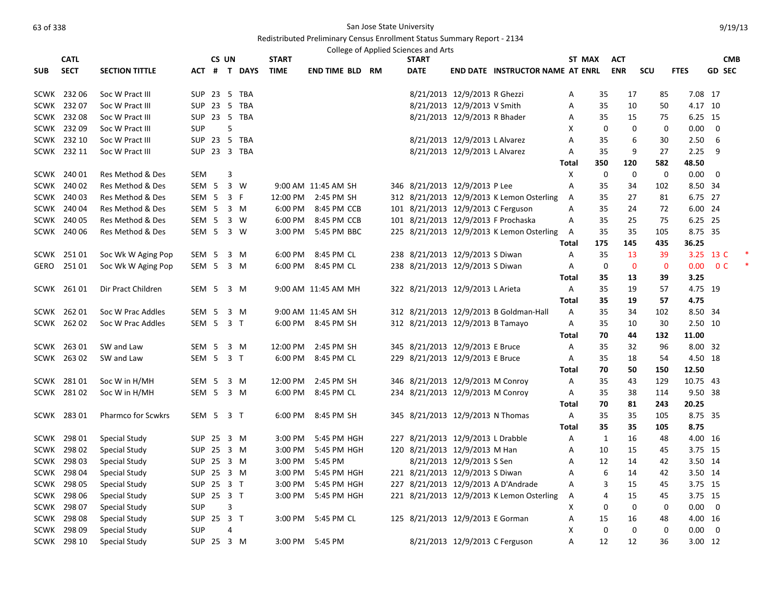|            | <b>CATL</b> |                           |                  | CS UN      |              | <b>START</b> |                        | College of Applied Sciences and Arts<br><b>START</b> |                               |                                           |              | ST MAX       | <b>ACT</b>  |             |                   |                         | <b>CMB</b> |
|------------|-------------|---------------------------|------------------|------------|--------------|--------------|------------------------|------------------------------------------------------|-------------------------------|-------------------------------------------|--------------|--------------|-------------|-------------|-------------------|-------------------------|------------|
| <b>SUB</b> | <b>SECT</b> | <b>SECTION TITTLE</b>     |                  |            | ACT # T DAYS | <b>TIME</b>  | <b>END TIME BLD RM</b> | <b>DATE</b>                                          |                               | <b>END DATE INSTRUCTOR NAME AT ENRL</b>   |              |              | <b>ENR</b>  | scu         | <b>FTES</b>       | <b>GD SEC</b>           |            |
|            |             |                           |                  |            |              |              |                        |                                                      |                               |                                           |              |              |             |             |                   |                         |            |
|            | SCWK 232 06 | Soc W Pract III           |                  |            | SUP 23 5 TBA |              |                        |                                                      | 8/21/2013 12/9/2013 R Ghezzi  |                                           | A            | 35           | 17          | 85          | 7.08 17           |                         |            |
|            | SCWK 232 07 | Soc W Pract III           |                  |            | SUP 23 5 TBA |              |                        |                                                      | 8/21/2013 12/9/2013 V Smith   |                                           | A            | 35           | 10          | 50          | 4.17 10           |                         |            |
|            | SCWK 232 08 | Soc W Pract III           |                  |            | SUP 23 5 TBA |              |                        |                                                      | 8/21/2013 12/9/2013 R Bhader  |                                           | Α            | 35           | 15          | 75          | 6.25 15           |                         |            |
|            | SCWK 232 09 | Soc W Pract III           | <b>SUP</b>       | 5          |              |              |                        |                                                      |                               |                                           | Χ            | 0            | 0           | 0           | 0.00              | $\overline{\mathbf{0}}$ |            |
|            | SCWK 232 10 | Soc W Pract III           |                  |            | SUP 23 5 TBA |              |                        |                                                      | 8/21/2013 12/9/2013 L Alvarez |                                           | Α            | 35           |             | 6<br>30     | 2.50              | 6                       |            |
|            | SCWK 232 11 | Soc W Pract III           |                  |            | SUP 23 3 TBA |              |                        |                                                      | 8/21/2013 12/9/2013 L Alvarez |                                           | Α            | 35           | 9           | 27          | 2.25              | 9                       |            |
|            |             |                           |                  |            |              |              |                        |                                                      |                               |                                           | Total        | 350          | 120         | 582         | 48.50             |                         |            |
| SCWK       | 240 01      | Res Method & Des          | SEM              | 3          |              |              |                        |                                                      |                               |                                           | Χ            | 0            | $\mathbf 0$ | 0           | 0.00              | 0                       |            |
|            | SCWK 240 02 | Res Method & Des          | SEM <sub>5</sub> |            | $3 \quad W$  |              | 9:00 AM 11:45 AM SH    | 346 8/21/2013 12/9/2013 P Lee                        |                               |                                           | A            | 35           | 34          | 102         | 8.50 34           |                         |            |
|            | SCWK 240 03 | Res Method & Des          | SEM 5            |            | 3 F          |              | 12:00 PM 2:45 PM SH    |                                                      |                               | 312 8/21/2013 12/9/2013 K Lemon Osterling | Α            | 35           | 27          | 81          | 6.75 27           |                         |            |
|            | SCWK 240 04 | Res Method & Des          | SEM 5            |            | $3 \, M$     |              | 6:00 PM 8:45 PM CCB    | 101 8/21/2013 12/9/2013 C Ferguson                   |                               |                                           | Α            | 35           | 24          | 72          | 6.00 24           |                         |            |
|            | SCWK 240 05 | Res Method & Des          | SEM 5            |            | 3 W          | 6:00 PM      | 8:45 PM CCB            | 101 8/21/2013 12/9/2013 F Prochaska                  |                               |                                           | Α            | 35           | 25          | 75          | 6.25 25           |                         |            |
|            | SCWK 240 06 | Res Method & Des          | SEM <sub>5</sub> |            | 3 W          | 3:00 PM      | 5:45 PM BBC            |                                                      |                               | 225 8/21/2013 12/9/2013 K Lemon Osterling | Α            | 35           | 35          | 105         | 8.75 35           |                         |            |
|            |             |                           |                  |            |              |              |                        |                                                      |                               |                                           | Total        | 175          | 145         | 435         | 36.25             |                         |            |
|            | SCWK 25101  | Soc Wk W Aging Pop        | SEM 5            |            | $3 \, M$     | 6:00 PM      | 8:45 PM CL             | 238 8/21/2013 12/9/2013 S Diwan                      |                               |                                           | Α            | 35           | 13          | 39          |                   | 3.25 13 C               |            |
| GERO       | 25101       | Soc Wk W Aging Pop        | SEM 5            |            | 3 M          |              | 6:00 PM 8:45 PM CL     | 238 8/21/2013 12/9/2013 S Diwan                      |                               |                                           | Α            | $\mathbf 0$  | $\mathbf 0$ | $\mathbf 0$ | 0.00 <sub>1</sub> | 0 <sup>C</sup>          |            |
|            |             |                           |                  |            |              |              |                        |                                                      |                               |                                           | Total        | 35           | 13          | 39          | 3.25              |                         |            |
|            | SCWK 26101  | Dir Pract Children        | SEM 5            |            | 3 M          |              | 9:00 AM 11:45 AM MH    | 322 8/21/2013 12/9/2013 L Arieta                     |                               |                                           | Α            | 35           | 19          | 57          | 4.75 19           |                         |            |
|            |             |                           |                  |            |              |              |                        |                                                      |                               |                                           | Total        | 35           | 19          | 57          | 4.75              |                         |            |
|            | SCWK 262 01 | Soc W Prac Addles         | SEM 5            |            | $3 \, M$     |              | 9:00 AM 11:45 AM SH    |                                                      |                               | 312 8/21/2013 12/9/2013 B Goldman-Hall    | Α            | 35           | 34          | 102         | 8.50 34           |                         |            |
|            | SCWK 262 02 | Soc W Prac Addles         |                  | SEM 5 3 T  |              |              | 6:00 PM 8:45 PM SH     | 312 8/21/2013 12/9/2013 B Tamayo                     |                               |                                           | Α            | 35           | 10          | 30          | 2.50 10           |                         |            |
|            |             |                           |                  |            |              |              |                        |                                                      |                               |                                           | Total        | 70           | 44          | 132         | 11.00             |                         |            |
|            | SCWK 263 01 | SW and Law                | SEM 5            |            | 3 M          | 12:00 PM     | 2:45 PM SH             | 345 8/21/2013 12/9/2013 E Bruce                      |                               |                                           | Α            | 35           | 32          | 96          | 8.00 32           |                         |            |
|            | SCWK 26302  | SW and Law                | SEM <sub>5</sub> |            | 3 T          | 6:00 PM      | 8:45 PM CL             | 229 8/21/2013 12/9/2013 E Bruce                      |                               |                                           | Α            | 35           | 18          | 54          | 4.50 18           |                         |            |
|            |             |                           |                  |            |              |              |                        |                                                      |                               |                                           | Total        | 70           | 50          | 150         | 12.50             |                         |            |
|            | SCWK 28101  | Soc W in H/MH             | SEM 5            |            | 3 M          | 12:00 PM     | 2:45 PM SH             | 346 8/21/2013 12/9/2013 M Conroy                     |                               |                                           | Α            | 35           | 43          | 129         | 10.75 43          |                         |            |
|            | SCWK 28102  | Soc W in H/MH             | SEM <sub>5</sub> |            | 3 M          |              | 6:00 PM 8:45 PM CL     | 234 8/21/2013 12/9/2013 M Conroy                     |                               |                                           | A            | 35           | 38          | 114         | 9.50 38           |                         |            |
|            |             |                           |                  |            |              |              |                        |                                                      |                               |                                           | Total        | 70           | 81          | 243         | 20.25             |                         |            |
|            | SCWK 283 01 | <b>Pharmco for Scwkrs</b> |                  | SEM 5 3 T  |              |              | 6:00 PM 8:45 PM SH     | 345 8/21/2013 12/9/2013 N Thomas                     |                               |                                           | Α            | 35           | 35          | 105         | 8.75 35           |                         |            |
|            |             |                           |                  |            |              |              |                        |                                                      |                               |                                           | <b>Total</b> | 35           | 35          | 105         | 8.75              |                         |            |
| SCWK       | 298 01      | Special Study             |                  | SUP 25 3 M |              | 3:00 PM      | 5:45 PM HGH            | 227 8/21/2013 12/9/2013 L Drabble                    |                               |                                           | Α            | $\mathbf{1}$ | 16          | 48          | 4.00 16           |                         |            |
| SCWK       | 298 02      | Special Study             |                  | SUP 25 3 M |              | 3:00 PM      | 5:45 PM HGH            | 120 8/21/2013 12/9/2013 M Han                        |                               |                                           | Α            | 10           | 15          | 45          | 3.75 15           |                         |            |
| SCWK       | 298 03      | Special Study             |                  | SUP 25 3 M |              | 3:00 PM      | 5:45 PM                |                                                      | 8/21/2013 12/9/2013 S Sen     |                                           | A            | 12           | 14          | 42          | 3.50 14           |                         |            |
| SCWK       | 298 04      | Special Study             |                  | SUP 25 3 M |              | 3:00 PM      | 5:45 PM HGH            | 221 8/21/2013 12/9/2013 S Diwan                      |                               |                                           | A            | 6            | 14          | 42          | 3.50 14           |                         |            |
| SCWK       | 298 05      | Special Study             |                  | SUP 25 3 T |              | 3:00 PM      | 5:45 PM HGH            | 227 8/21/2013 12/9/2013 A D'Andrade                  |                               |                                           | A            | 3            | 15          | 45          | 3.75 15           |                         |            |
| SCWK       | 298 06      | Special Study             |                  | SUP 25 3 T |              | 3:00 PM      | 5:45 PM HGH            |                                                      |                               | 221 8/21/2013 12/9/2013 K Lemon Osterling | A            | 4            | 15          | 45          | 3.75 15           |                         |            |
|            | SCWK 298 07 | Special Study             | SUP              | 3          |              |              |                        |                                                      |                               |                                           | Х            | 0            | $\mathbf 0$ | 0           | 0.00              | $\overline{\mathbf{0}}$ |            |
|            | SCWK 298 08 | Special Study             |                  | SUP 25 3 T |              | 3:00 PM      | 5:45 PM CL             | 125 8/21/2013 12/9/2013 E Gorman                     |                               |                                           | Α            | 15           | 16          | 48          | 4.00 16           |                         |            |
| SCWK       | 298 09      | Special Study             | <b>SUP</b>       | 4          |              |              |                        |                                                      |                               |                                           | Х            | $\Omega$     | $\Omega$    | 0           | 0.00              | 0                       |            |
|            | SCWK 298 10 | Special Study             |                  | SUP 25 3 M |              |              | 3:00 PM 5:45 PM        |                                                      |                               | 8/21/2013 12/9/2013 C Ferguson            | A            | 12           | 12          | 36          | 3.00 12           |                         |            |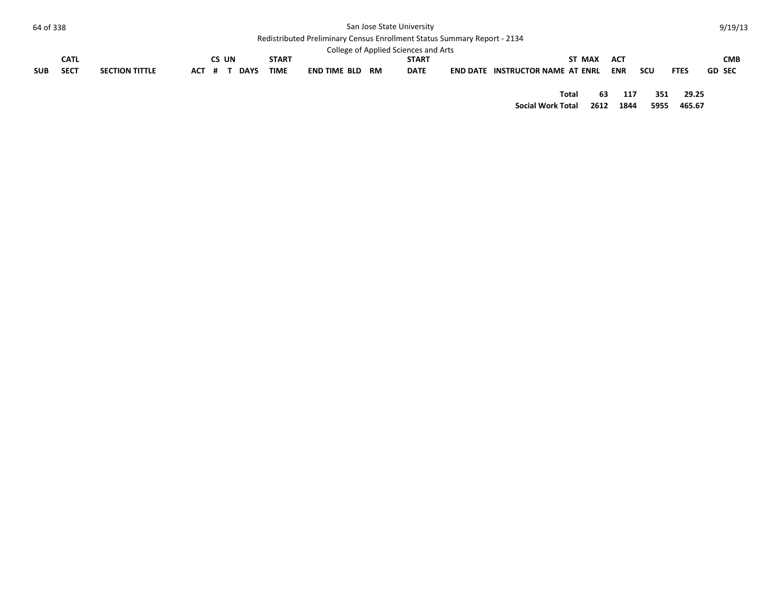| 64 of 338  |             | San Jose State University<br>Redistributed Preliminary Census Enrollment Status Summary Report - 2134 |                                      |       |             |              |                     |    |              |                 |                                |        |            | 9/19/13 |             |               |
|------------|-------------|-------------------------------------------------------------------------------------------------------|--------------------------------------|-------|-------------|--------------|---------------------|----|--------------|-----------------|--------------------------------|--------|------------|---------|-------------|---------------|
|            |             |                                                                                                       |                                      |       |             |              |                     |    |              |                 |                                |        |            |         |             |               |
|            |             |                                                                                                       | College of Applied Sciences and Arts |       |             |              |                     |    |              |                 |                                |        |            |         |             |               |
|            | <b>CATL</b> |                                                                                                       |                                      | CS UN |             | <b>START</b> |                     |    | <b>START</b> |                 |                                | ST MAX | <b>ACT</b> |         |             | <b>CMB</b>    |
| <b>SUB</b> | <b>SECT</b> | <b>SECTION TITTLE</b>                                                                                 | ACT                                  | #     | <b>DAYS</b> | TIME         | <b>END TIME BLD</b> | RM | <b>DATE</b>  | <b>END DATE</b> | <b>INSTRUCTOR NAME AT ENRL</b> |        | <b>ENR</b> | scu     | <b>FTES</b> | <b>GD SEC</b> |
|            |             |                                                                                                       |                                      |       |             |              |                     |    |              |                 | Total                          | 63     | 117        | 351     | 29.25       |               |
|            |             |                                                                                                       |                                      |       |             |              |                     |    |              |                 | <b>Social Work Total</b>       | 2612   | 1844       | 5955    | 465.67      |               |